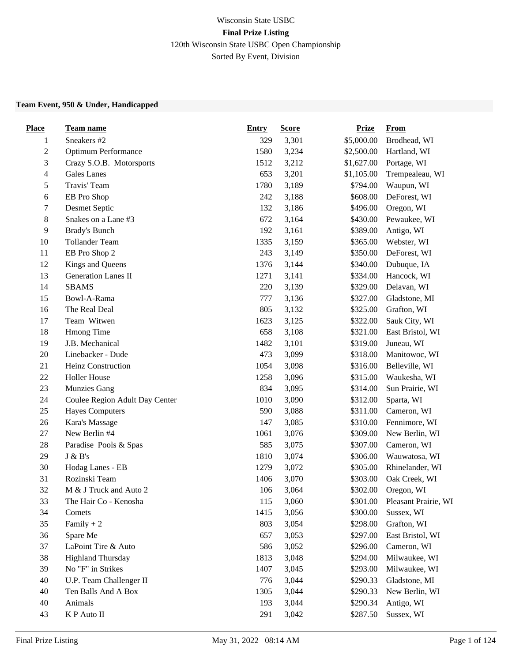### Wisconsin State USBC **Final Prize Listing** 120th Wisconsin State USBC Open Championship Sorted By Event, Division

#### **Team Event, 950 & Under, Handicapped**

| <b>Place</b>   | <b>Team name</b>               | <b>Entry</b> | <b>Score</b> | <b>Prize</b> | <b>From</b>          |
|----------------|--------------------------------|--------------|--------------|--------------|----------------------|
| $\mathbf{1}$   | Sneakers #2                    | 329          | 3,301        | \$5,000.00   | Brodhead, WI         |
| $\overline{c}$ | Optimum Performance            | 1580         | 3,234        | \$2,500.00   | Hartland, WI         |
| 3              | Crazy S.O.B. Motorsports       | 1512         | 3,212        | \$1,627.00   | Portage, WI          |
| 4              | <b>Gales</b> Lanes             | 653          | 3,201        | \$1,105.00   | Trempealeau, WI      |
| 5              | Travis' Team                   | 1780         | 3,189        | \$794.00     | Waupun, WI           |
| 6              | EB Pro Shop                    | 242          | 3,188        | \$608.00     | DeForest, WI         |
| 7              | Desmet Septic                  | 132          | 3,186        | \$496.00     | Oregon, WI           |
| 8              | Snakes on a Lane #3            | 672          | 3,164        | \$430.00     | Pewaukee, WI         |
| 9              | Brady's Bunch                  | 192          | 3,161        | \$389.00     | Antigo, WI           |
| $10\,$         | <b>Tollander Team</b>          | 1335         | 3,159        | \$365.00     | Webster, WI          |
| 11             | EB Pro Shop 2                  | 243          | 3,149        | \$350.00     | DeForest, WI         |
| 12             | Kings and Queens               | 1376         | 3,144        | \$340.00     | Dubuque, IA          |
| 13             | Generation Lanes II            | 1271         | 3,141        | \$334.00     | Hancock, WI          |
| 14             | <b>SBAMS</b>                   | 220          | 3,139        | \$329.00     | Delavan, WI          |
| 15             | Bowl-A-Rama                    | 777          | 3,136        | \$327.00     | Gladstone, MI        |
| 16             | The Real Deal                  | 805          | 3,132        | \$325.00     | Grafton, WI          |
| 17             | Team Witwen                    | 1623         | 3,125        | \$322.00     | Sauk City, WI        |
| 18             | Hmong Time                     | 658          | 3,108        | \$321.00     | East Bristol, WI     |
| 19             | J.B. Mechanical                | 1482         | 3,101        | \$319.00     | Juneau, WI           |
| 20             | Linebacker - Dude              | 473          | 3,099        | \$318.00     | Manitowoc, WI        |
| 21             | Heinz Construction             | 1054         | 3,098        | \$316.00     | Belleville, WI       |
| $22\,$         | <b>Holler House</b>            | 1258         | 3,096        | \$315.00     | Waukesha, WI         |
| 23             | <b>Munzies Gang</b>            | 834          | 3,095        | \$314.00     | Sun Prairie, WI      |
| 24             | Coulee Region Adult Day Center | 1010         | 3,090        | \$312.00     | Sparta, WI           |
| $25\,$         | <b>Hayes Computers</b>         | 590          | 3,088        | \$311.00     | Cameron, WI          |
| 26             | Kara's Massage                 | 147          | 3,085        | \$310.00     | Fennimore, WI        |
| $27\,$         | New Berlin #4                  | 1061         | 3,076        | \$309.00     | New Berlin, WI       |
| $28\,$         | Paradise Pools & Spas          | 585          | 3,075        | \$307.00     | Cameron, WI          |
| 29             | J & B's                        | 1810         | 3,074        | \$306.00     | Wauwatosa, WI        |
| 30             | Hodag Lanes - EB               | 1279         | 3,072        | \$305.00     | Rhinelander, WI      |
| 31             | Rozinski Team                  | 1406         | 3,070        | \$303.00     | Oak Creek, WI        |
| 32             | M & J Truck and Auto 2         | 106          | 3,064        | \$302.00     | Oregon, WI           |
| 33             | The Hair Co - Kenosha          | 115          | 3,060        | \$301.00     | Pleasant Prairie, WI |
| 34             | Comets                         | 1415         | 3,056        | \$300.00     | Sussex, WI           |
| 35             | Family $+2$                    | 803          | 3,054        | \$298.00     | Grafton, WI          |
| 36             | Spare Me                       | 657          | 3,053        | \$297.00     | East Bristol, WI     |
| 37             | LaPoint Tire & Auto            | 586          | 3,052        | \$296.00     | Cameron, WI          |
| 38             | <b>Highland Thursday</b>       | 1813         | 3,048        | \$294.00     | Milwaukee, WI        |
| 39             | No "F" in Strikes              | 1407         | 3,045        | \$293.00     | Milwaukee, WI        |
| 40             | U.P. Team Challenger II        | 776          | 3,044        | \$290.33     | Gladstone, MI        |
| 40             | Ten Balls And A Box            | 1305         | 3,044        | \$290.33     | New Berlin, WI       |
| 40             | Animals                        | 193          | 3,044        | \$290.34     | Antigo, WI           |
| 43             | K P Auto II                    | 291          | 3,042        | \$287.50     | Sussex, WI           |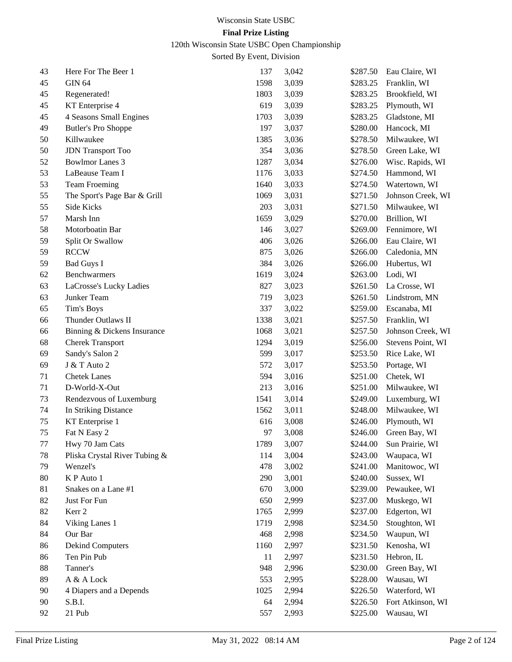120th Wisconsin State USBC Open Championship

| 43 | Here For The Beer 1           | 137  | 3,042 | \$287.50 | Eau Claire, WI    |
|----|-------------------------------|------|-------|----------|-------------------|
| 45 | <b>GIN 64</b>                 | 1598 | 3,039 | \$283.25 | Franklin, WI      |
| 45 | Regenerated!                  | 1803 | 3,039 | \$283.25 | Brookfield, WI    |
| 45 | KT Enterprise 4               | 619  | 3,039 | \$283.25 | Plymouth, WI      |
| 45 | 4 Seasons Small Engines       | 1703 | 3,039 | \$283.25 | Gladstone, MI     |
| 49 | <b>Butler's Pro Shoppe</b>    | 197  | 3,037 | \$280.00 | Hancock, MI       |
| 50 | Killwaukee                    | 1385 | 3,036 | \$278.50 | Milwaukee, WI     |
| 50 | <b>JDN</b> Transport Too      | 354  | 3,036 | \$278.50 | Green Lake, WI    |
| 52 | <b>Bowlmor Lanes 3</b>        | 1287 | 3,034 | \$276.00 | Wisc. Rapids, WI  |
| 53 | LaBeause Team I               | 1176 | 3,033 | \$274.50 | Hammond, WI       |
| 53 | <b>Team Froeming</b>          | 1640 | 3,033 | \$274.50 | Watertown, WI     |
| 55 | The Sport's Page Bar & Grill  | 1069 | 3,031 | \$271.50 | Johnson Creek, WI |
| 55 | Side Kicks                    | 203  | 3,031 | \$271.50 | Milwaukee, WI     |
| 57 | Marsh Inn                     | 1659 | 3,029 | \$270.00 | Brillion, WI      |
| 58 | Motorboatin Bar               | 146  | 3,027 | \$269.00 | Fennimore, WI     |
| 59 | Split Or Swallow              | 406  | 3,026 | \$266.00 | Eau Claire, WI    |
| 59 | <b>RCCW</b>                   | 875  | 3,026 | \$266.00 | Caledonia, MN     |
| 59 | <b>Bad Guys I</b>             | 384  | 3,026 | \$266.00 | Hubertus, WI      |
| 62 | Benchwarmers                  | 1619 | 3,024 | \$263.00 | Lodi, WI          |
| 63 | LaCrosse's Lucky Ladies       | 827  | 3,023 | \$261.50 | La Crosse, WI     |
| 63 | Junker Team                   | 719  | 3,023 | \$261.50 | Lindstrom, MN     |
| 65 | Tim's Boys                    | 337  | 3,022 | \$259.00 | Escanaba, MI      |
| 66 | Thunder Outlaws II            | 1338 | 3,021 | \$257.50 | Franklin, WI      |
| 66 | Binning & Dickens Insurance   | 1068 | 3,021 | \$257.50 | Johnson Creek, WI |
| 68 | <b>Cherek Transport</b>       | 1294 | 3,019 | \$256.00 | Stevens Point, WI |
| 69 | Sandy's Salon 2               | 599  | 3,017 | \$253.50 | Rice Lake, WI     |
| 69 | J & T Auto 2                  | 572  | 3,017 | \$253.50 | Portage, WI       |
| 71 | <b>Chetek Lanes</b>           | 594  | 3,016 | \$251.00 | Chetek, WI        |
| 71 | D-World-X-Out                 | 213  | 3,016 | \$251.00 | Milwaukee, WI     |
| 73 | Rendezvous of Luxemburg       | 1541 | 3,014 | \$249.00 | Luxemburg, WI     |
| 74 | In Striking Distance          | 1562 | 3,011 | \$248.00 | Milwaukee, WI     |
| 75 | KT Enterprise 1               | 616  | 3,008 | \$246.00 | Plymouth, WI      |
| 75 | Fat N Easy 2                  | 97   | 3,008 | \$246.00 | Green Bay, WI     |
| 77 | Hwy 70 Jam Cats               | 1789 | 3,007 | \$244.00 | Sun Prairie, WI   |
| 78 | Pliska Crystal River Tubing & | 114  | 3,004 | \$243.00 | Waupaca, WI       |
| 79 | Wenzel's                      | 478  | 3,002 | \$241.00 | Manitowoc, WI     |
| 80 | K P Auto 1                    | 290  | 3,001 | \$240.00 | Sussex, WI        |
| 81 | Snakes on a Lane #1           | 670  | 3,000 | \$239.00 | Pewaukee, WI      |
| 82 | Just For Fun                  | 650  | 2,999 | \$237.00 | Muskego, WI       |
| 82 | Kerr 2                        | 1765 | 2,999 | \$237.00 | Edgerton, WI      |
| 84 | Viking Lanes 1                | 1719 | 2,998 | \$234.50 | Stoughton, WI     |
| 84 | Our Bar                       | 468  | 2,998 | \$234.50 | Waupun, WI        |
| 86 | <b>Dekind Computers</b>       | 1160 | 2,997 | \$231.50 | Kenosha, WI       |
| 86 | Ten Pin Pub                   | 11   | 2,997 | \$231.50 | Hebron, IL        |
| 88 | Tanner's                      | 948  | 2,996 | \$230.00 | Green Bay, WI     |
| 89 | A & A Lock                    | 553  | 2,995 | \$228.00 | Wausau, WI        |
| 90 | 4 Diapers and a Depends       | 1025 | 2,994 | \$226.50 | Waterford, WI     |
| 90 | S.B.I.                        | 64   | 2,994 | \$226.50 | Fort Atkinson, WI |
| 92 | 21 Pub                        | 557  | 2,993 | \$225.00 | Wausau, WI        |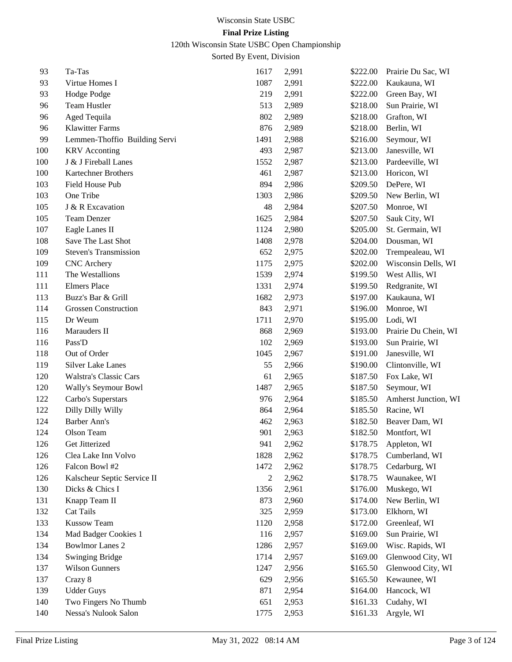120th Wisconsin State USBC Open Championship

| 93  | Ta-Tas                        | 1617 | 2,991 | \$222.00 | Prairie Du Sac, WI   |
|-----|-------------------------------|------|-------|----------|----------------------|
| 93  | Virtue Homes I                | 1087 | 2,991 | \$222.00 | Kaukauna, WI         |
| 93  | Hodge Podge                   | 219  | 2,991 | \$222.00 | Green Bay, WI        |
| 96  | Team Hustler                  | 513  | 2,989 | \$218.00 | Sun Prairie, WI      |
| 96  | Aged Tequila                  | 802  | 2,989 | \$218.00 | Grafton, WI          |
| 96  | <b>Klawitter Farms</b>        | 876  | 2,989 | \$218.00 | Berlin, WI           |
| 99  | Lemmen-Thoffio Building Servi | 1491 | 2,988 | \$216.00 | Seymour, WI          |
| 100 | <b>KRV</b> Acconting          | 493  | 2,987 | \$213.00 | Janesville, WI       |
| 100 | J & J Fireball Lanes          | 1552 | 2,987 | \$213.00 | Pardeeville, WI      |
| 100 | Kartechner Brothers           | 461  | 2,987 | \$213.00 | Horicon, WI          |
| 103 | Field House Pub               | 894  | 2,986 | \$209.50 | DePere, WI           |
| 103 | One Tribe                     | 1303 | 2,986 | \$209.50 | New Berlin, WI       |
| 105 | J & R Excavation              | 48   | 2,984 | \$207.50 | Monroe, WI           |
| 105 | Team Denzer                   | 1625 | 2,984 | \$207.50 | Sauk City, WI        |
| 107 | Eagle Lanes II                | 1124 | 2,980 | \$205.00 | St. Germain, WI      |
| 108 | Save The Last Shot            | 1408 | 2,978 | \$204.00 | Dousman, WI          |
| 109 | <b>Steven's Transmission</b>  | 652  | 2,975 | \$202.00 | Trempealeau, WI      |
| 109 | <b>CNC</b> Archery            | 1175 | 2,975 | \$202.00 | Wisconsin Dells, WI  |
| 111 | The Westallions               | 1539 | 2,974 | \$199.50 | West Allis, WI       |
| 111 | <b>Elmers Place</b>           | 1331 | 2,974 | \$199.50 | Redgranite, WI       |
| 113 | Buzz's Bar & Grill            | 1682 | 2,973 | \$197.00 | Kaukauna, WI         |
| 114 | <b>Grossen Construction</b>   | 843  | 2,971 | \$196.00 | Monroe, WI           |
| 115 | Dr Weum                       | 1711 | 2,970 | \$195.00 | Lodi, WI             |
| 116 | Marauders II                  | 868  | 2,969 | \$193.00 | Prairie Du Chein, WI |
| 116 | Pass'D                        | 102  | 2,969 | \$193.00 | Sun Prairie, WI      |
| 118 | Out of Order                  | 1045 | 2,967 | \$191.00 | Janesville, WI       |
| 119 | <b>Silver Lake Lanes</b>      | 55   | 2,966 | \$190.00 | Clintonville, WI     |
| 120 | Walstra's Classic Cars        | 61   | 2,965 | \$187.50 | Fox Lake, WI         |
| 120 | Wally's Seymour Bowl          | 1487 | 2,965 | \$187.50 | Seymour, WI          |
| 122 | Carbo's Superstars            | 976  | 2,964 | \$185.50 | Amherst Junction, WI |
| 122 | Dilly Dilly Willy             | 864  | 2,964 | \$185.50 | Racine, WI           |
| 124 | Barber Ann's                  | 462  | 2,963 | \$182.50 | Beaver Dam, WI       |
| 124 | Olson Team                    | 901  | 2,963 | \$182.50 | Montfort, WI         |
| 126 | Get Jitterized                | 941  | 2,962 | \$178.75 | Appleton, WI         |
| 126 | Clea Lake Inn Volvo           | 1828 | 2,962 | \$178.75 | Cumberland, WI       |
| 126 | Falcon Bowl #2                | 1472 | 2,962 | \$178.75 | Cedarburg, WI        |
| 126 | Kalscheur Septic Service II   | 2    | 2,962 | \$178.75 | Waunakee, WI         |
| 130 | Dicks & Chics I               | 1356 | 2,961 | \$176.00 | Muskego, WI          |
| 131 | Knapp Team II                 | 873  | 2,960 | \$174.00 | New Berlin, WI       |
| 132 | Cat Tails                     | 325  | 2,959 | \$173.00 | Elkhorn, WI          |
| 133 | <b>Kussow Team</b>            | 1120 | 2,958 | \$172.00 | Greenleaf, WI        |
| 134 | Mad Badger Cookies 1          | 116  | 2,957 | \$169.00 | Sun Prairie, WI      |
| 134 | <b>Bowlmor Lanes 2</b>        | 1286 | 2,957 | \$169.00 | Wisc. Rapids, WI     |
| 134 | <b>Swinging Bridge</b>        | 1714 | 2,957 | \$169.00 | Glenwood City, WI    |
| 137 | <b>Wilson Gunners</b>         | 1247 | 2,956 | \$165.50 | Glenwood City, WI    |
| 137 | Crazy 8                       | 629  | 2,956 | \$165.50 | Kewaunee, WI         |
| 139 | <b>Udder Guys</b>             | 871  | 2,954 | \$164.00 | Hancock, WI          |
| 140 | Two Fingers No Thumb          | 651  | 2,953 | \$161.33 | Cudahy, WI           |
| 140 | Nessa's Nulook Salon          | 1775 | 2,953 | \$161.33 | Argyle, WI           |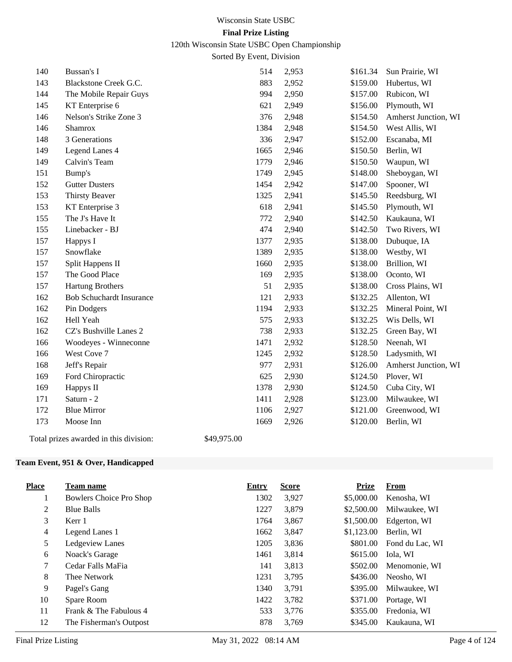120th Wisconsin State USBC Open Championship

Sorted By Event, Division

| 140 | Bussan's I                      | 514  | 2,953 | \$161.34 | Sun Prairie, WI      |
|-----|---------------------------------|------|-------|----------|----------------------|
| 143 | Blackstone Creek G.C.           | 883  | 2,952 | \$159.00 | Hubertus, WI         |
| 144 | The Mobile Repair Guys          | 994  | 2,950 | \$157.00 | Rubicon, WI          |
| 145 | KT Enterprise 6                 | 621  | 2,949 | \$156.00 | Plymouth, WI         |
| 146 | Nelson's Strike Zone 3          | 376  | 2,948 | \$154.50 | Amherst Junction, WI |
| 146 | Shamrox                         | 1384 | 2,948 | \$154.50 | West Allis, WI       |
| 148 | 3 Generations                   | 336  | 2,947 | \$152.00 | Escanaba, MI         |
| 149 | Legend Lanes 4                  | 1665 | 2,946 | \$150.50 | Berlin, WI           |
| 149 | Calvin's Team                   | 1779 | 2,946 | \$150.50 | Waupun, WI           |
| 151 | Bump's                          | 1749 | 2,945 | \$148.00 | Sheboygan, WI        |
| 152 | <b>Gutter Dusters</b>           | 1454 | 2,942 | \$147.00 | Spooner, WI          |
| 153 | <b>Thirsty Beaver</b>           | 1325 | 2,941 | \$145.50 | Reedsburg, WI        |
| 153 | KT Enterprise 3                 | 618  | 2,941 | \$145.50 | Plymouth, WI         |
| 155 | The J's Have It                 | 772  | 2,940 | \$142.50 | Kaukauna, WI         |
| 155 | Linebacker - BJ                 | 474  | 2,940 | \$142.50 | Two Rivers, WI       |
| 157 | Happys I                        | 1377 | 2,935 | \$138.00 | Dubuque, IA          |
| 157 | Snowflake                       | 1389 | 2,935 | \$138.00 | Westby, WI           |
| 157 | Split Happens II                | 1660 | 2,935 | \$138.00 | Brillion, WI         |
| 157 | The Good Place                  | 169  | 2,935 | \$138.00 | Oconto, WI           |
| 157 | <b>Hartung Brothers</b>         | 51   | 2,935 | \$138.00 | Cross Plains, WI     |
| 162 | <b>Bob Schuchardt Insurance</b> | 121  | 2,933 | \$132.25 | Allenton, WI         |
| 162 | Pin Dodgers                     | 1194 | 2,933 | \$132.25 | Mineral Point, WI    |
| 162 | Hell Yeah                       | 575  | 2,933 | \$132.25 | Wis Dells, WI        |
| 162 | CZ's Bushville Lanes 2          | 738  | 2,933 | \$132.25 | Green Bay, WI        |
| 166 | Woodeyes - Winneconne           | 1471 | 2,932 | \$128.50 | Neenah, WI           |
| 166 | West Cove 7                     | 1245 | 2,932 | \$128.50 | Ladysmith, WI        |
| 168 | Jeff's Repair                   | 977  | 2,931 | \$126.00 | Amherst Junction, WI |
| 169 | Ford Chiropractic               | 625  | 2,930 | \$124.50 | Plover, WI           |
| 169 | Happys II                       | 1378 | 2,930 | \$124.50 | Cuba City, WI        |
| 171 | Saturn - 2                      | 1411 | 2,928 | \$123.00 | Milwaukee, WI        |
| 172 | <b>Blue Mirror</b>              | 1106 | 2,927 | \$121.00 | Greenwood, WI        |
| 173 | Moose Inn                       | 1669 | 2,926 | \$120.00 | Berlin, WI           |
|     |                                 |      |       |          |                      |

Total prizes awarded in this division: \$49,975.00

#### **Team Event, 951 & Over, Handicapped**

| <b>Place</b> | <b>Team name</b>        | Entry | <b>Score</b> | <b>Prize</b> | From            |
|--------------|-------------------------|-------|--------------|--------------|-----------------|
| $\mathbf{I}$ | Bowlers Choice Pro Shop | 1302  | 3,927        | \$5,000.00   | Kenosha, WI     |
| 2            | <b>Blue Balls</b>       | 1227  | 3,879        | \$2,500.00   | Milwaukee, WI   |
| 3            | Kerr 1                  | 1764  | 3,867        | \$1,500.00   | Edgerton, WI    |
| 4            | Legend Lanes 1          | 1662  | 3,847        | \$1,123.00   | Berlin, WI      |
| 5            | Ledgeview Lanes         | 1205  | 3,836        | \$801.00     | Fond du Lac, WI |
| 6            | Noack's Garage          | 1461  | 3,814        | \$615.00     | Iola, WI        |
| 7            | Cedar Falls MaFia       | 141   | 3,813        | \$502.00     | Menomonie, WI   |
| 8            | Thee Network            | 1231  | 3,795        | \$436.00     | Neosho, WI      |
| 9            | Pagel's Gang            | 1340  | 3,791        | \$395.00     | Milwaukee, WI   |
| 10           | Spare Room              | 1422  | 3,782        | \$371.00     | Portage, WI     |
| 11           | Frank & The Fabulous 4  | 533   | 3,776        | \$355.00     | Fredonia, WI    |
| 12           | The Fisherman's Outpost | 878   | 3.769        | \$345.00     | Kaukauna, WI    |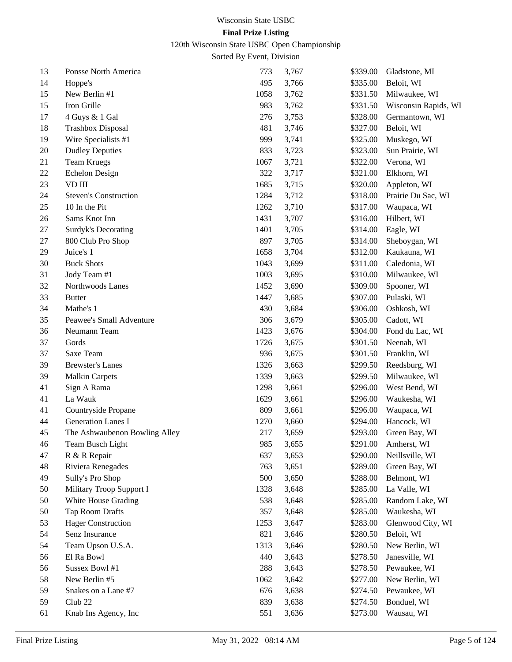120th Wisconsin State USBC Open Championship

| 13 | Ponsse North America          | 773  | 3,767 | \$339.00 | Gladstone, MI        |
|----|-------------------------------|------|-------|----------|----------------------|
| 14 | Hoppe's                       | 495  | 3,766 | \$335.00 | Beloit, WI           |
| 15 | New Berlin #1                 | 1058 | 3,762 | \$331.50 | Milwaukee, WI        |
| 15 | Iron Grille                   | 983  | 3,762 | \$331.50 | Wisconsin Rapids, WI |
| 17 | 4 Guys & 1 Gal                | 276  | 3,753 | \$328.00 | Germantown, WI       |
| 18 | <b>Trashbox Disposal</b>      | 481  | 3,746 | \$327.00 | Beloit, WI           |
| 19 | Wire Specialists #1           | 999  | 3,741 | \$325.00 | Muskego, WI          |
| 20 | <b>Dudley Deputies</b>        | 833  | 3,723 | \$323.00 | Sun Prairie, WI      |
| 21 | <b>Team Kruegs</b>            | 1067 | 3,721 | \$322.00 | Verona, WI           |
| 22 | <b>Echelon Design</b>         | 322  | 3,717 | \$321.00 | Elkhorn, WI          |
| 23 | VD III                        | 1685 | 3,715 | \$320.00 | Appleton, WI         |
| 24 | <b>Steven's Construction</b>  | 1284 | 3,712 | \$318.00 | Prairie Du Sac, WI   |
| 25 | 10 In the Pit                 | 1262 | 3,710 | \$317.00 | Waupaca, WI          |
| 26 | Sams Knot Inn                 | 1431 | 3,707 | \$316.00 | Hilbert, WI          |
| 27 | Surdyk's Decorating           | 1401 | 3,705 | \$314.00 | Eagle, WI            |
| 27 | 800 Club Pro Shop             | 897  | 3,705 | \$314.00 | Sheboygan, WI        |
| 29 | Juice's 1                     | 1658 | 3,704 | \$312.00 | Kaukauna, WI         |
| 30 | <b>Buck Shots</b>             | 1043 | 3,699 | \$311.00 | Caledonia, WI        |
| 31 | Jody Team #1                  | 1003 | 3,695 | \$310.00 | Milwaukee, WI        |
| 32 | Northwoods Lanes              | 1452 | 3,690 | \$309.00 | Spooner, WI          |
| 33 | <b>Butter</b>                 | 1447 | 3,685 | \$307.00 | Pulaski, WI          |
| 34 | Mathe's 1                     | 430  | 3,684 | \$306.00 | Oshkosh, WI          |
| 35 | Peawee's Small Adventure      | 306  | 3,679 | \$305.00 | Cadott, WI           |
| 36 | Neumann Team                  | 1423 | 3,676 | \$304.00 | Fond du Lac, WI      |
| 37 | Gords                         | 1726 | 3,675 | \$301.50 | Neenah, WI           |
| 37 | Saxe Team                     | 936  | 3,675 | \$301.50 | Franklin, WI         |
| 39 | <b>Brewster's Lanes</b>       | 1326 | 3,663 | \$299.50 | Reedsburg, WI        |
| 39 | <b>Malkin Carpets</b>         | 1339 | 3,663 | \$299.50 | Milwaukee, WI        |
| 41 | Sign A Rama                   | 1298 | 3,661 | \$296.00 | West Bend, WI        |
| 41 | La Wauk                       | 1629 | 3,661 | \$296.00 | Waukesha, WI         |
| 41 | Countryside Propane           | 809  | 3,661 | \$296.00 | Waupaca, WI          |
| 44 | <b>Generation Lanes I</b>     | 1270 | 3,660 | \$294.00 | Hancock, WI          |
| 45 | The Ashwaubenon Bowling Alley | 217  | 3,659 | \$293.00 | Green Bay, WI        |
| 46 | Team Busch Light              | 985  | 3,655 | \$291.00 | Amherst, WI          |
| 47 | R & R Repair                  | 637  | 3,653 | \$290.00 | Neillsville, WI      |
| 48 | Riviera Renegades             | 763  | 3,651 | \$289.00 | Green Bay, WI        |
| 49 | Sully's Pro Shop              | 500  | 3,650 | \$288.00 | Belmont, WI          |
| 50 | Military Troop Support I      | 1328 | 3,648 | \$285.00 | La Valle, WI         |
| 50 | White House Grading           | 538  | 3,648 | \$285.00 | Random Lake, WI      |
| 50 | Tap Room Drafts               | 357  | 3,648 | \$285.00 | Waukesha, WI         |
| 53 | <b>Hager Construction</b>     | 1253 | 3,647 | \$283.00 | Glenwood City, WI    |
| 54 | Senz Insurance                | 821  | 3,646 | \$280.50 | Beloit, WI           |
| 54 | Team Upson U.S.A.             | 1313 | 3,646 | \$280.50 | New Berlin, WI       |
| 56 | El Ra Bowl                    | 440  | 3,643 | \$278.50 | Janesville, WI       |
| 56 | Sussex Bowl #1                | 288  | 3,643 | \$278.50 | Pewaukee, WI         |
| 58 | New Berlin #5                 | 1062 | 3,642 | \$277.00 | New Berlin, WI       |
| 59 | Snakes on a Lane #7           | 676  | 3,638 | \$274.50 | Pewaukee, WI         |
| 59 | Club <sub>22</sub>            | 839  | 3,638 | \$274.50 | Bonduel, WI          |
| 61 | Knab Ins Agency, Inc          | 551  | 3,636 | \$273.00 | Wausau, WI           |
|    |                               |      |       |          |                      |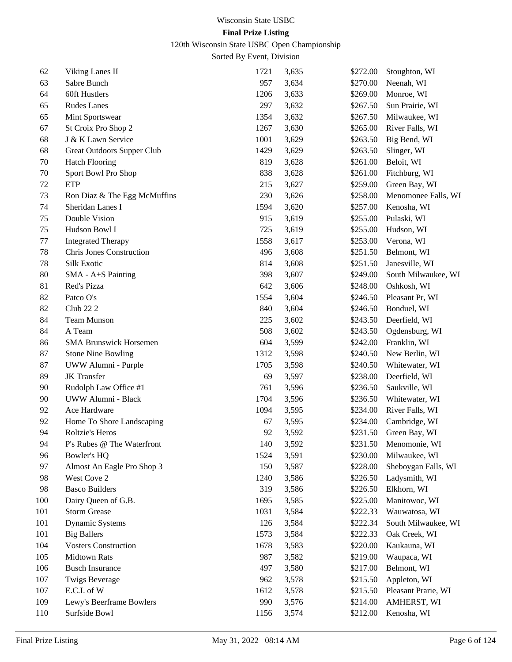120th Wisconsin State USBC Open Championship

| 62  | Viking Lanes II                 | 1721 | 3,635 | \$272.00 | Stoughton, WI          |
|-----|---------------------------------|------|-------|----------|------------------------|
| 63  | Sabre Bunch                     | 957  | 3,634 | \$270.00 | Neenah, WI             |
| 64  | 60ft Hustlers                   | 1206 | 3,633 | \$269.00 | Monroe, WI             |
| 65  | <b>Rudes Lanes</b>              | 297  | 3,632 | \$267.50 | Sun Prairie, WI        |
| 65  | Mint Sportswear                 | 1354 | 3,632 | \$267.50 | Milwaukee, WI          |
| 67  | St Croix Pro Shop 2             | 1267 | 3,630 | \$265.00 | River Falls, WI        |
| 68  | J & K Lawn Service              | 1001 | 3,629 | \$263.50 | Big Bend, WI           |
| 68  | Great Outdoors Supper Club      | 1429 | 3,629 | \$263.50 | Slinger, WI            |
| 70  | <b>Hatch Flooring</b>           | 819  | 3,628 | \$261.00 | Beloit, WI             |
| 70  | Sport Bowl Pro Shop             | 838  | 3,628 | \$261.00 | Fitchburg, WI          |
| 72  | <b>ETP</b>                      | 215  | 3,627 | \$259.00 | Green Bay, WI          |
| 73  | Ron Diaz & The Egg McMuffins    | 230  | 3,626 | \$258.00 | Menomonee Falls, WI    |
| 74  | Sheridan Lanes I                | 1594 | 3,620 | \$257.00 | Kenosha, WI            |
| 75  | Double Vision                   | 915  | 3,619 | \$255.00 | Pulaski, WI            |
| 75  | Hudson Bowl I                   | 725  | 3,619 | \$255.00 | Hudson, WI             |
| 77  | <b>Integrated Therapy</b>       | 1558 | 3,617 | \$253.00 | Verona, WI             |
| 78  | <b>Chris Jones Construction</b> | 496  | 3,608 | \$251.50 | Belmont, WI            |
| 78  | Silk Exotic                     | 814  | 3,608 | \$251.50 | Janesville, WI         |
| 80  | SMA - A+S Painting              | 398  | 3,607 | \$249.00 | South Milwaukee, WI    |
| 81  | Red's Pizza                     | 642  | 3,606 | \$248.00 | Oshkosh, WI            |
| 82  | Patco O's                       | 1554 | 3,604 | \$246.50 | Pleasant Pr, WI        |
| 82  | <b>Club 222</b>                 | 840  | 3,604 | \$246.50 | Bonduel, WI            |
| 84  | <b>Team Munson</b>              | 225  | 3,602 | \$243.50 | Deerfield, WI          |
| 84  | A Team                          | 508  | 3,602 | \$243.50 | Ogdensburg, WI         |
| 86  | <b>SMA Brunswick Horsemen</b>   | 604  | 3,599 | \$242.00 | Franklin, WI           |
| 87  | <b>Stone Nine Bowling</b>       | 1312 | 3,598 | \$240.50 | New Berlin, WI         |
| 87  | UWW Alumni - Purple             | 1705 | 3,598 | \$240.50 | Whitewater, WI         |
| 89  | <b>JK</b> Transfer              | 69   | 3,597 | \$238.00 | Deerfield, WI          |
| 90  | Rudolph Law Office #1           | 761  | 3,596 | \$236.50 | Saukville, WI          |
| 90  | UWW Alumni - Black              | 1704 | 3,596 | \$236.50 | Whitewater, WI         |
| 92  | Ace Hardware                    | 1094 | 3,595 | \$234.00 | River Falls, WI        |
| 92  | Home To Shore Landscaping       | 67   | 3,595 | \$234.00 | Cambridge, WI          |
| 94  | Roltzie's Heros                 | 92   | 3,592 | \$231.50 | Green Bay, WI          |
| 94  | P's Rubes @ The Waterfront      | 140  | 3,592 |          | \$231.50 Menomonie, WI |
| 96  | Bowler's HQ                     | 1524 | 3,591 | \$230.00 | Milwaukee, WI          |
| 97  | Almost An Eagle Pro Shop 3      | 150  | 3,587 | \$228.00 | Sheboygan Falls, WI    |
| 98  | West Cove 2                     | 1240 | 3,586 | \$226.50 | Ladysmith, WI          |
| 98  | <b>Basco Builders</b>           | 319  | 3,586 | \$226.50 | Elkhorn, WI            |
| 100 | Dairy Queen of G.B.             | 1695 | 3,585 | \$225.00 | Manitowoc, WI          |
| 101 | <b>Storm Grease</b>             | 1031 | 3,584 | \$222.33 | Wauwatosa, WI          |
| 101 | Dynamic Systems                 | 126  | 3,584 | \$222.34 | South Milwaukee, WI    |
| 101 | <b>Big Ballers</b>              | 1573 | 3,584 | \$222.33 | Oak Creek, WI          |
| 104 | <b>Vosters Construction</b>     | 1678 | 3,583 | \$220.00 | Kaukauna, WI           |
| 105 | <b>Midtown Rats</b>             | 987  | 3,582 | \$219.00 | Waupaca, WI            |
| 106 | <b>Busch Insurance</b>          | 497  | 3,580 | \$217.00 | Belmont, WI            |
| 107 | <b>Twigs Beverage</b>           | 962  | 3,578 | \$215.50 | Appleton, WI           |
| 107 | E.C.I. of W                     | 1612 | 3,578 | \$215.50 | Pleasant Prarie, WI    |
| 109 | Lewy's Beerframe Bowlers        | 990  | 3,576 | \$214.00 | AMHERST, WI            |
| 110 | Surfside Bowl                   | 1156 | 3,574 | \$212.00 | Kenosha, WI            |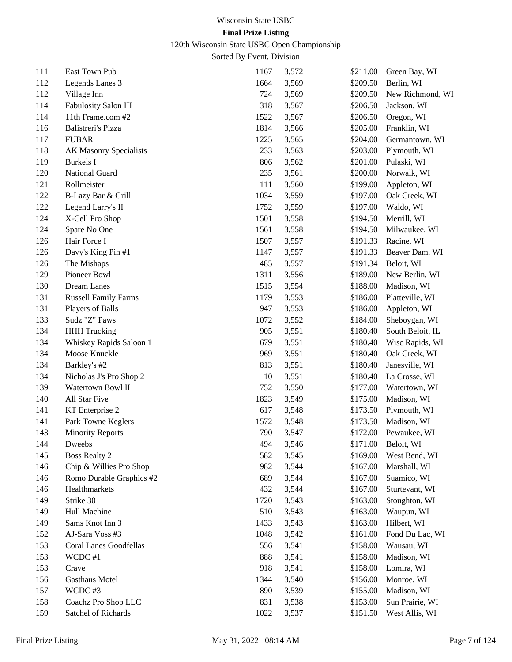120th Wisconsin State USBC Open Championship

| 111 | East Town Pub                 | 1167 | 3,572 | \$211.00 | Green Bay, WI    |
|-----|-------------------------------|------|-------|----------|------------------|
| 112 | Legends Lanes 3               | 1664 | 3,569 | \$209.50 | Berlin, WI       |
| 112 | Village Inn                   | 724  | 3,569 | \$209.50 | New Richmond, WI |
| 114 | Fabulosity Salon III          | 318  | 3,567 | \$206.50 | Jackson, WI      |
| 114 | 11th Frame.com #2             | 1522 | 3,567 | \$206.50 | Oregon, WI       |
| 116 | Balistreri's Pizza            | 1814 | 3,566 | \$205.00 | Franklin, WI     |
| 117 | <b>FUBAR</b>                  | 1225 | 3,565 | \$204.00 | Germantown, WI   |
| 118 | <b>AK Masonry Specialists</b> | 233  | 3,563 | \$203.00 | Plymouth, WI     |
| 119 | <b>Burkels</b> I              | 806  | 3,562 | \$201.00 | Pulaski, WI      |
| 120 | National Guard                | 235  | 3,561 | \$200.00 | Norwalk, WI      |
| 121 | Rollmeister                   | 111  | 3,560 | \$199.00 | Appleton, WI     |
| 122 | B-Lazy Bar & Grill            | 1034 | 3,559 | \$197.00 | Oak Creek, WI    |
| 122 | Legend Larry's II             | 1752 | 3,559 | \$197.00 | Waldo, WI        |
| 124 | X-Cell Pro Shop               | 1501 | 3,558 | \$194.50 | Merrill, WI      |
| 124 | Spare No One                  | 1561 | 3,558 | \$194.50 | Milwaukee, WI    |
| 126 | Hair Force I                  | 1507 | 3,557 | \$191.33 | Racine, WI       |
| 126 | Davy's King Pin #1            | 1147 | 3,557 | \$191.33 | Beaver Dam, WI   |
| 126 | The Mishaps                   | 485  | 3,557 | \$191.34 | Beloit, WI       |
| 129 | Pioneer Bowl                  | 1311 | 3,556 | \$189.00 | New Berlin, WI   |
| 130 | Dream Lanes                   | 1515 | 3,554 | \$188.00 | Madison, WI      |
| 131 | <b>Russell Family Farms</b>   | 1179 | 3,553 | \$186.00 | Platteville, WI  |
| 131 | Players of Balls              | 947  | 3,553 | \$186.00 | Appleton, WI     |
| 133 | Sudz "Z" Paws                 | 1072 | 3,552 | \$184.00 | Sheboygan, WI    |
| 134 | <b>HHH Trucking</b>           | 905  | 3,551 | \$180.40 | South Beloit, IL |
| 134 | Whiskey Rapids Saloon 1       | 679  | 3,551 | \$180.40 | Wisc Rapids, WI  |
| 134 | Moose Knuckle                 | 969  | 3,551 | \$180.40 | Oak Creek, WI    |
| 134 | Barkley's #2                  | 813  | 3,551 | \$180.40 | Janesville, WI   |
| 134 | Nicholas J's Pro Shop 2       | 10   | 3,551 | \$180.40 | La Crosse, WI    |
| 139 | Watertown Bowl II             | 752  | 3,550 | \$177.00 | Watertown, WI    |
| 140 | All Star Five                 | 1823 | 3,549 | \$175.00 | Madison, WI      |
| 141 | KT Enterprise 2               | 617  | 3,548 | \$173.50 | Plymouth, WI     |
| 141 | Park Towne Keglers            | 1572 | 3,548 | \$173.50 | Madison, WI      |
| 143 | <b>Minority Reports</b>       | 790  | 3,547 | \$172.00 | Pewaukee, WI     |
| 144 | Dweebs                        | 494  | 3,546 | \$171.00 | Beloit, WI       |
| 145 | <b>Boss Realty 2</b>          | 582  | 3,545 | \$169.00 | West Bend, WI    |
| 146 | Chip & Willies Pro Shop       | 982  | 3,544 | \$167.00 | Marshall, WI     |
| 146 | Romo Durable Graphics #2      | 689  | 3,544 | \$167.00 | Suamico, WI      |
| 146 | Healthmarkets                 | 432  | 3,544 | \$167.00 | Sturtevant, WI   |
| 149 | Strike 30                     | 1720 | 3,543 | \$163.00 | Stoughton, WI    |
| 149 | Hull Machine                  | 510  | 3,543 | \$163.00 | Waupun, WI       |
| 149 | Sams Knot Inn 3               | 1433 | 3,543 | \$163.00 | Hilbert, WI      |
| 152 | AJ-Sara Voss #3               | 1048 | 3,542 | \$161.00 | Fond Du Lac, WI  |
| 153 | <b>Coral Lanes Goodfellas</b> | 556  | 3,541 | \$158.00 | Wausau, WI       |
| 153 | WCDC #1                       | 888  | 3,541 | \$158.00 | Madison, WI      |
| 153 | Crave                         | 918  | 3,541 | \$158.00 | Lomira, WI       |
| 156 | <b>Gasthaus Motel</b>         | 1344 | 3,540 | \$156.00 | Monroe, WI       |
| 157 | WCDC#3                        | 890  | 3,539 | \$155.00 | Madison, WI      |
| 158 | Coachz Pro Shop LLC           | 831  | 3,538 | \$153.00 | Sun Prairie, WI  |
| 159 | Satchel of Richards           | 1022 | 3,537 | \$151.50 | West Allis, WI   |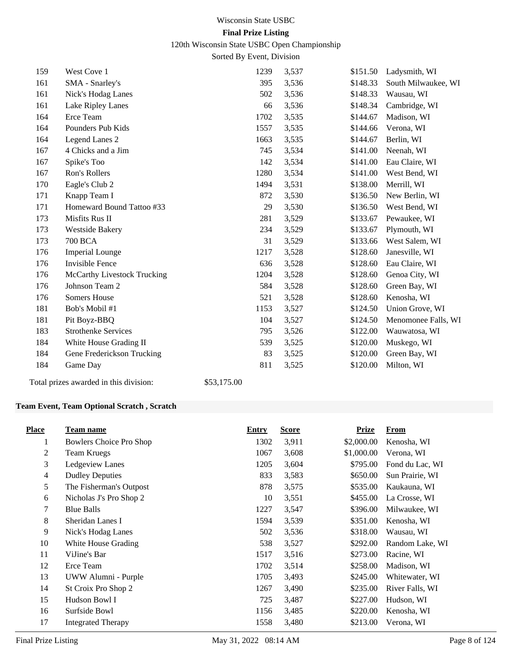120th Wisconsin State USBC Open Championship

Sorted By Event, Division

| 159 | West Cove 1                        | 1239 | 3,537 | \$151.50 | Ladysmith, WI       |
|-----|------------------------------------|------|-------|----------|---------------------|
| 161 | SMA - Snarley's                    | 395  | 3,536 | \$148.33 | South Milwaukee, WI |
| 161 | Nick's Hodag Lanes                 | 502  | 3,536 | \$148.33 | Wausau, WI          |
| 161 | Lake Ripley Lanes                  | 66   | 3,536 | \$148.34 | Cambridge, WI       |
| 164 | Erce Team                          | 1702 | 3,535 | \$144.67 | Madison, WI         |
| 164 | Pounders Pub Kids                  | 1557 | 3,535 | \$144.66 | Verona, WI          |
| 164 | Legend Lanes 2                     | 1663 | 3,535 | \$144.67 | Berlin, WI          |
| 167 | 4 Chicks and a Jim                 | 745  | 3,534 | \$141.00 | Neenah, WI          |
| 167 | Spike's Too                        | 142  | 3,534 | \$141.00 | Eau Claire, WI      |
| 167 | Ron's Rollers                      | 1280 | 3,534 | \$141.00 | West Bend, WI       |
| 170 | Eagle's Club 2                     | 1494 | 3,531 | \$138.00 | Merrill, WI         |
| 171 | Knapp Team I                       | 872  | 3,530 | \$136.50 | New Berlin, WI      |
| 171 | Homeward Bound Tattoo #33          | 29   | 3,530 | \$136.50 | West Bend, WI       |
| 173 | Misfits Rus II                     | 281  | 3,529 | \$133.67 | Pewaukee, WI        |
| 173 | Westside Bakery                    | 234  | 3,529 | \$133.67 | Plymouth, WI        |
| 173 | <b>700 BCA</b>                     | 31   | 3,529 | \$133.66 | West Salem, WI      |
| 176 | <b>Imperial Lounge</b>             | 1217 | 3,528 | \$128.60 | Janesville, WI      |
| 176 | Invisible Fence                    | 636  | 3,528 | \$128.60 | Eau Claire, WI      |
| 176 | <b>McCarthy Livestock Trucking</b> | 1204 | 3,528 | \$128.60 | Genoa City, WI      |
| 176 | Johnson Team 2                     | 584  | 3,528 | \$128.60 | Green Bay, WI       |
| 176 | Somers House                       | 521  | 3,528 | \$128.60 | Kenosha, WI         |
| 181 | Bob's Mobil #1                     | 1153 | 3,527 | \$124.50 | Union Grove, WI     |
| 181 | Pit Boyz-BBQ                       | 104  | 3,527 | \$124.50 | Menomonee Falls, WI |
| 183 | <b>Strothenke Services</b>         | 795  | 3,526 | \$122.00 | Wauwatosa, WI       |
| 184 | White House Grading II             | 539  | 3,525 | \$120.00 | Muskego, WI         |
| 184 | Gene Frederickson Trucking         | 83   | 3,525 | \$120.00 | Green Bay, WI       |
| 184 | Game Day                           | 811  | 3,525 | \$120.00 | Milton, WI          |

Total prizes awarded in this division: \$53,175.00

#### **Team Event, Team Optional Scratch , Scratch**

| <b>Place</b> | Team name                 | Entry | <b>Score</b> | Prize      | <b>From</b>     |
|--------------|---------------------------|-------|--------------|------------|-----------------|
| 1            | Bowlers Choice Pro Shop   | 1302  | 3,911        | \$2,000.00 | Kenosha, WI     |
| 2            | <b>Team Kruegs</b>        | 1067  | 3,608        | \$1,000.00 | Verona, WI      |
| 3            | Ledgeview Lanes           | 1205  | 3,604        | \$795.00   | Fond du Lac, WI |
| 4            | <b>Dudley Deputies</b>    | 833   | 3,583        | \$650.00   | Sun Prairie, WI |
| 5            | The Fisherman's Outpost   | 878   | 3,575        | \$535.00   | Kaukauna, WI    |
| 6            | Nicholas J's Pro Shop 2   | 10    | 3,551        | \$455.00   | La Crosse, WI   |
| 7            | <b>Blue Balls</b>         | 1227  | 3,547        | \$396.00   | Milwaukee, WI   |
| 8            | Sheridan Lanes I          | 1594  | 3,539        | \$351.00   | Kenosha, WI     |
| 9            | Nick's Hodag Lanes        | 502   | 3,536        | \$318.00   | Wausau, WI      |
| 10           | White House Grading       | 538   | 3,527        | \$292.00   | Random Lake, WI |
| 11           | ViJine's Bar              | 1517  | 3,516        | \$273.00   | Racine, WI      |
| 12           | Erce Team                 | 1702  | 3,514        | \$258.00   | Madison, WI     |
| 13           | UWW Alumni - Purple       | 1705  | 3,493        | \$245.00   | Whitewater, WI  |
| 14           | St Croix Pro Shop 2       | 1267  | 3,490        | \$235.00   | River Falls, WI |
| 15           | Hudson Bowl I             | 725   | 3,487        | \$227.00   | Hudson, WI      |
| 16           | Surfside Bowl             | 1156  | 3,485        | \$220.00   | Kenosha, WI     |
| 17           | <b>Integrated Therapy</b> | 1558  | 3,480        | \$213.00   | Verona, WI      |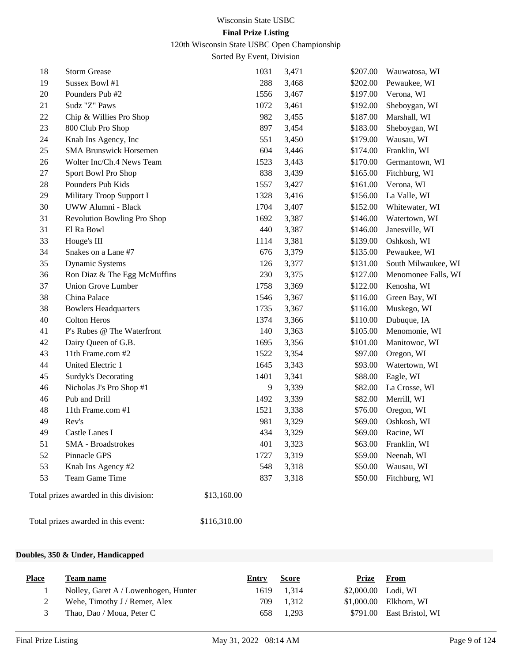120th Wisconsin State USBC Open Championship

Sorted By Event, Division

| 18 | <b>Storm Grease</b>                    |              | 1031 | 3,471 | \$207.00 | Wauwatosa, WI       |
|----|----------------------------------------|--------------|------|-------|----------|---------------------|
| 19 | Sussex Bowl #1                         |              | 288  | 3,468 | \$202.00 | Pewaukee, WI        |
| 20 | Pounders Pub #2                        |              | 1556 | 3,467 | \$197.00 | Verona, WI          |
| 21 | Sudz "Z" Paws                          |              | 1072 | 3,461 | \$192.00 | Sheboygan, WI       |
| 22 | Chip & Willies Pro Shop                |              | 982  | 3,455 | \$187.00 | Marshall, WI        |
| 23 | 800 Club Pro Shop                      |              | 897  | 3,454 | \$183.00 | Sheboygan, WI       |
| 24 | Knab Ins Agency, Inc                   |              | 551  | 3,450 | \$179.00 | Wausau, WI          |
| 25 | <b>SMA Brunswick Horsemen</b>          |              | 604  | 3,446 | \$174.00 | Franklin, WI        |
| 26 | Wolter Inc/Ch.4 News Team              |              | 1523 | 3,443 | \$170.00 | Germantown, WI      |
| 27 | Sport Bowl Pro Shop                    |              | 838  | 3,439 | \$165.00 | Fitchburg, WI       |
| 28 | Pounders Pub Kids                      |              | 1557 | 3,427 | \$161.00 | Verona, WI          |
| 29 | Military Troop Support I               |              | 1328 | 3,416 | \$156.00 | La Valle, WI        |
| 30 | UWW Alumni - Black                     |              | 1704 | 3,407 | \$152.00 | Whitewater, WI      |
| 31 | Revolution Bowling Pro Shop            |              | 1692 | 3,387 | \$146.00 | Watertown, WI       |
| 31 | El Ra Bowl                             |              | 440  | 3,387 | \$146.00 | Janesville, WI      |
| 33 | Houge's III                            |              | 1114 | 3,381 | \$139.00 | Oshkosh, WI         |
| 34 | Snakes on a Lane #7                    |              | 676  | 3,379 | \$135.00 | Pewaukee, WI        |
| 35 | Dynamic Systems                        |              | 126  | 3,377 | \$131.00 | South Milwaukee, WI |
| 36 | Ron Diaz & The Egg McMuffins           |              | 230  | 3,375 | \$127.00 | Menomonee Falls, WI |
| 37 | <b>Union Grove Lumber</b>              |              | 1758 | 3,369 | \$122.00 | Kenosha, WI         |
| 38 | China Palace                           |              | 1546 | 3,367 | \$116.00 | Green Bay, WI       |
| 38 | <b>Bowlers Headquarters</b>            |              | 1735 | 3,367 | \$116.00 | Muskego, WI         |
| 40 | <b>Colton Heros</b>                    |              | 1374 | 3,366 | \$110.00 | Dubuque, IA         |
| 41 | P's Rubes @ The Waterfront             |              | 140  | 3,363 | \$105.00 | Menomonie, WI       |
| 42 | Dairy Queen of G.B.                    |              | 1695 | 3,356 | \$101.00 | Manitowoc, WI       |
| 43 | 11th Frame.com #2                      |              | 1522 | 3,354 | \$97.00  | Oregon, WI          |
| 44 | United Electric 1                      |              | 1645 | 3,343 | \$93.00  | Watertown, WI       |
| 45 | Surdyk's Decorating                    |              | 1401 | 3,341 | \$88.00  | Eagle, WI           |
| 46 | Nicholas J's Pro Shop #1               |              | 9    | 3,339 | \$82.00  | La Crosse, WI       |
| 46 | Pub and Drill                          |              | 1492 | 3,339 | \$82.00  | Merrill, WI         |
| 48 | 11th Frame.com #1                      |              | 1521 | 3,338 | \$76.00  | Oregon, WI          |
| 49 | Rev's                                  |              | 981  | 3,329 | \$69.00  | Oshkosh, WI         |
| 49 | Castle Lanes I                         |              | 434  | 3,329 | \$69.00  | Racine, WI          |
| 51 | <b>SMA</b> - Broadstrokes              |              | 401  | 3,323 | \$63.00  | Franklin, WI        |
| 52 | Pinnacle GPS                           |              | 1727 | 3,319 | \$59.00  | Neenah, WI          |
| 53 | Knab Ins Agency #2                     |              | 548  | 3,318 | \$50.00  | Wausau, WI          |
| 53 | Team Game Time                         |              | 837  | 3,318 | \$50.00  | Fitchburg, WI       |
|    | Total prizes awarded in this division: | \$13,160.00  |      |       |          |                     |
|    | Total prizes awarded in this event:    | \$116,310.00 |      |       |          |                     |

#### **Doubles, 350 & Under, Handicapped**

| <b>Place</b> | Team name                            | Entry | <b>Score</b> | Prize                | From                      |
|--------------|--------------------------------------|-------|--------------|----------------------|---------------------------|
|              | Nolley, Garet A / Lowenhogen, Hunter |       | 1619 1.314   | $$2,000.00$ Lodi, WI |                           |
|              | Wehe, Timothy J / Remer, Alex        | 709   | 1.312        |                      | \$1,000.00 Elkhorn, WI    |
|              | Thao, Dao / Moua, Peter C            | 658   | 1.293        |                      | \$791.00 East Bristol, WI |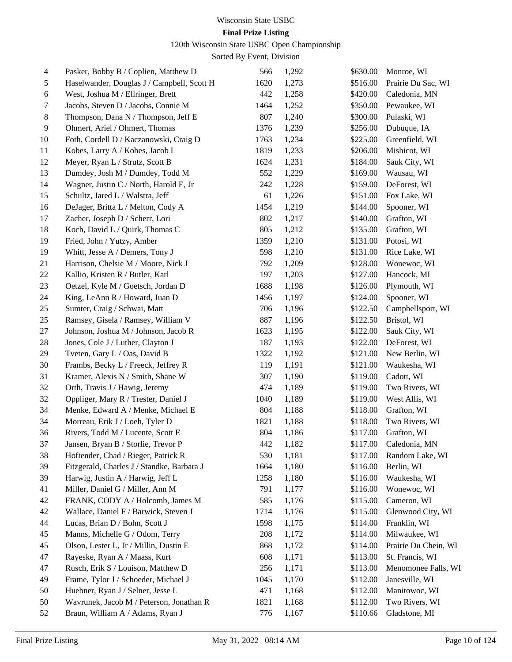### **Final Prize Listing**

120th Wisconsin State USBC Open Championship

| $\overline{4}$ | Pasker, Bobby B / Coplien, Matthew D       | 566  | 1,292 | \$630.00 | Monroe, WI           |
|----------------|--------------------------------------------|------|-------|----------|----------------------|
| 5              | Haselwander, Douglas J / Campbell, Scott H | 1620 | 1,273 | \$516.00 | Prairie Du Sac, WI   |
| 6              | West, Joshua M / Ellringer, Brett          | 442  | 1,258 | \$420.00 | Caledonia, MN        |
| 7              | Jacobs, Steven D / Jacobs, Connie M        | 1464 | 1,252 | \$350.00 | Pewaukee, WI         |
| 8              | Thompson, Dana N / Thompson, Jeff E        | 807  | 1,240 | \$300.00 | Pulaski, WI          |
| 9              | Ohmert, Ariel / Ohmert, Thomas             | 1376 | 1,239 | \$256.00 | Dubuque, IA          |
| 10             | Foth, Cordell D / Kaczanowski, Craig D     | 1763 | 1,234 | \$225.00 | Greenfield, WI       |
| 11             | Kobes, Larry A / Kobes, Jacob L            | 1819 | 1,233 | \$206.00 | Mishicot, WI         |
| 12             | Meyer, Ryan L / Strutz, Scott B            | 1624 | 1,231 | \$184.00 | Sauk City, WI        |
| 13             | Dumdey, Josh M / Dumdey, Todd M            | 552  | 1,229 | \$169.00 | Wausau, WI           |
| 14             | Wagner, Justin C / North, Harold E, Jr     | 242  | 1,228 | \$159.00 | DeForest, WI         |
| 15             | Schultz, Jared L / Walstra, Jeff           | 61   | 1,226 | \$151.00 | Fox Lake, WI         |
| 16             | DeJager, Britta L / Melton, Cody A         | 1454 | 1,219 | \$144.00 | Spooner, WI          |
| 17             | Zacher, Joseph D / Scherr, Lori            | 802  | 1,217 | \$140.00 | Grafton, WI          |
| 18             | Koch, David L / Quirk, Thomas C            | 805  | 1,212 | \$135.00 | Grafton, WI          |
| 19             | Fried, John / Yutzy, Amber                 | 1359 | 1,210 | \$131.00 | Potosi, WI           |
| 19             | Whitt, Jesse A / Demers, Tony J            | 598  | 1,210 | \$131.00 | Rice Lake, WI        |
| 21             | Harrison, Chelsie M / Moore, Nick J        | 792  | 1,209 | \$128.00 | Wonewoc, WI          |
| 22             | Kallio, Kristen R / Butler, Karl           | 197  | 1,203 | \$127.00 | Hancock, MI          |
| 23             | Oetzel, Kyle M / Goetsch, Jordan D         | 1688 | 1,198 | \$126.00 | Plymouth, WI         |
| 24             | King, LeAnn R / Howard, Juan D             | 1456 | 1,197 | \$124.00 | Spooner, WI          |
| 25             | Sumter, Craig / Schwai, Matt               | 706  | 1,196 | \$122.50 | Campbellsport, WI    |
| 25             | Ramsey, Gisela / Ramsey, William V         | 887  | 1,196 | \$122.50 | Bristol, WI          |
| 27             | Johnson, Joshua M / Johnson, Jacob R       | 1623 | 1,195 | \$122.00 | Sauk City, WI        |
| 28             | Jones, Cole J / Luther, Clayton J          | 187  | 1,193 | \$122.00 | DeForest, WI         |
| 29             | Tveten, Gary L / Oas, David B              | 1322 | 1,192 | \$121.00 | New Berlin, WI       |
| 30             | Frambs, Becky L / Freeck, Jeffrey R        | 119  | 1,191 | \$121.00 | Waukesha, WI         |
| 31             | Kramer, Alexis N / Smith, Shane W          | 307  | 1,190 | \$119.00 | Cadott, WI           |
| 32             | Orth, Travis J / Hawig, Jeremy             | 474  | 1,189 | \$119.00 | Two Rivers, WI       |
| 32             | Oppliger, Mary R / Trester, Daniel J       | 1040 | 1,189 | \$119.00 | West Allis, WI       |
| 34             | Menke, Edward A / Menke, Michael E         | 804  | 1,188 | \$118.00 | Grafton, WI          |
| 34             | Morreau, Erik J / Loeh, Tyler D            | 1821 | 1,188 | \$118.00 | Two Rivers, WI       |
| 36             | Rivers, Todd M / Lucente, Scott E          | 804  | 1,186 | \$117.00 | Grafton, WI          |
| 37             | Jansen, Bryan B / Storlie, Trevor P        | 442  | 1,182 | \$117.00 | Caledonia, MN        |
| 38             | Hoftender, Chad / Rieger, Patrick R        | 530  | 1,181 | \$117.00 | Random Lake, WI      |
| 39             | Fitzgerald, Charles J / Standke, Barbara J | 1664 | 1,180 | \$116.00 | Berlin, WI           |
| 39             | Harwig, Justin A / Harwig, Jeff L          | 1258 | 1,180 | \$116.00 | Waukesha, WI         |
| 41             | Miller, Daniel G / Miller, Ann M           | 791  | 1,177 | \$116.00 | Wonewoc, WI          |
| 42             | FRANK, CODY A / Holcomb, James M           | 585  | 1,176 | \$115.00 | Cameron, WI          |
| 42             | Wallace, Daniel F / Barwick, Steven J      | 1714 | 1,176 | \$115.00 | Glenwood City, WI    |
| 44             | Lucas, Brian D / Bohn, Scott J             | 1598 | 1,175 | \$114.00 | Franklin, WI         |
| 45             | Manns, Michelle G / Odom, Terry            | 208  | 1,172 | \$114.00 | Milwaukee, WI        |
| 45             | Olson, Lester L, Jr / Millin, Dustin E     | 868  | 1,172 | \$114.00 | Prairie Du Chein, WI |
| 47             | Rayeske, Ryan A / Maass, Kurt              | 608  | 1,171 | \$113.00 | St. Francis, WI      |
| 47             | Rusch, Erik S / Louison, Matthew D         | 256  | 1,171 | \$113.00 | Menomonee Falls, WI  |
| 49             | Frame, Tylor J / Schoeder, Michael J       | 1045 | 1,170 | \$112.00 | Janesville, WI       |
| 50             | Huebner, Ryan J / Selner, Jesse L          | 471  | 1,168 | \$112.00 | Manitowoc, WI        |
| 50             | Wavrunek, Jacob M / Peterson, Jonathan R   | 1821 | 1,168 | \$112.00 | Two Rivers, WI       |
| 52             | Braun, William A / Adams, Ryan J           | 776  | 1,167 | \$110.66 | Gladstone, MI        |
|                |                                            |      |       |          |                      |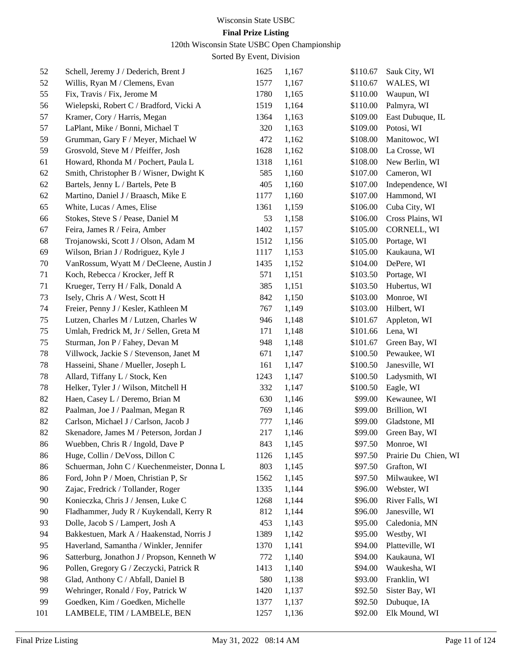### **Final Prize Listing**

120th Wisconsin State USBC Open Championship

| 52  | Schell, Jeremy J / Dederich, Brent J        | 1625 | 1,167 | \$110.67 | Sauk City, WI        |
|-----|---------------------------------------------|------|-------|----------|----------------------|
| 52  | Willis, Ryan M / Clemens, Evan              | 1577 | 1,167 | \$110.67 | WALES, WI            |
| 55  | Fix, Travis / Fix, Jerome M                 | 1780 | 1,165 | \$110.00 | Waupun, WI           |
| 56  | Wielepski, Robert C / Bradford, Vicki A     | 1519 | 1,164 | \$110.00 | Palmyra, WI          |
| 57  | Kramer, Cory / Harris, Megan                | 1364 | 1,163 | \$109.00 | East Dubuque, IL     |
| 57  | LaPlant, Mike / Bonni, Michael T            | 320  | 1,163 | \$109.00 | Potosi, WI           |
| 59  | Grumman, Gary F / Meyer, Michael W          | 472  | 1,162 | \$108.00 | Manitowoc, WI        |
| 59  | Grosvold, Steve M / Pfeiffer, Josh          | 1628 | 1,162 | \$108.00 | La Crosse, WI        |
| 61  | Howard, Rhonda M / Pochert, Paula L         | 1318 | 1,161 | \$108.00 | New Berlin, WI       |
| 62  | Smith, Christopher B / Wisner, Dwight K     | 585  | 1,160 | \$107.00 | Cameron, WI          |
| 62  | Bartels, Jenny L / Bartels, Pete B          | 405  | 1,160 | \$107.00 | Independence, WI     |
| 62  | Martino, Daniel J / Braasch, Mike E         | 1177 | 1,160 | \$107.00 | Hammond, WI          |
| 65  | White, Lucas / Ames, Elise                  | 1361 | 1,159 | \$106.00 | Cuba City, WI        |
| 66  | Stokes, Steve S / Pease, Daniel M           | 53   | 1,158 | \$106.00 | Cross Plains, WI     |
| 67  | Feira, James R / Feira, Amber               | 1402 | 1,157 | \$105.00 | CORNELL, WI          |
| 68  | Trojanowski, Scott J / Olson, Adam M        | 1512 | 1,156 | \$105.00 | Portage, WI          |
| 69  | Wilson, Brian J / Rodriguez, Kyle J         | 1117 | 1,153 | \$105.00 | Kaukauna, WI         |
| 70  | VanRossum, Wyatt M / DeCleene, Austin J     | 1435 | 1,152 | \$104.00 | DePere, WI           |
| 71  | Koch, Rebecca / Krocker, Jeff R             | 571  | 1,151 | \$103.50 | Portage, WI          |
| 71  | Krueger, Terry H / Falk, Donald A           | 385  | 1,151 | \$103.50 | Hubertus, WI         |
| 73  | Isely, Chris A / West, Scott H              | 842  | 1,150 | \$103.00 | Monroe, WI           |
| 74  | Freier, Penny J / Kesler, Kathleen M        | 767  | 1,149 | \$103.00 | Hilbert, WI          |
| 75  | Lutzen, Charles M / Lutzen, Charles W       | 946  | 1,148 | \$101.67 | Appleton, WI         |
| 75  | Umlah, Fredrick M, Jr / Sellen, Greta M     | 171  | 1,148 | \$101.66 | Lena, WI             |
| 75  | Sturman, Jon P / Fahey, Devan M             | 948  | 1,148 | \$101.67 | Green Bay, WI        |
| 78  | Villwock, Jackie S / Stevenson, Janet M     | 671  | 1,147 | \$100.50 | Pewaukee, WI         |
| 78  | Hasseini, Shane / Mueller, Joseph L         | 161  | 1,147 | \$100.50 | Janesville, WI       |
| 78  | Allard, Tiffany L / Stock, Ken              | 1243 | 1,147 | \$100.50 | Ladysmith, WI        |
| 78  | Helker, Tyler J / Wilson, Mitchell H        | 332  | 1,147 | \$100.50 | Eagle, WI            |
| 82  | Haen, Casey L / Deremo, Brian M             | 630  | 1,146 | \$99.00  | Kewaunee, WI         |
| 82  | Paalman, Joe J / Paalman, Megan R           | 769  | 1,146 | \$99.00  | Brillion, WI         |
| 82  | Carlson, Michael J / Carlson, Jacob J       | 777  | 1,146 | \$99.00  | Gladstone, MI        |
| 82  | Skenadore, James M / Peterson, Jordan J     | 217  | 1,146 | \$99.00  | Green Bay, WI        |
| 86  | Wuebben, Chris R / Ingold, Dave P           | 843  | 1,145 |          | \$97.50 Monroe, WI   |
| 86  | Huge, Collin / DeVoss, Dillon C             | 1126 | 1,145 | \$97.50  | Prairie Du Chien, WI |
| 86  | Schuerman, John C / Kuechenmeister, Donna L | 803  | 1,145 | \$97.50  | Grafton, WI          |
| 86  | Ford, John P / Moen, Christian P, Sr        | 1562 | 1,145 | \$97.50  | Milwaukee, WI        |
| 90  | Zajac, Fredrick / Tollander, Roger          | 1335 | 1,144 | \$96.00  | Webster, WI          |
| 90  | Konieczka, Chris J / Jensen, Luke C         | 1268 | 1,144 | \$96.00  | River Falls, WI      |
| 90  | Fladhammer, Judy R / Kuykendall, Kerry R    | 812  | 1,144 | \$96.00  | Janesville, WI       |
| 93  | Dolle, Jacob S / Lampert, Josh A            | 453  | 1,143 | \$95.00  | Caledonia, MN        |
| 94  | Bakkestuen, Mark A / Haakenstad, Norris J   | 1389 | 1,142 | \$95.00  | Westby, WI           |
| 95  | Haverland, Samantha / Winkler, Jennifer     | 1370 | 1,141 | \$94.00  | Platteville, WI      |
| 96  | Satterburg, Jonathon J / Propson, Kenneth W | 772  | 1,140 | \$94.00  | Kaukauna, WI         |
| 96  | Pollen, Gregory G / Zeczycki, Patrick R     | 1413 | 1,140 | \$94.00  | Waukesha, WI         |
| 98  | Glad, Anthony C / Abfall, Daniel B          | 580  | 1,138 | \$93.00  | Franklin, WI         |
| 99  | Wehringer, Ronald / Foy, Patrick W          | 1420 | 1,137 | \$92.50  | Sister Bay, WI       |
| 99  | Goedken, Kim / Goedken, Michelle            | 1377 | 1,137 | \$92.50  | Dubuque, IA          |
| 101 | LAMBELE, TIM / LAMBELE, BEN                 | 1257 | 1,136 | \$92.00  | Elk Mound, WI        |
|     |                                             |      |       |          |                      |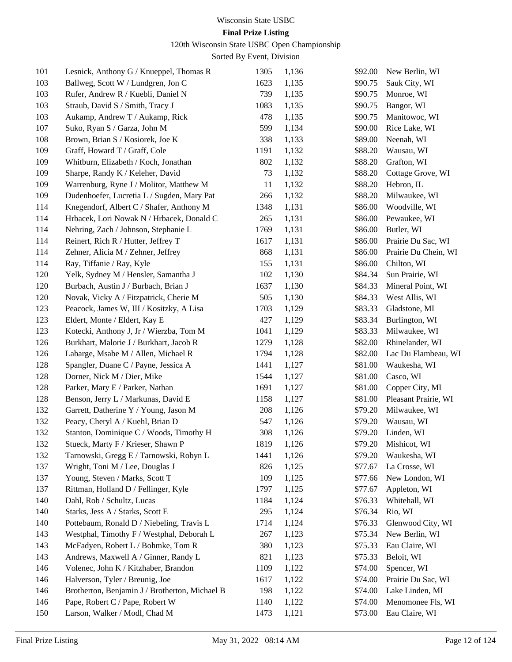# **Final Prize Listing**

120th Wisconsin State USBC Open Championship

| 101 | Lesnick, Anthony G / Knueppel, Thomas R        | 1305 | 1,136 | \$92.00 | New Berlin, WI       |
|-----|------------------------------------------------|------|-------|---------|----------------------|
| 103 | Ballweg, Scott W / Lundgren, Jon C             | 1623 | 1,135 | \$90.75 | Sauk City, WI        |
| 103 | Rufer, Andrew R / Kuebli, Daniel N             | 739  | 1,135 | \$90.75 | Monroe, WI           |
| 103 | Straub, David S / Smith, Tracy J               | 1083 | 1,135 | \$90.75 | Bangor, WI           |
| 103 | Aukamp, Andrew T / Aukamp, Rick                | 478  | 1,135 | \$90.75 | Manitowoc, WI        |
| 107 | Suko, Ryan S / Garza, John M                   | 599  | 1,134 | \$90.00 | Rice Lake, WI        |
| 108 | Brown, Brian S / Kosiorek, Joe K               | 338  | 1,133 | \$89.00 | Neenah, WI           |
| 109 | Graff, Howard T / Graff, Cole                  | 1191 | 1,132 | \$88.20 | Wausau, WI           |
| 109 | Whitburn, Elizabeth / Koch, Jonathan           | 802  | 1,132 | \$88.20 | Grafton, WI          |
| 109 | Sharpe, Randy K / Keleher, David               | 73   | 1,132 | \$88.20 | Cottage Grove, WI    |
| 109 | Warrenburg, Ryne J / Molitor, Matthew M        | 11   | 1,132 | \$88.20 | Hebron, IL           |
| 109 | Dudenhoefer, Lucretia L / Sugden, Mary Pat     | 266  | 1,132 | \$88.20 | Milwaukee, WI        |
| 114 | Knegendorf, Albert C / Shafer, Anthony M       | 1348 | 1,131 | \$86.00 | Woodville, WI        |
| 114 | Hrbacek, Lori Nowak N / Hrbacek, Donald C      | 265  | 1,131 | \$86.00 | Pewaukee, WI         |
| 114 | Nehring, Zach / Johnson, Stephanie L           | 1769 | 1,131 | \$86.00 | Butler, WI           |
| 114 | Reinert, Rich R / Hutter, Jeffrey T            | 1617 | 1,131 | \$86.00 | Prairie Du Sac, WI   |
| 114 | Zehner, Alicia M / Zehner, Jeffrey             | 868  | 1,131 | \$86.00 | Prairie Du Chein, WI |
| 114 | Ray, Tiffanie / Ray, Kyle                      | 155  | 1,131 | \$86.00 | Chilton, WI          |
| 120 | Yelk, Sydney M / Hensler, Samantha J           | 102  | 1,130 | \$84.34 | Sun Prairie, WI      |
| 120 | Burbach, Austin J / Burbach, Brian J           | 1637 | 1,130 | \$84.33 | Mineral Point, WI    |
| 120 | Novak, Vicky A / Fitzpatrick, Cherie M         | 505  | 1,130 | \$84.33 | West Allis, WI       |
| 123 | Peacock, James W, III / Kositzky, A Lisa       | 1703 | 1,129 | \$83.33 | Gladstone, MI        |
| 123 | Eldert, Monte / Eldert, Kay E                  | 427  | 1,129 | \$83.34 | Burlington, WI       |
| 123 | Kotecki, Anthony J, Jr / Wierzba, Tom M        | 1041 | 1,129 | \$83.33 | Milwaukee, WI        |
| 126 | Burkhart, Malorie J / Burkhart, Jacob R        | 1279 | 1,128 | \$82.00 | Rhinelander, WI      |
| 126 | Labarge, Msabe M / Allen, Michael R            | 1794 | 1,128 | \$82.00 | Lac Du Flambeau, WI  |
| 128 | Spangler, Duane C / Payne, Jessica A           | 1441 | 1,127 | \$81.00 | Waukesha, WI         |
| 128 | Dorner, Nick M / Dier, Mike                    | 1544 | 1,127 | \$81.00 | Casco, WI            |
| 128 | Parker, Mary E / Parker, Nathan                | 1691 | 1,127 | \$81.00 | Copper City, MI      |
| 128 | Benson, Jerry L / Markunas, David E            | 1158 | 1,127 | \$81.00 | Pleasant Prairie, WI |
| 132 | Garrett, Datherine Y / Young, Jason M          | 208  | 1,126 | \$79.20 | Milwaukee, WI        |
| 132 | Peacy, Cheryl A / Kuehl, Brian D               | 547  | 1,126 | \$79.20 | Wausau, WI           |
| 132 | Stanton, Dominique C / Woods, Timothy H        | 308  | 1,126 | \$79.20 | Linden, WI           |
| 132 | Stueck, Marty F / Krieser, Shawn P             | 1819 | 1,126 | \$79.20 | Mishicot, WI         |
| 132 | Tarnowski, Gregg E / Tarnowski, Robyn L        | 1441 | 1,126 | \$79.20 | Waukesha, WI         |
| 137 | Wright, Toni M / Lee, Douglas J                | 826  | 1,125 | \$77.67 | La Crosse, WI        |
| 137 | Young, Steven / Marks, Scott T                 | 109  | 1,125 | \$77.66 | New London, WI       |
| 137 | Rittman, Holland D / Fellinger, Kyle           | 1797 | 1,125 | \$77.67 | Appleton, WI         |
| 140 | Dahl, Rob / Schultz, Lucas                     | 1184 | 1,124 | \$76.33 | Whitehall, WI        |
| 140 | Starks, Jess A / Starks, Scott E               | 295  | 1,124 | \$76.34 | Rio, WI              |
| 140 | Pottebaum, Ronald D / Niebeling, Travis L      | 1714 | 1,124 | \$76.33 | Glenwood City, WI    |
| 143 | Westphal, Timothy F / Westphal, Deborah L      | 267  | 1,123 | \$75.34 | New Berlin, WI       |
| 143 | McFadyen, Robert L / Bohmke, Tom R             | 380  | 1,123 | \$75.33 | Eau Claire, WI       |
| 143 | Andrews, Maxwell A / Ginner, Randy L           | 821  | 1,123 | \$75.33 | Beloit, WI           |
| 146 | Volenec, John K / Kitzhaber, Brandon           | 1109 | 1,122 | \$74.00 | Spencer, WI          |
| 146 | Halverson, Tyler / Breunig, Joe                | 1617 | 1,122 | \$74.00 | Prairie Du Sac, WI   |
| 146 | Brotherton, Benjamin J / Brotherton, Michael B | 198  | 1,122 | \$74.00 | Lake Linden, MI      |
| 146 | Pape, Robert C / Pape, Robert W                | 1140 | 1,122 | \$74.00 | Menomonee Fls, WI    |
| 150 | Larson, Walker / Modl, Chad M                  | 1473 | 1,121 | \$73.00 | Eau Claire, WI       |
|     |                                                |      |       |         |                      |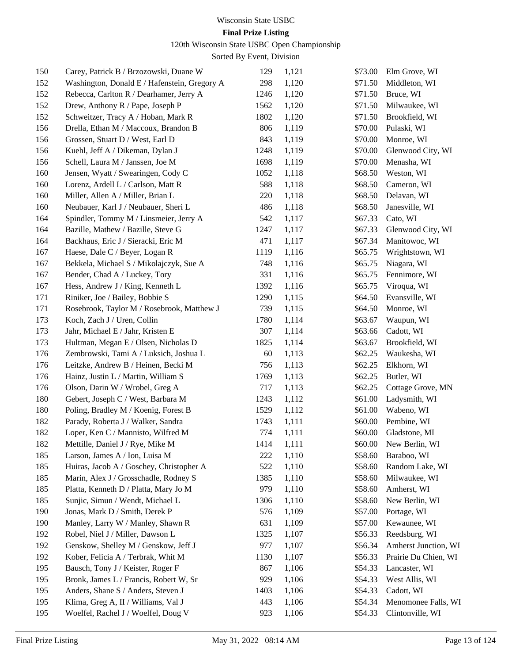### **Final Prize Listing**

120th Wisconsin State USBC Open Championship

| 150 | Carey, Patrick B / Brzozowski, Duane W       | 129  | 1,121 | \$73.00 | Elm Grove, WI        |
|-----|----------------------------------------------|------|-------|---------|----------------------|
| 152 | Washington, Donald E / Hafenstein, Gregory A | 298  | 1,120 | \$71.50 | Middleton, WI        |
| 152 | Rebecca, Carlton R / Dearhamer, Jerry A      | 1246 | 1,120 | \$71.50 | Bruce, WI            |
| 152 | Drew, Anthony R / Pape, Joseph P             | 1562 | 1,120 | \$71.50 | Milwaukee, WI        |
| 152 | Schweitzer, Tracy A / Hoban, Mark R          | 1802 | 1,120 | \$71.50 | Brookfield, WI       |
| 156 | Drella, Ethan M / Maccoux, Brandon B         | 806  | 1,119 | \$70.00 | Pulaski, WI          |
| 156 | Grossen, Stuart D / West, Earl D             | 843  | 1,119 | \$70.00 | Monroe, WI           |
| 156 | Kuehl, Jeff A / Dikeman, Dylan J             | 1248 | 1,119 | \$70.00 | Glenwood City, WI    |
| 156 | Schell, Laura M / Janssen, Joe M             | 1698 | 1,119 | \$70.00 | Menasha, WI          |
| 160 | Jensen, Wyatt / Swearingen, Cody C           | 1052 | 1,118 | \$68.50 | Weston, WI           |
| 160 | Lorenz, Ardell L / Carlson, Matt R           | 588  | 1,118 | \$68.50 | Cameron, WI          |
| 160 | Miller, Allen A / Miller, Brian L            | 220  | 1,118 | \$68.50 | Delavan, WI          |
| 160 | Neubauer, Karl J / Neubauer, Sheri L         | 486  | 1,118 | \$68.50 | Janesville, WI       |
| 164 | Spindler, Tommy M / Linsmeier, Jerry A       | 542  | 1,117 | \$67.33 | Cato, WI             |
| 164 | Bazille, Mathew / Bazille, Steve G           | 1247 | 1,117 | \$67.33 | Glenwood City, WI    |
| 164 | Backhaus, Eric J / Sieracki, Eric M          | 471  | 1,117 | \$67.34 | Manitowoc, WI        |
| 167 | Haese, Dale C / Beyer, Logan R               | 1119 | 1,116 | \$65.75 | Wrightstown, WI      |
| 167 | Bekkela, Michael S / Mikolajczyk, Sue A      | 748  | 1,116 | \$65.75 | Niagara, WI          |
| 167 | Bender, Chad A / Luckey, Tory                | 331  | 1,116 | \$65.75 | Fennimore, WI        |
| 167 | Hess, Andrew J / King, Kenneth L             | 1392 | 1,116 | \$65.75 | Viroqua, WI          |
| 171 | Riniker, Joe / Bailey, Bobbie S              | 1290 | 1,115 | \$64.50 | Evansville, WI       |
| 171 | Rosebrook, Taylor M / Rosebrook, Matthew J   | 739  | 1,115 | \$64.50 | Monroe, WI           |
| 173 | Koch, Zach J / Uren, Collin                  | 1780 | 1,114 | \$63.67 | Waupun, WI           |
| 173 | Jahr, Michael E / Jahr, Kristen E            | 307  | 1,114 | \$63.66 | Cadott, WI           |
| 173 | Hultman, Megan E / Olsen, Nicholas D         | 1825 | 1,114 | \$63.67 | Brookfield, WI       |
| 176 | Zembrowski, Tami A / Luksich, Joshua L       | 60   | 1,113 | \$62.25 | Waukesha, WI         |
| 176 | Leitzke, Andrew B / Heinen, Becki M          | 756  | 1,113 | \$62.25 | Elkhorn, WI          |
| 176 | Hainz, Justin L / Martin, William S          | 1769 | 1,113 | \$62.25 | Butler, WI           |
| 176 | Olson, Darin W / Wrobel, Greg A              | 717  | 1,113 | \$62.25 | Cottage Grove, MN    |
| 180 | Gebert, Joseph C / West, Barbara M           | 1243 | 1,112 | \$61.00 | Ladysmith, WI        |
| 180 | Poling, Bradley M / Koenig, Forest B         | 1529 | 1,112 | \$61.00 | Wabeno, WI           |
| 182 | Parady, Roberta J / Walker, Sandra           | 1743 | 1,111 | \$60.00 | Pembine, WI          |
| 182 | Loper, Ken C / Mannisto, Wilfred M           | 774  | 1,111 | \$60.00 | Gladstone, MI        |
| 182 | Mettille, Daniel J / Rye, Mike M             | 1414 | 1,111 | \$60.00 | New Berlin, WI       |
| 185 | Larson, James A / Ion, Luisa M               | 222  | 1,110 | \$58.60 | Baraboo, WI          |
| 185 | Huiras, Jacob A / Goschey, Christopher A     | 522  | 1,110 | \$58.60 | Random Lake, WI      |
| 185 | Marin, Alex J / Grosschadle, Rodney S        | 1385 | 1,110 | \$58.60 | Milwaukee, WI        |
| 185 | Platta, Kenneth D / Platta, Mary Jo M        | 979  | 1,110 | \$58.60 | Amherst, WI          |
| 185 | Sunjic, Simun / Wendt, Michael L             | 1306 | 1,110 | \$58.60 | New Berlin, WI       |
| 190 | Jonas, Mark D / Smith, Derek P               | 576  | 1,109 | \$57.00 | Portage, WI          |
| 190 | Manley, Larry W / Manley, Shawn R            | 631  | 1,109 | \$57.00 | Kewaunee, WI         |
| 192 | Robel, Niel J / Miller, Dawson L             | 1325 | 1,107 | \$56.33 | Reedsburg, WI        |
| 192 | Genskow, Shelley M / Genskow, Jeff J         | 977  | 1,107 | \$56.34 | Amherst Junction, WI |
| 192 | Kober, Felicia A / Terbrak, Whit M           | 1130 | 1,107 | \$56.33 | Prairie Du Chien, WI |
| 195 | Bausch, Tony J / Keister, Roger F            | 867  | 1,106 | \$54.33 | Lancaster, WI        |
| 195 | Bronk, James L / Francis, Robert W, Sr       | 929  | 1,106 | \$54.33 | West Allis, WI       |
| 195 | Anders, Shane S / Anders, Steven J           | 1403 | 1,106 | \$54.33 | Cadott, WI           |
| 195 | Klima, Greg A, II / Williams, Val J          | 443  | 1,106 | \$54.34 | Menomonee Falls, WI  |
| 195 | Woelfel, Rachel J / Woelfel, Doug V          | 923  | 1,106 | \$54.33 | Clintonville, WI     |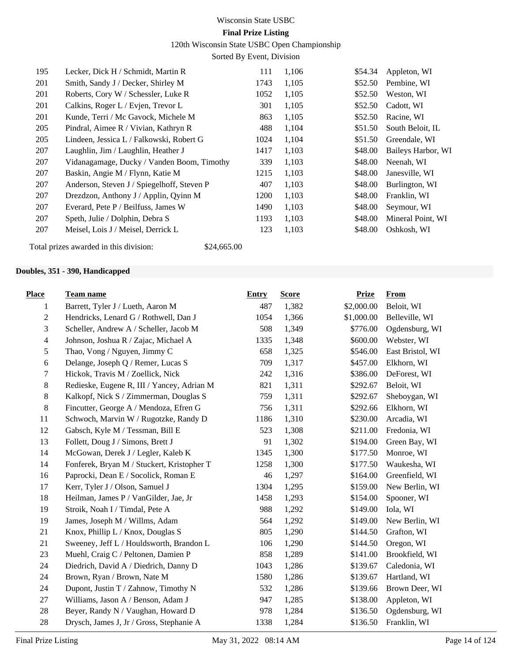120th Wisconsin State USBC Open Championship

Sorted By Event, Division

| 195 | Lecker, Dick H / Schmidt, Martin R         | 111  | 1,106 | \$54.34 | Appleton, WI       |
|-----|--------------------------------------------|------|-------|---------|--------------------|
| 201 | Smith, Sandy J / Decker, Shirley M         | 1743 | 1,105 | \$52.50 | Pembine, WI        |
| 201 | Roberts, Cory W / Schessler, Luke R        | 1052 | 1,105 | \$52.50 | Weston, WI         |
| 201 | Calkins, Roger L / Evjen, Trevor L         | 301  | 1,105 | \$52.50 | Cadott, WI         |
| 201 | Kunde, Terri / Mc Gavock, Michele M        | 863  | 1,105 | \$52.50 | Racine, WI         |
| 205 | Pindral, Aimee R / Vivian, Kathryn R       | 488  | 1,104 | \$51.50 | South Beloit, IL   |
| 205 | Lindeen, Jessica L / Falkowski, Robert G   | 1024 | 1,104 | \$51.50 | Greendale, WI      |
| 207 | Laughlin, Jim / Laughlin, Heather J        | 1417 | 1,103 | \$48.00 | Baileys Harbor, WI |
| 207 | Vidanagamage, Ducky / Vanden Boom, Timothy | 339  | 1,103 | \$48.00 | Neenah, WI         |
| 207 | Baskin, Angie M / Flynn, Katie M           | 1215 | 1,103 | \$48.00 | Janesville, WI     |
| 207 | Anderson, Steven J / Spiegelhoff, Steven P | 407  | 1,103 | \$48.00 | Burlington, WI     |
| 207 | Drezdzon, Anthony J / Applin, Qyinn M      | 1200 | 1,103 | \$48.00 | Franklin, WI       |
| 207 | Everard, Pete P / Beilfuss, James W        | 1490 | 1,103 | \$48.00 | Seymour, WI        |
| 207 | Speth, Julie / Dolphin, Debra S            | 1193 | 1,103 | \$48.00 | Mineral Point, WI  |
| 207 | Meisel, Lois J / Meisel, Derrick L         | 123  | 1,103 | \$48.00 | Oshkosh, WI        |
|     |                                            |      |       |         |                    |

Total prizes awarded in this division: \$24,665.00

#### **Doubles, 351 - 390, Handicapped**

| <b>Place</b>     | <b>Team name</b>                           | <b>Entry</b> | <b>Score</b> | <b>Prize</b> | <b>From</b>      |
|------------------|--------------------------------------------|--------------|--------------|--------------|------------------|
| 1                | Barrett, Tyler J / Lueth, Aaron M          | 487          | 1,382        | \$2,000.00   | Beloit, WI       |
| $\boldsymbol{2}$ | Hendricks, Lenard G / Rothwell, Dan J      | 1054         | 1,366        | \$1,000.00   | Belleville, WI   |
| 3                | Scheller, Andrew A / Scheller, Jacob M     | 508          | 1,349        | \$776.00     | Ogdensburg, WI   |
| $\overline{4}$   | Johnson, Joshua R / Zajac, Michael A       | 1335         | 1,348        | \$600.00     | Webster, WI      |
| 5                | Thao, Vong / Nguyen, Jimmy C               | 658          | 1,325        | \$546.00     | East Bristol, WI |
| $\sqrt{6}$       | Delange, Joseph Q / Remer, Lucas S         | 709          | 1,317        | \$457.00     | Elkhorn, WI      |
| 7                | Hickok, Travis M / Zoellick, Nick          | 242          | 1,316        | \$386.00     | DeForest, WI     |
| 8                | Redieske, Eugene R, III / Yancey, Adrian M | 821          | 1,311        | \$292.67     | Beloit, WI       |
| 8                | Kalkopf, Nick S / Zimmerman, Douglas S     | 759          | 1,311        | \$292.67     | Sheboygan, WI    |
| 8                | Fincutter, George A / Mendoza, Efren G     | 756          | 1,311        | \$292.66     | Elkhorn, WI      |
| 11               | Schwoch, Marvin W / Rugotzke, Randy D      | 1186         | 1,310        | \$230.00     | Arcadia, WI      |
| 12               | Gabsch, Kyle M / Tessman, Bill E           | 523          | 1,308        | \$211.00     | Fredonia, WI     |
| 13               | Follett, Doug J / Simons, Brett J          | 91           | 1,302        | \$194.00     | Green Bay, WI    |
| 14               | McGowan, Derek J / Legler, Kaleb K         | 1345         | 1,300        | \$177.50     | Monroe, WI       |
| 14               | Fonferek, Bryan M / Stuckert, Kristopher T | 1258         | 1,300        | \$177.50     | Waukesha, WI     |
| 16               | Paprocki, Dean E / Socolick, Roman E       | 46           | 1,297        | \$164.00     | Greenfield, WI   |
| 17               | Kerr, Tyler J / Olson, Samuel J            | 1304         | 1,295        | \$159.00     | New Berlin, WI   |
| 18               | Heilman, James P / VanGilder, Jae, Jr      | 1458         | 1,293        | \$154.00     | Spooner, WI      |
| 19               | Stroik, Noah I / Timdal, Pete A            | 988          | 1,292        | \$149.00     | Iola, WI         |
| 19               | James, Joseph M / Willms, Adam             | 564          | 1,292        | \$149.00     | New Berlin, WI   |
| 21               | Knox, Phillip L / Knox, Douglas S          | 805          | 1,290        | \$144.50     | Grafton, WI      |
| 21               | Sweeney, Jeff L / Houldsworth, Brandon L   | 106          | 1,290        | \$144.50     | Oregon, WI       |
| 23               | Muehl, Craig C / Peltonen, Damien P        | 858          | 1,289        | \$141.00     | Brookfield, WI   |
| 24               | Diedrich, David A / Diedrich, Danny D      | 1043         | 1,286        | \$139.67     | Caledonia, WI    |
| 24               | Brown, Ryan / Brown, Nate M                | 1580         | 1,286        | \$139.67     | Hartland, WI     |
| 24               | Dupont, Justin T / Zahnow, Timothy N       | 532          | 1,286        | \$139.66     | Brown Deer, WI   |
| 27               | Williams, Jason A / Benson, Adam J         | 947          | 1,285        | \$138.00     | Appleton, WI     |
| 28               | Beyer, Randy N / Vaughan, Howard D         | 978          | 1,284        | \$136.50     | Ogdensburg, WI   |
| 28               | Drysch, James J, Jr / Gross, Stephanie A   | 1338         | 1,284        | \$136.50     | Franklin, WI     |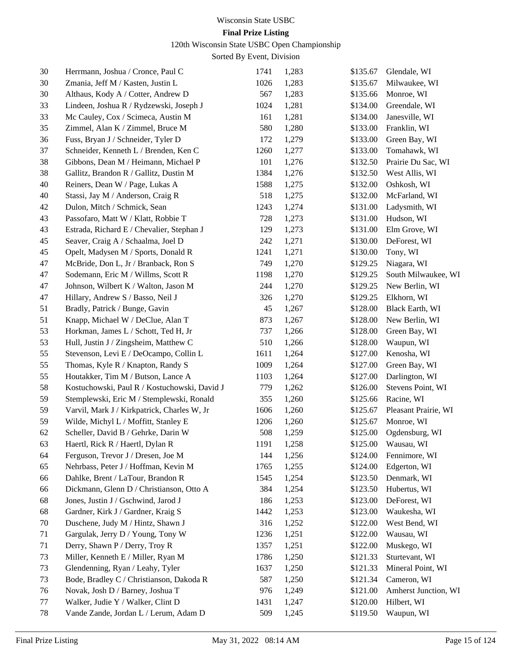### **Final Prize Listing**

120th Wisconsin State USBC Open Championship

| 30 | Herrmann, Joshua / Cronce, Paul C            | 1741 | 1,283 | \$135.67 | Glendale, WI         |
|----|----------------------------------------------|------|-------|----------|----------------------|
| 30 | Zmania, Jeff M / Kasten, Justin L            | 1026 | 1,283 | \$135.67 | Milwaukee, WI        |
| 30 | Althaus, Kody A / Cotter, Andrew D           | 567  | 1,283 | \$135.66 | Monroe, WI           |
| 33 | Lindeen, Joshua R / Rydzewski, Joseph J      | 1024 | 1,281 | \$134.00 | Greendale, WI        |
| 33 | Mc Cauley, Cox / Scimeca, Austin M           | 161  | 1,281 | \$134.00 | Janesville, WI       |
| 35 | Zimmel, Alan K / Zimmel, Bruce M             | 580  | 1,280 | \$133.00 | Franklin, WI         |
| 36 | Fuss, Bryan J / Schneider, Tyler D           | 172  | 1,279 | \$133.00 | Green Bay, WI        |
| 37 | Schneider, Kenneth L / Brenden, Ken C        | 1260 | 1,277 | \$133.00 | Tomahawk, WI         |
| 38 | Gibbons, Dean M / Heimann, Michael P         | 101  | 1,276 | \$132.50 | Prairie Du Sac, WI   |
| 38 | Gallitz, Brandon R / Gallitz, Dustin M       | 1384 | 1,276 | \$132.50 | West Allis, WI       |
| 40 | Reiners, Dean W / Page, Lukas A              | 1588 | 1,275 | \$132.00 | Oshkosh, WI          |
| 40 | Stassi, Jay M / Anderson, Craig R            | 518  | 1,275 | \$132.00 | McFarland, WI        |
| 42 | Dulon, Mitch / Schmick, Sean                 | 1243 | 1,274 | \$131.00 | Ladysmith, WI        |
| 43 | Passofaro, Matt W / Klatt, Robbie T          | 728  | 1,273 | \$131.00 | Hudson, WI           |
| 43 | Estrada, Richard E / Chevalier, Stephan J    | 129  | 1,273 | \$131.00 | Elm Grove, WI        |
| 45 | Seaver, Craig A / Schaalma, Joel D           | 242  | 1,271 | \$130.00 | DeForest, WI         |
| 45 | Opelt, Madysen M / Sports, Donald R          | 1241 | 1,271 | \$130.00 | Tony, WI             |
| 47 | McBride, Don L, Jr / Branback, Ron S         | 749  | 1,270 | \$129.25 | Niagara, WI          |
| 47 | Sodemann, Eric M / Willms, Scott R           | 1198 | 1,270 | \$129.25 | South Milwaukee, WI  |
| 47 | Johnson, Wilbert K / Walton, Jason M         | 244  | 1,270 | \$129.25 | New Berlin, WI       |
| 47 | Hillary, Andrew S / Basso, Neil J            | 326  | 1,270 | \$129.25 | Elkhorn, WI          |
| 51 | Bradly, Patrick / Bunge, Gavin               | 45   | 1,267 | \$128.00 | Black Earth, WI      |
| 51 | Knapp, Michael W / DeClue, Alan T            | 873  | 1,267 | \$128.00 | New Berlin, WI       |
| 53 | Horkman, James L / Schott, Ted H, Jr         | 737  | 1,266 | \$128.00 | Green Bay, WI        |
| 53 | Hull, Justin J / Zingsheim, Matthew C        | 510  | 1,266 | \$128.00 | Waupun, WI           |
| 55 | Stevenson, Levi E / DeOcampo, Collin L       | 1611 | 1,264 | \$127.00 | Kenosha, WI          |
| 55 | Thomas, Kyle R / Knapton, Randy S            | 1009 | 1,264 | \$127.00 | Green Bay, WI        |
| 55 | Houtakker, Tim M / Butson, Lance A           | 1103 | 1,264 | \$127.00 | Darlington, WI       |
| 58 | Kostuchowski, Paul R / Kostuchowski, David J | 779  | 1,262 | \$126.00 | Stevens Point, WI    |
| 59 | Stemplewski, Eric M / Stemplewski, Ronald    | 355  | 1,260 | \$125.66 | Racine, WI           |
| 59 | Varvil, Mark J / Kirkpatrick, Charles W, Jr  | 1606 | 1,260 | \$125.67 | Pleasant Prairie, WI |
| 59 | Wilde, Michyl L / Moffitt, Stanley E         | 1206 | 1,260 | \$125.67 | Monroe, WI           |
| 62 | Scheller, David B / Gehrke, Darin W          | 508  | 1,259 | \$125.00 | Ogdensburg, WI       |
| 63 | Haertl, Rick R / Haertl, Dylan R             | 1191 | 1,258 |          | \$125.00 Wausau, WI  |
| 64 | Ferguson, Trevor J / Dresen, Joe M           | 144  | 1,256 | \$124.00 | Fennimore, WI        |
| 65 | Nehrbass, Peter J / Hoffman, Kevin M         | 1765 | 1,255 | \$124.00 | Edgerton, WI         |
| 66 | Dahlke, Brent / LaTour, Brandon R            | 1545 | 1,254 | \$123.50 | Denmark, WI          |
| 66 | Dickmann, Glenn D / Christianson, Otto A     | 384  | 1,254 | \$123.50 | Hubertus, WI         |
| 68 | Jones, Justin J / Gschwind, Jarod J          | 186  | 1,253 | \$123.00 | DeForest, WI         |
| 68 | Gardner, Kirk J / Gardner, Kraig S           | 1442 | 1,253 | \$123.00 | Waukesha, WI         |
| 70 | Duschene, Judy M / Hintz, Shawn J            | 316  | 1,252 | \$122.00 | West Bend, WI        |
| 71 | Gargulak, Jerry D / Young, Tony W            | 1236 | 1,251 | \$122.00 | Wausau, WI           |
| 71 | Derry, Shawn P / Derry, Troy R               | 1357 | 1,251 | \$122.00 | Muskego, WI          |
| 73 | Miller, Kenneth E / Miller, Ryan M           | 1786 | 1,250 | \$121.33 | Sturtevant, WI       |
| 73 | Glendenning, Ryan / Leahy, Tyler             | 1637 | 1,250 | \$121.33 | Mineral Point, WI    |
| 73 | Bode, Bradley C / Christianson, Dakoda R     | 587  | 1,250 | \$121.34 | Cameron, WI          |
| 76 | Novak, Josh D / Barney, Joshua T             | 976  | 1,249 | \$121.00 | Amherst Junction, WI |
| 77 | Walker, Judie Y / Walker, Clint D            | 1431 | 1,247 | \$120.00 | Hilbert, WI          |
| 78 | Vande Zande, Jordan L / Lerum, Adam D        | 509  | 1,245 | \$119.50 | Waupun, WI           |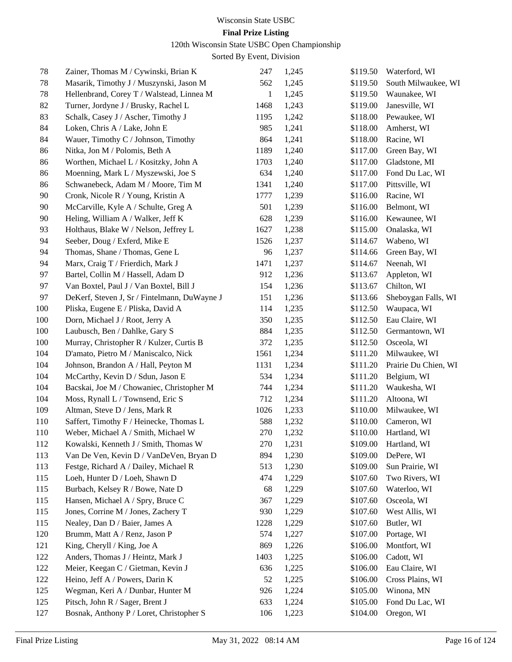#### 120th Wisconsin State USBC Open Championship

| 78  | Zainer, Thomas M / Cywinski, Brian K         | 247          | 1,245 | \$119.50 | Waterford, WI        |
|-----|----------------------------------------------|--------------|-------|----------|----------------------|
| 78  | Masarik, Timothy J / Muszynski, Jason M      | 562          | 1,245 | \$119.50 | South Milwaukee, WI  |
| 78  | Hellenbrand, Corey T / Walstead, Linnea M    | $\mathbf{1}$ | 1,245 | \$119.50 | Waunakee, WI         |
| 82  | Turner, Jordyne J / Brusky, Rachel L         | 1468         | 1,243 | \$119.00 | Janesville, WI       |
| 83  | Schalk, Casey J / Ascher, Timothy J          | 1195         | 1,242 | \$118.00 | Pewaukee, WI         |
| 84  | Loken, Chris A / Lake, John E                | 985          | 1,241 | \$118.00 | Amherst, WI          |
| 84  | Wauer, Timothy C / Johnson, Timothy          | 864          | 1,241 | \$118.00 | Racine, WI           |
| 86  | Nitka, Jon M / Polomis, Beth A               | 1189         | 1,240 | \$117.00 | Green Bay, WI        |
| 86  | Worthen, Michael L / Kositzky, John A        | 1703         | 1,240 | \$117.00 | Gladstone, MI        |
| 86  | Moenning, Mark L / Myszewski, Joe S          | 634          | 1,240 | \$117.00 | Fond Du Lac, WI      |
| 86  | Schwanebeck, Adam M / Moore, Tim M           | 1341         | 1,240 | \$117.00 | Pittsville, WI       |
| 90  | Cronk, Nicole R / Young, Kristin A           | 1777         | 1,239 | \$116.00 | Racine, WI           |
| 90  | McCarville, Kyle A / Schulte, Greg A         | 501          | 1,239 | \$116.00 | Belmont, WI          |
| 90  | Heling, William A / Walker, Jeff K           | 628          | 1,239 | \$116.00 | Kewaunee, WI         |
| 93  | Holthaus, Blake W / Nelson, Jeffrey L        | 1627         | 1,238 | \$115.00 | Onalaska, WI         |
| 94  | Seeber, Doug / Exferd, Mike E                | 1526         | 1,237 | \$114.67 | Wabeno, WI           |
| 94  | Thomas, Shane / Thomas, Gene L               | 96           | 1,237 | \$114.66 | Green Bay, WI        |
| 94  | Marx, Craig T / Frierdich, Mark J            | 1471         | 1,237 | \$114.67 | Neenah, WI           |
| 97  | Bartel, Collin M / Hassell, Adam D           | 912          | 1,236 | \$113.67 | Appleton, WI         |
| 97  | Van Boxtel, Paul J / Van Boxtel, Bill J      | 154          | 1,236 | \$113.67 | Chilton, WI          |
| 97  | DeKerf, Steven J, Sr / Fintelmann, DuWayne J | 151          | 1,236 | \$113.66 | Sheboygan Falls, WI  |
| 100 | Pliska, Eugene E / Pliska, David A           | 114          | 1,235 | \$112.50 | Waupaca, WI          |
| 100 | Dorn, Michael J / Root, Jerry A              | 350          | 1,235 | \$112.50 | Eau Claire, WI       |
| 100 | Laubusch, Ben / Dahlke, Gary S               | 884          | 1,235 | \$112.50 | Germantown, WI       |
| 100 | Murray, Christopher R / Kulzer, Curtis B     | 372          | 1,235 | \$112.50 | Osceola, WI          |
| 104 | D'amato, Pietro M / Maniscalco, Nick         | 1561         | 1,234 | \$111.20 | Milwaukee, WI        |
| 104 | Johnson, Brandon A / Hall, Peyton M          | 1131         | 1,234 | \$111.20 | Prairie Du Chien, WI |
| 104 | McCarthy, Kevin D / Sdun, Jason E            | 534          | 1,234 | \$111.20 | Belgium, WI          |
| 104 | Bacskai, Joe M / Chowaniec, Christopher M    | 744          | 1,234 | \$111.20 | Waukesha, WI         |
| 104 | Moss, Rynall L / Townsend, Eric S            | 712          | 1,234 | \$111.20 | Altoona, WI          |
| 109 | Altman, Steve D / Jens, Mark R               | 1026         | 1,233 | \$110.00 | Milwaukee, WI        |
| 110 | Saffert, Timothy F / Heinecke, Thomas L      | 588          | 1,232 | \$110.00 | Cameron, WI          |
| 110 | Weber, Michael A / Smith, Michael W          | 270          | 1,232 | \$110.00 | Hartland, WI         |
| 112 | Kowalski, Kenneth J / Smith, Thomas W        | 270          | 1,231 | \$109.00 | Hartland, WI         |
| 113 | Van De Ven, Kevin D / VanDeVen, Bryan D      | 894          | 1,230 | \$109.00 | DePere, WI           |
| 113 | Festge, Richard A / Dailey, Michael R        | 513          | 1,230 | \$109.00 | Sun Prairie, WI      |
| 115 | Loeh, Hunter D / Loeh, Shawn D               | 474          | 1,229 | \$107.60 | Two Rivers, WI       |
| 115 | Burbach, Kelsey R / Bowe, Nate D             | 68           | 1,229 | \$107.60 | Waterloo, WI         |
| 115 | Hansen, Michael A / Spry, Bruce C            | 367          | 1,229 | \$107.60 | Osceola, WI          |
| 115 | Jones, Corrine M / Jones, Zachery T          | 930          | 1,229 | \$107.60 | West Allis, WI       |
| 115 | Nealey, Dan D / Baier, James A               | 1228         | 1,229 | \$107.60 | Butler, WI           |
| 120 | Brumm, Matt A / Renz, Jason P                | 574          | 1,227 | \$107.00 | Portage, WI          |
| 121 | King, Cheryll / King, Joe A                  | 869          | 1,226 | \$106.00 | Montfort, WI         |
| 122 | Anders, Thomas J / Heintz, Mark J            | 1403         | 1,225 | \$106.00 | Cadott, WI           |
| 122 | Meier, Keegan C / Gietman, Kevin J           | 636          | 1,225 | \$106.00 | Eau Claire, WI       |
| 122 | Heino, Jeff A / Powers, Darin K              | 52           | 1,225 | \$106.00 | Cross Plains, WI     |
| 125 | Wegman, Keri A / Dunbar, Hunter M            | 926          | 1,224 | \$105.00 | Winona, MN           |
| 125 | Pitsch, John R / Sager, Brent J              | 633          | 1,224 | \$105.00 | Fond Du Lac, WI      |
| 127 | Bosnak, Anthony P / Loret, Christopher S     | 106          | 1,223 | \$104.00 | Oregon, WI           |
|     |                                              |              |       |          |                      |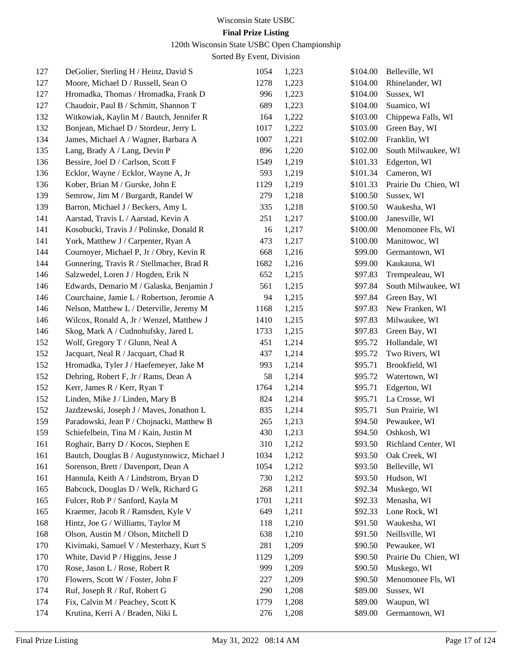### **Final Prize Listing**

120th Wisconsin State USBC Open Championship

| 127 | DeGolier, Sterling H / Heinz, David S        | 1054 | 1,223 | \$104.00 | Belleville, WI       |
|-----|----------------------------------------------|------|-------|----------|----------------------|
| 127 | Moore, Michael D / Russell, Sean O           | 1278 | 1,223 | \$104.00 | Rhinelander, WI      |
| 127 | Hromadka, Thomas / Hromadka, Frank D         | 996  | 1,223 | \$104.00 | Sussex, WI           |
| 127 | Chaudoir, Paul B / Schmitt, Shannon T        | 689  | 1,223 | \$104.00 | Suamico, WI          |
| 132 | Witkowiak, Kaylin M / Bautch, Jennifer R     | 164  | 1,222 | \$103.00 | Chippewa Falls, WI   |
| 132 | Bonjean, Michael D / Stordeur, Jerry L       | 1017 | 1,222 | \$103.00 | Green Bay, WI        |
| 134 | James, Michael A / Wagner, Barbara A         | 1007 | 1,221 | \$102.00 | Franklin, WI         |
| 135 | Lang, Brady A / Lang, Devin P                | 896  | 1,220 | \$102.00 | South Milwaukee, WI  |
| 136 | Bessire, Joel D / Carlson, Scott F           | 1549 | 1,219 | \$101.33 | Edgerton, WI         |
| 136 | Ecklor, Wayne / Ecklor, Wayne A, Jr          | 593  | 1,219 | \$101.34 | Cameron, WI          |
| 136 | Kober, Brian M / Gurske, John E              | 1129 | 1,219 | \$101.33 | Prairie Du Chien, WI |
| 139 | Semrow, Jim M / Burgardt, Randel W           | 279  | 1,218 | \$100.50 | Sussex, WI           |
| 139 | Barron, Michael J / Beckers, Amy L           | 335  | 1,218 | \$100.50 | Waukesha, WI         |
| 141 | Aarstad, Travis L / Aarstad, Kevin A         | 251  | 1,217 | \$100.00 | Janesville, WI       |
| 141 | Kosobucki, Travis J / Polinske, Donald R     | 16   | 1,217 | \$100.00 | Menomonee Fls, WI    |
| 141 | York, Matthew J / Carpenter, Ryan A          | 473  | 1,217 | \$100.00 | Manitowoc, WI        |
| 144 | Cournoyer, Michael P, Jr / Obry, Kevin R     | 668  | 1,216 | \$99.00  | Germantown, WI       |
| 144 | Gonnering, Travis R / Stellmacher, Brad R    | 1682 | 1,216 | \$99.00  | Kaukauna, WI         |
| 146 | Salzwedel, Loren J / Hogden, Erik N          | 652  | 1,215 | \$97.83  | Trempealeau, WI      |
| 146 | Edwards, Demario M / Galaska, Benjamin J     | 561  | 1,215 | \$97.84  | South Milwaukee, WI  |
| 146 | Courchaine, Jamie L / Robertson, Jeromie A   | 94   | 1,215 | \$97.84  | Green Bay, WI        |
| 146 | Nelson, Matthew L / Deterville, Jeremy M     | 1168 | 1,215 | \$97.83  | New Franken, WI      |
| 146 | Wilcox, Ronald A, Jr / Wenzel, Matthew J     | 1410 | 1,215 | \$97.83  | Milwaukee, WI        |
| 146 | Skog, Mark A / Cudnohufsky, Jared L          | 1733 | 1,215 | \$97.83  | Green Bay, WI        |
| 152 | Wolf, Gregory T / Glunn, Neal A              | 451  | 1,214 | \$95.72  | Hollandale, WI       |
| 152 | Jacquart, Neal R / Jacquart, Chad R          | 437  | 1,214 | \$95.72  | Two Rivers, WI       |
| 152 | Hromadka, Tyler J / Haefemeyer, Jake M       | 993  | 1,214 | \$95.71  | Brookfield, WI       |
| 152 | Dehring, Robert F, Jr / Rams, Dean A         | 58   | 1,214 | \$95.72  | Watertown, WI        |
| 152 | Kerr, James R / Kerr, Ryan T                 | 1764 | 1,214 | \$95.71  | Edgerton, WI         |
| 152 | Linden, Mike J / Linden, Mary B              | 824  | 1,214 | \$95.71  | La Crosse, WI        |
| 152 | Jazdzewski, Joseph J / Maves, Jonathon L     | 835  | 1,214 | \$95.71  | Sun Prairie, WI      |
| 159 | Paradowski, Jean P / Chojnacki, Matthew B    | 265  | 1,213 | \$94.50  | Pewaukee, WI         |
| 159 | Schiefelbein, Tina M / Kain, Justin M        | 430  | 1,213 | \$94.50  | Oshkosh, WI          |
| 161 | Roghair, Barry D / Kocos, Stephen E          | 310  | 1,212 | \$93.50  | Richland Center, WI  |
| 161 | Bautch, Douglas B / Augustynowicz, Michael J | 1034 | 1,212 | \$93.50  | Oak Creek, WI        |
| 161 | Sorenson, Brett / Davenport, Dean A          | 1054 | 1,212 | \$93.50  | Belleville, WI       |
| 161 | Hannula, Keith A / Lindstrom, Bryan D        | 730  | 1,212 | \$93.50  | Hudson, WI           |
| 165 | Babcock, Douglas D / Welk, Richard G         | 268  | 1,211 | \$92.34  | Muskego, WI          |
| 165 | Fulcer, Rob P / Sanford, Kayla M             | 1701 | 1,211 | \$92.33  | Menasha, WI          |
| 165 | Kraemer, Jacob R / Ramsden, Kyle V           | 649  | 1,211 | \$92.33  | Lone Rock, WI        |
| 168 | Hintz, Joe G / Williams, Taylor M            | 118  | 1,210 | \$91.50  | Waukesha, WI         |
| 168 | Olson, Austin M / Olson, Mitchell D          | 638  | 1,210 | \$91.50  | Neillsville, WI      |
| 170 | Kivimaki, Samuel V / Mesterhazy, Kurt S      | 281  | 1,209 | \$90.50  | Pewaukee, WI         |
| 170 | White, David P / Higgins, Jesse J            | 1129 | 1,209 | \$90.50  | Prairie Du Chien, WI |
| 170 | Rose, Jason L / Rose, Robert R               | 999  | 1,209 | \$90.50  | Muskego, WI          |
| 170 | Flowers, Scott W / Foster, John F            | 227  | 1,209 | \$90.50  | Menomonee Fls, WI    |
| 174 | Ruf, Joseph R / Ruf, Robert G                | 290  | 1,208 | \$89.00  | Sussex, WI           |
| 174 | Fix, Calvin M / Peachey, Scott K             | 1779 | 1,208 | \$89.00  | Waupun, WI           |
| 174 | Krutina, Kerri A / Braden, Niki L            | 276  | 1,208 | \$89.00  | Germantown, WI       |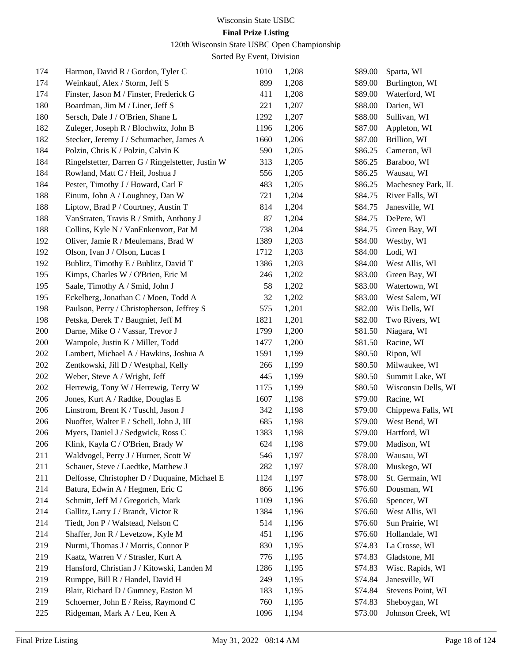### **Final Prize Listing**

120th Wisconsin State USBC Open Championship

| 174 | Harmon, David R / Gordon, Tyler C                 | 1010 | 1,208 | \$89.00 | Sparta, WI          |
|-----|---------------------------------------------------|------|-------|---------|---------------------|
| 174 | Weinkauf, Alex / Storm, Jeff S                    | 899  | 1,208 | \$89.00 | Burlington, WI      |
| 174 | Finster, Jason M / Finster, Frederick G           | 411  | 1,208 | \$89.00 | Waterford, WI       |
| 180 | Boardman, Jim M / Liner, Jeff S                   | 221  | 1,207 | \$88.00 | Darien, WI          |
| 180 | Sersch, Dale J / O'Brien, Shane L                 | 1292 | 1,207 | \$88.00 | Sullivan, WI        |
| 182 | Zuleger, Joseph R / Blochwitz, John B             | 1196 | 1,206 | \$87.00 | Appleton, WI        |
| 182 | Stecker, Jeremy J / Schumacher, James A           | 1660 | 1,206 | \$87.00 | Brillion, WI        |
| 184 | Polzin, Chris K / Polzin, Calvin K                | 590  | 1,205 | \$86.25 | Cameron, WI         |
| 184 | Ringelstetter, Darren G / Ringelstetter, Justin W | 313  | 1,205 | \$86.25 | Baraboo, WI         |
| 184 | Rowland, Matt C / Heil, Joshua J                  | 556  | 1,205 | \$86.25 | Wausau, WI          |
| 184 | Pester, Timothy J / Howard, Carl F                | 483  | 1,205 | \$86.25 | Machesney Park, IL  |
| 188 | Einum, John A / Loughney, Dan W                   | 721  | 1,204 | \$84.75 | River Falls, WI     |
| 188 | Liptow, Brad P / Courtney, Austin T               | 814  | 1,204 | \$84.75 | Janesville, WI      |
| 188 | VanStraten, Travis R / Smith, Anthony J           | 87   | 1,204 | \$84.75 | DePere, WI          |
| 188 | Collins, Kyle N / VanEnkenvort, Pat M             | 738  | 1,204 | \$84.75 | Green Bay, WI       |
| 192 | Oliver, Jamie R / Meulemans, Brad W               | 1389 | 1,203 | \$84.00 | Westby, WI          |
| 192 | Olson, Ivan J / Olson, Lucas I                    | 1712 | 1,203 | \$84.00 | Lodi, WI            |
| 192 | Bublitz, Timothy E / Bublitz, David T             | 1386 | 1,203 | \$84.00 | West Allis, WI      |
| 195 | Kimps, Charles W / O'Brien, Eric M                | 246  | 1,202 | \$83.00 | Green Bay, WI       |
| 195 | Saale, Timothy A / Smid, John J                   | 58   | 1,202 | \$83.00 | Watertown, WI       |
| 195 | Eckelberg, Jonathan C / Moen, Todd A              | 32   | 1,202 | \$83.00 | West Salem, WI      |
| 198 | Paulson, Perry / Christopherson, Jeffrey S        | 575  | 1,201 | \$82.00 | Wis Dells, WI       |
| 198 | Petska, Derek T / Baugniet, Jeff M                | 1821 | 1,201 | \$82.00 | Two Rivers, WI      |
| 200 | Darne, Mike O / Vassar, Trevor J                  | 1799 | 1,200 | \$81.50 | Niagara, WI         |
| 200 | Wampole, Justin K / Miller, Todd                  | 1477 | 1,200 | \$81.50 | Racine, WI          |
| 202 | Lambert, Michael A / Hawkins, Joshua A            | 1591 | 1,199 | \$80.50 | Ripon, WI           |
| 202 | Zentkowski, Jill D / Westphal, Kelly              | 266  | 1,199 | \$80.50 | Milwaukee, WI       |
| 202 | Weber, Steve A / Wright, Jeff                     | 445  | 1,199 | \$80.50 | Summit Lake, WI     |
| 202 | Herrewig, Tony W / Herrewig, Terry W              | 1175 | 1,199 | \$80.50 | Wisconsin Dells, WI |
| 206 | Jones, Kurt A / Radtke, Douglas E                 | 1607 | 1,198 | \$79.00 | Racine, WI          |
| 206 | Linstrom, Brent K / Tuschl, Jason J               | 342  | 1,198 | \$79.00 | Chippewa Falls, WI  |
| 206 | Nuoffer, Walter E / Schell, John J, III           | 685  | 1,198 | \$79.00 | West Bend, WI       |
| 206 | Myers, Daniel J / Sedgwick, Ross C                | 1383 | 1,198 | \$79.00 | Hartford, WI        |
| 206 | Klink, Kayla C / O'Brien, Brady W                 | 624  | 1,198 | \$79.00 | Madison, WI         |
| 211 | Waldvogel, Perry J / Hurner, Scott W              | 546  | 1,197 | \$78.00 | Wausau, WI          |
| 211 | Schauer, Steve / Laedtke, Matthew J               | 282  | 1,197 | \$78.00 | Muskego, WI         |
| 211 | Delfosse, Christopher D / Duquaine, Michael E     | 1124 | 1,197 | \$78.00 | St. Germain, WI     |
| 214 | Batura, Edwin A / Hegmen, Eric C                  | 866  | 1,196 | \$76.60 | Dousman, WI         |
| 214 | Schmitt, Jeff M / Gregorich, Mark                 | 1109 | 1,196 | \$76.60 | Spencer, WI         |
| 214 | Gallitz, Larry J / Brandt, Victor R               | 1384 | 1,196 | \$76.60 | West Allis, WI      |
| 214 | Tiedt, Jon P / Walstead, Nelson C                 | 514  | 1,196 | \$76.60 | Sun Prairie, WI     |
| 214 | Shaffer, Jon R / Levetzow, Kyle M                 | 451  | 1,196 | \$76.60 | Hollandale, WI      |
| 219 | Nurmi, Thomas J / Morris, Connor P                | 830  | 1,195 | \$74.83 | La Crosse, WI       |
| 219 | Kaatz, Warren V / Strasler, Kurt A                | 776  | 1,195 | \$74.83 | Gladstone, MI       |
| 219 | Hansford, Christian J / Kitowski, Landen M        | 1286 | 1,195 | \$74.83 | Wisc. Rapids, WI    |
| 219 | Rumppe, Bill R / Handel, David H                  | 249  | 1,195 | \$74.84 | Janesville, WI      |
| 219 | Blair, Richard D / Gumney, Easton M               | 183  | 1,195 | \$74.84 | Stevens Point, WI   |
| 219 | Schoerner, John E / Reiss, Raymond C              | 760  | 1,195 | \$74.83 | Sheboygan, WI       |
| 225 | Ridgeman, Mark A / Leu, Ken A                     | 1096 | 1,194 | \$73.00 | Johnson Creek, WI   |
|     |                                                   |      |       |         |                     |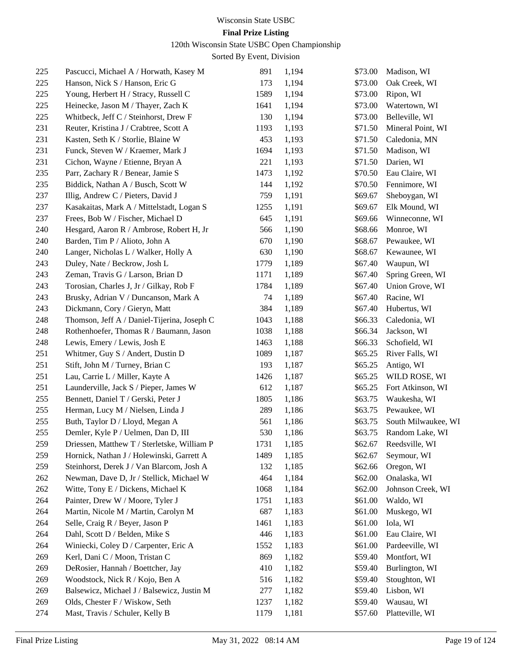### **Final Prize Listing**

120th Wisconsin State USBC Open Championship

| 225 | Pascucci, Michael A / Horwath, Kasey M      | 891  | 1,194 | \$73.00 | Madison, WI         |
|-----|---------------------------------------------|------|-------|---------|---------------------|
| 225 | Hanson, Nick S / Hanson, Eric G             | 173  | 1,194 | \$73.00 | Oak Creek, WI       |
| 225 | Young, Herbert H / Stracy, Russell C        | 1589 | 1,194 | \$73.00 | Ripon, WI           |
| 225 | Heinecke, Jason M / Thayer, Zach K          | 1641 | 1,194 | \$73.00 | Watertown, WI       |
| 225 | Whitbeck, Jeff C / Steinhorst, Drew F       | 130  | 1,194 | \$73.00 | Belleville, WI      |
| 231 | Reuter, Kristina J / Crabtree, Scott A      | 1193 | 1,193 | \$71.50 | Mineral Point, WI   |
| 231 | Kasten, Seth K / Storlie, Blaine W          | 453  | 1,193 | \$71.50 | Caledonia, MN       |
| 231 | Funck, Steven W / Kraemer, Mark J           | 1694 | 1,193 | \$71.50 | Madison, WI         |
| 231 | Cichon, Wayne / Etienne, Bryan A            | 221  | 1,193 | \$71.50 | Darien, WI          |
| 235 | Parr, Zachary R / Benear, Jamie S           | 1473 | 1,192 | \$70.50 | Eau Claire, WI      |
| 235 | Biddick, Nathan A / Busch, Scott W          | 144  | 1,192 | \$70.50 | Fennimore, WI       |
| 237 | Illig, Andrew C / Pieters, David J          | 759  | 1,191 | \$69.67 | Sheboygan, WI       |
| 237 | Kasakaitas, Mark A / Mittelstadt, Logan S   | 1255 | 1,191 | \$69.67 | Elk Mound, WI       |
| 237 | Frees, Bob W / Fischer, Michael D           | 645  | 1,191 | \$69.66 | Winneconne, WI      |
| 240 | Hesgard, Aaron R / Ambrose, Robert H, Jr    | 566  | 1,190 | \$68.66 | Monroe, WI          |
| 240 | Barden, Tim P / Alioto, John A              | 670  | 1,190 | \$68.67 | Pewaukee, WI        |
| 240 | Langer, Nicholas L / Walker, Holly A        | 630  | 1,190 | \$68.67 | Kewaunee, WI        |
| 243 | Duley, Nate / Beckrow, Josh L               | 1779 | 1,189 | \$67.40 | Waupun, WI          |
| 243 | Zeman, Travis G / Larson, Brian D           | 1171 | 1,189 | \$67.40 | Spring Green, WI    |
| 243 | Torosian, Charles J, Jr / Gilkay, Rob F     | 1784 | 1,189 | \$67.40 | Union Grove, WI     |
| 243 | Brusky, Adrian V / Duncanson, Mark A        | 74   | 1,189 | \$67.40 | Racine, WI          |
| 243 | Dickmann, Cory / Gieryn, Matt               | 384  | 1,189 | \$67.40 | Hubertus, WI        |
| 248 | Thomson, Jeff A / Daniel-Tijerina, Joseph C | 1043 | 1,188 | \$66.33 | Caledonia, WI       |
| 248 | Rothenhoefer, Thomas R / Baumann, Jason     | 1038 | 1,188 | \$66.34 | Jackson, WI         |
| 248 | Lewis, Emery / Lewis, Josh E                | 1463 | 1,188 | \$66.33 | Schofield, WI       |
| 251 | Whitmer, Guy S / Andert, Dustin D           | 1089 | 1,187 | \$65.25 | River Falls, WI     |
| 251 | Stift, John M / Turney, Brian C             | 193  | 1,187 | \$65.25 | Antigo, WI          |
| 251 | Lau, Carrie L / Miller, Kayte A             | 1426 | 1,187 | \$65.25 | WILD ROSE, WI       |
| 251 | Launderville, Jack S / Pieper, James W      | 612  | 1,187 | \$65.25 | Fort Atkinson, WI   |
| 255 | Bennett, Daniel T / Gerski, Peter J         | 1805 | 1,186 | \$63.75 | Waukesha, WI        |
| 255 | Herman, Lucy M / Nielsen, Linda J           | 289  | 1,186 | \$63.75 | Pewaukee, WI        |
| 255 | Buth, Taylor D / Lloyd, Megan A             | 561  | 1,186 | \$63.75 | South Milwaukee, WI |
| 255 | Demler, Kyle P / Uelmen, Dan D, III         | 530  | 1,186 | \$63.75 | Random Lake, WI     |
| 259 | Driessen, Matthew T / Sterletske, William P | 1731 | 1,185 | \$62.67 | Reedsville, WI      |
| 259 | Hornick, Nathan J / Holewinski, Garrett A   | 1489 | 1,185 | \$62.67 | Seymour, WI         |
| 259 | Steinhorst, Derek J / Van Blarcom, Josh A   | 132  | 1,185 | \$62.66 | Oregon, WI          |
| 262 | Newman, Dave D, Jr / Stellick, Michael W    | 464  | 1,184 | \$62.00 | Onalaska, WI        |
| 262 | Witte, Tony E / Dickens, Michael K          | 1068 | 1,184 | \$62.00 | Johnson Creek, WI   |
| 264 | Painter, Drew W / Moore, Tyler J            | 1751 | 1,183 | \$61.00 | Waldo, WI           |
| 264 | Martin, Nicole M / Martin, Carolyn M        | 687  | 1,183 | \$61.00 | Muskego, WI         |
| 264 | Selle, Craig R / Beyer, Jason P             | 1461 | 1,183 | \$61.00 | Iola, WI            |
| 264 | Dahl, Scott D / Belden, Mike S              | 446  | 1,183 | \$61.00 | Eau Claire, WI      |
| 264 | Winiecki, Coley D / Carpenter, Eric A       | 1552 | 1,183 | \$61.00 | Pardeeville, WI     |
| 269 | Kerl, Dani C / Moon, Tristan C              | 869  | 1,182 | \$59.40 | Montfort, WI        |
| 269 | DeRosier, Hannah / Boettcher, Jay           | 410  | 1,182 | \$59.40 | Burlington, WI      |
| 269 | Woodstock, Nick R / Kojo, Ben A             | 516  | 1,182 | \$59.40 | Stoughton, WI       |
| 269 | Balsewicz, Michael J / Balsewicz, Justin M  | 277  | 1,182 | \$59.40 | Lisbon, WI          |
| 269 | Olds, Chester F / Wiskow, Seth              | 1237 | 1,182 | \$59.40 | Wausau, WI          |
| 274 | Mast, Travis / Schuler, Kelly B             | 1179 | 1,181 | \$57.60 | Platteville, WI     |
|     |                                             |      |       |         |                     |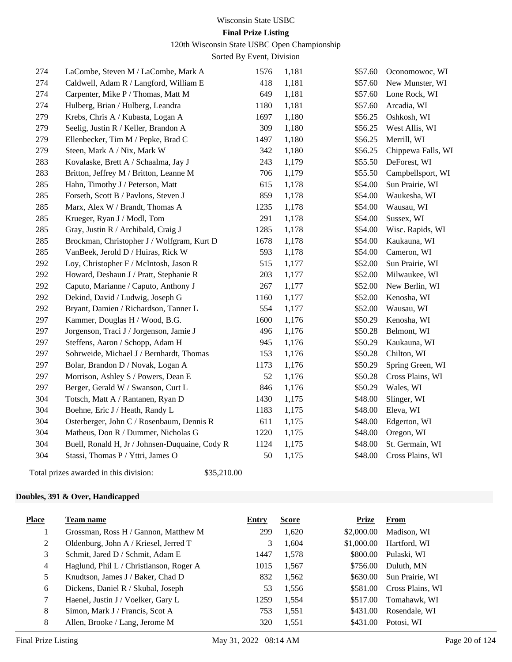#### 120th Wisconsin State USBC Open Championship

Sorted By Event, Division

| 274 | LaCombe, Steven M / LaCombe, Mark A            | 1576 | 1,181 | \$57.60 | Oconomowoc, WI     |
|-----|------------------------------------------------|------|-------|---------|--------------------|
| 274 | Caldwell, Adam R / Langford, William E         | 418  | 1,181 | \$57.60 | New Munster, WI    |
| 274 | Carpenter, Mike P / Thomas, Matt M             | 649  | 1,181 | \$57.60 | Lone Rock, WI      |
| 274 | Hulberg, Brian / Hulberg, Leandra              | 1180 | 1,181 | \$57.60 | Arcadia, WI        |
| 279 | Krebs, Chris A / Kubasta, Logan A              | 1697 | 1,180 | \$56.25 | Oshkosh, WI        |
| 279 | Seelig, Justin R / Keller, Brandon A           | 309  | 1,180 | \$56.25 | West Allis, WI     |
| 279 | Ellenbecker, Tim M / Pepke, Brad C             | 1497 | 1,180 | \$56.25 | Merrill, WI        |
| 279 | Steen, Mark A / Nix, Mark W                    | 342  | 1,180 | \$56.25 | Chippewa Falls, WI |
| 283 | Kovalaske, Brett A / Schaalma, Jay J           | 243  | 1,179 | \$55.50 | DeForest, WI       |
| 283 | Britton, Jeffrey M / Britton, Leanne M         | 706  | 1,179 | \$55.50 | Campbellsport, WI  |
| 285 | Hahn, Timothy J / Peterson, Matt               | 615  | 1,178 | \$54.00 | Sun Prairie, WI    |
| 285 | Forseth, Scott B / Pavlons, Steven J           | 859  | 1,178 | \$54.00 | Waukesha, WI       |
| 285 | Marx, Alex W / Brandt, Thomas A                | 1235 | 1,178 | \$54.00 | Wausau, WI         |
| 285 | Krueger, Ryan J / Modl, Tom                    | 291  | 1,178 | \$54.00 | Sussex, WI         |
| 285 | Gray, Justin R / Archibald, Craig J            | 1285 | 1,178 | \$54.00 | Wisc. Rapids, WI   |
| 285 | Brockman, Christopher J / Wolfgram, Kurt D     | 1678 | 1,178 | \$54.00 | Kaukauna, WI       |
| 285 | VanBeek, Jerold D / Huiras, Rick W             | 593  | 1,178 | \$54.00 | Cameron, WI        |
| 292 | Loy, Christopher F / McIntosh, Jason R         | 515  | 1,177 | \$52.00 | Sun Prairie, WI    |
| 292 | Howard, Deshaun J / Pratt, Stephanie R         | 203  | 1,177 | \$52.00 | Milwaukee, WI      |
| 292 | Caputo, Marianne / Caputo, Anthony J           | 267  | 1,177 | \$52.00 | New Berlin, WI     |
| 292 | Dekind, David / Ludwig, Joseph G               | 1160 | 1,177 | \$52.00 | Kenosha, WI        |
| 292 | Bryant, Damien / Richardson, Tanner L          | 554  | 1,177 | \$52.00 | Wausau, WI         |
| 297 | Kammer, Douglas H / Wood, B.G.                 | 1600 | 1,176 | \$50.29 | Kenosha, WI        |
| 297 | Jorgenson, Traci J / Jorgenson, Jamie J        | 496  | 1,176 | \$50.28 | Belmont, WI        |
| 297 | Steffens, Aaron / Schopp, Adam H               | 945  | 1,176 | \$50.29 | Kaukauna, WI       |
| 297 | Sohrweide, Michael J / Bernhardt, Thomas       | 153  | 1,176 | \$50.28 | Chilton, WI        |
| 297 | Bolar, Brandon D / Novak, Logan A              | 1173 | 1,176 | \$50.29 | Spring Green, WI   |
| 297 | Morrison, Ashley S / Powers, Dean E            | 52   | 1,176 | \$50.28 | Cross Plains, WI   |
| 297 | Berger, Gerald W / Swanson, Curt L             | 846  | 1,176 | \$50.29 | Wales, WI          |
| 304 | Totsch, Matt A / Rantanen, Ryan D              | 1430 | 1,175 | \$48.00 | Slinger, WI        |
| 304 | Boehne, Eric J / Heath, Randy L                | 1183 | 1,175 | \$48.00 | Eleva, WI          |
| 304 | Osterberger, John C / Rosenbaum, Dennis R      | 611  | 1,175 | \$48.00 | Edgerton, WI       |
| 304 | Matheus, Don R / Dummer, Nicholas G            | 1220 | 1,175 | \$48.00 | Oregon, WI         |
| 304 | Buell, Ronald H, Jr / Johnsen-Duquaine, Cody R | 1124 | 1,175 | \$48.00 | St. Germain, WI    |
| 304 | Stassi, Thomas P / Yttri, James O              | 50   | 1,175 | \$48.00 | Cross Plains, WI   |
|     |                                                |      |       |         |                    |

Total prizes awarded in this division: \$35,210.00

#### **Doubles, 391 & Over, Handicapped**

| <b>Place</b> | Team name                               | Entry | <b>Score</b> | Prize      | From             |
|--------------|-----------------------------------------|-------|--------------|------------|------------------|
|              | Grossman, Ross H / Gannon, Matthew M    | 299   | 1,620        | \$2,000.00 | Madison, WI      |
| 2            | Oldenburg, John A / Kriesel, Jerred T   | 3     | 1.604        | \$1,000.00 | Hartford, WI     |
| 3            | Schmit, Jared D / Schmit, Adam E        | 1447  | 1,578        | \$800.00   | Pulaski, WI      |
| 4            | Haglund, Phil L / Christianson, Roger A | 1015  | 1,567        | \$756.00   | Duluth. MN       |
| 5.           | Knudtson, James J / Baker, Chad D       | 832   | 1,562        | \$630.00   | Sun Prairie, WI  |
| 6            | Dickens, Daniel R / Skubal, Joseph      | 53    | 1,556        | \$581.00   | Cross Plains, WI |
| 7            | Haenel, Justin J / Voelker, Gary L      | 1259  | 1,554        | \$517.00   | Tomahawk, WI     |
| 8            | Simon, Mark J / Francis, Scot A         | 753   | 1,551        | \$431.00   | Rosendale, WI    |
| 8            | Allen, Brooke / Lang, Jerome M          | 320   | 1.551        | \$431.00   | Potosi, WI       |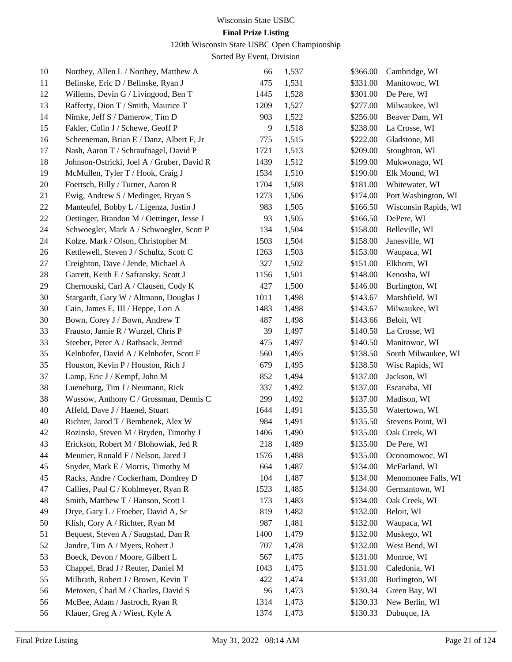### **Final Prize Listing**

120th Wisconsin State USBC Open Championship

| 10 | Northey, Allen L / Northey, Matthew A      | 66   | 1,537 | \$366.00 | Cambridge, WI        |
|----|--------------------------------------------|------|-------|----------|----------------------|
| 11 | Belinske, Eric D / Belinske, Ryan J        | 475  | 1,531 | \$331.00 | Manitowoc, WI        |
| 12 | Willems, Devin G / Livingood, Ben T        | 1445 | 1,528 | \$301.00 | De Pere, WI          |
| 13 | Rafferty, Dion T / Smith, Maurice T        | 1209 | 1,527 | \$277.00 | Milwaukee, WI        |
| 14 | Nimke, Jeff S / Damerow, Tim D             | 903  | 1,522 | \$256.00 | Beaver Dam, WI       |
| 15 | Fakler, Colin J / Schewe, Geoff P          | 9    | 1,518 | \$238.00 | La Crosse, WI        |
| 16 | Scheeneman, Brian E / Danz, Albert F, Jr   | 775  | 1,515 | \$222.00 | Gladstone, MI        |
| 17 | Nash, Aaron T / Schraufnagel, David P      | 1721 | 1,513 | \$209.00 | Stoughton, WI        |
| 18 | Johnson-Ostricki, Joel A / Gruber, David R | 1439 | 1,512 | \$199.00 | Mukwonago, WI        |
| 19 | McMullen, Tyler T / Hook, Craig J          | 1534 | 1,510 | \$190.00 | Elk Mound, WI        |
| 20 | Foertsch, Billy / Turner, Aaron R          | 1704 | 1,508 | \$181.00 | Whitewater, WI       |
| 21 | Ewig, Andrew S / Medinger, Bryan S         | 1273 | 1,506 | \$174.00 | Port Washington, WI  |
| 22 | Manteufel, Bobby L / Ligenza, Justin J     | 983  | 1,505 | \$166.50 | Wisconsin Rapids, WI |
| 22 | Oettinger, Brandon M / Oettinger, Jesse J  | 93   | 1,505 | \$166.50 | DePere, WI           |
| 24 | Schwoegler, Mark A / Schwoegler, Scott P   | 134  | 1,504 | \$158.00 | Belleville, WI       |
| 24 | Kolze, Mark / Olson, Christopher M         | 1503 | 1,504 | \$158.00 | Janesville, WI       |
| 26 | Kettlewell, Steven J / Schultz, Scott C    | 1263 | 1,503 | \$153.00 | Waupaca, WI          |
| 27 | Creighton, Dave / Jende, Michael A         | 327  | 1,502 | \$151.00 | Elkhorn, WI          |
| 28 | Garrett, Keith E / Safransky, Scott J      | 1156 | 1,501 | \$148.00 | Kenosha, WI          |
| 29 | Chernouski, Carl A / Clausen, Cody K       | 427  | 1,500 | \$146.00 | Burlington, WI       |
| 30 | Stargardt, Gary W / Altmann, Douglas J     | 1011 | 1,498 | \$143.67 | Marshfield, WI       |
| 30 | Cain, James E, III / Heppe, Lori A         | 1483 | 1,498 | \$143.67 | Milwaukee, WI        |
| 30 | Bown, Corey J / Bown, Andrew T             | 487  | 1,498 | \$143.66 | Beloit, WI           |
| 33 | Frausto, Jamie R / Wurzel, Chris P         | 39   | 1,497 | \$140.50 | La Crosse, WI        |
| 33 | Steeber, Peter A / Rathsack, Jerrod        | 475  | 1,497 | \$140.50 | Manitowoc, WI        |
| 35 | Kelnhofer, David A / Kelnhofer, Scott F    | 560  | 1,495 | \$138.50 | South Milwaukee, WI  |
| 35 | Houston, Kevin P / Houston, Rich J         | 679  | 1,495 | \$138.50 | Wisc Rapids, WI      |
| 37 | Lamp, Eric J / Kempf, John M               | 852  | 1,494 | \$137.00 | Jackson, WI          |
| 38 | Lueneburg, Tim J / Neumann, Rick           | 337  | 1,492 | \$137.00 | Escanaba, MI         |
| 38 | Wussow, Anthony C / Grossman, Dennis C     | 299  | 1,492 | \$137.00 | Madison, WI          |
| 40 | Affeld, Dave J / Haenel, Stuart            | 1644 | 1,491 | \$135.50 | Watertown, WI        |
| 40 | Richter, Jarod T / Bembenek, Alex W        | 984  | 1,491 | \$135.50 | Stevens Point, WI    |
| 42 | Rozinski, Steven M / Bryden, Timothy J     | 1406 | 1,490 | \$135.00 | Oak Creek, WI        |
| 43 | Erickson, Robert M / Blohowiak, Jed R      | 218  | 1,489 |          | \$135.00 De Pere, WI |
| 44 | Meunier, Ronald F / Nelson, Jared J        | 1576 | 1,488 | \$135.00 | Oconomowoc, WI       |
| 45 | Snyder, Mark E / Morris, Timothy M         | 664  | 1,487 | \$134.00 | McFarland, WI        |
| 45 | Racks, Andre / Cockerham, Dondrey D        | 104  | 1,487 | \$134.00 | Menomonee Falls, WI  |
| 47 | Callies, Paul C / Kohlmeyer, Ryan R        | 1523 | 1,485 | \$134.00 | Germantown, WI       |
| 48 | Smith, Matthew T / Hanson, Scott L         | 173  | 1,483 | \$134.00 | Oak Creek, WI        |
| 49 | Drye, Gary L / Froeber, David A, Sr        | 819  | 1,482 | \$132.00 | Beloit, WI           |
| 50 | Klish, Cory A / Richter, Ryan M            | 987  | 1,481 | \$132.00 | Waupaca, WI          |
| 51 | Bequest, Steven A / Saugstad, Dan R        | 1400 | 1,479 | \$132.00 | Muskego, WI          |
| 52 | Jandre, Tim A / Myers, Robert J            | 707  | 1,478 | \$132.00 | West Bend, WI        |
| 53 | Boeck, Devon / Moore, Gilbert L            | 567  | 1,475 | \$131.00 | Monroe, WI           |
| 53 | Chappel, Brad J / Reuter, Daniel M         | 1043 | 1,475 | \$131.00 | Caledonia, WI        |
| 55 | Milbrath, Robert J / Brown, Kevin T        | 422  | 1,474 | \$131.00 | Burlington, WI       |
| 56 | Metoxen, Chad M / Charles, David S         | 96   | 1,473 | \$130.34 | Green Bay, WI        |
| 56 | McBee, Adam / Jastroch, Ryan R             | 1314 | 1,473 | \$130.33 | New Berlin, WI       |
| 56 | Klauer, Greg A / Wiest, Kyle A             | 1374 | 1,473 | \$130.33 | Dubuque, IA          |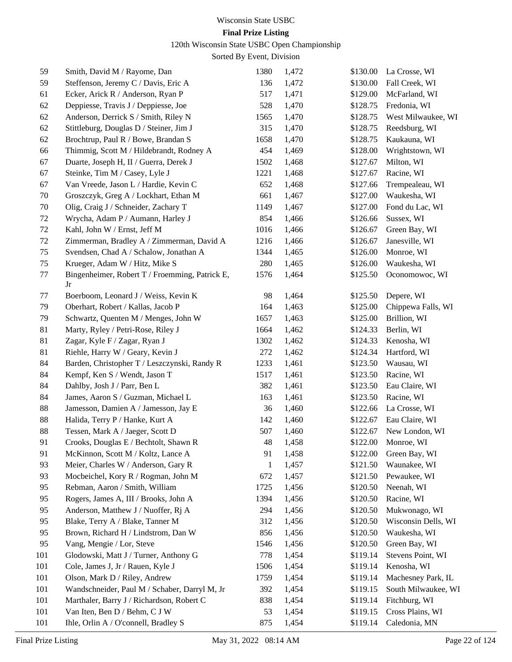### **Final Prize Listing**

120th Wisconsin State USBC Open Championship

| 59     | Smith, David M / Rayome, Dan                         | 1380        | 1,472 | \$130.00 | La Crosse, WI       |
|--------|------------------------------------------------------|-------------|-------|----------|---------------------|
| 59     | Steffenson, Jeremy C / Davis, Eric A                 | 136         | 1,472 | \$130.00 | Fall Creek, WI      |
| 61     | Ecker, Arick R / Anderson, Ryan P                    | 517         | 1,471 | \$129.00 | McFarland, WI       |
| 62     | Deppiesse, Travis J / Deppiesse, Joe                 | 528         | 1,470 | \$128.75 | Fredonia, WI        |
| 62     | Anderson, Derrick S / Smith, Riley N                 | 1565        | 1,470 | \$128.75 | West Milwaukee, WI  |
| 62     | Stittleburg, Douglas D / Steiner, Jim J              | 315         | 1,470 | \$128.75 | Reedsburg, WI       |
| 62     | Brochtrup, Paul R / Bowe, Brandan S                  | 1658        | 1,470 | \$128.75 | Kaukauna, WI        |
| 66     | Thimmig, Scott M / Hildebrandt, Rodney A             | 454         | 1,469 | \$128.00 | Wrightstown, WI     |
| 67     | Duarte, Joseph H, II / Guerra, Derek J               | 1502        | 1,468 | \$127.67 | Milton, WI          |
| 67     | Steinke, Tim M / Casey, Lyle J                       | 1221        | 1,468 | \$127.67 | Racine, WI          |
| 67     | Van Vreede, Jason L / Hardie, Kevin C                | 652         | 1,468 | \$127.66 | Trempealeau, WI     |
| 70     | Groszczyk, Greg A / Lockhart, Ethan M                | 661         | 1,467 | \$127.00 | Waukesha, WI        |
| 70     | Olig, Craig J / Schneider, Zachary T                 | 1149        | 1,467 | \$127.00 | Fond du Lac, WI     |
| 72     | Wrycha, Adam P / Aumann, Harley J                    | 854         | 1,466 | \$126.66 | Sussex, WI          |
| $72\,$ | Kahl, John W / Ernst, Jeff M                         | 1016        | 1,466 | \$126.67 | Green Bay, WI       |
| 72     | Zimmerman, Bradley A / Zimmerman, David A            | 1216        | 1,466 | \$126.67 | Janesville, WI      |
| 75     | Svendsen, Chad A / Schalow, Jonathan A               | 1344        | 1,465 | \$126.00 | Monroe, WI          |
| 75     | Krueger, Adam W / Hitz, Mike S                       | 280         | 1,465 | \$126.00 | Waukesha, WI        |
| 77     | Bingenheimer, Robert T / Froemming, Patrick E,<br>Jr | 1576        | 1,464 | \$125.50 | Oconomowoc, WI      |
| 77     | Boerboom, Leonard J / Weiss, Kevin K                 | 98          | 1,464 | \$125.50 | Depere, WI          |
| 79     | Oberhart, Robert / Kallas, Jacob P                   | 164         | 1,463 | \$125.00 | Chippewa Falls, WI  |
| 79     | Schwartz, Quenten M / Menges, John W                 | 1657        | 1,463 | \$125.00 | Brillion, WI        |
| 81     | Marty, Ryley / Petri-Rose, Riley J                   | 1664        | 1,462 | \$124.33 | Berlin, WI          |
| 81     | Zagar, Kyle F / Zagar, Ryan J                        | 1302        | 1,462 | \$124.33 | Kenosha, WI         |
| 81     | Riehle, Harry W / Geary, Kevin J                     | 272         | 1,462 | \$124.34 | Hartford, WI        |
| 84     | Barden, Christopher T / Leszczynski, Randy R         | 1233        | 1,461 | \$123.50 | Wausau, WI          |
| 84     | Kempf, Ken S / Wendt, Jason T                        | 1517        | 1,461 | \$123.50 | Racine, WI          |
| 84     | Dahlby, Josh J / Parr, Ben L                         | 382         | 1,461 | \$123.50 | Eau Claire, WI      |
| 84     | James, Aaron S / Guzman, Michael L                   | 163         | 1,461 | \$123.50 | Racine, WI          |
| 88     | Jamesson, Damien A / Jamesson, Jay E                 | 36          | 1,460 | \$122.66 | La Crosse, WI       |
| 88     | Halida, Terry P / Hanke, Kurt A                      | 142         | 1,460 | \$122.67 | Eau Claire, WI      |
| 88     | Tessen, Mark A / Jaeger, Scott D                     | 507         | 1,460 | \$122.67 | New London, WI      |
| 91     | Crooks, Douglas E / Bechtolt, Shawn R                | $\sqrt{48}$ | 1,458 |          | \$122.00 Monroe, WI |
| 91     | McKinnon, Scott M / Koltz, Lance A                   | 91          | 1,458 | \$122.00 | Green Bay, WI       |
| 93     | Meier, Charles W / Anderson, Gary R                  | 1           | 1,457 | \$121.50 | Waunakee, WI        |
| 93     | Mocbeichel, Kory R / Rogman, John M                  | 672         | 1,457 | \$121.50 | Pewaukee, WI        |
| 95     | Rebman, Aaron / Smith, William                       | 1725        | 1,456 | \$120.50 | Neenah, WI          |
| 95     | Rogers, James A, III / Brooks, John A                | 1394        | 1,456 | \$120.50 | Racine, WI          |
| 95     | Anderson, Matthew J / Nuoffer, Rj A                  | 294         | 1,456 | \$120.50 | Mukwonago, WI       |
| 95     | Blake, Terry A / Blake, Tanner M                     | 312         | 1,456 | \$120.50 | Wisconsin Dells, WI |
| 95     | Brown, Richard H / Lindstrom, Dan W                  | 856         | 1,456 | \$120.50 | Waukesha, WI        |
| 95     | Vang, Mengie / Lor, Steve                            | 1546        | 1,456 | \$120.50 | Green Bay, WI       |
| 101    | Glodowski, Matt J / Turner, Anthony G                | 778         | 1,454 | \$119.14 | Stevens Point, WI   |
| 101    | Cole, James J, Jr / Rauen, Kyle J                    | 1506        | 1,454 | \$119.14 | Kenosha, WI         |
| 101    | Olson, Mark D / Riley, Andrew                        | 1759        | 1,454 | \$119.14 | Machesney Park, IL  |
| 101    | Wandschneider, Paul M / Schaber, Darryl M, Jr        | 392         | 1,454 | \$119.15 | South Milwaukee, WI |
| 101    | Marthaler, Barry J / Richardson, Robert C            | 838         | 1,454 | \$119.14 | Fitchburg, WI       |
| 101    | Van Iten, Ben D / Behm, C J W                        | 53          | 1,454 | \$119.15 | Cross Plains, WI    |
| 101    | Ihle, Orlin A / O'connell, Bradley S                 | 875         | 1,454 | \$119.14 | Caledonia, MN       |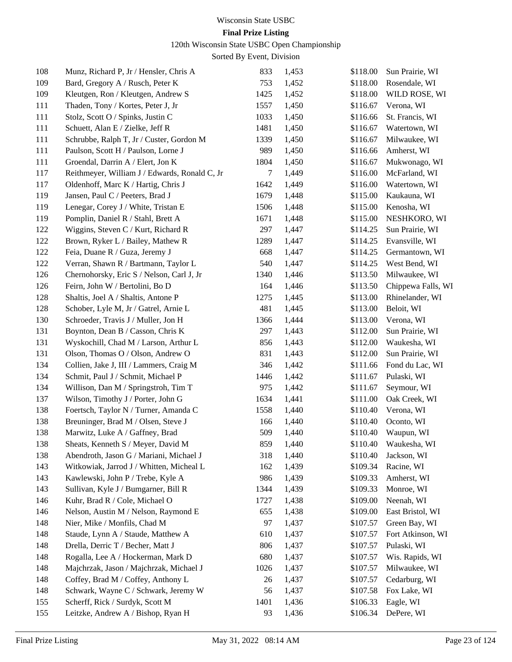### **Final Prize Listing**

120th Wisconsin State USBC Open Championship

| 108        | Munz, Richard P, Jr / Hensler, Chris A        | 833        | 1,453 | \$118.00             | Sun Prairie, WI       |
|------------|-----------------------------------------------|------------|-------|----------------------|-----------------------|
| 109        | Bard, Gregory A / Rusch, Peter K              | 753        | 1,452 | \$118.00             | Rosendale, WI         |
| 109        | Kleutgen, Ron / Kleutgen, Andrew S            | 1425       | 1,452 | \$118.00             | WILD ROSE, WI         |
| 111        | Thaden, Tony / Kortes, Peter J, Jr            | 1557       | 1,450 | \$116.67             | Verona, WI            |
| 111        | Stolz, Scott O / Spinks, Justin C             | 1033       | 1,450 | \$116.66             | St. Francis, WI       |
| 111        | Schuett, Alan E / Zielke, Jeff R              | 1481       | 1,450 | \$116.67             | Watertown, WI         |
| 111        | Schrubbe, Ralph T, Jr / Custer, Gordon M      | 1339       | 1,450 | \$116.67             | Milwaukee, WI         |
| 111        | Paulson, Scott H / Paulson, Lorne J           | 989        | 1,450 | \$116.66             | Amherst, WI           |
| 111        | Groendal, Darrin A / Elert, Jon K             | 1804       | 1,450 | \$116.67             | Mukwonago, WI         |
| 117        | Reithmeyer, William J / Edwards, Ronald C, Jr | 7          | 1,449 | \$116.00             | McFarland, WI         |
| 117        | Oldenhoff, Marc K / Hartig, Chris J           | 1642       | 1,449 | \$116.00             | Watertown, WI         |
| 119        | Jansen, Paul C / Peeters, Brad J              | 1679       | 1,448 | \$115.00             | Kaukauna, WI          |
| 119        | Lenegar, Corey J / White, Tristan E           | 1506       | 1,448 | \$115.00             | Kenosha, WI           |
| 119        | Pomplin, Daniel R / Stahl, Brett A            | 1671       | 1,448 | \$115.00             | NESHKORO, WI          |
| 122        | Wiggins, Steven C / Kurt, Richard R           | 297        | 1,447 | \$114.25             | Sun Prairie, WI       |
| 122        | Brown, Ryker L / Bailey, Mathew R             | 1289       | 1,447 | \$114.25             | Evansville, WI        |
| 122        | Feia, Duane R / Guza, Jeremy J                | 668        | 1,447 | \$114.25             | Germantown, WI        |
| 122        | Verran, Shawn R / Bartmann, Taylor L          | 540        | 1,447 | \$114.25             | West Bend, WI         |
| 126        | Chernohorsky, Eric S / Nelson, Carl J, Jr     | 1340       | 1,446 | \$113.50             | Milwaukee, WI         |
| 126        | Feirn, John W / Bertolini, Bo D               | 164        | 1,446 | \$113.50             | Chippewa Falls, WI    |
| 128        | Shaltis, Joel A / Shaltis, Antone P           | 1275       | 1,445 | \$113.00             | Rhinelander, WI       |
| 128        | Schober, Lyle M, Jr / Gatrel, Arnie L         | 481        | 1,445 | \$113.00             | Beloit, WI            |
| 130        | Schroeder, Travis J / Muller, Jon H           | 1366       | 1,444 | \$113.00             | Verona, WI            |
| 131        | Boynton, Dean B / Casson, Chris K             | 297        | 1,443 | \$112.00             | Sun Prairie, WI       |
| 131        | Wyskochill, Chad M / Larson, Arthur L         | 856        | 1,443 | \$112.00             | Waukesha, WI          |
| 131        | Olson, Thomas O / Olson, Andrew O             | 831        | 1,443 | \$112.00             | Sun Prairie, WI       |
| 134        | Collien, Jake J, III / Lammers, Craig M       | 346        | 1,442 | \$111.66             | Fond du Lac, WI       |
| 134        | Schmit, Paul J / Schmit, Michael P            | 1446       | 1,442 | \$111.67             | Pulaski, WI           |
| 134        | Willison, Dan M / Springstroh, Tim T          | 975        | 1,442 | \$111.67             | Seymour, WI           |
| 137        | Wilson, Timothy J / Porter, John G            | 1634       | 1,441 | \$111.00             | Oak Creek, WI         |
| 138        | Foertsch, Taylor N / Turner, Amanda C         | 1558       | 1,440 | \$110.40             | Verona, WI            |
| 138        | Breuninger, Brad M / Olsen, Steve J           | 166        | 1,440 | \$110.40             | Oconto, WI            |
| 138        | Marwitz, Luke A / Gaffney, Brad               | 509        | 1,440 | \$110.40             | Waupun, WI            |
| 138        | Sheats, Kenneth S / Meyer, David M            | 859        | 1,440 |                      | \$110.40 Waukesha, WI |
| 138        | Abendroth, Jason G / Mariani, Michael J       | 318        | 1,440 | \$110.40             | Jackson, WI           |
| 143        | Witkowiak, Jarrod J / Whitten, Micheal L      | 162        | 1,439 | \$109.34             | Racine, WI            |
| 143        | Kawlewski, John P / Trebe, Kyle A             | 986        | 1,439 | \$109.33             | Amherst, WI           |
| 143        | Sullivan, Kyle J / Bumgarner, Bill R          | 1344       | 1,439 | \$109.33             | Monroe, WI            |
| 146        | Kuhr, Brad R / Cole, Michael O                | 1727       | 1,438 | \$109.00             | Neenah, WI            |
| 146        | Nelson, Austin M / Nelson, Raymond E          | 655        | 1,438 | \$109.00             | East Bristol, WI      |
| 148        | Nier, Mike / Monfils, Chad M                  | 97         | 1,437 | \$107.57             | Green Bay, WI         |
| 148        |                                               |            | 1,437 | \$107.57             | Fort Atkinson, WI     |
|            | Staude, Lynn A / Staude, Matthew A            | 610        |       |                      |                       |
| 148<br>148 | Drella, Derric T / Becher, Matt J             | 806<br>680 | 1,437 | \$107.57<br>\$107.57 | Pulaski, WI           |
|            | Rogalla, Lee A / Hockerman, Mark D            |            | 1,437 |                      | Wis. Rapids, WI       |
| 148        | Majchrzak, Jason / Majchrzak, Michael J       | 1026       | 1,437 | \$107.57             | Milwaukee, WI         |
| 148        | Coffey, Brad M / Coffey, Anthony L            | 26         | 1,437 | \$107.57             | Cedarburg, WI         |
| 148        | Schwark, Wayne C / Schwark, Jeremy W          | 56         | 1,437 | \$107.58             | Fox Lake, WI          |
| 155        | Scherff, Rick / Surdyk, Scott M               | 1401       | 1,436 | \$106.33             | Eagle, WI             |
| 155        | Leitzke, Andrew A / Bishop, Ryan H            | 93         | 1,436 | \$106.34             | DePere, WI            |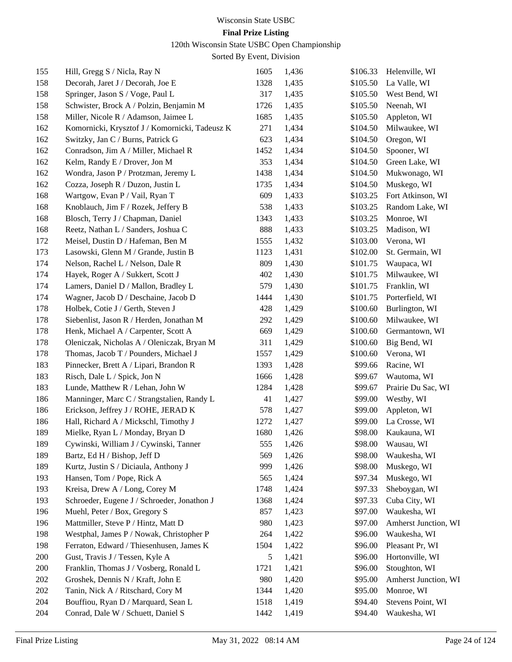### **Final Prize Listing**

120th Wisconsin State USBC Open Championship

| 155 | Hill, Gregg S / Nicla, Ray N                   | 1605 | 1,436 | \$106.33 | Helenville, WI       |
|-----|------------------------------------------------|------|-------|----------|----------------------|
| 158 | Decorah, Jaret J / Decorah, Joe E              | 1328 | 1,435 | \$105.50 | La Valle, WI         |
| 158 | Springer, Jason S / Voge, Paul L               | 317  | 1,435 | \$105.50 | West Bend, WI        |
| 158 | Schwister, Brock A / Polzin, Benjamin M        | 1726 | 1,435 | \$105.50 | Neenah, WI           |
| 158 | Miller, Nicole R / Adamson, Jaimee L           | 1685 | 1,435 | \$105.50 | Appleton, WI         |
| 162 | Komornicki, Krysztof J / Komornicki, Tadeusz K | 271  | 1,434 | \$104.50 | Milwaukee, WI        |
| 162 | Switzky, Jan C / Burns, Patrick G              | 623  | 1,434 | \$104.50 | Oregon, WI           |
| 162 | Conradson, Jim A / Miller, Michael R           | 1452 | 1,434 | \$104.50 | Spooner, WI          |
| 162 | Kelm, Randy E / Drover, Jon M                  | 353  | 1,434 | \$104.50 | Green Lake, WI       |
| 162 | Wondra, Jason P / Protzman, Jeremy L           | 1438 | 1,434 | \$104.50 | Mukwonago, WI        |
| 162 | Cozza, Joseph R / Duzon, Justin L              | 1735 | 1,434 | \$104.50 | Muskego, WI          |
| 168 | Wartgow, Evan P / Vail, Ryan T                 | 609  | 1,433 | \$103.25 | Fort Atkinson, WI    |
| 168 | Knoblauch, Jim F / Rozek, Jeffery B            | 538  | 1,433 | \$103.25 | Random Lake, WI      |
| 168 | Blosch, Terry J / Chapman, Daniel              | 1343 | 1,433 | \$103.25 | Monroe, WI           |
| 168 | Reetz, Nathan L / Sanders, Joshua C            | 888  | 1,433 | \$103.25 | Madison, WI          |
| 172 | Meisel, Dustin D / Hafeman, Ben M              | 1555 | 1,432 | \$103.00 | Verona, WI           |
| 173 | Lasowski, Glenn M / Grande, Justin B           | 1123 | 1,431 | \$102.00 | St. Germain, WI      |
| 174 | Nelson, Rachel L / Nelson, Dale R              | 809  | 1,430 | \$101.75 | Waupaca, WI          |
| 174 | Hayek, Roger A / Sukkert, Scott J              | 402  | 1,430 | \$101.75 | Milwaukee, WI        |
| 174 | Lamers, Daniel D / Mallon, Bradley L           | 579  | 1,430 | \$101.75 | Franklin, WI         |
| 174 | Wagner, Jacob D / Deschaine, Jacob D           | 1444 | 1,430 | \$101.75 | Porterfield, WI      |
| 178 | Holbek, Cotie J / Gerth, Steven J              | 428  | 1,429 | \$100.60 | Burlington, WI       |
| 178 | Siebenlist, Jason R / Herden, Jonathan M       | 292  | 1,429 | \$100.60 | Milwaukee, WI        |
| 178 | Henk, Michael A / Carpenter, Scott A           | 669  | 1,429 | \$100.60 | Germantown, WI       |
| 178 | Oleniczak, Nicholas A / Oleniczak, Bryan M     | 311  | 1,429 | \$100.60 | Big Bend, WI         |
| 178 | Thomas, Jacob T / Pounders, Michael J          | 1557 | 1,429 | \$100.60 | Verona, WI           |
| 183 | Pinnecker, Brett A / Lipari, Brandon R         | 1393 | 1,428 | \$99.66  | Racine, WI           |
| 183 | Risch, Dale L / Spick, Jon N                   | 1666 | 1,428 | \$99.67  | Wautoma, WI          |
| 183 | Lunde, Matthew R / Lehan, John W               | 1284 | 1,428 | \$99.67  | Prairie Du Sac, WI   |
| 186 | Manninger, Marc C / Strangstalien, Randy L     | 41   | 1,427 | \$99.00  | Westby, WI           |
| 186 | Erickson, Jeffrey J / ROHE, JERAD K            | 578  | 1,427 | \$99.00  | Appleton, WI         |
| 186 | Hall, Richard A / Mickschl, Timothy J          | 1272 | 1,427 | \$99.00  | La Crosse, WI        |
| 189 | Mielke, Ryan L / Monday, Bryan D               | 1680 | 1,426 | \$98.00  | Kaukauna, WI         |
| 189 | Cywinski, William J / Cywinski, Tanner         | 555  | 1,426 | \$98.00  | Wausau, WI           |
| 189 | Bartz, Ed H / Bishop, Jeff D                   | 569  | 1,426 | \$98.00  | Waukesha, WI         |
| 189 | Kurtz, Justin S / Diciaula, Anthony J          | 999  | 1,426 | \$98.00  | Muskego, WI          |
| 193 | Hansen, Tom / Pope, Rick A                     | 565  | 1,424 | \$97.34  | Muskego, WI          |
| 193 | Kreisa, Drew A / Long, Corey M                 | 1748 | 1,424 | \$97.33  | Sheboygan, WI        |
| 193 | Schroeder, Eugene J / Schroeder, Jonathon J    | 1368 | 1,424 | \$97.33  | Cuba City, WI        |
| 196 | Muehl, Peter / Box, Gregory S                  | 857  | 1,423 | \$97.00  | Waukesha, WI         |
| 196 | Mattmiller, Steve P / Hintz, Matt D            | 980  | 1,423 | \$97.00  | Amherst Junction, WI |
| 198 | Westphal, James P / Nowak, Christopher P       | 264  | 1,422 | \$96.00  | Waukesha, WI         |
| 198 | Ferraton, Edward / Thiesenhusen, James K       | 1504 | 1,422 | \$96.00  | Pleasant Pr, WI      |
| 200 | Gust, Travis J / Tessen, Kyle A                | 5    | 1,421 | \$96.00  | Hortonville, WI      |
| 200 | Franklin, Thomas J / Vosberg, Ronald L         | 1721 | 1,421 | \$96.00  | Stoughton, WI        |
| 202 | Groshek, Dennis N / Kraft, John E              | 980  | 1,420 | \$95.00  | Amherst Junction, WI |
| 202 | Tanin, Nick A / Ritschard, Cory M              | 1344 | 1,420 | \$95.00  | Monroe, WI           |
| 204 | Bouffiou, Ryan D / Marquard, Sean L            | 1518 | 1,419 | \$94.40  | Stevens Point, WI    |
| 204 | Conrad, Dale W / Schuett, Daniel S             | 1442 | 1,419 | \$94.40  | Waukesha, WI         |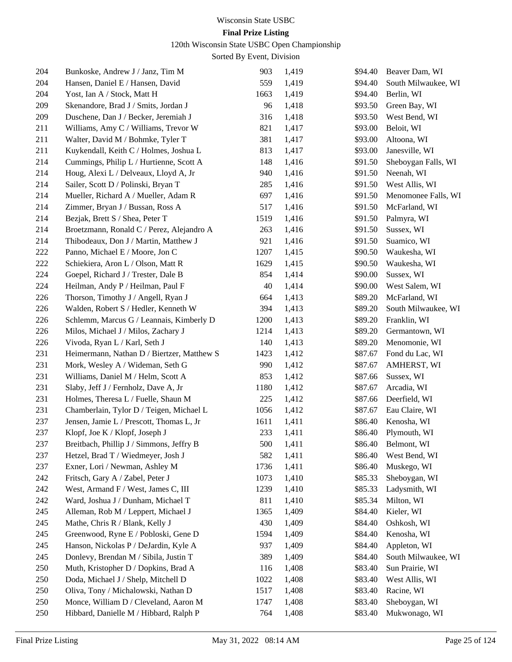120th Wisconsin State USBC Open Championship

| 204 | Bunkoske, Andrew J / Janz, Tim M           | 903  | 1,419 | \$94.40 | Beaver Dam, WI      |
|-----|--------------------------------------------|------|-------|---------|---------------------|
| 204 | Hansen, Daniel E / Hansen, David           | 559  | 1,419 | \$94.40 | South Milwaukee, WI |
| 204 | Yost, Ian A / Stock, Matt H                | 1663 | 1,419 | \$94.40 | Berlin, WI          |
| 209 | Skenandore, Brad J / Smits, Jordan J       | 96   | 1,418 | \$93.50 | Green Bay, WI       |
| 209 | Duschene, Dan J / Becker, Jeremiah J       | 316  | 1,418 | \$93.50 | West Bend, WI       |
| 211 | Williams, Amy C / Williams, Trevor W       | 821  | 1,417 | \$93.00 | Beloit, WI          |
| 211 | Walter, David M / Bohmke, Tyler T          | 381  | 1,417 | \$93.00 | Altoona, WI         |
| 211 | Kuykendall, Keith C / Holmes, Joshua L     | 813  | 1,417 | \$93.00 | Janesville, WI      |
| 214 | Cummings, Philip L / Hurtienne, Scott A    | 148  | 1,416 | \$91.50 | Sheboygan Falls, WI |
| 214 | Houg, Alexi L / Delveaux, Lloyd A, Jr      | 940  | 1,416 | \$91.50 | Neenah, WI          |
| 214 | Sailer, Scott D / Polinski, Bryan T        | 285  | 1,416 | \$91.50 | West Allis, WI      |
| 214 | Mueller, Richard A / Mueller, Adam R       | 697  | 1,416 | \$91.50 | Menomonee Falls, WI |
| 214 | Zimmer, Bryan J / Bussan, Ross A           | 517  | 1,416 | \$91.50 | McFarland, WI       |
| 214 | Bezjak, Brett S / Shea, Peter T            | 1519 | 1,416 | \$91.50 | Palmyra, WI         |
| 214 | Broetzmann, Ronald C / Perez, Alejandro A  | 263  | 1,416 | \$91.50 | Sussex, WI          |
| 214 | Thibodeaux, Don J / Martin, Matthew J      | 921  | 1,416 | \$91.50 | Suamico, WI         |
| 222 | Panno, Michael E / Moore, Jon C            | 1207 | 1,415 | \$90.50 | Waukesha, WI        |
| 222 | Schiekiera, Aron L / Olson, Matt R         | 1629 | 1,415 | \$90.50 | Waukesha, WI        |
| 224 | Goepel, Richard J / Trester, Dale B        | 854  | 1,414 | \$90.00 | Sussex, WI          |
| 224 | Heilman, Andy P / Heilman, Paul F          | 40   | 1,414 | \$90.00 | West Salem, WI      |
| 226 | Thorson, Timothy J / Angell, Ryan J        | 664  | 1,413 | \$89.20 | McFarland, WI       |
| 226 | Walden, Robert S / Hedler, Kenneth W       | 394  | 1,413 | \$89.20 | South Milwaukee, WI |
| 226 | Schlemm, Marcus G / Leannais, Kimberly D   | 1200 | 1,413 | \$89.20 | Franklin, WI        |
| 226 | Milos, Michael J / Milos, Zachary J        | 1214 | 1,413 | \$89.20 | Germantown, WI      |
| 226 | Vivoda, Ryan L / Karl, Seth J              | 140  | 1,413 | \$89.20 | Menomonie, WI       |
| 231 | Heimermann, Nathan D / Biertzer, Matthew S | 1423 | 1,412 | \$87.67 | Fond du Lac, WI     |
| 231 | Mork, Wesley A / Wideman, Seth G           | 990  | 1,412 | \$87.67 | AMHERST, WI         |
| 231 | Williams, Daniel M / Helm, Scott A         | 853  | 1,412 | \$87.66 | Sussex, WI          |
| 231 | Slaby, Jeff J / Fernholz, Dave A, Jr       | 1180 | 1,412 | \$87.67 | Arcadia, WI         |
| 231 | Holmes, Theresa L / Fuelle, Shaun M        | 225  | 1,412 | \$87.66 | Deerfield, WI       |
| 231 | Chamberlain, Tylor D / Teigen, Michael L   | 1056 | 1,412 | \$87.67 | Eau Claire, WI      |
| 237 | Jensen, Jamie L / Prescott, Thomas L, Jr   | 1611 | 1,411 | \$86.40 | Kenosha, WI         |
| 237 | Klopf, Joe K / Klopf, Joseph J             | 233  | 1,411 | \$86.40 | Plymouth, WI        |
| 237 | Breitbach, Phillip J / Simmons, Jeffry B   | 500  | 1,411 |         | \$86.40 Belmont, WI |
| 237 | Hetzel, Brad T / Wiedmeyer, Josh J         | 582  | 1,411 | \$86.40 | West Bend, WI       |
| 237 | Exner, Lori / Newman, Ashley M             | 1736 | 1,411 | \$86.40 | Muskego, WI         |
| 242 | Fritsch, Gary A / Zabel, Peter J           | 1073 | 1,410 | \$85.33 | Sheboygan, WI       |
| 242 | West, Armand F / West, James C, III        | 1239 | 1,410 | \$85.33 | Ladysmith, WI       |
| 242 | Ward, Joshua J / Dunham, Michael T         | 811  | 1,410 | \$85.34 | Milton, WI          |
| 245 | Alleman, Rob M / Leppert, Michael J        | 1365 | 1,409 | \$84.40 | Kieler, WI          |
| 245 | Mathe, Chris R / Blank, Kelly J            | 430  | 1,409 | \$84.40 | Oshkosh, WI         |
| 245 | Greenwood, Ryne E / Pobloski, Gene D       | 1594 | 1,409 | \$84.40 | Kenosha, WI         |
| 245 | Hanson, Nickolas P / DeJardin, Kyle A      | 937  | 1,409 | \$84.40 | Appleton, WI        |
| 245 | Donlevy, Brendan M / Sibila, Justin T      | 389  | 1,409 | \$84.40 | South Milwaukee, WI |
| 250 | Muth, Kristopher D / Dopkins, Brad A       | 116  | 1,408 | \$83.40 | Sun Prairie, WI     |
| 250 | Doda, Michael J / Shelp, Mitchell D        | 1022 | 1,408 | \$83.40 | West Allis, WI      |
| 250 | Oliva, Tony / Michalowski, Nathan D        | 1517 | 1,408 | \$83.40 | Racine, WI          |
| 250 | Monce, William D / Cleveland, Aaron M      | 1747 | 1,408 | \$83.40 | Sheboygan, WI       |
| 250 | Hibbard, Danielle M / Hibbard, Ralph P     | 764  | 1,408 | \$83.40 | Mukwonago, WI       |
|     |                                            |      |       |         |                     |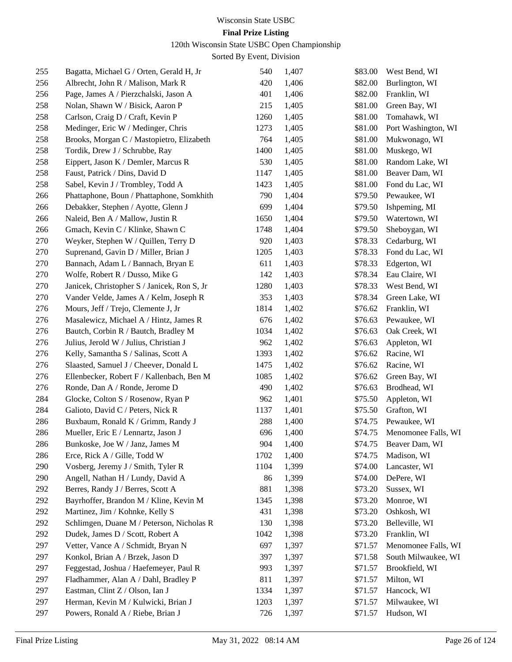#### 120th Wisconsin State USBC Open Championship

| 255 | Bagatta, Michael G / Orten, Gerald H, Jr    | 540  | 1,407 | \$83.00 | West Bend, WI       |
|-----|---------------------------------------------|------|-------|---------|---------------------|
| 256 | Albrecht, John R / Malison, Mark R          | 420  | 1,406 | \$82.00 | Burlington, WI      |
| 256 | Page, James A / Pierzchalski, Jason A       | 401  | 1,406 | \$82.00 | Franklin, WI        |
| 258 | Nolan, Shawn W / Bisick, Aaron P            | 215  | 1,405 | \$81.00 | Green Bay, WI       |
| 258 | Carlson, Craig D / Craft, Kevin P           | 1260 | 1,405 | \$81.00 | Tomahawk, WI        |
| 258 | Medinger, Eric W / Medinger, Chris          | 1273 | 1,405 | \$81.00 | Port Washington, WI |
| 258 | Brooks, Morgan C / Mastopietro, Elizabeth   | 764  | 1,405 | \$81.00 | Mukwonago, WI       |
| 258 | Tordik, Drew J / Schrubbe, Ray              | 1400 | 1,405 | \$81.00 | Muskego, WI         |
| 258 | Eippert, Jason K / Demler, Marcus R         | 530  | 1,405 | \$81.00 | Random Lake, WI     |
| 258 | Faust, Patrick / Dins, David D              | 1147 | 1,405 | \$81.00 | Beaver Dam, WI      |
| 258 | Sabel, Kevin J / Trombley, Todd A           | 1423 | 1,405 | \$81.00 | Fond du Lac, WI     |
| 266 | Phattaphone, Boun / Phattaphone, Somkhith   | 790  | 1,404 | \$79.50 | Pewaukee, WI        |
| 266 | Debakker, Stephen / Ayotte, Glenn J         | 699  | 1,404 | \$79.50 | Ishpeming, MI       |
| 266 | Naleid, Ben A / Mallow, Justin R            | 1650 | 1,404 | \$79.50 | Watertown, WI       |
| 266 | Gmach, Kevin C / Klinke, Shawn C            | 1748 | 1,404 | \$79.50 | Sheboygan, WI       |
| 270 | Weyker, Stephen W / Quillen, Terry D        | 920  | 1,403 | \$78.33 | Cedarburg, WI       |
| 270 | Suprenand, Gavin D / Miller, Brian J        | 1205 | 1,403 | \$78.33 | Fond du Lac, WI     |
| 270 | Bannach, Adam L / Bannach, Bryan E          | 611  | 1,403 | \$78.33 | Edgerton, WI        |
| 270 | Wolfe, Robert R / Dusso, Mike G             | 142  | 1,403 | \$78.34 | Eau Claire, WI      |
| 270 | Janicek, Christopher S / Janicek, Ron S, Jr | 1280 | 1,403 | \$78.33 | West Bend, WI       |
| 270 | Vander Velde, James A / Kelm, Joseph R      | 353  | 1,403 | \$78.34 | Green Lake, WI      |
| 276 | Mours, Jeff / Trejo, Clemente J, Jr         | 1814 | 1,402 | \$76.62 | Franklin, WI        |
| 276 | Masalewicz, Michael A / Hintz, James R      | 676  | 1,402 | \$76.63 | Pewaukee, WI        |
| 276 | Bautch, Corbin R / Bautch, Bradley M        | 1034 | 1,402 | \$76.63 | Oak Creek, WI       |
| 276 | Julius, Jerold W / Julius, Christian J      | 962  | 1,402 | \$76.63 | Appleton, WI        |
| 276 | Kelly, Samantha S / Salinas, Scott A        | 1393 | 1,402 | \$76.62 | Racine, WI          |
| 276 | Slaasted, Samuel J / Cheever, Donald L      | 1475 | 1,402 | \$76.62 | Racine, WI          |
| 276 | Ellenbecker, Robert F / Kallenbach, Ben M   | 1085 | 1,402 | \$76.62 | Green Bay, WI       |
| 276 | Ronde, Dan A / Ronde, Jerome D              | 490  | 1,402 | \$76.63 | Brodhead, WI        |
| 284 | Glocke, Colton S / Rosenow, Ryan P          | 962  | 1,401 | \$75.50 | Appleton, WI        |
| 284 | Galioto, David C / Peters, Nick R           | 1137 | 1,401 | \$75.50 | Grafton, WI         |
| 286 | Buxbaum, Ronald K / Grimm, Randy J          | 288  | 1,400 | \$74.75 | Pewaukee, WI        |
| 286 | Mueller, Eric E / Lennartz, Jason J         | 696  | 1,400 | \$74.75 | Menomonee Falls, WI |
| 286 | Bunkoske, Joe W / Janz, James M             | 904  | 1,400 | \$74.75 | Beaver Dam, WI      |
| 286 | Erce, Rick A / Gille, Todd W                | 1702 | 1,400 | \$74.75 | Madison, WI         |
| 290 | Vosberg, Jeremy J / Smith, Tyler R          | 1104 | 1,399 | \$74.00 | Lancaster, WI       |
| 290 | Angell, Nathan H / Lundy, David A           | 86   | 1,399 | \$74.00 | DePere, WI          |
| 292 | Berres, Randy J / Berres, Scott A           | 881  | 1,398 | \$73.20 | Sussex, WI          |
| 292 | Bayrhoffer, Brandon M / Kline, Kevin M      | 1345 | 1,398 | \$73.20 | Monroe, WI          |
| 292 | Martinez, Jim / Kohnke, Kelly S             | 431  | 1,398 | \$73.20 | Oshkosh, WI         |
| 292 | Schlimgen, Duane M / Peterson, Nicholas R   | 130  | 1,398 | \$73.20 | Belleville, WI      |
| 292 | Dudek, James D / Scott, Robert A            | 1042 | 1,398 | \$73.20 | Franklin, WI        |
| 297 | Vetter, Vance A / Schmidt, Bryan N          | 697  | 1,397 | \$71.57 | Menomonee Falls, WI |
| 297 | Konkol, Brian A / Brzek, Jason D            | 397  | 1,397 | \$71.58 | South Milwaukee, WI |
| 297 | Feggestad, Joshua / Haefemeyer, Paul R      | 993  | 1,397 | \$71.57 | Brookfield, WI      |
| 297 | Fladhammer, Alan A / Dahl, Bradley P        | 811  | 1,397 | \$71.57 | Milton, WI          |
| 297 | Eastman, Clint Z / Olson, Ian J             | 1334 | 1,397 | \$71.57 | Hancock, WI         |
| 297 | Herman, Kevin M / Kulwicki, Brian J         | 1203 | 1,397 | \$71.57 | Milwaukee, WI       |
| 297 | Powers, Ronald A / Riebe, Brian J           | 726  | 1,397 | \$71.57 | Hudson, WI          |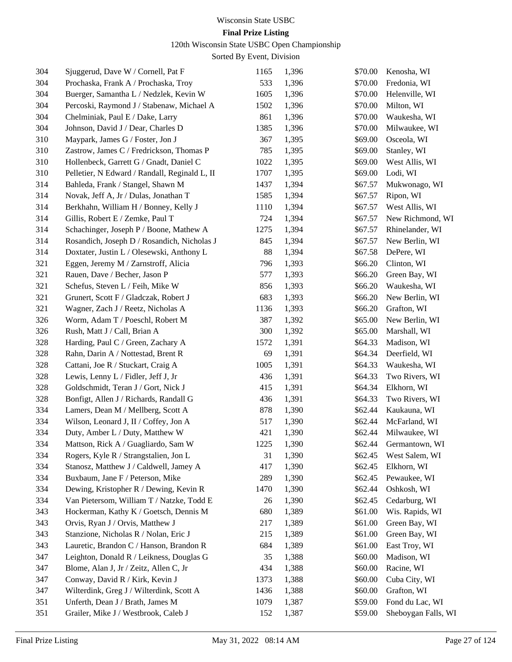#### 120th Wisconsin State USBC Open Championship

| 304 | Sjuggerud, Dave W / Cornell, Pat F            | 1165 | 1,396 | \$70.00 | Kenosha, WI         |
|-----|-----------------------------------------------|------|-------|---------|---------------------|
| 304 | Prochaska, Frank A / Prochaska, Troy          | 533  | 1,396 | \$70.00 | Fredonia, WI        |
| 304 | Buerger, Samantha L / Nedzlek, Kevin W        | 1605 | 1,396 | \$70.00 | Helenville, WI      |
| 304 | Percoski, Raymond J / Stabenaw, Michael A     | 1502 | 1,396 | \$70.00 | Milton, WI          |
| 304 | Chelminiak, Paul E / Dake, Larry              | 861  | 1,396 | \$70.00 | Waukesha, WI        |
| 304 | Johnson, David J / Dear, Charles D            | 1385 | 1,396 | \$70.00 | Milwaukee, WI       |
| 310 | Maypark, James G / Foster, Jon J              | 367  | 1,395 | \$69.00 | Osceola, WI         |
| 310 | Zastrow, James C / Fredrickson, Thomas P      | 785  | 1,395 | \$69.00 | Stanley, WI         |
| 310 | Hollenbeck, Garrett G / Gnadt, Daniel C       | 1022 | 1,395 | \$69.00 | West Allis, WI      |
| 310 | Pelletier, N Edward / Randall, Reginald L, II | 1707 | 1,395 | \$69.00 | Lodi, WI            |
| 314 | Bahleda, Frank / Stangel, Shawn M             | 1437 | 1,394 | \$67.57 | Mukwonago, WI       |
| 314 | Novak, Jeff A, Jr / Dulas, Jonathan T         | 1585 | 1,394 | \$67.57 | Ripon, WI           |
| 314 | Berkhahn, William H / Bonney, Kelly J         | 1110 | 1,394 | \$67.57 | West Allis, WI      |
| 314 | Gillis, Robert E / Zemke, Paul T              | 724  | 1,394 | \$67.57 | New Richmond, WI    |
| 314 | Schachinger, Joseph P / Boone, Mathew A       | 1275 | 1,394 | \$67.57 | Rhinelander, WI     |
| 314 | Rosandich, Joseph D / Rosandich, Nicholas J   | 845  | 1,394 | \$67.57 | New Berlin, WI      |
| 314 | Doxtater, Justin L / Olesewski, Anthony L     | 88   | 1,394 | \$67.58 | DePere, WI          |
| 321 | Eggen, Jeremy M / Zarnstroff, Alicia          | 796  | 1,393 | \$66.20 | Clinton, WI         |
| 321 | Rauen, Dave / Becher, Jason P                 | 577  | 1,393 | \$66.20 | Green Bay, WI       |
| 321 | Schefus, Steven L / Feih, Mike W              | 856  | 1,393 | \$66.20 | Waukesha, WI        |
| 321 | Grunert, Scott F / Gladczak, Robert J         | 683  | 1,393 | \$66.20 | New Berlin, WI      |
| 321 | Wagner, Zach J / Reetz, Nicholas A            | 1136 | 1,393 | \$66.20 | Grafton, WI         |
| 326 | Worm, Adam T / Poeschl, Robert M              | 387  | 1,392 | \$65.00 | New Berlin, WI      |
| 326 | Rush, Matt J / Call, Brian A                  | 300  | 1,392 | \$65.00 | Marshall, WI        |
| 328 | Harding, Paul C / Green, Zachary A            | 1572 | 1,391 | \$64.33 | Madison, WI         |
| 328 | Rahn, Darin A / Nottestad, Brent R            | 69   | 1,391 | \$64.34 | Deerfield, WI       |
| 328 | Cattani, Joe R / Stuckart, Craig A            | 1005 | 1,391 | \$64.33 | Waukesha, WI        |
| 328 | Lewis, Lenny L / Fidler, Jeff J, Jr           | 436  | 1,391 | \$64.33 | Two Rivers, WI      |
| 328 | Goldschmidt, Teran J / Gort, Nick J           | 415  | 1,391 | \$64.34 | Elkhorn, WI         |
| 328 | Bonfigt, Allen J / Richards, Randall G        | 436  | 1,391 | \$64.33 | Two Rivers, WI      |
| 334 | Lamers, Dean M / Mellberg, Scott A            | 878  | 1,390 | \$62.44 | Kaukauna, WI        |
| 334 | Wilson, Leonard J, II / Coffey, Jon A         | 517  | 1,390 | \$62.44 | McFarland, WI       |
| 334 | Duty, Amber L / Duty, Matthew W               | 421  | 1,390 | \$62.44 | Milwaukee, WI       |
| 334 | Mattson, Rick A / Guagliardo, Sam W           | 1225 | 1,390 | \$62.44 | Germantown, WI      |
| 334 | Rogers, Kyle R / Strangstalien, Jon L         | 31   | 1,390 | \$62.45 | West Salem, WI      |
| 334 | Stanosz, Matthew J / Caldwell, Jamey A        | 417  | 1,390 | \$62.45 | Elkhorn, WI         |
| 334 | Buxbaum, Jane F / Peterson, Mike              | 289  | 1,390 | \$62.45 | Pewaukee, WI        |
| 334 | Dewing, Kristopher R / Dewing, Kevin R        | 1470 | 1,390 | \$62.44 | Oshkosh, WI         |
| 334 | Van Pietersom, William T / Natzke, Todd E     | 26   | 1,390 | \$62.45 | Cedarburg, WI       |
| 343 | Hockerman, Kathy K / Goetsch, Dennis M        | 680  | 1,389 | \$61.00 | Wis. Rapids, WI     |
| 343 | Orvis, Ryan J / Orvis, Matthew J              | 217  | 1,389 | \$61.00 | Green Bay, WI       |
| 343 | Stanzione, Nicholas R / Nolan, Eric J         | 215  | 1,389 | \$61.00 | Green Bay, WI       |
| 343 | Lauretic, Brandon C / Hanson, Brandon R       | 684  | 1,389 | \$61.00 | East Troy, WI       |
| 347 | Leighton, Donald R / Leikness, Douglas G      | 35   | 1,388 | \$60.00 | Madison, WI         |
| 347 | Blome, Alan J, Jr / Zeitz, Allen C, Jr        | 434  | 1,388 | \$60.00 | Racine, WI          |
| 347 | Conway, David R / Kirk, Kevin J               | 1373 | 1,388 | \$60.00 | Cuba City, WI       |
| 347 | Wilterdink, Greg J / Wilterdink, Scott A      | 1436 | 1,388 | \$60.00 | Grafton, WI         |
| 351 | Unferth, Dean J / Brath, James M              | 1079 | 1,387 | \$59.00 | Fond du Lac, WI     |
| 351 | Grailer, Mike J / Westbrook, Caleb J          | 152  | 1,387 | \$59.00 | Sheboygan Falls, WI |
|     |                                               |      |       |         |                     |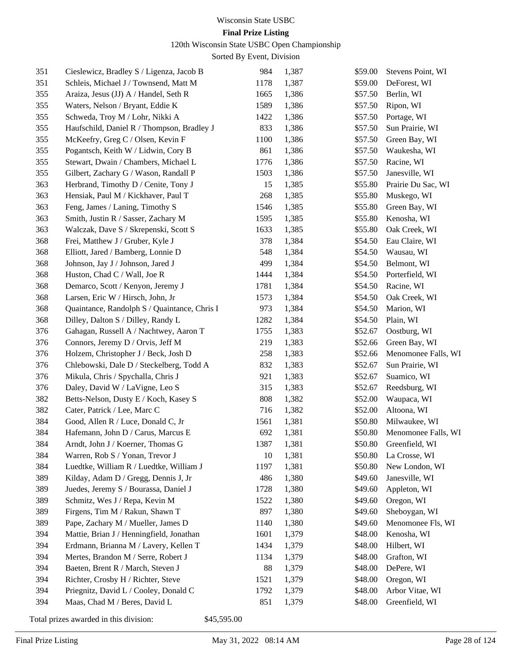# **Final Prize Listing**

120th Wisconsin State USBC Open Championship

Sorted By Event, Division

| 351        | Cieslewicz, Bradley S / Ligenza, Jacob B     | 984         | 1,387 | \$59.00            | Stevens Point, WI      |
|------------|----------------------------------------------|-------------|-------|--------------------|------------------------|
| 351        | Schleis, Michael J / Townsend, Matt M        | 1178        | 1,387 | \$59.00            | DeForest, WI           |
| 355        | Araiza, Jesus (JJ) A / Handel, Seth R        | 1665        | 1,386 | \$57.50            | Berlin, WI             |
| 355        | Waters, Nelson / Bryant, Eddie K             | 1589        | 1,386 | \$57.50            | Ripon, WI              |
| 355        | Schweda, Troy M / Lohr, Nikki A              | 1422        | 1,386 | \$57.50            | Portage, WI            |
| 355        | Haufschild, Daniel R / Thompson, Bradley J   | 833         | 1,386 | \$57.50            | Sun Prairie, WI        |
| 355        | McKeefry, Greg C / Olsen, Kevin F            | 1100        | 1,386 | \$57.50            | Green Bay, WI          |
| 355        | Pogantsch, Keith W / Lidwin, Cory B          | 861         | 1,386 | \$57.50            | Waukesha, WI           |
| 355        | Stewart, Dwain / Chambers, Michael L         | 1776        | 1,386 | \$57.50            | Racine, WI             |
| 355        | Gilbert, Zachary G / Wason, Randall P        | 1503        | 1,386 | \$57.50            | Janesville, WI         |
| 363        | Herbrand, Timothy D / Cenite, Tony J         | 15          | 1,385 | \$55.80            | Prairie Du Sac, WI     |
| 363        | Hensiak, Paul M / Kickhaver, Paul T          | 268         | 1,385 | \$55.80            | Muskego, WI            |
| 363        | Feng, James / Laning, Timothy S              | 1546        | 1,385 | \$55.80            | Green Bay, WI          |
| 363        | Smith, Justin R / Sasser, Zachary M          | 1595        | 1,385 | \$55.80            | Kenosha, WI            |
| 363        | Walczak, Dave S / Skrepenski, Scott S        | 1633        | 1,385 | \$55.80            | Oak Creek, WI          |
| 368        | Frei, Matthew J / Gruber, Kyle J             | 378         | 1,384 | \$54.50            | Eau Claire, WI         |
| 368        | Elliott, Jared / Bamberg, Lonnie D           | 548         | 1,384 | \$54.50            | Wausau, WI             |
| 368        | Johnson, Jay J / Johnson, Jared J            | 499         | 1,384 | \$54.50            | Belmont, WI            |
| 368        | Huston, Chad C / Wall, Joe R                 | 1444        | 1,384 | \$54.50            | Porterfield, WI        |
| 368        | Demarco, Scott / Kenyon, Jeremy J            | 1781        | 1,384 | \$54.50            | Racine, WI             |
| 368        | Larsen, Eric W / Hirsch, John, Jr            | 1573        | 1,384 | \$54.50            | Oak Creek, WI          |
| 368        | Quaintance, Randolph S / Quaintance, Chris I | 973         | 1,384 | \$54.50            | Marion, WI             |
| 368        | Dilley, Dalton S / Dilley, Randy L           | 1282        | 1,384 | \$54.50            | Plain, WI              |
| 376        | Gahagan, Russell A / Nachtwey, Aaron T       | 1755        | 1,383 | \$52.67            | Oostburg, WI           |
| 376        | Connors, Jeremy D / Orvis, Jeff M            | 219         | 1,383 | \$52.66            | Green Bay, WI          |
| 376        | Holzem, Christopher J / Beck, Josh D         | 258         | 1,383 | \$52.66            | Menomonee Falls, WI    |
| 376        | Chlebowski, Dale D / Steckelberg, Todd A     | 832         | 1,383 | \$52.67            | Sun Prairie, WI        |
| 376        | Mikula, Chris / Spychalla, Chris J           | 921         | 1,383 | \$52.67            | Suamico, WI            |
| 376        | Daley, David W / LaVigne, Leo S              | 315         | 1,383 | \$52.67            | Reedsburg, WI          |
| 382        | Betts-Nelson, Dusty E / Koch, Kasey S        | 808         | 1,382 | \$52.00            | Waupaca, WI            |
| 382        | Cater, Patrick / Lee, Marc C                 | 716         | 1,382 | \$52.00            | Altoona, WI            |
| 384        | Good, Allen R / Luce, Donald C, Jr           | 1561        | 1,381 | \$50.80            | Milwaukee, WI          |
| 384        | Hafemann, John D / Carus, Marcus E           | 692         | 1,381 | \$50.80            | Menomonee Falls, WI    |
| 384        | Arndt, John J / Koerner, Thomas G            | 1387        | 1,381 |                    | \$50.80 Greenfield, WI |
| 384        | Warren, Rob S / Yonan, Trevor J              | 10          | 1,381 | \$50.80            | La Crosse, WI          |
| 384        | Luedtke, William R / Luedtke, William J      | 1197        | 1,381 | \$50.80            | New London, WI         |
| 389        | Kilday, Adam D / Gregg, Dennis J, Jr         | 486         | 1,380 | \$49.60            | Janesville, WI         |
| 389        | Juedes, Jeremy S / Bourassa, Daniel J        | 1728        | 1,380 | \$49.60            | Appleton, WI           |
| 389        | Schmitz, Wes J / Repa, Kevin M               | 1522        | 1,380 | \$49.60            | Oregon, WI             |
| 389        | Firgens, Tim M / Rakun, Shawn T              | 897         | 1,380 | \$49.60            | Sheboygan, WI          |
| 389        | Pape, Zachary M / Mueller, James D           | 1140        | 1,380 | \$49.60            | Menomonee Fls, WI      |
| 394        | Mattie, Brian J / Henningfield, Jonathan     | 1601        | 1,379 | \$48.00            | Kenosha, WI            |
| 394        | Erdmann, Brianna M / Lavery, Kellen T        | 1434        | 1,379 | \$48.00            | Hilbert, WI            |
| 394        | Mertes, Brandon M / Serre, Robert J          | 1134        | 1,379 | \$48.00            | Grafton, WI            |
|            |                                              |             |       |                    |                        |
| 394        | Baeten, Brent R / March, Steven J            | 88          | 1,379 | \$48.00            | DePere, WI             |
| 394        | Richter, Crosby H / Richter, Steve           | 1521        | 1,379 | \$48.00            | Oregon, WI             |
| 394<br>394 | Priegnitz, David L / Cooley, Donald C        | 1792<br>851 | 1,379 | \$48.00<br>\$48.00 | Arbor Vitae, WI        |
|            | Maas, Chad M / Beres, David L                |             | 1,379 |                    | Greenfield, WI         |

Total prizes awarded in this division: \$45,595.00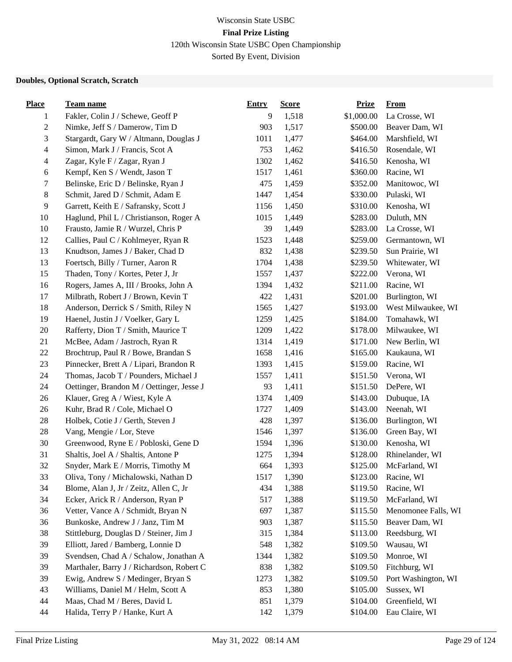### Wisconsin State USBC **Final Prize Listing** 120th Wisconsin State USBC Open Championship

Sorted By Event, Division

#### **Doubles, Optional Scratch, Scratch**

| <b>Place</b>             | <b>Team name</b>                          | <b>Entry</b> | <b>Score</b> | <b>Prize</b> | <b>From</b>         |
|--------------------------|-------------------------------------------|--------------|--------------|--------------|---------------------|
| 1                        | Fakler, Colin J / Schewe, Geoff P         | 9            | 1,518        | \$1,000.00   | La Crosse, WI       |
| $\boldsymbol{2}$         | Nimke, Jeff S / Damerow, Tim D            | 903          | 1,517        | \$500.00     | Beaver Dam, WI      |
| 3                        | Stargardt, Gary W / Altmann, Douglas J    | 1011         | 1,477        | \$464.00     | Marshfield, WI      |
| $\overline{\mathcal{L}}$ | Simon, Mark J / Francis, Scot A           | 753          | 1,462        | \$416.50     | Rosendale, WI       |
| $\overline{\mathcal{A}}$ | Zagar, Kyle F / Zagar, Ryan J             | 1302         | 1,462        | \$416.50     | Kenosha, WI         |
| 6                        | Kempf, Ken S / Wendt, Jason T             | 1517         | 1,461        | \$360.00     | Racine, WI          |
| 7                        | Belinske, Eric D / Belinske, Ryan J       | 475          | 1,459        | \$352.00     | Manitowoc, WI       |
| $8\,$                    | Schmit, Jared D / Schmit, Adam E          | 1447         | 1,454        | \$330.00     | Pulaski, WI         |
| 9                        | Garrett, Keith E / Safransky, Scott J     | 1156         | 1,450        | \$310.00     | Kenosha, WI         |
| 10                       | Haglund, Phil L / Christianson, Roger A   | 1015         | 1,449        | \$283.00     | Duluth, MN          |
| $10\,$                   | Frausto, Jamie R / Wurzel, Chris P        | 39           | 1,449        | \$283.00     | La Crosse, WI       |
| 12                       | Callies, Paul C / Kohlmeyer, Ryan R       | 1523         | 1,448        | \$259.00     | Germantown, WI      |
| 13                       | Knudtson, James J / Baker, Chad D         | 832          | 1,438        | \$239.50     | Sun Prairie, WI     |
| 13                       | Foertsch, Billy / Turner, Aaron R         | 1704         | 1,438        | \$239.50     | Whitewater, WI      |
| 15                       | Thaden, Tony / Kortes, Peter J, Jr        | 1557         | 1,437        | \$222.00     | Verona, WI          |
| 16                       | Rogers, James A, III / Brooks, John A     | 1394         | 1,432        | \$211.00     | Racine, WI          |
| 17                       | Milbrath, Robert J / Brown, Kevin T       | 422          | 1,431        | \$201.00     | Burlington, WI      |
| 18                       | Anderson, Derrick S / Smith, Riley N      | 1565         | 1,427        | \$193.00     | West Milwaukee, WI  |
| 19                       | Haenel, Justin J / Voelker, Gary L        | 1259         | 1,425        | \$184.00     | Tomahawk, WI        |
| $20\,$                   | Rafferty, Dion T / Smith, Maurice T       | 1209         | 1,422        | \$178.00     | Milwaukee, WI       |
| 21                       | McBee, Adam / Jastroch, Ryan R            | 1314         | 1,419        | \$171.00     | New Berlin, WI      |
| 22                       | Brochtrup, Paul R / Bowe, Brandan S       | 1658         | 1,416        | \$165.00     | Kaukauna, WI        |
| 23                       | Pinnecker, Brett A / Lipari, Brandon R    | 1393         | 1,415        | \$159.00     | Racine, WI          |
| 24                       | Thomas, Jacob T / Pounders, Michael J     | 1557         | 1,411        | \$151.50     | Verona, WI          |
| 24                       | Oettinger, Brandon M / Oettinger, Jesse J | 93           | 1,411        | \$151.50     | DePere, WI          |
| 26                       | Klauer, Greg A / Wiest, Kyle A            | 1374         | 1,409        | \$143.00     | Dubuque, IA         |
| 26                       | Kuhr, Brad R / Cole, Michael O            | 1727         | 1,409        | \$143.00     | Neenah, WI          |
| $28\,$                   | Holbek, Cotie J / Gerth, Steven J         | 428          | 1,397        | \$136.00     | Burlington, WI      |
| $28\,$                   | Vang, Mengie / Lor, Steve                 | 1546         | 1,397        | \$136.00     | Green Bay, WI       |
| 30                       | Greenwood, Ryne E / Pobloski, Gene D      | 1594         | 1,396        | \$130.00     | Kenosha, WI         |
| 31                       | Shaltis, Joel A / Shaltis, Antone P       | 1275         | 1,394        | \$128.00     | Rhinelander, WI     |
| 32                       | Snyder, Mark E / Morris, Timothy M        | 664          | 1,393        | \$125.00     | McFarland, WI       |
| 33                       | Oliva, Tony / Michalowski, Nathan D       | 1517         | 1,390        | \$123.00     | Racine, WI          |
| 34                       | Blome, Alan J, Jr / Zeitz, Allen C, Jr    | 434          | 1,388        | \$119.50     | Racine, WI          |
| 34                       | Ecker, Arick R / Anderson, Ryan P         | 517          | 1,388        | \$119.50     | McFarland, WI       |
| 36                       | Vetter, Vance A / Schmidt, Bryan N        | 697          | 1,387        | \$115.50     | Menomonee Falls, WI |
| 36                       | Bunkoske, Andrew J / Janz, Tim M          | 903          | 1,387        | \$115.50     | Beaver Dam, WI      |
| 38                       | Stittleburg, Douglas D / Steiner, Jim J   | 315          | 1,384        | \$113.00     | Reedsburg, WI       |
| 39                       | Elliott, Jared / Bamberg, Lonnie D        | 548          | 1,382        | \$109.50     | Wausau, WI          |
| 39                       | Svendsen, Chad A / Schalow, Jonathan A    | 1344         | 1,382        | \$109.50     | Monroe, WI          |
| 39                       | Marthaler, Barry J / Richardson, Robert C | 838          | 1,382        | \$109.50     | Fitchburg, WI       |
| 39                       | Ewig, Andrew S / Medinger, Bryan S        | 1273         | 1,382        | \$109.50     | Port Washington, WI |
| 43                       | Williams, Daniel M / Helm, Scott A        | 853          | 1,380        | \$105.00     | Sussex, WI          |
| 44                       | Maas, Chad M / Beres, David L             | 851          | 1,379        | \$104.00     | Greenfield, WI      |
| 44                       | Halida, Terry P / Hanke, Kurt A           | 142          | 1,379        | \$104.00     | Eau Claire, WI      |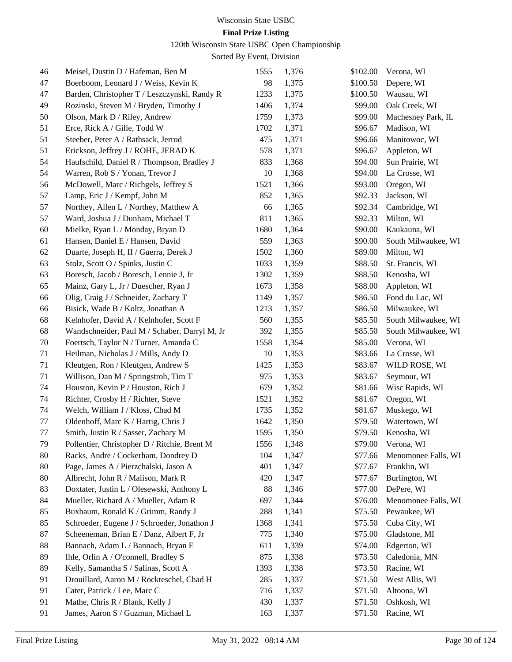### **Final Prize Listing**

120th Wisconsin State USBC Open Championship

| 46 | Meisel, Dustin D / Hafeman, Ben M             | 1555 | 1,376 | \$102.00 | Verona, WI          |
|----|-----------------------------------------------|------|-------|----------|---------------------|
| 47 | Boerboom, Leonard J / Weiss, Kevin K          | 98   | 1,375 | \$100.50 | Depere, WI          |
| 47 | Barden, Christopher T / Leszczynski, Randy R  | 1233 | 1,375 | \$100.50 | Wausau, WI          |
| 49 | Rozinski, Steven M / Bryden, Timothy J        | 1406 | 1,374 | \$99.00  | Oak Creek, WI       |
| 50 | Olson, Mark D / Riley, Andrew                 | 1759 | 1,373 | \$99.00  | Machesney Park, IL  |
| 51 | Erce, Rick A / Gille, Todd W                  | 1702 | 1,371 | \$96.67  | Madison, WI         |
| 51 | Steeber, Peter A / Rathsack, Jerrod           | 475  | 1,371 | \$96.66  | Manitowoc, WI       |
| 51 | Erickson, Jeffrey J / ROHE, JERAD K           | 578  | 1,371 | \$96.67  | Appleton, WI        |
| 54 | Haufschild, Daniel R / Thompson, Bradley J    | 833  | 1,368 | \$94.00  | Sun Prairie, WI     |
| 54 | Warren, Rob S / Yonan, Trevor J               | 10   | 1,368 | \$94.00  | La Crosse, WI       |
| 56 | McDowell, Marc / Richgels, Jeffrey S          | 1521 | 1,366 | \$93.00  | Oregon, WI          |
| 57 | Lamp, Eric J / Kempf, John M                  | 852  | 1,365 | \$92.33  | Jackson, WI         |
| 57 | Northey, Allen L / Northey, Matthew A         | 66   | 1,365 | \$92.34  | Cambridge, WI       |
| 57 | Ward, Joshua J / Dunham, Michael T            | 811  | 1,365 | \$92.33  | Milton, WI          |
| 60 | Mielke, Ryan L / Monday, Bryan D              | 1680 | 1,364 | \$90.00  | Kaukauna, WI        |
| 61 | Hansen, Daniel E / Hansen, David              | 559  | 1,363 | \$90.00  | South Milwaukee, WI |
| 62 | Duarte, Joseph H, II / Guerra, Derek J        | 1502 | 1,360 | \$89.00  | Milton, WI          |
| 63 | Stolz, Scott O / Spinks, Justin C             | 1033 | 1,359 | \$88.50  | St. Francis, WI     |
| 63 | Boresch, Jacob / Boresch, Lennie J, Jr        | 1302 | 1,359 | \$88.50  | Kenosha, WI         |
| 65 | Mainz, Gary L, Jr / Duescher, Ryan J          | 1673 | 1,358 | \$88.00  | Appleton, WI        |
| 66 | Olig, Craig J / Schneider, Zachary T          | 1149 | 1,357 | \$86.50  | Fond du Lac, WI     |
| 66 | Bisick, Wade B / Koltz, Jonathan A            | 1213 | 1,357 | \$86.50  | Milwaukee, WI       |
| 68 | Kelnhofer, David A / Kelnhofer, Scott F       | 560  | 1,355 | \$85.50  | South Milwaukee, WI |
| 68 | Wandschneider, Paul M / Schaber, Darryl M, Jr | 392  | 1,355 | \$85.50  | South Milwaukee, WI |
| 70 | Foertsch, Taylor N / Turner, Amanda C         | 1558 | 1,354 | \$85.00  | Verona, WI          |
| 71 | Heilman, Nicholas J / Mills, Andy D           | 10   | 1,353 | \$83.66  | La Crosse, WI       |
| 71 | Kleutgen, Ron / Kleutgen, Andrew S            | 1425 | 1,353 | \$83.67  | WILD ROSE, WI       |
| 71 | Willison, Dan M / Springstroh, Tim T          | 975  | 1,353 | \$83.67  | Seymour, WI         |
| 74 | Houston, Kevin P / Houston, Rich J            | 679  | 1,352 | \$81.66  | Wisc Rapids, WI     |
| 74 | Richter, Crosby H / Richter, Steve            | 1521 | 1,352 | \$81.67  | Oregon, WI          |
| 74 | Welch, William J / Kloss, Chad M              | 1735 | 1,352 | \$81.67  | Muskego, WI         |
| 77 | Oldenhoff, Marc K / Hartig, Chris J           | 1642 | 1,350 | \$79.50  | Watertown, WI       |
| 77 | Smith, Justin R / Sasser, Zachary M           | 1595 | 1,350 | \$79.50  | Kenosha, WI         |
| 79 | Pollentier, Christopher D / Ritchie, Brent M  | 1556 | 1,348 | \$79.00  | Verona, WI          |
| 80 | Racks, Andre / Cockerham, Dondrey D           | 104  | 1,347 | \$77.66  | Menomonee Falls, WI |
| 80 | Page, James A / Pierzchalski, Jason A         | 401  | 1,347 | \$77.67  | Franklin, WI        |
| 80 | Albrecht, John R / Malison, Mark R            | 420  | 1,347 | \$77.67  | Burlington, WI      |
| 83 | Doxtater, Justin L / Olesewski, Anthony L     | 88   | 1,346 | \$77.00  | DePere, WI          |
| 84 | Mueller, Richard A / Mueller, Adam R          | 697  | 1,344 | \$76.00  | Menomonee Falls, WI |
| 85 | Buxbaum, Ronald K / Grimm, Randy J            | 288  | 1,341 | \$75.50  | Pewaukee, WI        |
| 85 | Schroeder, Eugene J / Schroeder, Jonathon J   | 1368 | 1,341 | \$75.50  | Cuba City, WI       |
| 87 | Scheeneman, Brian E / Danz, Albert F, Jr      | 775  | 1,340 | \$75.00  | Gladstone, MI       |
| 88 | Bannach, Adam L / Bannach, Bryan E            | 611  | 1,339 | \$74.00  | Edgerton, WI        |
| 89 | Ihle, Orlin A / O'connell, Bradley S          | 875  | 1,338 | \$73.50  | Caledonia, MN       |
| 89 | Kelly, Samantha S / Salinas, Scott A          | 1393 | 1,338 | \$73.50  | Racine, WI          |
| 91 | Drouillard, Aaron M / Rockteschel, Chad H     | 285  | 1,337 | \$71.50  | West Allis, WI      |
| 91 | Cater, Patrick / Lee, Marc C                  | 716  | 1,337 | \$71.50  | Altoona, WI         |
| 91 | Mathe, Chris R / Blank, Kelly J               | 430  | 1,337 | \$71.50  | Oshkosh, WI         |
| 91 | James, Aaron S / Guzman, Michael L            | 163  | 1,337 | \$71.50  | Racine, WI          |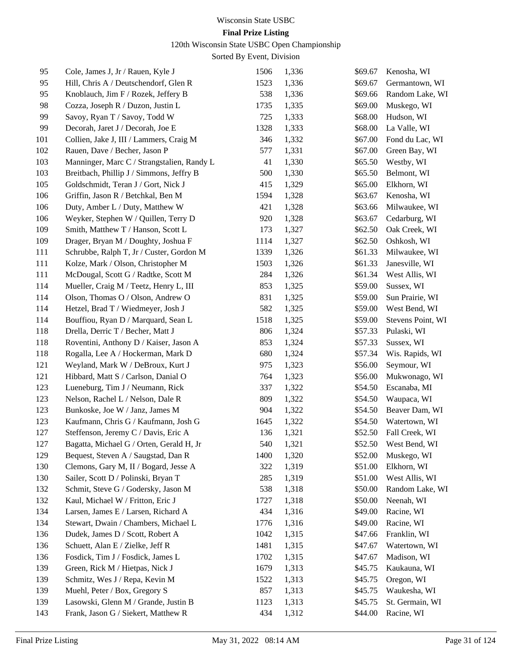# **Final Prize Listing**

120th Wisconsin State USBC Open Championship

| 95  | Cole, James J, Jr / Rauen, Kyle J          | 1506 | 1,336 | \$69.67 | Kenosha, WI       |
|-----|--------------------------------------------|------|-------|---------|-------------------|
| 95  | Hill, Chris A / Deutschendorf, Glen R      | 1523 | 1,336 | \$69.67 | Germantown, WI    |
| 95  | Knoblauch, Jim F / Rozek, Jeffery B        | 538  | 1,336 | \$69.66 | Random Lake, WI   |
| 98  | Cozza, Joseph R / Duzon, Justin L          | 1735 | 1,335 | \$69.00 | Muskego, WI       |
| 99  | Savoy, Ryan T / Savoy, Todd W              | 725  | 1,333 | \$68.00 | Hudson, WI        |
| 99  | Decorah, Jaret J / Decorah, Joe E          | 1328 | 1,333 | \$68.00 | La Valle, WI      |
| 101 | Collien, Jake J, III / Lammers, Craig M    | 346  | 1,332 | \$67.00 | Fond du Lac, WI   |
| 102 | Rauen, Dave / Becher, Jason P              | 577  | 1,331 | \$67.00 | Green Bay, WI     |
| 103 | Manninger, Marc C / Strangstalien, Randy L | 41   | 1,330 | \$65.50 | Westby, WI        |
| 103 | Breitbach, Phillip J / Simmons, Jeffry B   | 500  | 1,330 | \$65.50 | Belmont, WI       |
| 105 | Goldschmidt, Teran J / Gort, Nick J        | 415  | 1,329 | \$65.00 | Elkhorn, WI       |
| 106 | Griffin, Jason R / Betchkal, Ben M         | 1594 | 1,328 | \$63.67 | Kenosha, WI       |
| 106 | Duty, Amber L / Duty, Matthew W            | 421  | 1,328 | \$63.66 | Milwaukee, WI     |
| 106 | Weyker, Stephen W / Quillen, Terry D       | 920  | 1,328 | \$63.67 | Cedarburg, WI     |
| 109 | Smith, Matthew T / Hanson, Scott L         | 173  | 1,327 | \$62.50 | Oak Creek, WI     |
| 109 | Drager, Bryan M / Doughty, Joshua F        | 1114 | 1,327 | \$62.50 | Oshkosh, WI       |
| 111 | Schrubbe, Ralph T, Jr / Custer, Gordon M   | 1339 | 1,326 | \$61.33 | Milwaukee, WI     |
| 111 | Kolze, Mark / Olson, Christopher M         | 1503 | 1,326 | \$61.33 | Janesville, WI    |
| 111 | McDougal, Scott G / Radtke, Scott M        | 284  | 1,326 | \$61.34 | West Allis, WI    |
| 114 | Mueller, Craig M / Teetz, Henry L, III     | 853  | 1,325 | \$59.00 | Sussex, WI        |
| 114 | Olson, Thomas O / Olson, Andrew O          | 831  | 1,325 | \$59.00 | Sun Prairie, WI   |
| 114 | Hetzel, Brad T / Wiedmeyer, Josh J         | 582  | 1,325 | \$59.00 | West Bend, WI     |
| 114 | Bouffiou, Ryan D / Marquard, Sean L        | 1518 | 1,325 | \$59.00 | Stevens Point, WI |
| 118 | Drella, Derric T / Becher, Matt J          | 806  | 1,324 | \$57.33 | Pulaski, WI       |
| 118 | Roventini, Anthony D / Kaiser, Jason A     | 853  | 1,324 | \$57.33 | Sussex, WI        |
| 118 | Rogalla, Lee A / Hockerman, Mark D         | 680  | 1,324 | \$57.34 | Wis. Rapids, WI   |
| 121 | Weyland, Mark W / DeBroux, Kurt J          | 975  | 1,323 | \$56.00 | Seymour, WI       |
| 121 | Hibbard, Matt S / Carlson, Danial O        | 764  | 1,323 | \$56.00 | Mukwonago, WI     |
| 123 | Lueneburg, Tim J / Neumann, Rick           | 337  | 1,322 | \$54.50 | Escanaba, MI      |
| 123 | Nelson, Rachel L / Nelson, Dale R          | 809  | 1,322 | \$54.50 | Waupaca, WI       |
| 123 | Bunkoske, Joe W / Janz, James M            | 904  | 1,322 | \$54.50 | Beaver Dam, WI    |
| 123 | Kaufmann, Chris G / Kaufmann, Josh G       | 1645 | 1,322 | \$54.50 | Watertown, WI     |
| 127 | Steffenson, Jeremy C / Davis, Eric A       | 136  | 1,321 | \$52.50 | Fall Creek, WI    |
| 127 | Bagatta, Michael G / Orten, Gerald H, Jr   | 540  | 1,321 | \$52.50 | West Bend, WI     |
| 129 | Bequest, Steven A / Saugstad, Dan R        | 1400 | 1,320 | \$52.00 | Muskego, WI       |
| 130 | Clemons, Gary M, II / Bogard, Jesse A      | 322  | 1,319 | \$51.00 | Elkhorn, WI       |
| 130 | Sailer, Scott D / Polinski, Bryan T        | 285  | 1,319 | \$51.00 | West Allis, WI    |
| 132 | Schmit, Steve G / Godersky, Jason M        | 538  | 1,318 | \$50.00 | Random Lake, WI   |
| 132 | Kaul, Michael W / Fritton, Eric J          | 1727 | 1,318 | \$50.00 | Neenah, WI        |
| 134 | Larsen, James E / Larsen, Richard A        | 434  | 1,316 | \$49.00 | Racine, WI        |
| 134 | Stewart, Dwain / Chambers, Michael L       | 1776 | 1,316 | \$49.00 | Racine, WI        |
| 136 | Dudek, James D / Scott, Robert A           | 1042 | 1,315 | \$47.66 | Franklin, WI      |
| 136 | Schuett, Alan E / Zielke, Jeff R           | 1481 | 1,315 | \$47.67 | Watertown, WI     |
| 136 | Fosdick, Tim J / Fosdick, James L          | 1702 | 1,315 | \$47.67 | Madison, WI       |
| 139 | Green, Rick M / Hietpas, Nick J            | 1679 | 1,313 | \$45.75 | Kaukauna, WI      |
| 139 | Schmitz, Wes J / Repa, Kevin M             | 1522 | 1,313 | \$45.75 | Oregon, WI        |
| 139 | Muehl, Peter / Box, Gregory S              | 857  | 1,313 | \$45.75 | Waukesha, WI      |
| 139 | Lasowski, Glenn M / Grande, Justin B       | 1123 | 1,313 | \$45.75 | St. Germain, WI   |
| 143 | Frank, Jason G / Siekert, Matthew R        | 434  | 1,312 | \$44.00 | Racine, WI        |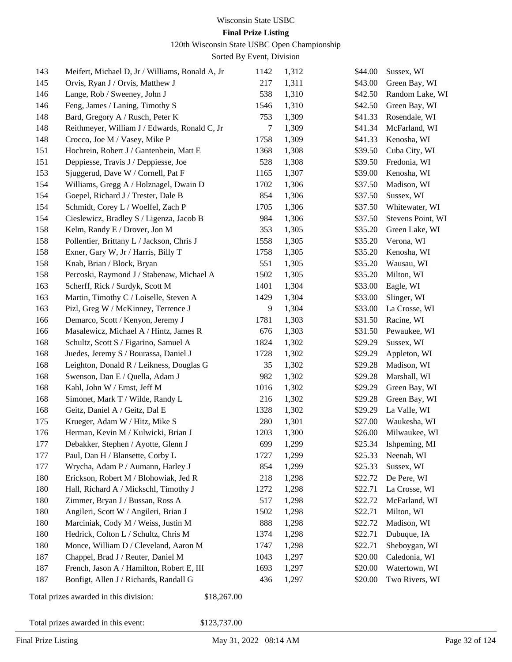#### **Final Prize Listing**

120th Wisconsin State USBC Open Championship

Sorted By Event, Division

| 143 | Meifert, Michael D, Jr / Williams, Ronald A, Jr       | 1142 | 1,312 | \$44.00 | Sussex, WI        |
|-----|-------------------------------------------------------|------|-------|---------|-------------------|
| 145 | Orvis, Ryan J / Orvis, Matthew J                      |      | 1,311 | \$43.00 | Green Bay, WI     |
| 146 | Lange, Rob / Sweeney, John J                          | 538  | 1,310 | \$42.50 | Random Lake, WI   |
| 146 | Feng, James / Laning, Timothy S                       | 1546 | 1,310 | \$42.50 | Green Bay, WI     |
| 148 | Bard, Gregory A / Rusch, Peter K                      | 753  | 1,309 | \$41.33 | Rosendale, WI     |
| 148 | Reithmeyer, William J / Edwards, Ronald C, Jr         | 7    | 1,309 | \$41.34 | McFarland, WI     |
| 148 | Crocco, Joe M / Vasey, Mike P                         | 1758 | 1,309 | \$41.33 | Kenosha, WI       |
| 151 | Hochrein, Robert J / Gantenbein, Matt E               | 1368 | 1,308 | \$39.50 | Cuba City, WI     |
| 151 | Deppiesse, Travis J / Deppiesse, Joe                  | 528  | 1,308 | \$39.50 | Fredonia, WI      |
| 153 | Sjuggerud, Dave W / Cornell, Pat F                    | 1165 | 1,307 | \$39.00 | Kenosha, WI       |
| 154 | Williams, Gregg A / Holznagel, Dwain D                | 1702 | 1,306 | \$37.50 | Madison, WI       |
| 154 | Goepel, Richard J / Trester, Dale B                   | 854  | 1,306 | \$37.50 | Sussex, WI        |
| 154 | Schmidt, Corey L / Woelfel, Zach P                    | 1705 | 1,306 | \$37.50 | Whitewater, WI    |
| 154 | Cieslewicz, Bradley S / Ligenza, Jacob B              | 984  | 1,306 | \$37.50 | Stevens Point, WI |
| 158 | Kelm, Randy E / Drover, Jon M                         | 353  | 1,305 | \$35.20 | Green Lake, WI    |
| 158 | Pollentier, Brittany L / Jackson, Chris J             | 1558 | 1,305 | \$35.20 | Verona, WI        |
| 158 | Exner, Gary W, Jr / Harris, Billy T                   | 1758 | 1,305 | \$35.20 | Kenosha, WI       |
| 158 | Knab, Brian / Block, Bryan                            | 551  | 1,305 | \$35.20 | Wausau, WI        |
| 158 | Percoski, Raymond J / Stabenaw, Michael A             | 1502 | 1,305 | \$35.20 | Milton, WI        |
| 163 | Scherff, Rick / Surdyk, Scott M                       | 1401 | 1,304 | \$33.00 | Eagle, WI         |
| 163 | Martin, Timothy C / Loiselle, Steven A                | 1429 | 1,304 | \$33.00 | Slinger, WI       |
| 163 | Pizl, Greg W / McKinney, Terrence J                   | 9    | 1,304 | \$33.00 | La Crosse, WI     |
| 166 | Demarco, Scott / Kenyon, Jeremy J                     | 1781 | 1,303 | \$31.50 | Racine, WI        |
| 166 | Masalewicz, Michael A / Hintz, James R                | 676  | 1,303 | \$31.50 | Pewaukee, WI      |
| 168 | Schultz, Scott S / Figarino, Samuel A                 | 1824 | 1,302 | \$29.29 | Sussex, WI        |
| 168 | Juedes, Jeremy S / Bourassa, Daniel J                 | 1728 | 1,302 | \$29.29 | Appleton, WI      |
| 168 | Leighton, Donald R / Leikness, Douglas G              | 35   | 1,302 | \$29.28 | Madison, WI       |
| 168 | Swenson, Dan E / Quella, Adam J                       | 982  | 1,302 | \$29.28 | Marshall, WI      |
| 168 | Kahl, John W / Ernst, Jeff M                          | 1016 | 1,302 | \$29.29 | Green Bay, WI     |
| 168 | Simonet, Mark T / Wilde, Randy L                      | 216  | 1,302 | \$29.28 | Green Bay, WI     |
| 168 | Geitz, Daniel A / Geitz, Dal E                        | 1328 | 1,302 | \$29.29 | La Valle, WI      |
| 175 | Krueger, Adam W / Hitz, Mike S                        | 280  | 1,301 | \$27.00 | Waukesha, WI      |
| 176 | Herman, Kevin M / Kulwicki, Brian J                   | 1203 | 1,300 | \$26.00 | Milwaukee, WI     |
| 177 | Debakker, Stephen / Ayotte, Glenn J                   | 699  | 1,299 | \$25.34 | Ishpeming, MI     |
| 177 | Paul, Dan H / Blansette, Corby L                      | 1727 | 1,299 | \$25.33 | Neenah, WI        |
| 177 | Wrycha, Adam P / Aumann, Harley J                     | 854  | 1,299 | \$25.33 | Sussex, WI        |
| 180 | Erickson, Robert M / Blohowiak, Jed R                 | 218  | 1,298 | \$22.72 | De Pere, WI       |
| 180 | Hall, Richard A / Mickschl, Timothy J                 | 1272 | 1,298 | \$22.71 | La Crosse, WI     |
| 180 | Zimmer, Bryan J / Bussan, Ross A                      | 517  | 1,298 | \$22.72 | McFarland, WI     |
| 180 | Angileri, Scott W / Angileri, Brian J                 | 1502 | 1,298 | \$22.71 | Milton, WI        |
| 180 | Marciniak, Cody M / Weiss, Justin M                   | 888  | 1,298 | \$22.72 | Madison, WI       |
| 180 | Hedrick, Colton L / Schultz, Chris M                  | 1374 | 1,298 | \$22.71 | Dubuque, IA       |
| 180 | Monce, William D / Cleveland, Aaron M                 | 1747 | 1,298 | \$22.71 | Sheboygan, WI     |
| 187 | Chappel, Brad J / Reuter, Daniel M                    | 1043 | 1,297 | \$20.00 | Caledonia, WI     |
| 187 | French, Jason A / Hamilton, Robert E, III             | 1693 | 1,297 | \$20.00 | Watertown, WI     |
| 187 | Bonfigt, Allen J / Richards, Randall G                | 436  | 1,297 | \$20.00 | Two Rivers, WI    |
|     |                                                       |      |       |         |                   |
|     | Total prizes awarded in this division:<br>\$18,267.00 |      |       |         |                   |
|     |                                                       |      |       |         |                   |

Total prizes awarded in this event: \$123,737.00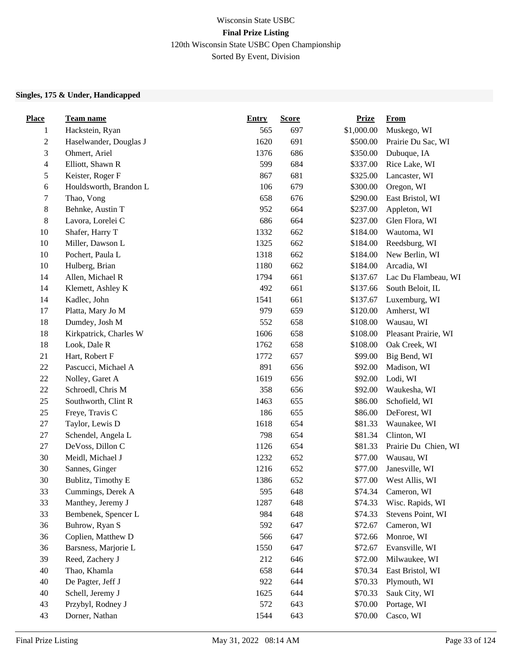#### $\frac{1}{2}$  prizes and the set of the set of  $\frac{1}{2}$ Wisconsin State USBC **Final Prize Listing** 120th Wisconsin State USBC Open Championship Sorted By Event, Division

#### **Singles, 175 & Under, Handicapped**

| <b>Place</b>     | <b>Team name</b>       | <b>Entry</b> | <b>Score</b> | <b>Prize</b> | <u>From</u>          |
|------------------|------------------------|--------------|--------------|--------------|----------------------|
| $\mathbf{1}$     | Hackstein, Ryan        | 565          | 697          | \$1,000.00   | Muskego, WI          |
| $\boldsymbol{2}$ | Haselwander, Douglas J | 1620         | 691          | \$500.00     | Prairie Du Sac, WI   |
| 3                | Ohmert, Ariel          | 1376         | 686          | \$350.00     | Dubuque, IA          |
| $\overline{4}$   | Elliott, Shawn R       | 599          | 684          | \$337.00     | Rice Lake, WI        |
| 5                | Keister, Roger F       | 867          | 681          | \$325.00     | Lancaster, WI        |
| $\sqrt{6}$       | Houldsworth, Brandon L | 106          | 679          | \$300.00     | Oregon, WI           |
| 7                | Thao, Vong             | 658          | 676          | \$290.00     | East Bristol, WI     |
| $8\,$            | Behnke, Austin T       | 952          | 664          | \$237.00     | Appleton, WI         |
| $8\,$            | Lavora, Lorelei C      | 686          | 664          | \$237.00     | Glen Flora, WI       |
| 10               | Shafer, Harry T        | 1332         | 662          | \$184.00     | Wautoma, WI          |
| 10               | Miller, Dawson L       | 1325         | 662          | \$184.00     | Reedsburg, WI        |
| $10\,$           | Pochert, Paula L       | 1318         | 662          | \$184.00     | New Berlin, WI       |
| $10\,$           | Hulberg, Brian         | 1180         | 662          | \$184.00     | Arcadia, WI          |
| 14               | Allen, Michael R       | 1794         | 661          | \$137.67     | Lac Du Flambeau, WI  |
| 14               | Klemett, Ashley K      | 492          | 661          | \$137.66     | South Beloit, IL     |
| 14               | Kadlec, John           | 1541         | 661          | \$137.67     | Luxemburg, WI        |
| 17               | Platta, Mary Jo M      | 979          | 659          | \$120.00     | Amherst, WI          |
| 18               | Dumdey, Josh M         | 552          | 658          | \$108.00     | Wausau, WI           |
| $18\,$           | Kirkpatrick, Charles W | 1606         | 658          | \$108.00     | Pleasant Prairie, WI |
| $18\,$           | Look, Dale R           | 1762         | 658          | \$108.00     | Oak Creek, WI        |
| 21               | Hart, Robert F         | 1772         | 657          | \$99.00      | Big Bend, WI         |
| $22\,$           | Pascucci, Michael A    | 891          | 656          | \$92.00      | Madison, WI          |
| $22\,$           | Nolley, Garet A        | 1619         | 656          | \$92.00      | Lodi, WI             |
| $22\,$           | Schroedl, Chris M      | 358          | 656          | \$92.00      | Waukesha, WI         |
| 25               | Southworth, Clint R    | 1463         | 655          | \$86.00      | Schofield, WI        |
| $25\,$           | Freye, Travis C        | 186          | 655          | \$86.00      | DeForest, WI         |
| $27\,$           | Taylor, Lewis D        | 1618         | 654          | \$81.33      | Waunakee, WI         |
| $27\,$           | Schendel, Angela L     | 798          | 654          | \$81.34      | Clinton, WI          |
| $27\,$           | DeVoss, Dillon C       | 1126         | 654          | \$81.33      | Prairie Du Chien, WI |
| $30\,$           | Meidl, Michael J       | 1232         | 652          | \$77.00      | Wausau, WI           |
| 30               | Sannes, Ginger         | 1216         | 652          | \$77.00      | Janesville, WI       |
| 30               | Bublitz, Timothy E     | 1386         | 652          | \$77.00      | West Allis, WI       |
| 33               | Cummings, Derek A      | 595          | 648          | \$74.34      | Cameron, WI          |
| 33               | Manthey, Jeremy J      | 1287         | 648          | \$74.33      | Wisc. Rapids, WI     |
| 33               | Bembenek, Spencer L    | 984          | 648          | \$74.33      | Stevens Point, WI    |
| 36               | Buhrow, Ryan S         | 592          | 647          | \$72.67      | Cameron, WI          |
| 36               | Coplien, Matthew D     | 566          | 647          | \$72.66      | Monroe, WI           |
| 36               | Barsness, Marjorie L   | 1550         | 647          | \$72.67      | Evansville, WI       |
| 39               | Reed, Zachery J        | 212          | 646          | \$72.00      | Milwaukee, WI        |
| 40               | Thao, Khamla           | 658          | 644          | \$70.34      | East Bristol, WI     |
| 40               | De Pagter, Jeff J      | 922          | 644          | \$70.33      | Plymouth, WI         |
| 40               | Schell, Jeremy J       | 1625         | 644          | \$70.33      | Sauk City, WI        |
| 43               | Przybyl, Rodney J      | 572          | 643          | \$70.00      | Portage, WI          |
| 43               | Dorner, Nathan         | 1544         | 643          | \$70.00      | Casco, WI            |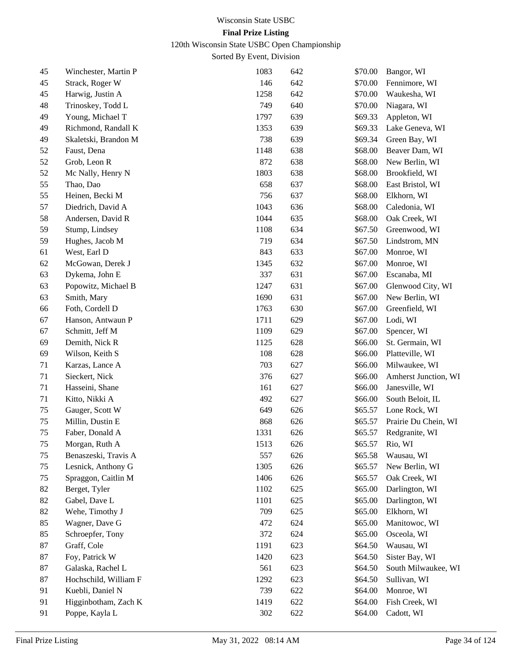120th Wisconsin State USBC Open Championship

| 45 | Winchester, Martin P  | 1083 | 642 | \$70.00 | Bangor, WI           |
|----|-----------------------|------|-----|---------|----------------------|
| 45 | Strack, Roger W       | 146  | 642 | \$70.00 | Fennimore, WI        |
| 45 | Harwig, Justin A      | 1258 | 642 | \$70.00 | Waukesha, WI         |
| 48 | Trinoskey, Todd L     | 749  | 640 | \$70.00 | Niagara, WI          |
| 49 | Young, Michael T      | 1797 | 639 | \$69.33 | Appleton, WI         |
| 49 | Richmond, Randall K   | 1353 | 639 | \$69.33 | Lake Geneva, WI      |
| 49 | Skaletski, Brandon M  | 738  | 639 | \$69.34 | Green Bay, WI        |
| 52 | Faust, Dena           | 1148 | 638 | \$68.00 | Beaver Dam, WI       |
| 52 | Grob, Leon R          | 872  | 638 | \$68.00 | New Berlin, WI       |
| 52 | Mc Nally, Henry N     | 1803 | 638 | \$68.00 | Brookfield, WI       |
| 55 | Thao, Dao             | 658  | 637 | \$68.00 | East Bristol, WI     |
| 55 | Heinen, Becki M       | 756  | 637 | \$68.00 | Elkhorn, WI          |
| 57 | Diedrich, David A     | 1043 | 636 | \$68.00 | Caledonia, WI        |
| 58 | Andersen, David R     | 1044 | 635 | \$68.00 | Oak Creek, WI        |
| 59 | Stump, Lindsey        | 1108 | 634 | \$67.50 | Greenwood, WI        |
| 59 | Hughes, Jacob M       | 719  | 634 | \$67.50 | Lindstrom, MN        |
| 61 | West, Earl D          | 843  | 633 | \$67.00 | Monroe, WI           |
| 62 | McGowan, Derek J      | 1345 | 632 | \$67.00 | Monroe, WI           |
| 63 | Dykema, John E        | 337  | 631 | \$67.00 | Escanaba, MI         |
| 63 | Popowitz, Michael B   | 1247 | 631 | \$67.00 | Glenwood City, WI    |
| 63 | Smith, Mary           | 1690 | 631 | \$67.00 | New Berlin, WI       |
| 66 | Foth, Cordell D       | 1763 | 630 | \$67.00 | Greenfield, WI       |
| 67 | Hanson, Antwaun P     | 1711 | 629 | \$67.00 | Lodi, WI             |
| 67 | Schmitt, Jeff M       | 1109 | 629 | \$67.00 | Spencer, WI          |
| 69 | Demith, Nick R        | 1125 | 628 | \$66.00 | St. Germain, WI      |
| 69 | Wilson, Keith S       | 108  | 628 | \$66.00 | Platteville, WI      |
| 71 | Karzas, Lance A       | 703  | 627 | \$66.00 | Milwaukee, WI        |
| 71 | Sieckert, Nick        | 376  | 627 | \$66.00 | Amherst Junction, WI |
| 71 | Hasseini, Shane       | 161  | 627 | \$66.00 | Janesville, WI       |
| 71 | Kitto, Nikki A        | 492  | 627 | \$66.00 | South Beloit, IL     |
| 75 | Gauger, Scott W       | 649  | 626 | \$65.57 | Lone Rock, WI        |
| 75 | Millin, Dustin E      | 868  | 626 | \$65.57 | Prairie Du Chein, WI |
| 75 | Faber, Donald A       | 1331 | 626 | \$65.57 | Redgranite, WI       |
| 75 | Morgan, Ruth A        | 1513 | 626 | \$65.57 | Rio, WI              |
| 75 | Benaszeski, Travis A  | 557  | 626 | \$65.58 | Wausau, WI           |
| 75 | Lesnick, Anthony G    | 1305 | 626 | \$65.57 | New Berlin, WI       |
| 75 | Spraggon, Caitlin M   | 1406 | 626 | \$65.57 | Oak Creek, WI        |
| 82 | Berget, Tyler         | 1102 | 625 | \$65.00 | Darlington, WI       |
| 82 | Gabel, Dave L         | 1101 | 625 | \$65.00 | Darlington, WI       |
| 82 | Wehe, Timothy J       | 709  | 625 | \$65.00 | Elkhorn, WI          |
| 85 | Wagner, Dave G        | 472  | 624 | \$65.00 | Manitowoc, WI        |
| 85 | Schroepfer, Tony      | 372  | 624 | \$65.00 | Osceola, WI          |
| 87 | Graff, Cole           | 1191 | 623 | \$64.50 | Wausau, WI           |
| 87 | Foy, Patrick W        | 1420 | 623 | \$64.50 | Sister Bay, WI       |
| 87 | Galaska, Rachel L     | 561  | 623 | \$64.50 | South Milwaukee, WI  |
| 87 | Hochschild, William F | 1292 | 623 | \$64.50 | Sullivan, WI         |
| 91 | Kuebli, Daniel N      | 739  | 622 | \$64.00 | Monroe, WI           |
| 91 | Higginbotham, Zach K  | 1419 | 622 | \$64.00 | Fish Creek, WI       |
| 91 | Poppe, Kayla L        | 302  | 622 | \$64.00 | Cadott, WI           |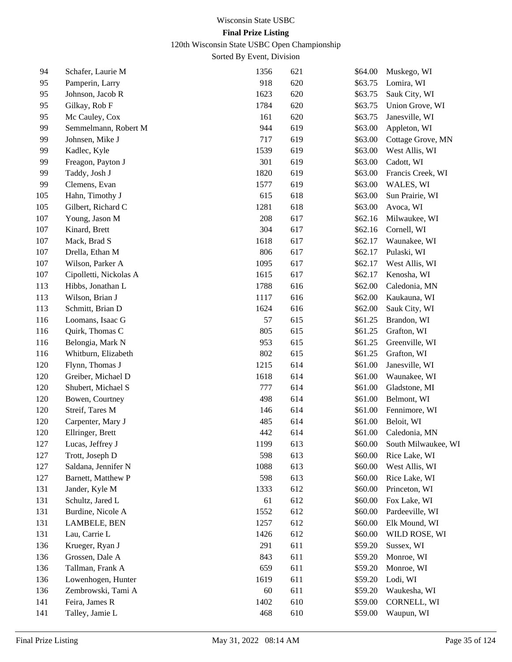120th Wisconsin State USBC Open Championship

| 94  | Schafer, Laurie M      | 1356 | 621 | \$64.00 | Muskego, WI         |
|-----|------------------------|------|-----|---------|---------------------|
| 95  | Pamperin, Larry        | 918  | 620 | \$63.75 | Lomira, WI          |
| 95  | Johnson, Jacob R       | 1623 | 620 | \$63.75 | Sauk City, WI       |
| 95  | Gilkay, Rob F          | 1784 | 620 | \$63.75 | Union Grove, WI     |
| 95  | Mc Cauley, Cox         | 161  | 620 | \$63.75 | Janesville, WI      |
| 99  | Semmelmann, Robert M   | 944  | 619 | \$63.00 | Appleton, WI        |
| 99  | Johnsen, Mike J        | 717  | 619 | \$63.00 | Cottage Grove, MN   |
| 99  | Kadlec, Kyle           | 1539 | 619 | \$63.00 | West Allis, WI      |
| 99  | Freagon, Payton J      | 301  | 619 | \$63.00 | Cadott, WI          |
| 99  | Taddy, Josh J          | 1820 | 619 | \$63.00 | Francis Creek, WI   |
| 99  | Clemens, Evan          | 1577 | 619 | \$63.00 | WALES, WI           |
| 105 | Hahn, Timothy J        | 615  | 618 | \$63.00 | Sun Prairie, WI     |
| 105 | Gilbert, Richard C     | 1281 | 618 | \$63.00 | Avoca, WI           |
| 107 | Young, Jason M         | 208  | 617 | \$62.16 | Milwaukee, WI       |
| 107 | Kinard, Brett          | 304  | 617 | \$62.16 | Cornell, WI         |
| 107 | Mack, Brad S           | 1618 | 617 | \$62.17 | Waunakee, WI        |
| 107 | Drella, Ethan M        | 806  | 617 | \$62.17 | Pulaski, WI         |
| 107 | Wilson, Parker A       | 1095 | 617 | \$62.17 | West Allis, WI      |
| 107 | Cipolletti, Nickolas A | 1615 | 617 | \$62.17 | Kenosha, WI         |
| 113 | Hibbs, Jonathan L      | 1788 | 616 | \$62.00 | Caledonia, MN       |
| 113 | Wilson, Brian J        | 1117 | 616 | \$62.00 | Kaukauna, WI        |
| 113 | Schmitt, Brian D       | 1624 | 616 | \$62.00 | Sauk City, WI       |
| 116 | Loomans, Isaac G       | 57   | 615 | \$61.25 | Brandon, WI         |
| 116 | Quirk, Thomas C        | 805  | 615 | \$61.25 | Grafton, WI         |
| 116 | Belongia, Mark N       | 953  | 615 | \$61.25 | Greenville, WI      |
| 116 | Whitburn, Elizabeth    | 802  | 615 | \$61.25 | Grafton, WI         |
| 120 | Flynn, Thomas J        | 1215 | 614 | \$61.00 | Janesville, WI      |
| 120 | Greiber, Michael D     | 1618 | 614 | \$61.00 | Waunakee, WI        |
| 120 | Shubert, Michael S     | 777  | 614 | \$61.00 | Gladstone, MI       |
| 120 | Bowen, Courtney        | 498  | 614 | \$61.00 | Belmont, WI         |
| 120 | Streif, Tares M        | 146  | 614 | \$61.00 | Fennimore, WI       |
| 120 | Carpenter, Mary J      | 485  | 614 | \$61.00 | Beloit, WI          |
| 120 | Ellringer, Brett       | 442  | 614 | \$61.00 | Caledonia, MN       |
| 127 | Lucas, Jeffrey J       | 1199 | 613 | \$60.00 | South Milwaukee, WI |
| 127 | Trott, Joseph D        | 598  | 613 | \$60.00 | Rice Lake, WI       |
| 127 | Saldana, Jennifer N    | 1088 | 613 | \$60.00 | West Allis, WI      |
| 127 | Barnett, Matthew P     | 598  | 613 | \$60.00 | Rice Lake, WI       |
| 131 | Jander, Kyle M         | 1333 | 612 | \$60.00 | Princeton, WI       |
| 131 | Schultz, Jared L       | 61   | 612 | \$60.00 | Fox Lake, WI        |
| 131 | Burdine, Nicole A      | 1552 | 612 | \$60.00 | Pardeeville, WI     |
| 131 | LAMBELE, BEN           | 1257 | 612 | \$60.00 | Elk Mound, WI       |
| 131 | Lau, Carrie L          | 1426 | 612 | \$60.00 | WILD ROSE, WI       |
| 136 | Krueger, Ryan J        | 291  | 611 | \$59.20 | Sussex, WI          |
| 136 | Grossen, Dale A        | 843  | 611 | \$59.20 | Monroe, WI          |
| 136 | Tallman, Frank A       | 659  | 611 | \$59.20 | Monroe, WI          |
| 136 | Lowenhogen, Hunter     | 1619 | 611 | \$59.20 | Lodi, WI            |
| 136 | Zembrowski, Tami A     | 60   | 611 | \$59.20 | Waukesha, WI        |
| 141 | Feira, James R         | 1402 | 610 | \$59.00 | CORNELL, WI         |
| 141 | Talley, Jamie L        | 468  | 610 | \$59.00 | Waupun, WI          |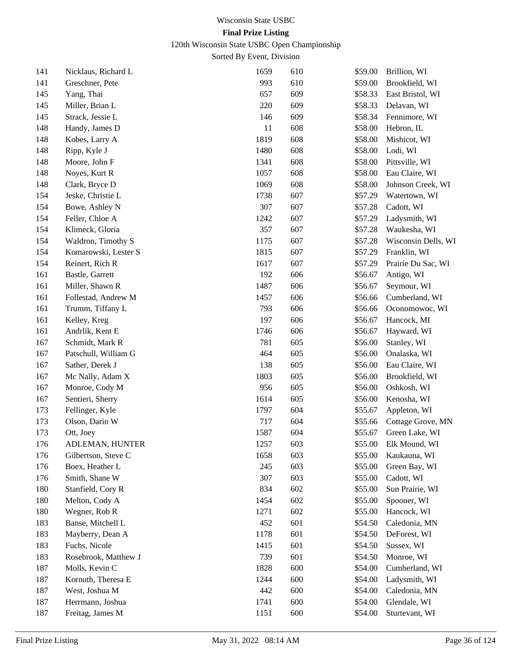120th Wisconsin State USBC Open Championship

| 141 | Nicklaus, Richard L  | 1659 | 610 | \$59.00 | Brillion, WI        |
|-----|----------------------|------|-----|---------|---------------------|
| 141 | Greschner, Pete      | 993  | 610 | \$59.00 | Brookfield, WI      |
| 145 | Yang, Thai           | 657  | 609 | \$58.33 | East Bristol, WI    |
| 145 | Miller, Brian L      | 220  | 609 | \$58.33 | Delavan, WI         |
| 145 | Strack, Jessie L     | 146  | 609 | \$58.34 | Fennimore, WI       |
| 148 | Handy, James D       | 11   | 608 | \$58.00 | Hebron, IL          |
| 148 | Kobes, Larry A       | 1819 | 608 | \$58.00 | Mishicot, WI        |
| 148 | Ripp, Kyle J         | 1480 | 608 | \$58.00 | Lodi, WI            |
| 148 | Moore, John F        | 1341 | 608 | \$58.00 | Pittsville, WI      |
| 148 | Noyes, Kurt R        | 1057 | 608 | \$58.00 | Eau Claire, WI      |
| 148 | Clark, Bryce D       | 1069 | 608 | \$58.00 | Johnson Creek, WI   |
| 154 | Jeske, Christie L    | 1738 | 607 | \$57.29 | Watertown, WI       |
| 154 | Bowe, Ashley N       | 307  | 607 | \$57.28 | Cadott, WI          |
| 154 | Feller, Chloe A      | 1242 | 607 | \$57.29 | Ladysmith, WI       |
| 154 | Klimeck, Gloria      | 357  | 607 | \$57.28 | Waukesha, WI        |
| 154 | Waldron, Timothy S   | 1175 | 607 | \$57.28 | Wisconsin Dells, WI |
| 154 | Komarowski, Lester S | 1815 | 607 | \$57.29 | Franklin, WI        |
| 154 | Reinert, Rich R      | 1617 | 607 | \$57.29 | Prairie Du Sac, WI  |
| 161 | Bastle, Garrett      | 192  | 606 | \$56.67 | Antigo, WI          |
| 161 | Miller, Shawn R      | 1487 | 606 | \$56.67 | Seymour, WI         |
| 161 | Follestad, Andrew M  | 1457 | 606 | \$56.66 | Cumberland, WI      |
| 161 | Trumm, Tiffany L     | 793  | 606 | \$56.66 | Oconomowoc, WI      |
| 161 | Kelley, Kreg         | 197  | 606 | \$56.67 | Hancock, MI         |
| 161 | Andrlik, Kent E      | 1746 | 606 | \$56.67 | Hayward, WI         |
| 167 | Schmidt, Mark R      | 781  | 605 | \$56.00 | Stanley, WI         |
| 167 | Patschull, William G | 464  | 605 | \$56.00 | Onalaska, WI        |
| 167 | Sather, Derek J      | 138  | 605 | \$56.00 | Eau Claire, WI      |
| 167 | Mc Nally, Adam X     | 1803 | 605 | \$56.00 | Brookfield, WI      |
| 167 | Monroe, Cody M       | 956  | 605 | \$56.00 | Oshkosh, WI         |
| 167 | Sentieri, Sherry     | 1614 | 605 | \$56.00 | Kenosha, WI         |
| 173 | Fellinger, Kyle      | 1797 | 604 | \$55.67 | Appleton, WI        |
| 173 | Olson, Darin W       | 717  | 604 | \$55.66 | Cottage Grove, MN   |
| 173 | Ott, Joey            | 1587 | 604 | \$55.67 | Green Lake, WI      |
| 176 | ADLEMAN, HUNTER      | 1257 | 603 | \$55.00 | Elk Mound, WI       |
| 176 | Gilbertson, Steve C  | 1658 | 603 | \$55.00 | Kaukauna, WI        |
| 176 | Boex, Heather L      | 245  | 603 | \$55.00 | Green Bay, WI       |
| 176 | Smith, Shane W       | 307  | 603 | \$55.00 | Cadott, WI          |
| 180 | Stanfield, Cory R    | 834  | 602 | \$55.00 | Sun Prairie, WI     |
| 180 | Melton, Cody A       | 1454 | 602 | \$55.00 | Spooner, WI         |
| 180 | Wegner, Rob R        | 1271 | 602 | \$55.00 | Hancock, WI         |
| 183 | Banse, Mitchell L    | 452  | 601 | \$54.50 | Caledonia, MN       |
| 183 | Mayberry, Dean A     | 1178 | 601 | \$54.50 | DeForest, WI        |
| 183 | Fuchs, Nicole        | 1415 | 601 | \$54.50 | Sussex, WI          |
| 183 | Rosebrook, Matthew J | 739  | 601 | \$54.50 | Monroe, WI          |
| 187 | Molls, Kevin C       | 1828 | 600 | \$54.00 | Cumberland, WI      |
| 187 | Kornuth, Theresa E   | 1244 | 600 | \$54.00 | Ladysmith, WI       |
| 187 | West, Joshua M       | 442  | 600 | \$54.00 | Caledonia, MN       |
| 187 | Herrmann, Joshua     | 1741 | 600 | \$54.00 | Glendale, WI        |
| 187 | Freitag, James M     | 1151 | 600 | \$54.00 | Sturtevant, WI      |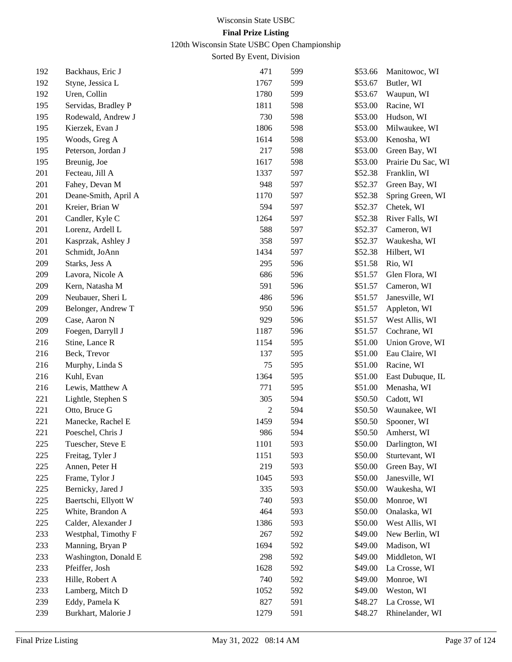120th Wisconsin State USBC Open Championship

| 192 | Backhaus, Eric J     | 471            | 599 | \$53.66 | Manitowoc, WI      |
|-----|----------------------|----------------|-----|---------|--------------------|
| 192 | Styne, Jessica L     | 1767           | 599 | \$53.67 | Butler, WI         |
| 192 | Uren, Collin         | 1780           | 599 | \$53.67 | Waupun, WI         |
| 195 | Servidas, Bradley P  | 1811           | 598 | \$53.00 | Racine, WI         |
| 195 | Rodewald, Andrew J   | 730            | 598 | \$53.00 | Hudson, WI         |
| 195 | Kierzek, Evan J      | 1806           | 598 | \$53.00 | Milwaukee, WI      |
| 195 | Woods, Greg A        | 1614           | 598 | \$53.00 | Kenosha, WI        |
| 195 | Peterson, Jordan J   | 217            | 598 | \$53.00 | Green Bay, WI      |
| 195 | Breunig, Joe         | 1617           | 598 | \$53.00 | Prairie Du Sac, WI |
| 201 | Fecteau, Jill A      | 1337           | 597 | \$52.38 | Franklin, WI       |
| 201 | Fahey, Devan M       | 948            | 597 | \$52.37 | Green Bay, WI      |
| 201 | Deane-Smith, April A | 1170           | 597 | \$52.38 | Spring Green, WI   |
| 201 | Kreier, Brian W      | 594            | 597 | \$52.37 | Chetek, WI         |
| 201 | Candler, Kyle C      | 1264           | 597 | \$52.38 | River Falls, WI    |
| 201 | Lorenz, Ardell L     | 588            | 597 | \$52.37 | Cameron, WI        |
| 201 | Kasprzak, Ashley J   | 358            | 597 | \$52.37 | Waukesha, WI       |
| 201 | Schmidt, JoAnn       | 1434           | 597 | \$52.38 | Hilbert, WI        |
| 209 | Starks, Jess A       | 295            | 596 | \$51.58 | Rio, WI            |
| 209 | Lavora, Nicole A     | 686            | 596 | \$51.57 | Glen Flora, WI     |
| 209 | Kern, Natasha M      | 591            | 596 | \$51.57 | Cameron, WI        |
| 209 | Neubauer, Sheri L    | 486            | 596 | \$51.57 | Janesville, WI     |
| 209 | Belonger, Andrew T   | 950            | 596 | \$51.57 | Appleton, WI       |
| 209 | Case, Aaron N        | 929            | 596 | \$51.57 | West Allis, WI     |
| 209 | Foegen, Darryll J    | 1187           | 596 | \$51.57 | Cochrane, WI       |
| 216 | Stine, Lance R       | 1154           | 595 | \$51.00 | Union Grove, WI    |
| 216 | Beck, Trevor         | 137            | 595 | \$51.00 | Eau Claire, WI     |
| 216 | Murphy, Linda S      | 75             | 595 | \$51.00 | Racine, WI         |
| 216 | Kuhl, Evan           | 1364           | 595 | \$51.00 | East Dubuque, IL   |
| 216 | Lewis, Matthew A     | 771            | 595 | \$51.00 | Menasha, WI        |
| 221 | Lightle, Stephen S   | 305            | 594 | \$50.50 | Cadott, WI         |
| 221 | Otto, Bruce G        | $\overline{2}$ | 594 | \$50.50 | Waunakee, WI       |
| 221 | Manecke, Rachel E    | 1459           | 594 | \$50.50 | Spooner, WI        |
| 221 | Poeschel, Chris J    | 986            | 594 | \$50.50 | Amherst, WI        |
| 225 | Tuescher, Steve E    | 1101           | 593 | \$50.00 | Darlington, WI     |
| 225 | Freitag, Tyler J     | 1151           | 593 | \$50.00 | Sturtevant, WI     |
| 225 | Annen, Peter H       | 219            | 593 | \$50.00 | Green Bay, WI      |
| 225 | Frame, Tylor J       | 1045           | 593 | \$50.00 | Janesville, WI     |
| 225 | Bernicky, Jared J    | 335            | 593 | \$50.00 | Waukesha, WI       |
| 225 | Baertschi, Ellyott W | 740            | 593 | \$50.00 | Monroe, WI         |
| 225 | White, Brandon A     | 464            | 593 | \$50.00 | Onalaska, WI       |
| 225 | Calder, Alexander J  | 1386           | 593 | \$50.00 | West Allis, WI     |
| 233 | Westphal, Timothy F  | 267            | 592 | \$49.00 | New Berlin, WI     |
| 233 | Manning, Bryan P     | 1694           | 592 | \$49.00 | Madison, WI        |
| 233 | Washington, Donald E | 298            | 592 | \$49.00 | Middleton, WI      |
| 233 | Pfeiffer, Josh       | 1628           | 592 | \$49.00 | La Crosse, WI      |
| 233 | Hille, Robert A      | 740            | 592 | \$49.00 | Monroe, WI         |
| 233 | Lamberg, Mitch D     | 1052           | 592 | \$49.00 | Weston, WI         |
| 239 | Eddy, Pamela K       | 827            | 591 | \$48.27 | La Crosse, WI      |
| 239 | Burkhart, Malorie J  | 1279           | 591 | \$48.27 | Rhinelander, WI    |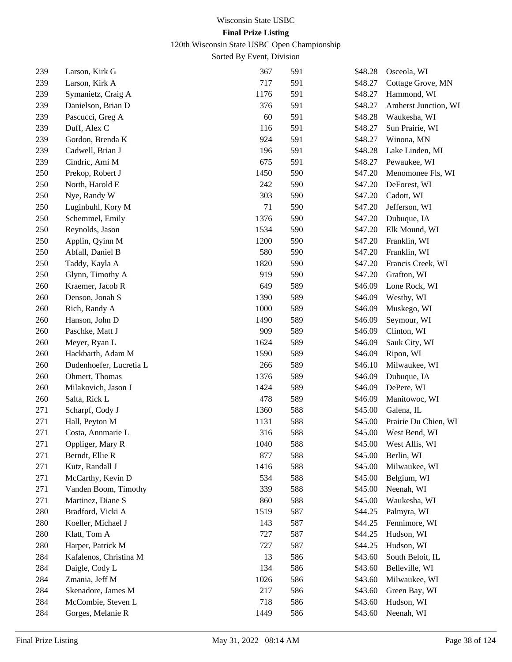120th Wisconsin State USBC Open Championship

| 239 | Larson, Kirk G          | 367  | 591 | \$48.28 | Osceola, WI          |
|-----|-------------------------|------|-----|---------|----------------------|
| 239 | Larson, Kirk A          | 717  | 591 | \$48.27 | Cottage Grove, MN    |
| 239 | Symanietz, Craig A      | 1176 | 591 | \$48.27 | Hammond, WI          |
| 239 | Danielson, Brian D      | 376  | 591 | \$48.27 | Amherst Junction, WI |
| 239 | Pascucci, Greg A        | 60   | 591 | \$48.28 | Waukesha, WI         |
| 239 | Duff, Alex C            | 116  | 591 | \$48.27 | Sun Prairie, WI      |
| 239 | Gordon, Brenda K        | 924  | 591 | \$48.27 | Winona, MN           |
| 239 | Cadwell, Brian J        | 196  | 591 | \$48.28 | Lake Linden, MI      |
| 239 | Cindric, Ami M          | 675  | 591 | \$48.27 | Pewaukee, WI         |
| 250 | Prekop, Robert J        | 1450 | 590 | \$47.20 | Menomonee Fls, WI    |
| 250 | North, Harold E         | 242  | 590 | \$47.20 | DeForest, WI         |
| 250 | Nye, Randy W            | 303  | 590 | \$47.20 | Cadott, WI           |
| 250 | Luginbuhl, Kory M       | 71   | 590 | \$47.20 | Jefferson, WI        |
| 250 | Schemmel, Emily         | 1376 | 590 | \$47.20 | Dubuque, IA          |
| 250 | Reynolds, Jason         | 1534 | 590 | \$47.20 | Elk Mound, WI        |
| 250 | Applin, Qyinn M         | 1200 | 590 | \$47.20 | Franklin, WI         |
| 250 | Abfall, Daniel B        | 580  | 590 | \$47.20 | Franklin, WI         |
| 250 | Taddy, Kayla A          | 1820 | 590 | \$47.20 | Francis Creek, WI    |
| 250 | Glynn, Timothy A        | 919  | 590 | \$47.20 | Grafton, WI          |
| 260 | Kraemer, Jacob R        | 649  | 589 | \$46.09 | Lone Rock, WI        |
| 260 | Denson, Jonah S         | 1390 | 589 | \$46.09 | Westby, WI           |
| 260 | Rich, Randy A           | 1000 | 589 | \$46.09 | Muskego, WI          |
| 260 | Hanson, John D          | 1490 | 589 | \$46.09 | Seymour, WI          |
| 260 | Paschke, Matt J         | 909  | 589 | \$46.09 | Clinton, WI          |
| 260 | Meyer, Ryan L           | 1624 | 589 | \$46.09 | Sauk City, WI        |
| 260 | Hackbarth, Adam M       | 1590 | 589 | \$46.09 | Ripon, WI            |
| 260 | Dudenhoefer, Lucretia L | 266  | 589 | \$46.10 | Milwaukee, WI        |
| 260 | Ohmert, Thomas          | 1376 | 589 | \$46.09 | Dubuque, IA          |
| 260 | Milakovich, Jason J     | 1424 | 589 | \$46.09 | DePere, WI           |
| 260 | Salta, Rick L           | 478  | 589 | \$46.09 | Manitowoc, WI        |
| 271 | Scharpf, Cody J         | 1360 | 588 | \$45.00 | Galena, IL           |
| 271 | Hall, Peyton M          | 1131 | 588 | \$45.00 | Prairie Du Chien, WI |
| 271 | Costa, Annmarie L       | 316  | 588 | \$45.00 | West Bend, WI        |
| 271 | Oppliger, Mary R        | 1040 | 588 | \$45.00 | West Allis, WI       |
| 271 | Berndt, Ellie R         | 877  | 588 | \$45.00 | Berlin, WI           |
| 271 | Kutz, Randall J         | 1416 | 588 | \$45.00 | Milwaukee, WI        |
| 271 | McCarthy, Kevin D       | 534  | 588 | \$45.00 | Belgium, WI          |
| 271 | Vanden Boom, Timothy    | 339  | 588 | \$45.00 | Neenah, WI           |
| 271 | Martinez, Diane S       | 860  | 588 | \$45.00 | Waukesha, WI         |
| 280 | Bradford, Vicki A       | 1519 | 587 | \$44.25 | Palmyra, WI          |
| 280 | Koeller, Michael J      | 143  | 587 | \$44.25 | Fennimore, WI        |
| 280 | Klatt, Tom A            | 727  | 587 | \$44.25 | Hudson, WI           |
| 280 | Harper, Patrick M       | 727  | 587 | \$44.25 | Hudson, WI           |
| 284 | Kafalenos, Christina M  | 13   | 586 | \$43.60 | South Beloit, IL     |
| 284 | Daigle, Cody L          | 134  | 586 | \$43.60 | Belleville, WI       |
| 284 | Zmania, Jeff M          | 1026 | 586 | \$43.60 | Milwaukee, WI        |
| 284 | Skenadore, James M      | 217  | 586 | \$43.60 | Green Bay, WI        |
| 284 | McCombie, Steven L      | 718  | 586 | \$43.60 | Hudson, WI           |
| 284 | Gorges, Melanie R       | 1449 | 586 | \$43.60 | Neenah, WI           |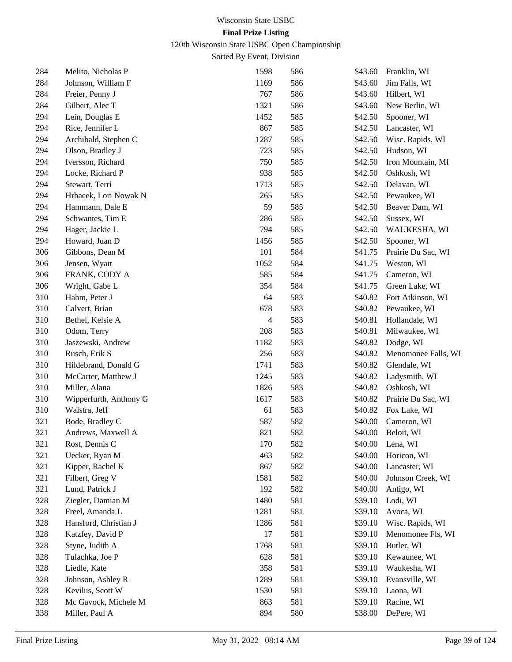120th Wisconsin State USBC Open Championship

| 284 | Melito, Nicholas P     | 1598 | 586 | \$43.60 | Franklin, WI        |
|-----|------------------------|------|-----|---------|---------------------|
| 284 | Johnson, William F     | 1169 | 586 | \$43.60 | Jim Falls, WI       |
| 284 | Freier, Penny J        | 767  | 586 | \$43.60 | Hilbert, WI         |
| 284 | Gilbert, Alec T        | 1321 | 586 | \$43.60 | New Berlin, WI      |
| 294 | Lein, Douglas E        | 1452 | 585 | \$42.50 | Spooner, WI         |
| 294 | Rice, Jennifer L       | 867  | 585 | \$42.50 | Lancaster, WI       |
| 294 | Archibald, Stephen C   | 1287 | 585 | \$42.50 | Wisc. Rapids, WI    |
| 294 | Olson, Bradley J       | 723  | 585 | \$42.50 | Hudson, WI          |
| 294 | Iversson, Richard      | 750  | 585 | \$42.50 | Iron Mountain, MI   |
| 294 | Locke, Richard P       | 938  | 585 | \$42.50 | Oshkosh, WI         |
| 294 | Stewart, Terri         | 1713 | 585 | \$42.50 | Delavan, WI         |
| 294 | Hrbacek, Lori Nowak N  | 265  | 585 | \$42.50 | Pewaukee, WI        |
| 294 | Hammann, Dale E        | 59   | 585 | \$42.50 | Beaver Dam, WI      |
| 294 | Schwantes, Tim E       | 286  | 585 | \$42.50 | Sussex, WI          |
| 294 | Hager, Jackie L        | 794  | 585 | \$42.50 | WAUKESHA, WI        |
| 294 | Howard, Juan D         | 1456 | 585 | \$42.50 | Spooner, WI         |
| 306 | Gibbons, Dean M        | 101  | 584 | \$41.75 | Prairie Du Sac, WI  |
| 306 | Jensen, Wyatt          | 1052 | 584 | \$41.75 | Weston, WI          |
| 306 | FRANK, CODY A          | 585  | 584 | \$41.75 | Cameron, WI         |
| 306 | Wright, Gabe L         | 354  | 584 | \$41.75 | Green Lake, WI      |
| 310 | Hahm, Peter J          | 64   | 583 | \$40.82 | Fort Atkinson, WI   |
| 310 | Calvert, Brian         | 678  | 583 | \$40.82 | Pewaukee, WI        |
| 310 | Bethel, Kelsie A       | 4    | 583 | \$40.81 | Hollandale, WI      |
| 310 | Odom, Terry            | 208  | 583 | \$40.81 | Milwaukee, WI       |
| 310 | Jaszewski, Andrew      | 1182 | 583 | \$40.82 | Dodge, WI           |
| 310 | Rusch, Erik S          | 256  | 583 | \$40.82 | Menomonee Falls, WI |
| 310 | Hildebrand, Donald G   | 1741 | 583 | \$40.82 | Glendale, WI        |
| 310 | McCarter, Matthew J    | 1245 | 583 | \$40.82 | Ladysmith, WI       |
| 310 | Miller, Alana          | 1826 | 583 | \$40.82 | Oshkosh, WI         |
| 310 | Wipperfurth, Anthony G | 1617 | 583 | \$40.82 | Prairie Du Sac, WI  |
| 310 | Walstra, Jeff          | 61   | 583 | \$40.82 | Fox Lake, WI        |
| 321 | Bode, Bradley C        | 587  | 582 | \$40.00 | Cameron, WI         |
| 321 | Andrews, Maxwell A     | 821  | 582 | \$40.00 | Beloit, WI          |
| 321 | Rost, Dennis C         | 170  | 582 | \$40.00 | Lena, WI            |
| 321 | Uecker, Ryan M         | 463  | 582 | \$40.00 | Horicon, WI         |
| 321 | Kipper, Rachel K       | 867  | 582 | \$40.00 | Lancaster, WI       |
| 321 | Filbert, Greg V        | 1581 | 582 | \$40.00 | Johnson Creek, WI   |
| 321 | Lund, Patrick J        | 192  | 582 | \$40.00 | Antigo, WI          |
| 328 | Ziegler, Damian M      | 1480 | 581 | \$39.10 | Lodi, WI            |
| 328 | Freel, Amanda L        | 1281 | 581 | \$39.10 | Avoca, WI           |
| 328 | Hansford, Christian J  | 1286 | 581 | \$39.10 | Wisc. Rapids, WI    |
| 328 | Katzfey, David P       | 17   | 581 | \$39.10 | Menomonee Fls, WI   |
| 328 | Styne, Judith A        | 1768 | 581 | \$39.10 | Butler, WI          |
| 328 | Tulachka, Joe P        | 628  | 581 | \$39.10 | Kewaunee, WI        |
| 328 | Liedle, Kate           | 358  | 581 | \$39.10 | Waukesha, WI        |
| 328 | Johnson, Ashley R      | 1289 | 581 | \$39.10 | Evansville, WI      |
| 328 | Kevilus, Scott W       | 1530 | 581 | \$39.10 | Laona, WI           |
| 328 | Mc Gavock, Michele M   | 863  | 581 | \$39.10 | Racine, WI          |
| 338 | Miller, Paul A         | 894  | 580 | \$38.00 | DePere, WI          |
|     |                        |      |     |         |                     |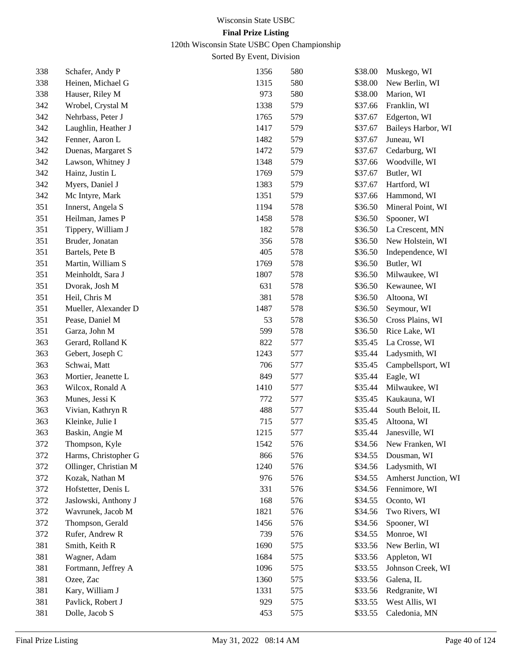120th Wisconsin State USBC Open Championship

| 338 | Schafer, Andy P       | 1356 | 580 | \$38.00 | Muskego, WI          |
|-----|-----------------------|------|-----|---------|----------------------|
| 338 | Heinen, Michael G     | 1315 | 580 | \$38.00 | New Berlin, WI       |
| 338 | Hauser, Riley M       | 973  | 580 | \$38.00 | Marion, WI           |
| 342 | Wrobel, Crystal M     | 1338 | 579 | \$37.66 | Franklin, WI         |
| 342 | Nehrbass, Peter J     | 1765 | 579 | \$37.67 | Edgerton, WI         |
| 342 | Laughlin, Heather J   | 1417 | 579 | \$37.67 | Baileys Harbor, WI   |
| 342 | Fenner, Aaron L       | 1482 | 579 | \$37.67 | Juneau, WI           |
| 342 | Duenas, Margaret S    | 1472 | 579 | \$37.67 | Cedarburg, WI        |
| 342 | Lawson, Whitney J     | 1348 | 579 | \$37.66 | Woodville, WI        |
| 342 | Hainz, Justin L       | 1769 | 579 | \$37.67 | Butler, WI           |
| 342 | Myers, Daniel J       | 1383 | 579 | \$37.67 | Hartford, WI         |
| 342 | Mc Intyre, Mark       | 1351 | 579 | \$37.66 | Hammond, WI          |
| 351 | Innerst, Angela S     | 1194 | 578 | \$36.50 | Mineral Point, WI    |
| 351 | Heilman, James P      | 1458 | 578 | \$36.50 | Spooner, WI          |
| 351 | Tippery, William J    | 182  | 578 | \$36.50 | La Crescent, MN      |
| 351 | Bruder, Jonatan       | 356  | 578 | \$36.50 | New Holstein, WI     |
| 351 | Bartels, Pete B       | 405  | 578 | \$36.50 | Independence, WI     |
| 351 | Martin, William S     | 1769 | 578 | \$36.50 | Butler, WI           |
| 351 | Meinholdt, Sara J     | 1807 | 578 | \$36.50 | Milwaukee, WI        |
| 351 | Dvorak, Josh M        | 631  | 578 | \$36.50 | Kewaunee, WI         |
| 351 | Heil, Chris M         | 381  | 578 | \$36.50 | Altoona, WI          |
| 351 | Mueller, Alexander D  | 1487 | 578 | \$36.50 | Seymour, WI          |
| 351 | Pease, Daniel M       | 53   | 578 | \$36.50 | Cross Plains, WI     |
| 351 | Garza, John M         | 599  | 578 | \$36.50 | Rice Lake, WI        |
| 363 | Gerard, Rolland K     | 822  | 577 | \$35.45 | La Crosse, WI        |
| 363 | Gebert, Joseph C      | 1243 | 577 | \$35.44 | Ladysmith, WI        |
| 363 | Schwai, Matt          | 706  | 577 | \$35.45 | Campbellsport, WI    |
| 363 | Mortier, Jeanette L   | 849  | 577 | \$35.44 | Eagle, WI            |
| 363 | Wilcox, Ronald A      | 1410 | 577 | \$35.44 | Milwaukee, WI        |
| 363 | Munes, Jessi K        | 772  | 577 | \$35.45 | Kaukauna, WI         |
| 363 | Vivian, Kathryn R     | 488  | 577 | \$35.44 | South Beloit, IL     |
| 363 | Kleinke, Julie I      | 715  | 577 | \$35.45 | Altoona, WI          |
| 363 | Baskin, Angie M       | 1215 | 577 | \$35.44 | Janesville, WI       |
| 372 | Thompson, Kyle        | 1542 | 576 | \$34.56 | New Franken, WI      |
| 372 | Harms, Christopher G  | 866  | 576 | \$34.55 | Dousman, WI          |
| 372 | Ollinger, Christian M | 1240 | 576 | \$34.56 | Ladysmith, WI        |
| 372 | Kozak, Nathan M       | 976  | 576 | \$34.55 | Amherst Junction, WI |
| 372 | Hofstetter, Denis L   | 331  | 576 | \$34.56 | Fennimore, WI        |
| 372 | Jaslowski, Anthony J  | 168  | 576 | \$34.55 | Oconto, WI           |
| 372 | Wavrunek, Jacob M     | 1821 | 576 | \$34.56 | Two Rivers, WI       |
| 372 | Thompson, Gerald      | 1456 | 576 | \$34.56 | Spooner, WI          |
| 372 | Rufer, Andrew R       | 739  | 576 | \$34.55 | Monroe, WI           |
| 381 | Smith, Keith R        | 1690 | 575 | \$33.56 | New Berlin, WI       |
| 381 | Wagner, Adam          | 1684 | 575 | \$33.56 | Appleton, WI         |
| 381 | Fortmann, Jeffrey A   | 1096 | 575 | \$33.55 | Johnson Creek, WI    |
| 381 | Ozee, Zac             | 1360 | 575 | \$33.56 | Galena, IL           |
| 381 | Kary, William J       | 1331 | 575 | \$33.56 | Redgranite, WI       |
| 381 | Pavlick, Robert J     | 929  | 575 | \$33.55 | West Allis, WI       |
| 381 | Dolle, Jacob S        | 453  | 575 | \$33.55 | Caledonia, MN        |
|     |                       |      |     |         |                      |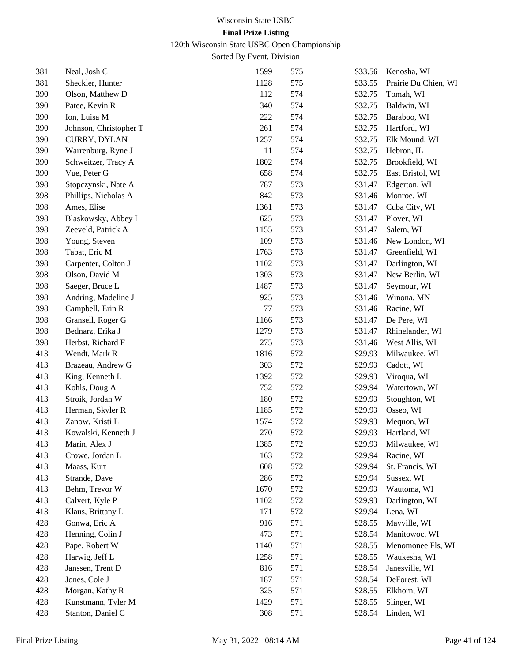120th Wisconsin State USBC Open Championship

| 381 | Neal, Josh C           | 1599 | 575 | \$33.56 | Kenosha, WI          |
|-----|------------------------|------|-----|---------|----------------------|
| 381 | Sheckler, Hunter       | 1128 | 575 | \$33.55 | Prairie Du Chien, WI |
| 390 | Olson, Matthew D       | 112  | 574 | \$32.75 | Tomah, WI            |
| 390 | Patee, Kevin R         | 340  | 574 | \$32.75 | Baldwin, WI          |
| 390 | Ion, Luisa M           | 222  | 574 | \$32.75 | Baraboo, WI          |
| 390 | Johnson, Christopher T | 261  | 574 | \$32.75 | Hartford, WI         |
| 390 | CURRY, DYLAN           | 1257 | 574 | \$32.75 | Elk Mound, WI        |
| 390 | Warrenburg, Ryne J     | 11   | 574 | \$32.75 | Hebron, IL           |
| 390 | Schweitzer, Tracy A    | 1802 | 574 | \$32.75 | Brookfield, WI       |
| 390 | Vue, Peter G           | 658  | 574 | \$32.75 | East Bristol, WI     |
| 398 | Stopczynski, Nate A    | 787  | 573 | \$31.47 | Edgerton, WI         |
| 398 | Phillips, Nicholas A   | 842  | 573 | \$31.46 | Monroe, WI           |
| 398 | Ames, Elise            | 1361 | 573 | \$31.47 | Cuba City, WI        |
| 398 | Blaskowsky, Abbey L    | 625  | 573 | \$31.47 | Plover, WI           |
| 398 | Zeeveld, Patrick A     | 1155 | 573 | \$31.47 | Salem, WI            |
| 398 | Young, Steven          | 109  | 573 | \$31.46 | New London, WI       |
| 398 | Tabat, Eric M          | 1763 | 573 | \$31.47 | Greenfield, WI       |
| 398 | Carpenter, Colton J    | 1102 | 573 | \$31.47 | Darlington, WI       |
| 398 | Olson, David M         | 1303 | 573 | \$31.47 | New Berlin, WI       |
| 398 | Saeger, Bruce L        | 1487 | 573 | \$31.47 | Seymour, WI          |
| 398 | Andring, Madeline J    | 925  | 573 | \$31.46 | Winona, MN           |
| 398 | Campbell, Erin R       | 77   | 573 | \$31.46 | Racine, WI           |
| 398 | Gransell, Roger G      | 1166 | 573 | \$31.47 | De Pere, WI          |
| 398 | Bednarz, Erika J       | 1279 | 573 | \$31.47 | Rhinelander, WI      |
| 398 | Herbst, Richard F      | 275  | 573 | \$31.46 | West Allis, WI       |
| 413 | Wendt, Mark R          | 1816 | 572 | \$29.93 | Milwaukee, WI        |
| 413 | Brazeau, Andrew G      | 303  | 572 | \$29.93 | Cadott, WI           |
| 413 | King, Kenneth L        | 1392 | 572 | \$29.93 | Viroqua, WI          |
| 413 | Kohls, Doug A          | 752  | 572 | \$29.94 | Watertown, WI        |
| 413 | Stroik, Jordan W       | 180  | 572 | \$29.93 | Stoughton, WI        |
| 413 | Herman, Skyler R       | 1185 | 572 | \$29.93 | Osseo, WI            |
| 413 | Zanow, Kristi L        | 1574 | 572 | \$29.93 | Mequon, WI           |
| 413 | Kowalski, Kenneth J    | 270  | 572 | \$29.93 | Hartland, WI         |
| 413 | Marin, Alex J          | 1385 | 572 | \$29.93 | Milwaukee, WI        |
| 413 | Crowe, Jordan L        | 163  | 572 | \$29.94 | Racine, WI           |
| 413 | Maass, Kurt            | 608  | 572 | \$29.94 | St. Francis, WI      |
| 413 | Strande, Dave          | 286  | 572 | \$29.94 | Sussex, WI           |
| 413 | Behm, Trevor W         | 1670 | 572 | \$29.93 | Wautoma, WI          |
| 413 | Calvert, Kyle P        | 1102 | 572 | \$29.93 | Darlington, WI       |
| 413 | Klaus, Brittany L      | 171  | 572 | \$29.94 | Lena, WI             |
| 428 | Gonwa, Eric A          | 916  | 571 | \$28.55 | Mayville, WI         |
| 428 | Henning, Colin J       | 473  | 571 | \$28.54 | Manitowoc, WI        |
| 428 | Pape, Robert W         | 1140 | 571 | \$28.55 | Menomonee Fls, WI    |
| 428 | Harwig, Jeff L         | 1258 | 571 | \$28.55 | Waukesha, WI         |
| 428 | Janssen, Trent D       | 816  | 571 | \$28.54 | Janesville, WI       |
| 428 | Jones, Cole J          | 187  | 571 | \$28.54 | DeForest, WI         |
| 428 | Morgan, Kathy R        | 325  | 571 | \$28.55 | Elkhorn, WI          |
| 428 | Kunstmann, Tyler M     | 1429 | 571 | \$28.55 | Slinger, WI          |
| 428 | Stanton, Daniel C      | 308  | 571 | \$28.54 | Linden, WI           |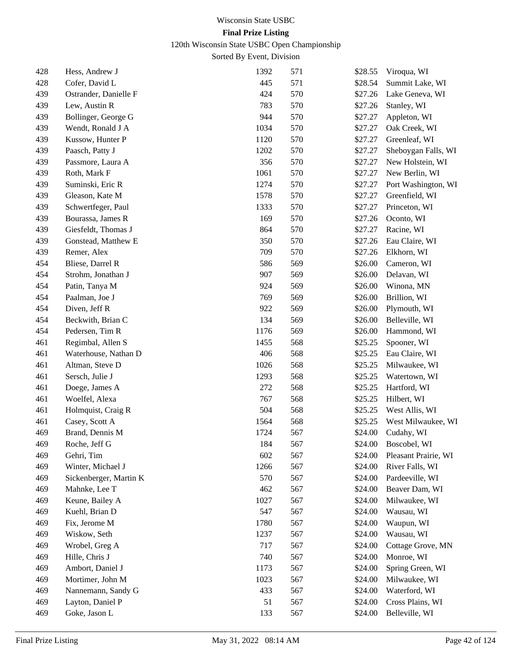## 120th Wisconsin State USBC Open Championship

| 428 | Hess, Andrew J         | 1392 | 571 | \$28.55 | Viroqua, WI          |
|-----|------------------------|------|-----|---------|----------------------|
| 428 | Cofer, David L         | 445  | 571 | \$28.54 | Summit Lake, WI      |
| 439 | Ostrander, Danielle F  | 424  | 570 | \$27.26 | Lake Geneva, WI      |
| 439 | Lew, Austin R          | 783  | 570 | \$27.26 | Stanley, WI          |
| 439 | Bollinger, George G    | 944  | 570 | \$27.27 | Appleton, WI         |
| 439 | Wendt, Ronald J A      | 1034 | 570 | \$27.27 | Oak Creek, WI        |
| 439 | Kussow, Hunter P       | 1120 | 570 | \$27.27 | Greenleaf, WI        |
| 439 | Paasch, Patty J        | 1202 | 570 | \$27.27 | Sheboygan Falls, WI  |
| 439 | Passmore, Laura A      | 356  | 570 | \$27.27 | New Holstein, WI     |
| 439 | Roth, Mark F           | 1061 | 570 | \$27.27 | New Berlin, WI       |
| 439 | Suminski, Eric R       | 1274 | 570 | \$27.27 | Port Washington, WI  |
| 439 | Gleason, Kate M        | 1578 | 570 | \$27.27 | Greenfield, WI       |
| 439 | Schwertfeger, Paul     | 1333 | 570 | \$27.27 | Princeton, WI        |
| 439 | Bourassa, James R      | 169  | 570 | \$27.26 | Oconto, WI           |
| 439 | Giesfeldt, Thomas J    | 864  | 570 | \$27.27 | Racine, WI           |
| 439 | Gonstead, Matthew E    | 350  | 570 | \$27.26 | Eau Claire, WI       |
| 439 | Remer, Alex            | 709  | 570 | \$27.26 | Elkhorn, WI          |
| 454 | Bliese, Darrel R       | 586  | 569 | \$26.00 | Cameron, WI          |
| 454 | Strohm, Jonathan J     | 907  | 569 | \$26.00 | Delavan, WI          |
| 454 | Patin, Tanya M         | 924  | 569 | \$26.00 | Winona, MN           |
| 454 | Paalman, Joe J         | 769  | 569 | \$26.00 | Brillion, WI         |
| 454 | Diven, Jeff R          | 922  | 569 | \$26.00 | Plymouth, WI         |
| 454 | Beckwith, Brian C      | 134  | 569 | \$26.00 | Belleville, WI       |
| 454 | Pedersen, Tim R        | 1176 | 569 | \$26.00 | Hammond, WI          |
| 461 | Regimbal, Allen S      | 1455 | 568 | \$25.25 | Spooner, WI          |
| 461 | Waterhouse, Nathan D   | 406  | 568 | \$25.25 | Eau Claire, WI       |
| 461 | Altman, Steve D        | 1026 | 568 | \$25.25 | Milwaukee, WI        |
| 461 | Sersch, Julie J        | 1293 | 568 | \$25.25 | Watertown, WI        |
| 461 | Doege, James A         | 272  | 568 | \$25.25 | Hartford, WI         |
| 461 | Woelfel, Alexa         | 767  | 568 | \$25.25 | Hilbert, WI          |
| 461 | Holmquist, Craig R     | 504  | 568 | \$25.25 | West Allis, WI       |
| 461 | Casey, Scott A         | 1564 | 568 | \$25.25 | West Milwaukee, WI   |
| 469 | Brand, Dennis M        | 1724 | 567 | \$24.00 | Cudahy, WI           |
| 469 | Roche, Jeff G          | 184  | 567 | \$24.00 | Boscobel, WI         |
| 469 | Gehri, Tim             | 602  | 567 | \$24.00 | Pleasant Prairie, WI |
| 469 | Winter, Michael J      | 1266 | 567 | \$24.00 | River Falls, WI      |
| 469 | Sickenberger, Martin K | 570  | 567 | \$24.00 | Pardeeville, WI      |
| 469 | Mahnke, Lee T          | 462  | 567 | \$24.00 | Beaver Dam, WI       |
| 469 | Keune, Bailey A        | 1027 | 567 | \$24.00 | Milwaukee, WI        |
| 469 | Kuehl, Brian D         | 547  | 567 | \$24.00 | Wausau, WI           |
| 469 | Fix, Jerome M          | 1780 | 567 | \$24.00 | Waupun, WI           |
| 469 | Wiskow, Seth           | 1237 | 567 | \$24.00 | Wausau, WI           |
| 469 | Wrobel, Greg A         | 717  | 567 | \$24.00 | Cottage Grove, MN    |
| 469 | Hille, Chris J         | 740  | 567 | \$24.00 | Monroe, WI           |
| 469 | Ambort, Daniel J       | 1173 | 567 | \$24.00 | Spring Green, WI     |
| 469 | Mortimer, John M       | 1023 | 567 | \$24.00 | Milwaukee, WI        |
| 469 | Nannemann, Sandy G     | 433  | 567 | \$24.00 | Waterford, WI        |
| 469 | Layton, Daniel P       | 51   | 567 | \$24.00 | Cross Plains, WI     |
| 469 | Goke, Jason L          | 133  | 567 | \$24.00 | Belleville, WI       |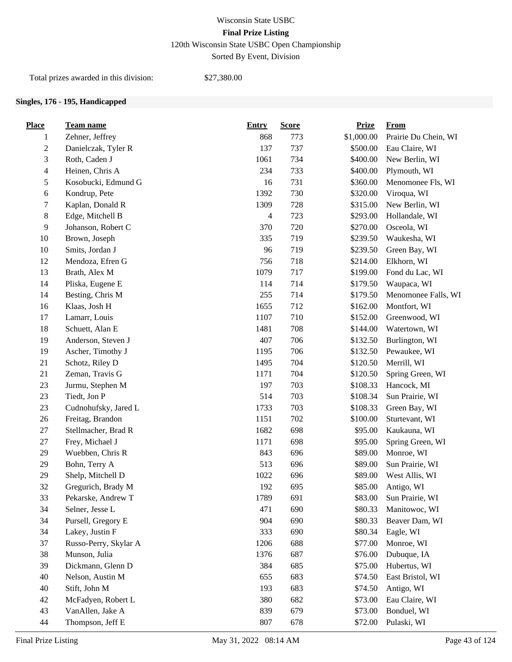120th Wisconsin State USBC Open Championship

Sorted By Event, Division

Total prizes awarded in this division: \$27,380.00

#### **Singles, 176 - 195, Handicapped**

| <b>Place</b>     | Team name             | <b>Entry</b> | <b>Score</b> | <b>Prize</b> | From                 |
|------------------|-----------------------|--------------|--------------|--------------|----------------------|
| 1                | Zehner, Jeffrey       | 868          | 773          | \$1,000.00   | Prairie Du Chein, WI |
| $\boldsymbol{2}$ | Danielczak, Tyler R   | 137          | 737          | \$500.00     | Eau Claire, WI       |
| 3                | Roth, Caden J         | 1061         | 734          | \$400.00     | New Berlin, WI       |
| $\overline{4}$   | Heinen, Chris A       | 234          | 733          | \$400.00     | Plymouth, WI         |
| 5                | Kosobucki, Edmund G   | 16           | 731          | \$360.00     | Menomonee Fls, WI    |
| 6                | Kondrup, Pete         | 1392         | 730          | \$320.00     | Viroqua, WI          |
| 7                | Kaplan, Donald R      | 1309         | 728          | \$315.00     | New Berlin, WI       |
| $\,8\,$          | Edge, Mitchell B      | 4            | 723          | \$293.00     | Hollandale, WI       |
| 9                | Johanson, Robert C    | 370          | 720          | \$270.00     | Osceola, WI          |
| 10               | Brown, Joseph         | 335          | 719          | \$239.50     | Waukesha, WI         |
| 10               | Smits, Jordan J       | 96           | 719          | \$239.50     | Green Bay, WI        |
| 12               | Mendoza, Efren G      | 756          | 718          | \$214.00     | Elkhorn, WI          |
| 13               | Brath, Alex M         | 1079         | 717          | \$199.00     | Fond du Lac, WI      |
| 14               | Pliska, Eugene E      | 114          | 714          | \$179.50     | Waupaca, WI          |
| 14               | Besting, Chris M      | 255          | 714          | \$179.50     | Menomonee Falls, WI  |
| 16               | Klaas, Josh H         | 1655         | 712          | \$162.00     | Montfort, WI         |
| 17               | Lamarr, Louis         | 1107         | 710          | \$152.00     | Greenwood, WI        |
| 18               | Schuett, Alan E       | 1481         | 708          | \$144.00     | Watertown, WI        |
| 19               | Anderson, Steven J    | 407          | 706          | \$132.50     | Burlington, WI       |
| 19               | Ascher, Timothy J     | 1195         | 706          | \$132.50     | Pewaukee, WI         |
| 21               | Schotz, Riley D       | 1495         | 704          | \$120.50     | Merrill, WI          |
| 21               | Zeman, Travis G       | 1171         | 704          | \$120.50     | Spring Green, WI     |
| 23               | Jurmu, Stephen M      | 197          | 703          | \$108.33     | Hancock, MI          |
| 23               | Tiedt, Jon P          | 514          | 703          | \$108.34     | Sun Prairie, WI      |
| 23               | Cudnohufsky, Jared L  | 1733         | 703          | \$108.33     | Green Bay, WI        |
| 26               | Freitag, Brandon      | 1151         | 702          | \$100.00     | Sturtevant, WI       |
| 27               | Stellmacher, Brad R   | 1682         | 698          | \$95.00      | Kaukauna, WI         |
| $27\,$           | Frey, Michael J       | 1171         | 698          | \$95.00      | Spring Green, WI     |
| 29               | Wuebben, Chris R      | 843          | 696          | \$89.00      | Monroe, WI           |
| 29               | Bohn, Terry A         | 513          | 696          | \$89.00      | Sun Prairie, WI      |
| 29               | Shelp, Mitchell D     | 1022         | 696          | \$89.00      | West Allis, WI       |
| 32               | Gregurich, Brady M    | 192          | 695          | \$85.00      | Antigo, WI           |
| 33               | Pekarske, Andrew T    | 1789         | 691          | \$83.00      | Sun Prairie, WI      |
| 34               | Selner, Jesse L       | 471          | 690          | \$80.33      | Manitowoc, WI        |
| 34               | Pursell, Gregory E    | 904          | 690          | \$80.33      | Beaver Dam, WI       |
| 34               | Lakey, Justin F       | 333          | 690          | \$80.34      | Eagle, WI            |
| 37               | Russo-Perry, Skylar A | 1206         | 688          | \$77.00      | Monroe, WI           |
| 38               | Munson, Julia         | 1376         | 687          | \$76.00      | Dubuque, IA          |
| 39               | Dickmann, Glenn D     | 384          | 685          | \$75.00      | Hubertus, WI         |
| 40               | Nelson, Austin M      | 655          | 683          | \$74.50      | East Bristol, WI     |
| 40               | Stift, John M         | 193          | 683          | \$74.50      | Antigo, WI           |
| 42               | McFadyen, Robert L    | 380          | 682          | \$73.00      | Eau Claire, WI       |
| 43               | VanAllen, Jake A      | 839          | 679          | \$73.00      | Bonduel, WI          |
| 44               | Thompson, Jeff E      | 807          | 678          | \$72.00      | Pulaski, WI          |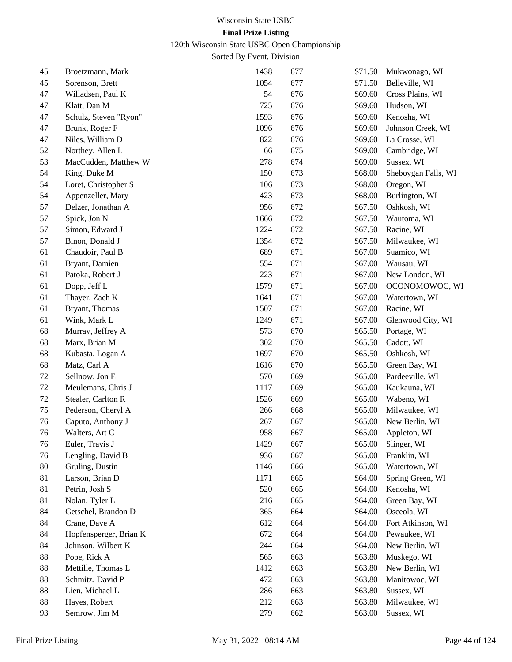120th Wisconsin State USBC Open Championship

| 45 | Broetzmann, Mark       | 1438 | 677 | \$71.50 | Mukwonago, WI       |
|----|------------------------|------|-----|---------|---------------------|
| 45 | Sorenson, Brett        | 1054 | 677 | \$71.50 | Belleville, WI      |
| 47 | Willadsen, Paul K      | 54   | 676 | \$69.60 | Cross Plains, WI    |
| 47 | Klatt, Dan M           | 725  | 676 | \$69.60 | Hudson, WI          |
| 47 | Schulz, Steven "Ryon"  | 1593 | 676 | \$69.60 | Kenosha, WI         |
| 47 | Brunk, Roger F         | 1096 | 676 | \$69.60 | Johnson Creek, WI   |
| 47 | Niles, William D       | 822  | 676 | \$69.60 | La Crosse, WI       |
| 52 | Northey, Allen L       | 66   | 675 | \$69.00 | Cambridge, WI       |
| 53 | MacCudden, Matthew W   | 278  | 674 | \$69.00 | Sussex, WI          |
| 54 | King, Duke M           | 150  | 673 | \$68.00 | Sheboygan Falls, WI |
| 54 | Loret, Christopher S   | 106  | 673 | \$68.00 | Oregon, WI          |
| 54 | Appenzeller, Mary      | 423  | 673 | \$68.00 | Burlington, WI      |
| 57 | Delzer, Jonathan A     | 956  | 672 | \$67.50 | Oshkosh, WI         |
| 57 | Spick, Jon N           | 1666 | 672 | \$67.50 | Wautoma, WI         |
| 57 | Simon, Edward J        | 1224 | 672 | \$67.50 | Racine, WI          |
| 57 | Binon, Donald J        | 1354 | 672 | \$67.50 | Milwaukee, WI       |
| 61 | Chaudoir, Paul B       | 689  | 671 | \$67.00 | Suamico, WI         |
| 61 | Bryant, Damien         | 554  | 671 | \$67.00 | Wausau, WI          |
| 61 | Patoka, Robert J       | 223  | 671 | \$67.00 | New London, WI      |
| 61 | Dopp, Jeff L           | 1579 | 671 | \$67.00 | OCONOMOWOC, WI      |
| 61 | Thayer, Zach K         | 1641 | 671 | \$67.00 | Watertown, WI       |
| 61 | Bryant, Thomas         | 1507 | 671 | \$67.00 | Racine, WI          |
| 61 | Wink, Mark L           | 1249 | 671 | \$67.00 | Glenwood City, WI   |
| 68 | Murray, Jeffrey A      | 573  | 670 | \$65.50 | Portage, WI         |
| 68 | Marx, Brian M          | 302  | 670 | \$65.50 | Cadott, WI          |
| 68 | Kubasta, Logan A       | 1697 | 670 | \$65.50 | Oshkosh, WI         |
| 68 | Matz, Carl A           | 1616 | 670 | \$65.50 | Green Bay, WI       |
| 72 | Sellnow, Jon E         | 570  | 669 | \$65.00 | Pardeeville, WI     |
| 72 | Meulemans, Chris J     | 1117 | 669 | \$65.00 | Kaukauna, WI        |
| 72 | Stealer, Carlton R     | 1526 | 669 | \$65.00 | Wabeno, WI          |
| 75 | Pederson, Cheryl A     | 266  | 668 | \$65.00 | Milwaukee, WI       |
| 76 | Caputo, Anthony J      | 267  | 667 | \$65.00 | New Berlin, WI      |
| 76 | Walters, Art C         | 958  | 667 | \$65.00 | Appleton, WI        |
| 76 | Euler, Travis J        | 1429 | 667 | \$65.00 | Slinger, WI         |
| 76 | Lengling, David B      | 936  | 667 | \$65.00 | Franklin, WI        |
| 80 | Gruling, Dustin        | 1146 | 666 | \$65.00 | Watertown, WI       |
| 81 | Larson, Brian D        | 1171 | 665 | \$64.00 | Spring Green, WI    |
| 81 | Petrin, Josh S         | 520  | 665 | \$64.00 | Kenosha, WI         |
| 81 | Nolan, Tyler L         | 216  | 665 | \$64.00 | Green Bay, WI       |
| 84 | Getschel, Brandon D    | 365  | 664 | \$64.00 | Osceola, WI         |
| 84 | Crane, Dave A          | 612  | 664 | \$64.00 | Fort Atkinson, WI   |
| 84 | Hopfensperger, Brian K | 672  | 664 | \$64.00 | Pewaukee, WI        |
| 84 | Johnson, Wilbert K     | 244  | 664 | \$64.00 | New Berlin, WI      |
| 88 | Pope, Rick A           | 565  | 663 | \$63.80 | Muskego, WI         |
| 88 | Mettille, Thomas L     | 1412 | 663 | \$63.80 | New Berlin, WI      |
| 88 | Schmitz, David P       | 472  | 663 | \$63.80 | Manitowoc, WI       |
| 88 | Lien, Michael L        | 286  | 663 | \$63.80 | Sussex, WI          |
| 88 | Hayes, Robert          | 212  | 663 | \$63.80 | Milwaukee, WI       |
| 93 | Semrow, Jim M          | 279  | 662 | \$63.00 | Sussex, WI          |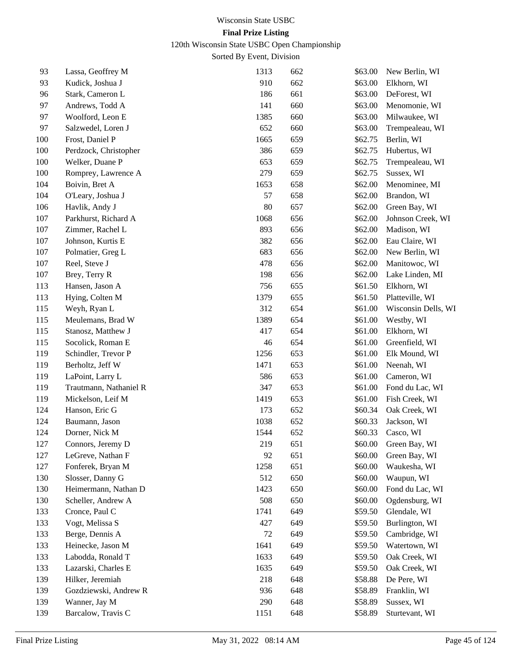120th Wisconsin State USBC Open Championship

| 93      | Lassa, Geoffrey M      | 1313 | 662 | \$63.00 | New Berlin, WI      |
|---------|------------------------|------|-----|---------|---------------------|
| 93      | Kudick, Joshua J       | 910  | 662 | \$63.00 | Elkhorn, WI         |
| 96      | Stark, Cameron L       | 186  | 661 | \$63.00 | DeForest, WI        |
| 97      | Andrews, Todd A        | 141  | 660 | \$63.00 | Menomonie, WI       |
| 97      | Woolford, Leon E       | 1385 | 660 | \$63.00 | Milwaukee, WI       |
| 97      | Salzwedel, Loren J     | 652  | 660 | \$63.00 | Trempealeau, WI     |
| 100     | Frost, Daniel P        | 1665 | 659 | \$62.75 | Berlin, WI          |
| 100     | Perdzock, Christopher  | 386  | 659 | \$62.75 | Hubertus, WI        |
| 100     | Welker, Duane P        | 653  | 659 | \$62.75 | Trempealeau, WI     |
| 100     | Romprey, Lawrence A    | 279  | 659 | \$62.75 | Sussex, WI          |
| 104     | Boivin, Bret A         | 1653 | 658 | \$62.00 | Menominee, MI       |
| 104     | O'Leary, Joshua J      | 57   | 658 | \$62.00 | Brandon, WI         |
| 106     | Havlik, Andy J         | 80   | 657 | \$62.00 | Green Bay, WI       |
| 107     | Parkhurst, Richard A   | 1068 | 656 | \$62.00 | Johnson Creek, WI   |
| 107     | Zimmer, Rachel L       | 893  | 656 | \$62.00 | Madison, WI         |
| $107\,$ | Johnson, Kurtis E      | 382  | 656 | \$62.00 | Eau Claire, WI      |
| 107     | Polmatier, Greg L      | 683  | 656 | \$62.00 | New Berlin, WI      |
| 107     | Reel, Steve J          | 478  | 656 | \$62.00 | Manitowoc, WI       |
| 107     | Brey, Terry R          | 198  | 656 | \$62.00 | Lake Linden, MI     |
| 113     | Hansen, Jason A        | 756  | 655 | \$61.50 | Elkhorn, WI         |
| 113     | Hying, Colten M        | 1379 | 655 | \$61.50 | Platteville, WI     |
| 115     | Weyh, Ryan L           | 312  | 654 | \$61.00 | Wisconsin Dells, WI |
| 115     | Meulemans, Brad W      | 1389 | 654 | \$61.00 | Westby, WI          |
| 115     | Stanosz, Matthew J     | 417  | 654 | \$61.00 | Elkhorn, WI         |
| 115     | Socolick, Roman E      | 46   | 654 | \$61.00 | Greenfield, WI      |
| 119     | Schindler, Trevor P    | 1256 | 653 | \$61.00 | Elk Mound, WI       |
| 119     | Berholtz, Jeff W       | 1471 | 653 | \$61.00 | Neenah, WI          |
| 119     | LaPoint, Larry L       | 586  | 653 | \$61.00 | Cameron, WI         |
| 119     | Trautmann, Nathaniel R | 347  | 653 | \$61.00 | Fond du Lac, WI     |
| 119     | Mickelson, Leif M      | 1419 | 653 | \$61.00 | Fish Creek, WI      |
| 124     | Hanson, Eric G         | 173  | 652 | \$60.34 | Oak Creek, WI       |
| 124     | Baumann, Jason         | 1038 | 652 | \$60.33 | Jackson, WI         |
| 124     | Dorner, Nick M         | 1544 | 652 | \$60.33 | Casco, WI           |
| 127     | Connors, Jeremy D      | 219  | 651 | \$60.00 | Green Bay, WI       |
| 127     | LeGreve, Nathan F      | 92   | 651 | \$60.00 | Green Bay, WI       |
| 127     | Fonferek, Bryan M      | 1258 | 651 | \$60.00 | Waukesha, WI        |
| 130     | Slosser, Danny G       | 512  | 650 | \$60.00 | Waupun, WI          |
| 130     | Heimermann, Nathan D   | 1423 | 650 | \$60.00 | Fond du Lac, WI     |
| 130     | Scheller, Andrew A     | 508  | 650 | \$60.00 | Ogdensburg, WI      |
| 133     | Cronce, Paul C         | 1741 | 649 | \$59.50 | Glendale, WI        |
| 133     | Vogt, Melissa S        | 427  | 649 | \$59.50 | Burlington, WI      |
| 133     | Berge, Dennis A        | 72   | 649 | \$59.50 | Cambridge, WI       |
| 133     | Heinecke, Jason M      | 1641 | 649 | \$59.50 | Watertown, WI       |
| 133     | Labodda, Ronald T      | 1633 | 649 | \$59.50 | Oak Creek, WI       |
| 133     | Lazarski, Charles E    | 1635 | 649 | \$59.50 | Oak Creek, WI       |
| 139     | Hilker, Jeremiah       | 218  | 648 | \$58.88 | De Pere, WI         |
| 139     | Gozdziewski, Andrew R  | 936  | 648 | \$58.89 | Franklin, WI        |
| 139     | Wanner, Jay M          | 290  | 648 | \$58.89 | Sussex, WI          |
| 139     | Barcalow, Travis C     | 1151 | 648 | \$58.89 | Sturtevant, WI      |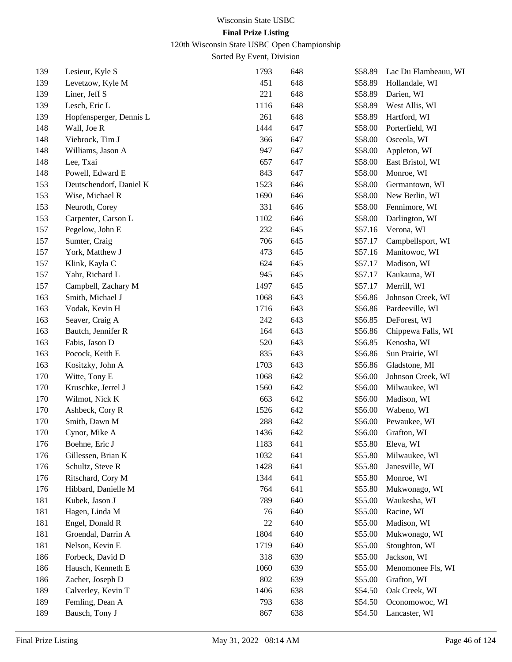120th Wisconsin State USBC Open Championship

| 139 | Lesieur, Kyle S         | 1793 | 648 | \$58.89 | Lac Du Flambeauu, WI |
|-----|-------------------------|------|-----|---------|----------------------|
| 139 | Levetzow, Kyle M        | 451  | 648 | \$58.89 | Hollandale, WI       |
| 139 | Liner, Jeff S           | 221  | 648 | \$58.89 | Darien, WI           |
| 139 | Lesch, Eric L           | 1116 | 648 | \$58.89 | West Allis, WI       |
| 139 | Hopfensperger, Dennis L | 261  | 648 | \$58.89 | Hartford, WI         |
| 148 | Wall, Joe R             | 1444 | 647 | \$58.00 | Porterfield, WI      |
| 148 | Viebrock, Tim J         | 366  | 647 | \$58.00 | Osceola, WI          |
| 148 | Williams, Jason A       | 947  | 647 | \$58.00 | Appleton, WI         |
| 148 | Lee, Txai               | 657  | 647 | \$58.00 | East Bristol, WI     |
| 148 | Powell, Edward E        | 843  | 647 | \$58.00 | Monroe, WI           |
| 153 | Deutschendorf, Daniel K | 1523 | 646 | \$58.00 | Germantown, WI       |
| 153 | Wise, Michael R         | 1690 | 646 | \$58.00 | New Berlin, WI       |
| 153 | Neuroth, Corey          | 331  | 646 | \$58.00 | Fennimore, WI        |
| 153 | Carpenter, Carson L     | 1102 | 646 | \$58.00 | Darlington, WI       |
| 157 | Pegelow, John E         | 232  | 645 | \$57.16 | Verona, WI           |
| 157 | Sumter, Craig           | 706  | 645 | \$57.17 | Campbellsport, WI    |
| 157 | York, Matthew J         | 473  | 645 | \$57.16 | Manitowoc, WI        |
| 157 | Klink, Kayla C          | 624  | 645 | \$57.17 | Madison, WI          |
| 157 | Yahr, Richard L         | 945  | 645 | \$57.17 | Kaukauna, WI         |
| 157 | Campbell, Zachary M     | 1497 | 645 | \$57.17 | Merrill, WI          |
| 163 | Smith, Michael J        | 1068 | 643 | \$56.86 | Johnson Creek, WI    |
| 163 | Vodak, Kevin H          | 1716 | 643 | \$56.86 | Pardeeville, WI      |
| 163 | Seaver, Craig A         | 242  | 643 | \$56.85 | DeForest, WI         |
| 163 | Bautch, Jennifer R      | 164  | 643 | \$56.86 | Chippewa Falls, WI   |
| 163 | Fabis, Jason D          | 520  | 643 | \$56.85 | Kenosha, WI          |
| 163 | Pocock, Keith E         | 835  | 643 | \$56.86 | Sun Prairie, WI      |
| 163 | Kositzky, John A        | 1703 | 643 | \$56.86 | Gladstone, MI        |
| 170 | Witte, Tony E           | 1068 | 642 | \$56.00 | Johnson Creek, WI    |
| 170 | Kruschke, Jerrel J      | 1560 | 642 | \$56.00 | Milwaukee, WI        |
| 170 | Wilmot, Nick K          | 663  | 642 | \$56.00 | Madison, WI          |
| 170 | Ashbeck, Cory R         | 1526 | 642 | \$56.00 | Wabeno, WI           |
| 170 | Smith, Dawn M           | 288  | 642 | \$56.00 | Pewaukee, WI         |
| 170 | Cynor, Mike A           | 1436 | 642 | \$56.00 | Grafton, WI          |
| 176 | Boehne, Eric J          | 1183 | 641 | \$55.80 | Eleva, WI            |
| 176 | Gillessen, Brian K      | 1032 | 641 | \$55.80 | Milwaukee, WI        |
| 176 | Schultz, Steve R        | 1428 | 641 | \$55.80 | Janesville, WI       |
| 176 | Ritschard, Cory M       | 1344 | 641 | \$55.80 | Monroe, WI           |
| 176 | Hibbard, Danielle M     | 764  | 641 | \$55.80 | Mukwonago, WI        |
| 181 | Kubek, Jason J          | 789  | 640 | \$55.00 | Waukesha, WI         |
| 181 | Hagen, Linda M          | 76   | 640 | \$55.00 | Racine, WI           |
| 181 | Engel, Donald R         | 22   | 640 | \$55.00 | Madison, WI          |
| 181 | Groendal, Darrin A      | 1804 | 640 | \$55.00 | Mukwonago, WI        |
| 181 | Nelson, Kevin E         | 1719 | 640 | \$55.00 | Stoughton, WI        |
| 186 | Forbeck, David D        | 318  | 639 | \$55.00 | Jackson, WI          |
| 186 | Hausch, Kenneth E       | 1060 | 639 | \$55.00 | Menomonee Fls, WI    |
| 186 | Zacher, Joseph D        | 802  | 639 | \$55.00 | Grafton, WI          |
| 189 | Calverley, Kevin T      | 1406 | 638 | \$54.50 | Oak Creek, WI        |
| 189 | Femling, Dean A         | 793  | 638 | \$54.50 | Oconomowoc, WI       |
| 189 | Bausch, Tony J          | 867  | 638 | \$54.50 | Lancaster, WI        |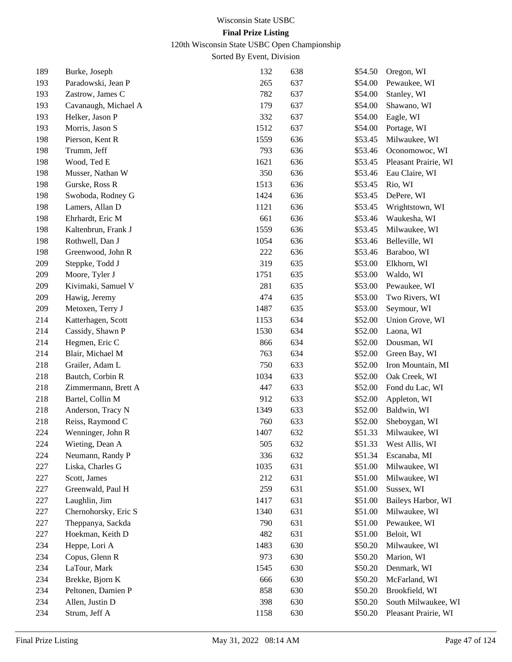120th Wisconsin State USBC Open Championship

| 189 | Burke, Joseph        | 132  | 638 | \$54.50 | Oregon, WI           |
|-----|----------------------|------|-----|---------|----------------------|
| 193 | Paradowski, Jean P   | 265  | 637 | \$54.00 | Pewaukee, WI         |
| 193 | Zastrow, James C     | 782  | 637 | \$54.00 | Stanley, WI          |
| 193 | Cavanaugh, Michael A | 179  | 637 | \$54.00 | Shawano, WI          |
| 193 | Helker, Jason P      | 332  | 637 | \$54.00 | Eagle, WI            |
| 193 | Morris, Jason S      | 1512 | 637 | \$54.00 | Portage, WI          |
| 198 | Pierson, Kent R      | 1559 | 636 | \$53.45 | Milwaukee, WI        |
| 198 | Trumm, Jeff          | 793  | 636 | \$53.46 | Oconomowoc, WI       |
| 198 | Wood, Ted E          | 1621 | 636 | \$53.45 | Pleasant Prairie, WI |
| 198 | Musser, Nathan W     | 350  | 636 | \$53.46 | Eau Claire, WI       |
| 198 | Gurske, Ross R       | 1513 | 636 | \$53.45 | Rio, WI              |
| 198 | Swoboda, Rodney G    | 1424 | 636 | \$53.45 | DePere, WI           |
| 198 | Lamers, Allan D      | 1121 | 636 | \$53.45 | Wrightstown, WI      |
| 198 | Ehrhardt, Eric M     | 661  | 636 | \$53.46 | Waukesha, WI         |
| 198 | Kaltenbrun, Frank J  | 1559 | 636 | \$53.45 | Milwaukee, WI        |
| 198 | Rothwell, Dan J      | 1054 | 636 | \$53.46 | Belleville, WI       |
| 198 | Greenwood, John R    | 222  | 636 | \$53.46 | Baraboo, WI          |
| 209 | Steppke, Todd J      | 319  | 635 | \$53.00 | Elkhorn, WI          |
| 209 | Moore, Tyler J       | 1751 | 635 | \$53.00 | Waldo, WI            |
| 209 | Kivimaki, Samuel V   | 281  | 635 | \$53.00 | Pewaukee, WI         |
| 209 | Hawig, Jeremy        | 474  | 635 | \$53.00 | Two Rivers, WI       |
| 209 | Metoxen, Terry J     | 1487 | 635 | \$53.00 | Seymour, WI          |
| 214 | Katterhagen, Scott   | 1153 | 634 | \$52.00 | Union Grove, WI      |
| 214 | Cassidy, Shawn P     | 1530 | 634 | \$52.00 | Laona, WI            |
| 214 | Hegmen, Eric C       | 866  | 634 | \$52.00 | Dousman, WI          |
| 214 | Blair, Michael M     | 763  | 634 | \$52.00 | Green Bay, WI        |
| 218 | Grailer, Adam L      | 750  | 633 | \$52.00 | Iron Mountain, MI    |
| 218 | Bautch, Corbin R     | 1034 | 633 | \$52.00 | Oak Creek, WI        |
| 218 | Zimmermann, Brett A  | 447  | 633 | \$52.00 | Fond du Lac, WI      |
| 218 | Bartel, Collin M     | 912  | 633 | \$52.00 | Appleton, WI         |
| 218 | Anderson, Tracy N    | 1349 | 633 | \$52.00 | Baldwin, WI          |
| 218 | Reiss, Raymond C     | 760  | 633 | \$52.00 | Sheboygan, WI        |
| 224 | Wenninger, John R    | 1407 | 632 | \$51.33 | Milwaukee, WI        |
| 224 | Wieting, Dean A      | 505  | 632 | \$51.33 | West Allis, WI       |
| 224 | Neumann, Randy P     | 336  | 632 | \$51.34 | Escanaba, MI         |
| 227 | Liska, Charles G     | 1035 | 631 | \$51.00 | Milwaukee, WI        |
| 227 | Scott, James         | 212  | 631 | \$51.00 | Milwaukee, WI        |
| 227 | Greenwald, Paul H    | 259  | 631 | \$51.00 | Sussex, WI           |
| 227 | Laughlin, Jim        | 1417 | 631 | \$51.00 | Baileys Harbor, WI   |
| 227 | Chernohorsky, Eric S | 1340 | 631 | \$51.00 | Milwaukee, WI        |
| 227 | Theppanya, Sackda    | 790  | 631 | \$51.00 | Pewaukee, WI         |
| 227 | Hoekman, Keith D     | 482  | 631 | \$51.00 | Beloit, WI           |
| 234 | Heppe, Lori A        | 1483 | 630 | \$50.20 | Milwaukee, WI        |
| 234 | Copus, Glenn R       | 973  | 630 | \$50.20 | Marion, WI           |
| 234 | LaTour, Mark         | 1545 | 630 | \$50.20 | Denmark, WI          |
| 234 | Brekke, Bjorn K      | 666  | 630 | \$50.20 | McFarland, WI        |
| 234 | Peltonen, Damien P   | 858  | 630 | \$50.20 | Brookfield, WI       |
| 234 | Allen, Justin D      | 398  | 630 | \$50.20 | South Milwaukee, WI  |
| 234 | Strum, Jeff A        | 1158 | 630 | \$50.20 | Pleasant Prairie, WI |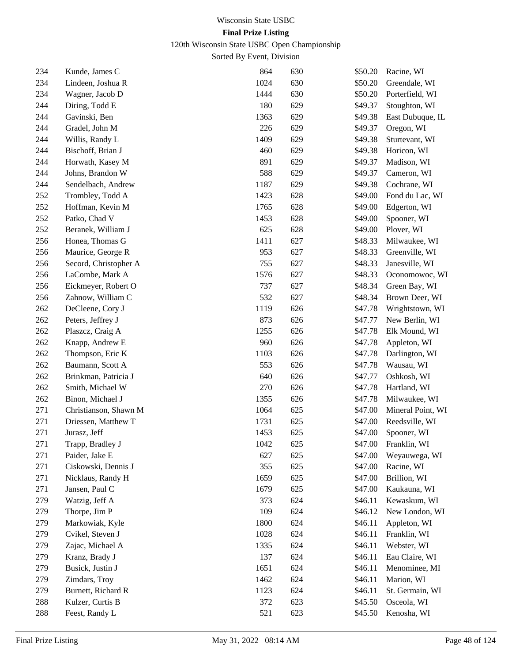120th Wisconsin State USBC Open Championship

| 234 | Kunde, James C        | 864  | 630 | \$50.20 | Racine, WI           |
|-----|-----------------------|------|-----|---------|----------------------|
| 234 | Lindeen, Joshua R     | 1024 | 630 | \$50.20 | Greendale, WI        |
| 234 | Wagner, Jacob D       | 1444 | 630 | \$50.20 | Porterfield, WI      |
| 244 | Diring, Todd E        | 180  | 629 | \$49.37 | Stoughton, WI        |
| 244 | Gavinski, Ben         | 1363 | 629 | \$49.38 | East Dubuque, IL     |
| 244 | Gradel, John M        | 226  | 629 | \$49.37 | Oregon, WI           |
| 244 | Willis, Randy L       | 1409 | 629 | \$49.38 | Sturtevant, WI       |
| 244 | Bischoff, Brian J     | 460  | 629 | \$49.38 | Horicon, WI          |
| 244 | Horwath, Kasey M      | 891  | 629 | \$49.37 | Madison, WI          |
| 244 | Johns, Brandon W      | 588  | 629 | \$49.37 | Cameron, WI          |
| 244 | Sendelbach, Andrew    | 1187 | 629 | \$49.38 | Cochrane, WI         |
| 252 | Trombley, Todd A      | 1423 | 628 | \$49.00 | Fond du Lac, WI      |
| 252 | Hoffman, Kevin M      | 1765 | 628 | \$49.00 | Edgerton, WI         |
| 252 | Patko, Chad V         | 1453 | 628 | \$49.00 | Spooner, WI          |
| 252 | Beranek, William J    | 625  | 628 | \$49.00 | Plover, WI           |
| 256 | Honea, Thomas G       | 1411 | 627 | \$48.33 | Milwaukee, WI        |
| 256 | Maurice, George R     | 953  | 627 | \$48.33 | Greenville, WI       |
| 256 | Secord, Christopher A | 755  | 627 | \$48.33 | Janesville, WI       |
| 256 | LaCombe, Mark A       | 1576 | 627 | \$48.33 | Oconomowoc, WI       |
| 256 | Eickmeyer, Robert O   | 737  | 627 | \$48.34 | Green Bay, WI        |
| 256 | Zahnow, William C     | 532  | 627 | \$48.34 | Brown Deer, WI       |
| 262 | DeCleene, Cory J      | 1119 | 626 | \$47.78 | Wrightstown, WI      |
| 262 | Peters, Jeffrey J     | 873  | 626 | \$47.77 | New Berlin, WI       |
| 262 | Plaszcz, Craig A      | 1255 | 626 | \$47.78 | Elk Mound, WI        |
| 262 | Knapp, Andrew E       | 960  | 626 | \$47.78 | Appleton, WI         |
| 262 | Thompson, Eric K      | 1103 | 626 | \$47.78 | Darlington, WI       |
| 262 | Baumann, Scott A      | 553  | 626 | \$47.78 | Wausau, WI           |
| 262 | Brinkman, Patricia J  | 640  | 626 | \$47.77 | Oshkosh, WI          |
| 262 | Smith, Michael W      | 270  | 626 | \$47.78 | Hartland, WI         |
| 262 | Binon, Michael J      | 1355 | 626 | \$47.78 | Milwaukee, WI        |
| 271 | Christianson, Shawn M | 1064 | 625 | \$47.00 | Mineral Point, WI    |
| 271 | Driessen, Matthew T   | 1731 | 625 | \$47.00 | Reedsville, WI       |
| 271 | Jurasz, Jeff          | 1453 | 625 | \$47.00 | Spooner, WI          |
| 271 | Trapp, Bradley J      | 1042 | 625 |         | \$47.00 Franklin, WI |
| 271 | Paider, Jake E        | 627  | 625 | \$47.00 | Weyauwega, WI        |
| 271 | Ciskowski, Dennis J   | 355  | 625 | \$47.00 | Racine, WI           |
| 271 | Nicklaus, Randy H     | 1659 | 625 | \$47.00 | Brillion, WI         |
| 271 | Jansen, Paul C        | 1679 | 625 | \$47.00 | Kaukauna, WI         |
| 279 | Watzig, Jeff A        | 373  | 624 | \$46.11 | Kewaskum, WI         |
| 279 | Thorpe, Jim P         | 109  | 624 | \$46.12 | New London, WI       |
| 279 | Markowiak, Kyle       | 1800 | 624 | \$46.11 | Appleton, WI         |
| 279 | Cvikel, Steven J      | 1028 | 624 | \$46.11 | Franklin, WI         |
| 279 | Zajac, Michael A      | 1335 | 624 | \$46.11 | Webster, WI          |
| 279 | Kranz, Brady J        | 137  | 624 | \$46.11 | Eau Claire, WI       |
| 279 | Busick, Justin J      | 1651 | 624 | \$46.11 | Menominee, MI        |
| 279 | Zimdars, Troy         | 1462 | 624 | \$46.11 | Marion, WI           |
| 279 | Burnett, Richard R    | 1123 | 624 | \$46.11 | St. Germain, WI      |
| 288 | Kulzer, Curtis B      | 372  | 623 | \$45.50 | Osceola, WI          |
| 288 | Feest, Randy L        | 521  | 623 | \$45.50 | Kenosha, WI          |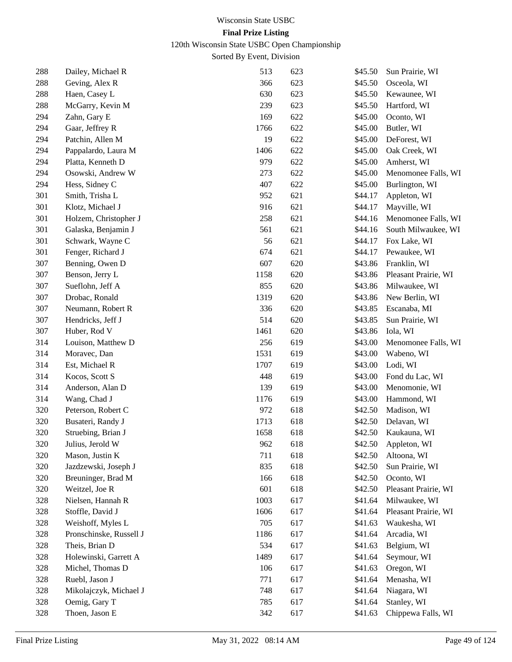120th Wisconsin State USBC Open Championship

| 288 | Dailey, Michael R       | 513  | 623 | \$45.50 | Sun Prairie, WI      |
|-----|-------------------------|------|-----|---------|----------------------|
| 288 | Geving, Alex R          | 366  | 623 | \$45.50 | Osceola, WI          |
| 288 | Haen, Casey L           | 630  | 623 | \$45.50 | Kewaunee, WI         |
| 288 | McGarry, Kevin M        | 239  | 623 | \$45.50 | Hartford, WI         |
| 294 | Zahn, Gary E            | 169  | 622 | \$45.00 | Oconto, WI           |
| 294 | Gaar, Jeffrey R         | 1766 | 622 | \$45.00 | Butler, WI           |
| 294 | Patchin, Allen M        | 19   | 622 | \$45.00 | DeForest, WI         |
| 294 | Pappalardo, Laura M     | 1406 | 622 | \$45.00 | Oak Creek, WI        |
| 294 | Platta, Kenneth D       | 979  | 622 | \$45.00 | Amherst, WI          |
| 294 | Osowski, Andrew W       | 273  | 622 | \$45.00 | Menomonee Falls, WI  |
| 294 | Hess, Sidney C          | 407  | 622 | \$45.00 | Burlington, WI       |
| 301 | Smith, Trisha L         | 952  | 621 | \$44.17 | Appleton, WI         |
| 301 | Klotz, Michael J        | 916  | 621 | \$44.17 | Mayville, WI         |
| 301 | Holzem, Christopher J   | 258  | 621 | \$44.16 | Menomonee Falls, WI  |
| 301 | Galaska, Benjamin J     | 561  | 621 | \$44.16 | South Milwaukee, WI  |
| 301 | Schwark, Wayne C        | 56   | 621 | \$44.17 | Fox Lake, WI         |
| 301 | Fenger, Richard J       | 674  | 621 | \$44.17 | Pewaukee, WI         |
| 307 | Benning, Owen D         | 607  | 620 | \$43.86 | Franklin, WI         |
| 307 | Benson, Jerry L         | 1158 | 620 | \$43.86 | Pleasant Prairie, WI |
| 307 | Sueflohn, Jeff A        | 855  | 620 | \$43.86 | Milwaukee, WI        |
| 307 | Drobac, Ronald          | 1319 | 620 | \$43.86 | New Berlin, WI       |
| 307 | Neumann, Robert R       | 336  | 620 | \$43.85 | Escanaba, MI         |
| 307 | Hendricks, Jeff J       | 514  | 620 | \$43.85 | Sun Prairie, WI      |
| 307 | Huber, Rod V            | 1461 | 620 | \$43.86 | Iola, WI             |
| 314 | Louison, Matthew D      | 256  | 619 | \$43.00 | Menomonee Falls, WI  |
| 314 | Moravec, Dan            | 1531 | 619 | \$43.00 | Wabeno, WI           |
| 314 | Est, Michael R          | 1707 | 619 | \$43.00 | Lodi, WI             |
| 314 | Kocos, Scott S          | 448  | 619 | \$43.00 | Fond du Lac, WI      |
| 314 | Anderson, Alan D        | 139  | 619 | \$43.00 | Menomonie, WI        |
| 314 | Wang, Chad J            | 1176 | 619 | \$43.00 | Hammond, WI          |
| 320 | Peterson, Robert C      | 972  | 618 | \$42.50 | Madison, WI          |
| 320 | Busateri, Randy J       | 1713 | 618 | \$42.50 | Delavan, WI          |
| 320 | Struebing, Brian J      | 1658 | 618 | \$42.50 | Kaukauna, WI         |
| 320 | Julius, Jerold W        | 962  | 618 | \$42.50 | Appleton, WI         |
| 320 | Mason, Justin K         | 711  | 618 | \$42.50 | Altoona, WI          |
| 320 | Jazdzewski, Joseph J    | 835  | 618 | \$42.50 | Sun Prairie, WI      |
| 320 | Breuninger, Brad M      | 166  | 618 | \$42.50 | Oconto, WI           |
| 320 | Weitzel, Joe R          | 601  | 618 | \$42.50 | Pleasant Prairie, WI |
| 328 | Nielsen, Hannah R       | 1003 | 617 | \$41.64 | Milwaukee, WI        |
| 328 | Stoffle, David J        | 1606 | 617 | \$41.64 | Pleasant Prairie, WI |
| 328 | Weishoff, Myles L       | 705  | 617 | \$41.63 | Waukesha, WI         |
| 328 | Pronschinske, Russell J | 1186 | 617 | \$41.64 | Arcadia, WI          |
| 328 | Theis, Brian D          | 534  | 617 | \$41.63 | Belgium, WI          |
| 328 | Holewinski, Garrett A   | 1489 | 617 | \$41.64 | Seymour, WI          |
| 328 | Michel, Thomas D        | 106  | 617 | \$41.63 | Oregon, WI           |
| 328 | Ruebl, Jason J          | 771  | 617 | \$41.64 | Menasha, WI          |
| 328 | Mikolajczyk, Michael J  | 748  | 617 | \$41.64 | Niagara, WI          |
| 328 | Oemig, Gary T           | 785  | 617 | \$41.64 | Stanley, WI          |
| 328 | Thoen, Jason E          | 342  | 617 | \$41.63 | Chippewa Falls, WI   |
|     |                         |      |     |         |                      |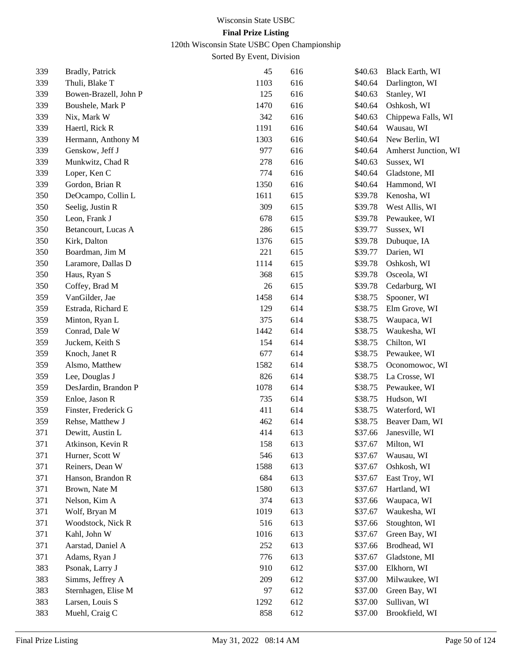120th Wisconsin State USBC Open Championship

| 339 | Bradly, Patrick       | 45   | 616 | \$40.63 | Black Earth, WI      |
|-----|-----------------------|------|-----|---------|----------------------|
| 339 | Thuli, Blake T        | 1103 | 616 | \$40.64 | Darlington, WI       |
| 339 | Bowen-Brazell, John P | 125  | 616 | \$40.63 | Stanley, WI          |
| 339 | Boushele, Mark P      | 1470 | 616 | \$40.64 | Oshkosh, WI          |
| 339 | Nix, Mark W           | 342  | 616 | \$40.63 | Chippewa Falls, WI   |
| 339 | Haertl, Rick R        | 1191 | 616 | \$40.64 | Wausau, WI           |
| 339 | Hermann, Anthony M    | 1303 | 616 | \$40.64 | New Berlin, WI       |
| 339 | Genskow, Jeff J       | 977  | 616 | \$40.64 | Amherst Junction, WI |
| 339 | Munkwitz, Chad R      | 278  | 616 | \$40.63 | Sussex, WI           |
| 339 | Loper, Ken C          | 774  | 616 | \$40.64 | Gladstone, MI        |
| 339 | Gordon, Brian R       | 1350 | 616 | \$40.64 | Hammond, WI          |
| 350 | DeOcampo, Collin L    | 1611 | 615 | \$39.78 | Kenosha, WI          |
| 350 | Seelig, Justin R      | 309  | 615 | \$39.78 | West Allis, WI       |
| 350 | Leon, Frank J         | 678  | 615 | \$39.78 | Pewaukee, WI         |
| 350 | Betancourt, Lucas A   | 286  | 615 | \$39.77 | Sussex, WI           |
| 350 | Kirk, Dalton          | 1376 | 615 | \$39.78 | Dubuque, IA          |
| 350 | Boardman, Jim M       | 221  | 615 | \$39.77 | Darien, WI           |
| 350 | Laramore, Dallas D    | 1114 | 615 | \$39.78 | Oshkosh, WI          |
| 350 | Haus, Ryan S          | 368  | 615 | \$39.78 | Osceola, WI          |
| 350 | Coffey, Brad M        | 26   | 615 | \$39.78 | Cedarburg, WI        |
| 359 | VanGilder, Jae        | 1458 | 614 | \$38.75 | Spooner, WI          |
| 359 | Estrada, Richard E    | 129  | 614 | \$38.75 | Elm Grove, WI        |
| 359 | Minton, Ryan L        | 375  | 614 | \$38.75 | Waupaca, WI          |
| 359 | Conrad, Dale W        | 1442 | 614 | \$38.75 | Waukesha, WI         |
| 359 | Juckem, Keith S       | 154  | 614 | \$38.75 | Chilton, WI          |
| 359 | Knoch, Janet R        | 677  | 614 | \$38.75 | Pewaukee, WI         |
| 359 | Alsmo, Matthew        | 1582 | 614 | \$38.75 | Oconomowoc, WI       |
| 359 | Lee, Douglas J        | 826  | 614 | \$38.75 | La Crosse, WI        |
| 359 | DesJardin, Brandon P  | 1078 | 614 | \$38.75 | Pewaukee, WI         |
| 359 | Enloe, Jason R        | 735  | 614 | \$38.75 | Hudson, WI           |
| 359 | Finster, Frederick G  | 411  | 614 | \$38.75 | Waterford, WI        |
| 359 | Rehse, Matthew J      | 462  | 614 | \$38.75 | Beaver Dam, WI       |
| 371 | Dewitt, Austin L      | 414  | 613 | \$37.66 | Janesville, WI       |
| 371 | Atkinson, Kevin R     | 158  | 613 | \$37.67 | Milton, WI           |
| 371 | Hurner, Scott W       | 546  | 613 | \$37.67 | Wausau, WI           |
| 371 | Reiners, Dean W       | 1588 | 613 | \$37.67 | Oshkosh, WI          |
| 371 | Hanson, Brandon R     | 684  | 613 | \$37.67 | East Troy, WI        |
| 371 | Brown, Nate M         | 1580 | 613 | \$37.67 | Hartland, WI         |
| 371 | Nelson, Kim A         | 374  | 613 | \$37.66 | Waupaca, WI          |
| 371 | Wolf, Bryan M         | 1019 | 613 | \$37.67 | Waukesha, WI         |
| 371 | Woodstock, Nick R     | 516  | 613 | \$37.66 | Stoughton, WI        |
| 371 | Kahl, John W          | 1016 | 613 | \$37.67 | Green Bay, WI        |
| 371 | Aarstad, Daniel A     | 252  | 613 | \$37.66 | Brodhead, WI         |
| 371 | Adams, Ryan J         | 776  | 613 | \$37.67 | Gladstone, MI        |
| 383 | Psonak, Larry J       | 910  | 612 | \$37.00 | Elkhorn, WI          |
| 383 | Simms, Jeffrey A      | 209  | 612 | \$37.00 | Milwaukee, WI        |
| 383 | Sternhagen, Elise M   | 97   | 612 | \$37.00 | Green Bay, WI        |
| 383 | Larsen, Louis S       | 1292 | 612 | \$37.00 | Sullivan, WI         |
| 383 | Muehl, Craig C        | 858  | 612 | \$37.00 | Brookfield, WI       |
|     |                       |      |     |         |                      |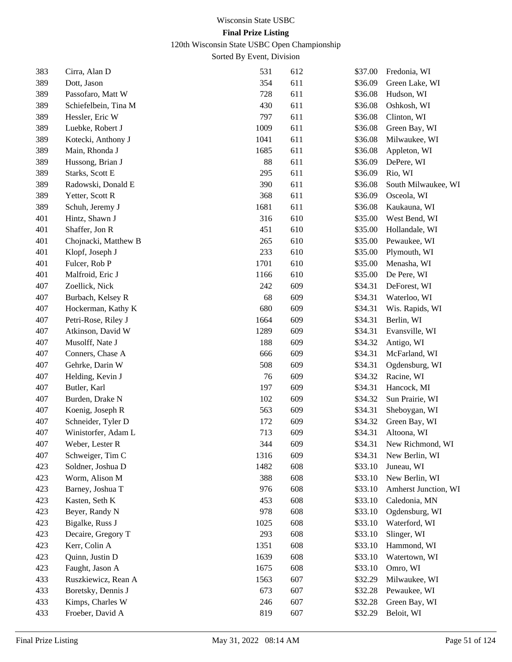120th Wisconsin State USBC Open Championship

| 383 | Cirra, Alan D        | 531  | 612 | \$37.00 | Fredonia, WI         |
|-----|----------------------|------|-----|---------|----------------------|
| 389 | Dott, Jason          | 354  | 611 | \$36.09 | Green Lake, WI       |
| 389 | Passofaro, Matt W    | 728  | 611 | \$36.08 | Hudson, WI           |
| 389 | Schiefelbein, Tina M | 430  | 611 | \$36.08 | Oshkosh, WI          |
| 389 | Hessler, Eric W      | 797  | 611 | \$36.08 | Clinton, WI          |
| 389 | Luebke, Robert J     | 1009 | 611 | \$36.08 | Green Bay, WI        |
| 389 | Kotecki, Anthony J   | 1041 | 611 | \$36.08 | Milwaukee, WI        |
| 389 | Main, Rhonda J       | 1685 | 611 | \$36.08 | Appleton, WI         |
| 389 | Hussong, Brian J     | 88   | 611 | \$36.09 | DePere, WI           |
| 389 | Starks, Scott E      | 295  | 611 | \$36.09 | Rio, WI              |
| 389 | Radowski, Donald E   | 390  | 611 | \$36.08 | South Milwaukee, WI  |
| 389 | Yetter, Scott R      | 368  | 611 | \$36.09 | Osceola, WI          |
| 389 | Schuh, Jeremy J      | 1681 | 611 | \$36.08 | Kaukauna, WI         |
| 401 | Hintz, Shawn J       | 316  | 610 | \$35.00 | West Bend, WI        |
| 401 | Shaffer, Jon R       | 451  | 610 | \$35.00 | Hollandale, WI       |
| 401 | Chojnacki, Matthew B | 265  | 610 | \$35.00 | Pewaukee, WI         |
| 401 | Klopf, Joseph J      | 233  | 610 | \$35.00 | Plymouth, WI         |
| 401 | Fulcer, Rob P        | 1701 | 610 | \$35.00 | Menasha, WI          |
| 401 | Malfroid, Eric J     | 1166 | 610 | \$35.00 | De Pere, WI          |
| 407 | Zoellick, Nick       | 242  | 609 | \$34.31 | DeForest, WI         |
| 407 | Burbach, Kelsey R    | 68   | 609 | \$34.31 | Waterloo, WI         |
| 407 | Hockerman, Kathy K   | 680  | 609 | \$34.31 | Wis. Rapids, WI      |
| 407 | Petri-Rose, Riley J  | 1664 | 609 | \$34.31 | Berlin, WI           |
| 407 | Atkinson, David W    | 1289 | 609 | \$34.31 | Evansville, WI       |
| 407 | Musolff, Nate J      | 188  | 609 | \$34.32 | Antigo, WI           |
| 407 | Conners, Chase A     | 666  | 609 | \$34.31 | McFarland, WI        |
| 407 | Gehrke, Darin W      | 508  | 609 | \$34.31 | Ogdensburg, WI       |
| 407 | Helding, Kevin J     | 76   | 609 | \$34.32 | Racine, WI           |
| 407 | Butler, Karl         | 197  | 609 | \$34.31 | Hancock, MI          |
| 407 | Burden, Drake N      | 102  | 609 | \$34.32 | Sun Prairie, WI      |
| 407 | Koenig, Joseph R     | 563  | 609 | \$34.31 | Sheboygan, WI        |
| 407 | Schneider, Tyler D   | 172  | 609 | \$34.32 | Green Bay, WI        |
| 407 | Winistorfer, Adam L  | 713  | 609 | \$34.31 | Altoona, WI          |
| 407 | Weber, Lester R      | 344  | 609 | \$34.31 | New Richmond, WI     |
| 407 | Schweiger, Tim C     | 1316 | 609 | \$34.31 | New Berlin, WI       |
| 423 | Soldner, Joshua D    | 1482 | 608 | \$33.10 | Juneau, WI           |
| 423 | Worm, Alison M       | 388  | 608 | \$33.10 | New Berlin, WI       |
| 423 | Barney, Joshua T     | 976  | 608 | \$33.10 | Amherst Junction, WI |
| 423 | Kasten, Seth K       | 453  | 608 | \$33.10 | Caledonia, MN        |
| 423 | Beyer, Randy N       | 978  | 608 | \$33.10 | Ogdensburg, WI       |
| 423 | Bigalke, Russ J      | 1025 | 608 | \$33.10 | Waterford, WI        |
| 423 | Decaire, Gregory T   | 293  | 608 | \$33.10 | Slinger, WI          |
| 423 | Kerr, Colin A        | 1351 | 608 | \$33.10 | Hammond, WI          |
| 423 | Quinn, Justin D      | 1639 | 608 | \$33.10 | Watertown, WI        |
| 423 | Faught, Jason A      | 1675 | 608 | \$33.10 | Omro, WI             |
| 433 | Ruszkiewicz, Rean A  | 1563 | 607 | \$32.29 | Milwaukee, WI        |
| 433 | Boretsky, Dennis J   | 673  | 607 | \$32.28 | Pewaukee, WI         |
| 433 | Kimps, Charles W     | 246  | 607 | \$32.28 | Green Bay, WI        |
| 433 | Froeber, David A     | 819  | 607 | \$32.29 | Beloit, WI           |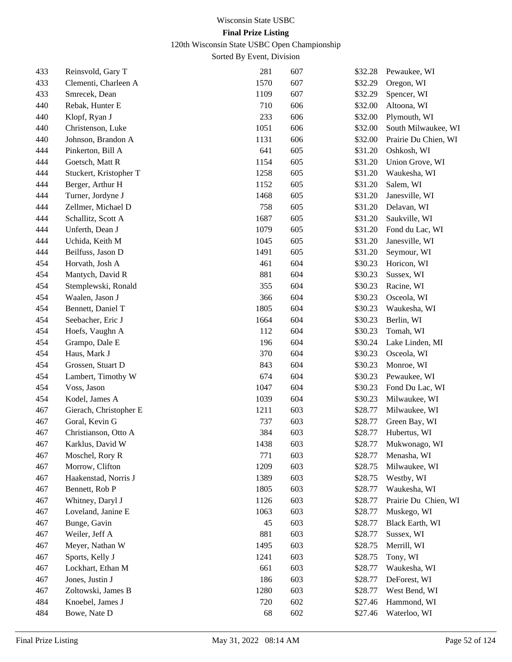120th Wisconsin State USBC Open Championship

| 433 | Reinsvold, Gary T      | 281  | 607 | \$32.28 | Pewaukee, WI         |
|-----|------------------------|------|-----|---------|----------------------|
| 433 | Clementi, Charleen A   | 1570 | 607 | \$32.29 | Oregon, WI           |
| 433 | Smrecek, Dean          | 1109 | 607 | \$32.29 | Spencer, WI          |
| 440 | Rebak, Hunter E        | 710  | 606 | \$32.00 | Altoona, WI          |
| 440 | Klopf, Ryan J          | 233  | 606 | \$32.00 | Plymouth, WI         |
| 440 | Christenson, Luke      | 1051 | 606 | \$32.00 | South Milwaukee, WI  |
| 440 | Johnson, Brandon A     | 1131 | 606 | \$32.00 | Prairie Du Chien, WI |
| 444 | Pinkerton, Bill A      | 641  | 605 | \$31.20 | Oshkosh, WI          |
| 444 | Goetsch, Matt R        | 1154 | 605 | \$31.20 | Union Grove, WI      |
| 444 | Stuckert, Kristopher T | 1258 | 605 | \$31.20 | Waukesha, WI         |
| 444 | Berger, Arthur H       | 1152 | 605 | \$31.20 | Salem, WI            |
| 444 | Turner, Jordyne J      | 1468 | 605 | \$31.20 | Janesville, WI       |
| 444 | Zellmer, Michael D     | 758  | 605 | \$31.20 | Delavan, WI          |
| 444 | Schallitz, Scott A     | 1687 | 605 | \$31.20 | Saukville, WI        |
| 444 | Unferth, Dean J        | 1079 | 605 | \$31.20 | Fond du Lac, WI      |
| 444 | Uchida, Keith M        | 1045 | 605 | \$31.20 | Janesville, WI       |
| 444 | Beilfuss, Jason D      | 1491 | 605 | \$31.20 | Seymour, WI          |
| 454 | Horvath, Josh A        | 461  | 604 | \$30.23 | Horicon, WI          |
| 454 | Mantych, David R       | 881  | 604 | \$30.23 | Sussex, WI           |
| 454 | Stemplewski, Ronald    | 355  | 604 | \$30.23 | Racine, WI           |
| 454 | Waalen, Jason J        | 366  | 604 | \$30.23 | Osceola, WI          |
| 454 | Bennett, Daniel T      | 1805 | 604 | \$30.23 | Waukesha, WI         |
| 454 | Seebacher, Eric J      | 1664 | 604 | \$30.23 | Berlin, WI           |
| 454 | Hoefs, Vaughn A        | 112  | 604 | \$30.23 | Tomah, WI            |
| 454 | Grampo, Dale E         | 196  | 604 | \$30.24 | Lake Linden, MI      |
| 454 | Haus, Mark J           | 370  | 604 | \$30.23 | Osceola, WI          |
| 454 | Grossen, Stuart D      | 843  | 604 | \$30.23 | Monroe, WI           |
| 454 | Lambert, Timothy W     | 674  | 604 | \$30.23 | Pewaukee, WI         |
| 454 | Voss, Jason            | 1047 | 604 | \$30.23 | Fond Du Lac, WI      |
| 454 | Kodel, James A         | 1039 | 604 | \$30.23 | Milwaukee, WI        |
| 467 | Gierach, Christopher E | 1211 | 603 | \$28.77 | Milwaukee, WI        |
| 467 | Goral, Kevin G         | 737  | 603 | \$28.77 | Green Bay, WI        |
| 467 | Christianson, Otto A   | 384  | 603 | \$28.77 | Hubertus, WI         |
| 467 | Karklus, David W       | 1438 | 603 | \$28.77 | Mukwonago, WI        |
| 467 | Moschel, Rory R        | 771  | 603 | \$28.77 | Menasha, WI          |
| 467 | Morrow, Clifton        | 1209 | 603 | \$28.75 | Milwaukee, WI        |
| 467 | Haakenstad, Norris J   | 1389 | 603 | \$28.75 | Westby, WI           |
| 467 | Bennett, Rob P         | 1805 | 603 | \$28.77 | Waukesha, WI         |
| 467 | Whitney, Daryl J       | 1126 | 603 | \$28.77 | Prairie Du Chien, WI |
| 467 | Loveland, Janine E     | 1063 | 603 | \$28.77 | Muskego, WI          |
| 467 | Bunge, Gavin           | 45   | 603 | \$28.77 | Black Earth, WI      |
| 467 | Weiler, Jeff A         | 881  | 603 | \$28.77 | Sussex, WI           |
| 467 | Meyer, Nathan W        | 1495 | 603 | \$28.75 | Merrill, WI          |
| 467 | Sports, Kelly J        | 1241 | 603 | \$28.75 | Tony, WI             |
| 467 | Lockhart, Ethan M      | 661  | 603 | \$28.77 | Waukesha, WI         |
| 467 | Jones, Justin J        | 186  | 603 | \$28.77 | DeForest, WI         |
| 467 | Zoltowski, James B     | 1280 | 603 | \$28.77 | West Bend, WI        |
| 484 | Knoebel, James J       | 720  | 602 | \$27.46 | Hammond, WI          |
| 484 | Bowe, Nate D           | 68   | 602 | \$27.46 | Waterloo, WI         |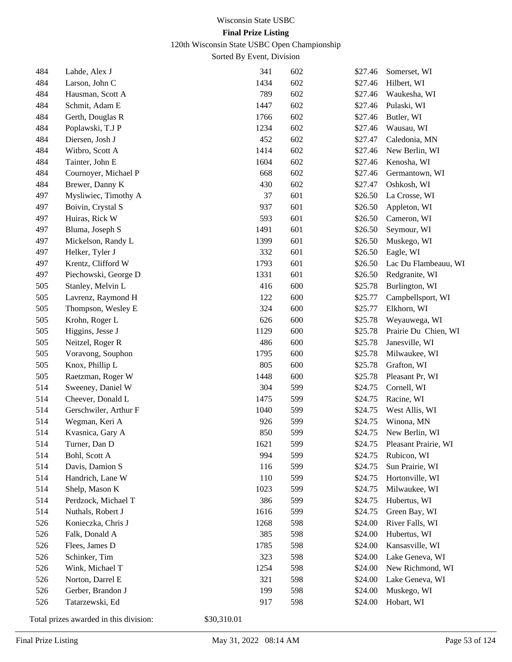120th Wisconsin State USBC Open Championship

Sorted By Event, Division

| 484 | Lahde, Alex J         | 341  | 602 | \$27.46 | Somerset, WI         |
|-----|-----------------------|------|-----|---------|----------------------|
| 484 | Larson, John C        | 1434 | 602 | \$27.46 | Hilbert, WI          |
| 484 | Hausman, Scott A      | 789  | 602 | \$27.46 | Waukesha, WI         |
| 484 | Schmit, Adam E        | 1447 | 602 | \$27.46 | Pulaski, WI          |
| 484 | Gerth, Douglas R      | 1766 | 602 | \$27.46 | Butler, WI           |
| 484 | Poplawski, T.J P      | 1234 | 602 | \$27.46 | Wausau, WI           |
| 484 | Diersen, Josh J       | 452  | 602 | \$27.47 | Caledonia, MN        |
| 484 | Witbro, Scott A       | 1414 | 602 | \$27.46 | New Berlin, WI       |
| 484 | Tainter, John E       | 1604 | 602 | \$27.46 | Kenosha, WI          |
| 484 | Cournoyer, Michael P  | 668  | 602 | \$27.46 | Germantown, WI       |
| 484 | Brewer, Danny K       | 430  | 602 | \$27.47 | Oshkosh, WI          |
| 497 | Mysliwiec, Timothy A  | 37   | 601 | \$26.50 | La Crosse, WI        |
| 497 | Boivin, Crystal S     | 937  | 601 | \$26.50 | Appleton, WI         |
| 497 | Huiras, Rick W        | 593  | 601 | \$26.50 | Cameron, WI          |
| 497 | Bluma, Joseph S       | 1491 | 601 | \$26.50 | Seymour, WI          |
| 497 | Mickelson, Randy L    | 1399 | 601 | \$26.50 | Muskego, WI          |
| 497 | Helker, Tyler J       | 332  | 601 | \$26.50 | Eagle, WI            |
| 497 | Krentz, Clifford W    | 1793 | 601 | \$26.50 | Lac Du Flambeauu, WI |
| 497 | Piechowski, George D  | 1331 | 601 | \$26.50 | Redgranite, WI       |
| 505 | Stanley, Melvin L     | 416  | 600 | \$25.78 | Burlington, WI       |
| 505 | Lavrenz, Raymond H    | 122  | 600 | \$25.77 | Campbellsport, WI    |
| 505 | Thompson, Wesley E    | 324  | 600 | \$25.77 | Elkhorn, WI          |
| 505 | Krohn, Roger L        | 626  | 600 | \$25.78 | Weyauwega, WI        |
| 505 | Higgins, Jesse J      | 1129 | 600 | \$25.78 | Prairie Du Chien, WI |
| 505 | Neitzel, Roger R      | 486  | 600 | \$25.78 | Janesville, WI       |
| 505 | Voravong, Souphon     | 1795 | 600 | \$25.78 | Milwaukee, WI        |
| 505 | Knox, Phillip L       | 805  | 600 | \$25.78 | Grafton, WI          |
| 505 | Raetzman, Roger W     | 1448 | 600 | \$25.78 | Pleasant Pr, WI      |
| 514 | Sweeney, Daniel W     | 304  | 599 | \$24.75 | Cornell, WI          |
| 514 | Cheever, Donald L     | 1475 | 599 | \$24.75 | Racine, WI           |
| 514 | Gerschwiler, Arthur F | 1040 | 599 | \$24.75 | West Allis, WI       |
| 514 | Wegman, Keri A        | 926  | 599 | \$24.75 | Winona, MN           |
| 514 | Kvasnica, Gary A      | 850  | 599 | \$24.75 | New Berlin, WI       |
| 514 | Turner, Dan D         | 1621 | 599 | \$24.75 | Pleasant Prairie, WI |
| 514 | Bohl, Scott A         | 994  | 599 | \$24.75 | Rubicon, WI          |
| 514 | Davis, Damion S       | 116  | 599 | \$24.75 | Sun Prairie, WI      |
| 514 | Handrich, Lane W      | 110  | 599 | \$24.75 | Hortonville, WI      |
| 514 | Shelp, Mason K        | 1023 | 599 | \$24.75 | Milwaukee, WI        |
| 514 | Perdzock, Michael T   | 386  | 599 | \$24.75 | Hubertus, WI         |
| 514 | Nuthals, Robert J     | 1616 | 599 | \$24.75 | Green Bay, WI        |
| 526 | Konieczka, Chris J    | 1268 | 598 | \$24.00 | River Falls, WI      |
| 526 | Falk, Donald A        | 385  | 598 | \$24.00 | Hubertus, WI         |
| 526 | Flees, James D        | 1785 | 598 | \$24.00 | Kansasville, WI      |
| 526 | Schinker, Tim         | 323  | 598 | \$24.00 | Lake Geneva, WI      |
| 526 | Wink, Michael T       | 1254 | 598 | \$24.00 | New Richmond, WI     |
| 526 | Norton, Darrel E      | 321  | 598 | \$24.00 | Lake Geneva, WI      |
| 526 | Gerber, Brandon J     | 199  | 598 | \$24.00 | Muskego, WI          |
| 526 | Tatarzewski, Ed       | 917  | 598 | \$24.00 | Hobart, WI           |
|     |                       |      |     |         |                      |

Total prizes awarded in this division: \$30,310.01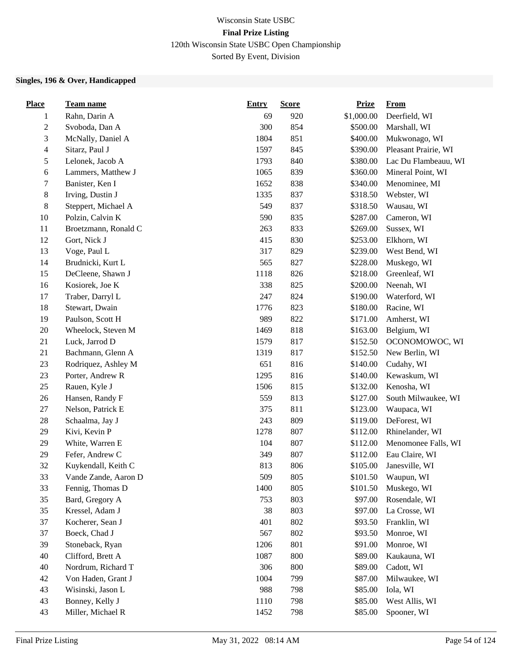# Wisconsin State USBC **Final Prize Listing** 120th Wisconsin State USBC Open Championship

Sorted By Event, Division

## **Singles, 196 & Over, Handicapped**

| <b>Place</b>   | Team name            | <b>Entry</b> | <b>Score</b> | <b>Prize</b> | <b>From</b>          |
|----------------|----------------------|--------------|--------------|--------------|----------------------|
| 1              | Rahn, Darin A        | 69           | 920          | \$1,000.00   | Deerfield, WI        |
| $\overline{c}$ | Svoboda, Dan A       | 300          | 854          | \$500.00     | Marshall, WI         |
| 3              | McNally, Daniel A    | 1804         | 851          | \$400.00     | Mukwonago, WI        |
| $\overline{4}$ | Sitarz, Paul J       | 1597         | 845          | \$390.00     | Pleasant Prairie, WI |
| 5              | Lelonek, Jacob A     | 1793         | 840          | \$380.00     | Lac Du Flambeauu, WI |
| 6              | Lammers, Matthew J   | 1065         | 839          | \$360.00     | Mineral Point, WI    |
| 7              | Banister, Ken I      | 1652         | 838          | \$340.00     | Menominee, MI        |
| $8\,$          | Irving, Dustin J     | 1335         | 837          | \$318.50     | Webster, WI          |
| $8\,$          | Steppert, Michael A  | 549          | 837          | \$318.50     | Wausau, WI           |
| 10             | Polzin, Calvin K     | 590          | 835          | \$287.00     | Cameron, WI          |
| 11             | Broetzmann, Ronald C | 263          | 833          | \$269.00     | Sussex, WI           |
| 12             | Gort, Nick J         | 415          | 830          | \$253.00     | Elkhorn, WI          |
| 13             | Voge, Paul L         | 317          | 829          | \$239.00     | West Bend, WI        |
| 14             | Brudnicki, Kurt L    | 565          | 827          | \$228.00     | Muskego, WI          |
| 15             | DeCleene, Shawn J    | 1118         | 826          | \$218.00     | Greenleaf, WI        |
| 16             | Kosiorek, Joe K      | 338          | 825          | \$200.00     | Neenah, WI           |
| 17             | Traber, Darryl L     | 247          | 824          | \$190.00     | Waterford, WI        |
| 18             | Stewart, Dwain       | 1776         | 823          | \$180.00     | Racine, WI           |
| 19             | Paulson, Scott H     | 989          | 822          | \$171.00     | Amherst, WI          |
| $20\,$         | Wheelock, Steven M   | 1469         | 818          | \$163.00     | Belgium, WI          |
| 21             | Luck, Jarrod D       | 1579         | 817          | \$152.50     | OCONOMOWOC, WI       |
| 21             | Bachmann, Glenn A    | 1319         | 817          | \$152.50     | New Berlin, WI       |
| 23             | Rodriquez, Ashley M  | 651          | 816          | \$140.00     | Cudahy, WI           |
| 23             | Porter, Andrew R     | 1295         | 816          | \$140.00     | Kewaskum, WI         |
| $25\,$         | Rauen, Kyle J        | 1506         | 815          | \$132.00     | Kenosha, WI          |
| 26             | Hansen, Randy F      | 559          | 813          | \$127.00     | South Milwaukee, WI  |
| 27             | Nelson, Patrick E    | 375          | 811          | \$123.00     | Waupaca, WI          |
| $28\,$         | Schaalma, Jay J      | 243          | 809          | \$119.00     | DeForest, WI         |
| 29             | Kivi, Kevin P        | 1278         | 807          | \$112.00     | Rhinelander, WI      |
| 29             | White, Warren E      | 104          | 807          | \$112.00     | Menomonee Falls, WI  |
| 29             | Fefer, Andrew C      | 349          | 807          | \$112.00     | Eau Claire, WI       |
| 32             | Kuykendall, Keith C  | 813          | 806          | \$105.00     | Janesville, WI       |
| 33             | Vande Zande, Aaron D | 509          | 805          | \$101.50     | Waupun, WI           |
| 33             | Fennig, Thomas D     | 1400         | 805          | \$101.50     | Muskego, WI          |
| 35             | Bard, Gregory A      | 753          | 803          | \$97.00      | Rosendale, WI        |
| 35             | Kressel, Adam J      | 38           | 803          | \$97.00      | La Crosse, WI        |
| 37             | Kocherer, Sean J     | 401          | 802          | \$93.50      | Franklin, WI         |
| 37             | Boeck, Chad J        | 567          | 802          | \$93.50      | Monroe, WI           |
| 39             | Stoneback, Ryan      | 1206         | 801          | \$91.00      | Monroe, WI           |
| 40             | Clifford, Brett A    | 1087         | 800          | \$89.00      | Kaukauna, WI         |
| 40             | Nordrum, Richard T   | 306          | 800          | \$89.00      | Cadott, WI           |
| 42             | Von Haden, Grant J   | 1004         | 799          | \$87.00      | Milwaukee, WI        |
| 43             | Wisinski, Jason L    | 988          | 798          | \$85.00      | Iola, WI             |
| 43             | Bonney, Kelly J      | 1110         | 798          | \$85.00      | West Allis, WI       |
| 43             | Miller, Michael R    | 1452         | 798          | \$85.00      | Spooner, WI          |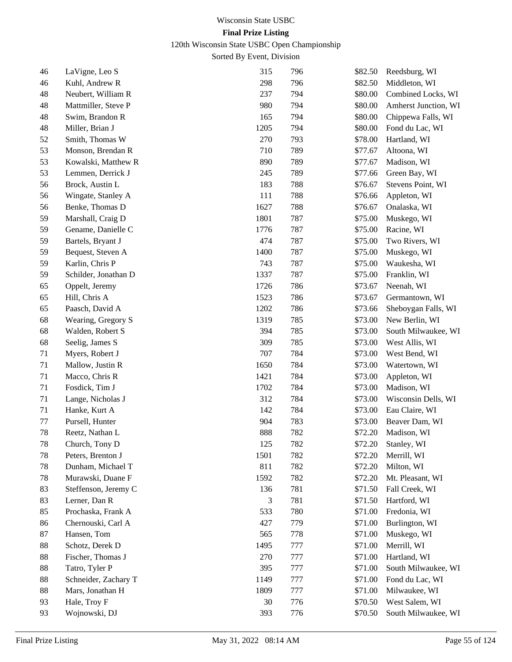120th Wisconsin State USBC Open Championship

| 46 | LaVigne, Leo S       | 315  | 796 | \$82.50 | Reedsburg, WI        |
|----|----------------------|------|-----|---------|----------------------|
| 46 | Kuhl, Andrew R       | 298  | 796 | \$82.50 | Middleton, WI        |
| 48 | Neubert, William R   | 237  | 794 | \$80.00 | Combined Locks, WI   |
| 48 | Mattmiller, Steve P  | 980  | 794 | \$80.00 | Amherst Junction, WI |
| 48 | Swim, Brandon R      | 165  | 794 | \$80.00 | Chippewa Falls, WI   |
| 48 | Miller, Brian J      | 1205 | 794 | \$80.00 | Fond du Lac, WI      |
| 52 | Smith, Thomas W      | 270  | 793 | \$78.00 | Hartland, WI         |
| 53 | Monson, Brendan R    | 710  | 789 | \$77.67 | Altoona, WI          |
| 53 | Kowalski, Matthew R  | 890  | 789 | \$77.67 | Madison, WI          |
| 53 | Lemmen, Derrick J    | 245  | 789 | \$77.66 | Green Bay, WI        |
| 56 | Brock, Austin L      | 183  | 788 | \$76.67 | Stevens Point, WI    |
| 56 | Wingate, Stanley A   | 111  | 788 | \$76.66 | Appleton, WI         |
| 56 | Benke, Thomas D      | 1627 | 788 | \$76.67 | Onalaska, WI         |
| 59 | Marshall, Craig D    | 1801 | 787 | \$75.00 | Muskego, WI          |
| 59 | Gename, Danielle C   | 1776 | 787 | \$75.00 | Racine, WI           |
| 59 | Bartels, Bryant J    | 474  | 787 | \$75.00 | Two Rivers, WI       |
| 59 | Bequest, Steven A    | 1400 | 787 | \$75.00 | Muskego, WI          |
| 59 | Karlin, Chris P      | 743  | 787 | \$75.00 | Waukesha, WI         |
| 59 | Schilder, Jonathan D | 1337 | 787 | \$75.00 | Franklin, WI         |
| 65 | Oppelt, Jeremy       | 1726 | 786 | \$73.67 | Neenah, WI           |
| 65 | Hill, Chris A        | 1523 | 786 | \$73.67 | Germantown, WI       |
| 65 | Paasch, David A      | 1202 | 786 | \$73.66 | Sheboygan Falls, WI  |
| 68 | Wearing, Gregory S   | 1319 | 785 | \$73.00 | New Berlin, WI       |
| 68 | Walden, Robert S     | 394  | 785 | \$73.00 | South Milwaukee, WI  |
| 68 | Seelig, James S      | 309  | 785 | \$73.00 | West Allis, WI       |
| 71 | Myers, Robert J      | 707  | 784 | \$73.00 | West Bend, WI        |
| 71 | Mallow, Justin R     | 1650 | 784 | \$73.00 | Watertown, WI        |
| 71 | Macco, Chris R       | 1421 | 784 | \$73.00 | Appleton, WI         |
| 71 | Fosdick, Tim J       | 1702 | 784 | \$73.00 | Madison, WI          |
| 71 | Lange, Nicholas J    | 312  | 784 | \$73.00 | Wisconsin Dells, WI  |
| 71 | Hanke, Kurt A        | 142  | 784 | \$73.00 | Eau Claire, WI       |
| 77 | Pursell, Hunter      | 904  | 783 | \$73.00 | Beaver Dam, WI       |
| 78 | Reetz, Nathan L      | 888  | 782 | \$72.20 | Madison, WI          |
| 78 | Church, Tony D       | 125  | 782 | \$72.20 | Stanley, WI          |
| 78 | Peters, Brenton J    | 1501 | 782 | \$72.20 | Merrill, WI          |
| 78 | Dunham, Michael T    | 811  | 782 | \$72.20 | Milton, WI           |
| 78 | Murawski, Duane F    | 1592 | 782 | \$72.20 | Mt. Pleasant, WI     |
| 83 | Steffenson, Jeremy C | 136  | 781 | \$71.50 | Fall Creek, WI       |
| 83 | Lerner, Dan R        | 3    | 781 | \$71.50 | Hartford, WI         |
| 85 | Prochaska, Frank A   | 533  | 780 | \$71.00 | Fredonia, WI         |
| 86 | Chernouski, Carl A   | 427  | 779 | \$71.00 | Burlington, WI       |
| 87 | Hansen, Tom          | 565  | 778 | \$71.00 | Muskego, WI          |
| 88 | Schotz, Derek D      | 1495 | 777 | \$71.00 | Merrill, WI          |
| 88 | Fischer, Thomas J    | 270  | 777 | \$71.00 | Hartland, WI         |
| 88 | Tatro, Tyler P       | 395  | 777 | \$71.00 | South Milwaukee, WI  |
| 88 | Schneider, Zachary T | 1149 | 777 | \$71.00 | Fond du Lac, WI      |
| 88 | Mars, Jonathan H     | 1809 | 777 | \$71.00 | Milwaukee, WI        |
| 93 | Hale, Troy F         | 30   | 776 | \$70.50 | West Salem, WI       |
| 93 | Wojnowski, DJ        | 393  | 776 | \$70.50 | South Milwaukee, WI  |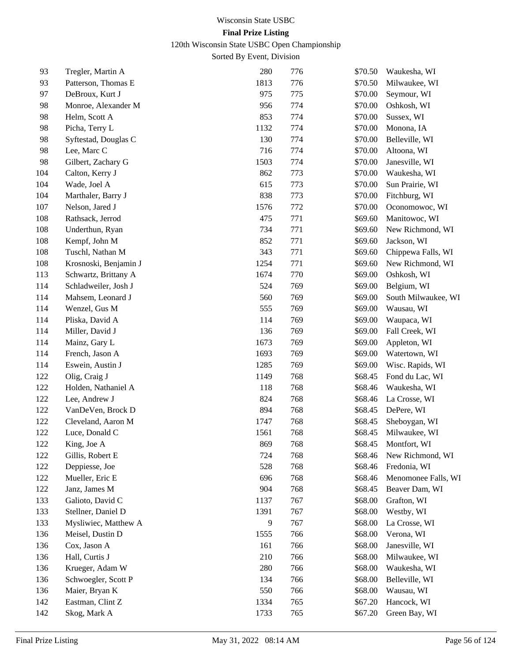120th Wisconsin State USBC Open Championship

| 93  | Tregler, Martin A     | 280            | 776 | \$70.50 | Waukesha, WI        |
|-----|-----------------------|----------------|-----|---------|---------------------|
| 93  | Patterson, Thomas E   | 1813           | 776 | \$70.50 | Milwaukee, WI       |
| 97  | DeBroux, Kurt J       | 975            | 775 | \$70.00 | Seymour, WI         |
| 98  | Monroe, Alexander M   | 956            | 774 | \$70.00 | Oshkosh, WI         |
| 98  | Helm, Scott A         | 853            | 774 | \$70.00 | Sussex, WI          |
| 98  | Picha, Terry L        | 1132           | 774 | \$70.00 | Monona, IA          |
| 98  | Syftestad, Douglas C  | 130            | 774 | \$70.00 | Belleville, WI      |
| 98  | Lee, Marc C           | 716            | 774 | \$70.00 | Altoona, WI         |
| 98  | Gilbert, Zachary G    | 1503           | 774 | \$70.00 | Janesville, WI      |
| 104 | Calton, Kerry J       | 862            | 773 | \$70.00 | Waukesha, WI        |
| 104 | Wade, Joel A          | 615            | 773 | \$70.00 | Sun Prairie, WI     |
| 104 | Marthaler, Barry J    | 838            | 773 | \$70.00 | Fitchburg, WI       |
| 107 | Nelson, Jared J       | 1576           | 772 | \$70.00 | Oconomowoc, WI      |
| 108 | Rathsack, Jerrod      | 475            | 771 | \$69.60 | Manitowoc, WI       |
| 108 | Underthun, Ryan       | 734            | 771 | \$69.60 | New Richmond, WI    |
| 108 | Kempf, John M         | 852            | 771 | \$69.60 | Jackson, WI         |
| 108 | Tuschl, Nathan M      | 343            | 771 | \$69.60 | Chippewa Falls, WI  |
| 108 | Krosnoski, Benjamin J | 1254           | 771 | \$69.60 | New Richmond, WI    |
| 113 | Schwartz, Brittany A  | 1674           | 770 | \$69.00 | Oshkosh, WI         |
| 114 | Schladweiler, Josh J  | 524            | 769 | \$69.00 | Belgium, WI         |
| 114 | Mahsem, Leonard J     | 560            | 769 | \$69.00 | South Milwaukee, WI |
| 114 | Wenzel, Gus M         | 555            | 769 | \$69.00 | Wausau, WI          |
| 114 | Pliska, David A       | 114            | 769 | \$69.00 | Waupaca, WI         |
| 114 | Miller, David J       | 136            | 769 | \$69.00 | Fall Creek, WI      |
| 114 | Mainz, Gary L         | 1673           | 769 | \$69.00 | Appleton, WI        |
| 114 | French, Jason A       | 1693           | 769 | \$69.00 | Watertown, WI       |
| 114 | Eswein, Austin J      | 1285           | 769 | \$69.00 | Wisc. Rapids, WI    |
| 122 | Olig, Craig J         | 1149           | 768 | \$68.45 | Fond du Lac, WI     |
| 122 | Holden, Nathaniel A   | 118            | 768 | \$68.46 | Waukesha, WI        |
| 122 | Lee, Andrew J         | 824            | 768 | \$68.46 | La Crosse, WI       |
| 122 | VanDeVen, Brock D     | 894            | 768 | \$68.45 | DePere, WI          |
| 122 | Cleveland, Aaron M    | 1747           | 768 | \$68.45 | Sheboygan, WI       |
| 122 | Luce, Donald C        | 1561           | 768 | \$68.45 | Milwaukee, WI       |
| 122 | King, Joe A           | 869            | 768 | \$68.45 | Montfort, WI        |
| 122 | Gillis, Robert E      | 724            | 768 | \$68.46 | New Richmond, WI    |
| 122 | Deppiesse, Joe        | 528            | 768 | \$68.46 | Fredonia, WI        |
| 122 | Mueller, Eric E       | 696            | 768 | \$68.46 | Menomonee Falls, WI |
| 122 | Janz, James M         | 904            | 768 | \$68.45 | Beaver Dam, WI      |
| 133 | Galioto, David C      | 1137           | 767 | \$68.00 | Grafton, WI         |
| 133 | Stellner, Daniel D    | 1391           | 767 | \$68.00 | Westby, WI          |
| 133 | Mysliwiec, Matthew A  | $\overline{9}$ | 767 | \$68.00 | La Crosse, WI       |
| 136 | Meisel, Dustin D      | 1555           | 766 | \$68.00 | Verona, WI          |
| 136 | Cox, Jason A          | 161            | 766 | \$68.00 | Janesville, WI      |
| 136 | Hall, Curtis J        | 210            | 766 | \$68.00 | Milwaukee, WI       |
| 136 | Krueger, Adam W       | 280            | 766 | \$68.00 | Waukesha, WI        |
| 136 | Schwoegler, Scott P   | 134            | 766 | \$68.00 | Belleville, WI      |
| 136 | Maier, Bryan K        | 550            | 766 | \$68.00 | Wausau, WI          |
| 142 | Eastman, Clint Z      | 1334           | 765 | \$67.20 | Hancock, WI         |
| 142 | Skog, Mark A          | 1733           | 765 | \$67.20 | Green Bay, WI       |
|     |                       |                |     |         |                     |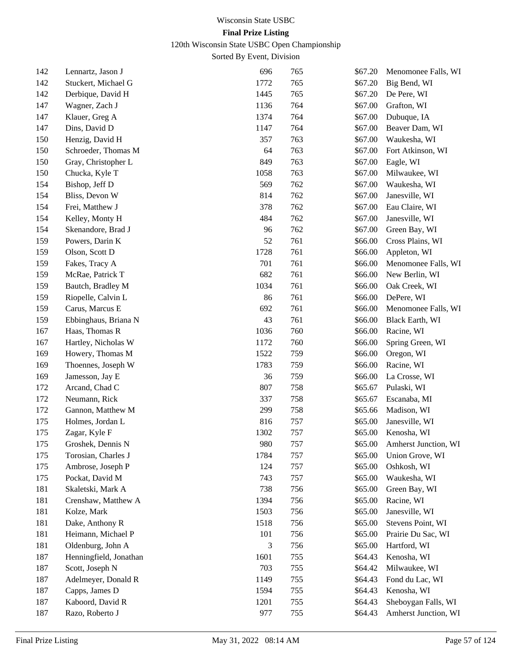120th Wisconsin State USBC Open Championship

| 142 | Lennartz, Jason J      | 696  | 765 | \$67.20 | Menomonee Falls, WI  |
|-----|------------------------|------|-----|---------|----------------------|
| 142 | Stuckert, Michael G    | 1772 | 765 | \$67.20 | Big Bend, WI         |
| 142 | Derbique, David H      | 1445 | 765 | \$67.20 | De Pere, WI          |
| 147 | Wagner, Zach J         | 1136 | 764 | \$67.00 | Grafton, WI          |
| 147 | Klauer, Greg A         | 1374 | 764 | \$67.00 | Dubuque, IA          |
| 147 | Dins, David D          | 1147 | 764 | \$67.00 | Beaver Dam, WI       |
| 150 | Henzig, David H        | 357  | 763 | \$67.00 | Waukesha, WI         |
| 150 | Schroeder, Thomas M    | 64   | 763 | \$67.00 | Fort Atkinson, WI    |
| 150 | Gray, Christopher L    | 849  | 763 | \$67.00 | Eagle, WI            |
| 150 | Chucka, Kyle T         | 1058 | 763 | \$67.00 | Milwaukee, WI        |
| 154 | Bishop, Jeff D         | 569  | 762 | \$67.00 | Waukesha, WI         |
| 154 | Bliss, Devon W         | 814  | 762 | \$67.00 | Janesville, WI       |
| 154 | Frei, Matthew J        | 378  | 762 | \$67.00 | Eau Claire, WI       |
| 154 | Kelley, Monty H        | 484  | 762 | \$67.00 | Janesville, WI       |
| 154 | Skenandore, Brad J     | 96   | 762 | \$67.00 | Green Bay, WI        |
| 159 | Powers, Darin K        | 52   | 761 | \$66.00 | Cross Plains, WI     |
| 159 | Olson, Scott D         | 1728 | 761 | \$66.00 | Appleton, WI         |
| 159 | Fakes, Tracy A         | 701  | 761 | \$66.00 | Menomonee Falls, WI  |
| 159 | McRae, Patrick T       | 682  | 761 | \$66.00 | New Berlin, WI       |
| 159 | Bautch, Bradley M      | 1034 | 761 | \$66.00 | Oak Creek, WI        |
| 159 | Riopelle, Calvin L     | 86   | 761 | \$66.00 | DePere, WI           |
| 159 | Carus, Marcus E        | 692  | 761 | \$66.00 | Menomonee Falls, WI  |
| 159 | Ebbinghaus, Briana N   | 43   | 761 | \$66.00 | Black Earth, WI      |
| 167 | Haas, Thomas R         | 1036 | 760 | \$66.00 | Racine, WI           |
| 167 | Hartley, Nicholas W    | 1172 | 760 | \$66.00 | Spring Green, WI     |
| 169 | Howery, Thomas M       | 1522 | 759 | \$66.00 | Oregon, WI           |
| 169 | Thoennes, Joseph W     | 1783 | 759 | \$66.00 | Racine, WI           |
| 169 | Jamesson, Jay E        | 36   | 759 | \$66.00 | La Crosse, WI        |
| 172 | Arcand, Chad C         | 807  | 758 | \$65.67 | Pulaski, WI          |
| 172 | Neumann, Rick          | 337  | 758 | \$65.67 | Escanaba, MI         |
| 172 | Gannon, Matthew M      | 299  | 758 | \$65.66 | Madison, WI          |
| 175 | Holmes, Jordan L       | 816  | 757 | \$65.00 | Janesville, WI       |
| 175 | Zagar, Kyle F          | 1302 | 757 | \$65.00 | Kenosha, WI          |
| 175 | Groshek, Dennis N      | 980  | 757 | \$65.00 | Amherst Junction, WI |
| 175 | Torosian, Charles J    | 1784 | 757 | \$65.00 | Union Grove, WI      |
| 175 | Ambrose, Joseph P      | 124  | 757 | \$65.00 | Oshkosh, WI          |
| 175 | Pockat, David M        | 743  | 757 | \$65.00 | Waukesha, WI         |
| 181 | Skaletski, Mark A      | 738  | 756 | \$65.00 | Green Bay, WI        |
| 181 | Crenshaw, Matthew A    | 1394 | 756 | \$65.00 | Racine, WI           |
| 181 | Kolze, Mark            | 1503 | 756 | \$65.00 | Janesville, WI       |
| 181 | Dake, Anthony R        | 1518 | 756 | \$65.00 | Stevens Point, WI    |
| 181 | Heimann, Michael P     | 101  | 756 | \$65.00 | Prairie Du Sac, WI   |
| 181 | Oldenburg, John A      | 3    | 756 | \$65.00 | Hartford, WI         |
| 187 | Henningfield, Jonathan | 1601 | 755 | \$64.43 | Kenosha, WI          |
| 187 | Scott, Joseph N        | 703  | 755 | \$64.42 | Milwaukee, WI        |
| 187 | Adelmeyer, Donald R    | 1149 | 755 | \$64.43 | Fond du Lac, WI      |
| 187 | Capps, James D         | 1594 | 755 | \$64.43 | Kenosha, WI          |
| 187 | Kaboord, David R       | 1201 | 755 | \$64.43 | Sheboygan Falls, WI  |
| 187 | Razo, Roberto J        | 977  | 755 | \$64.43 | Amherst Junction, WI |
|     |                        |      |     |         |                      |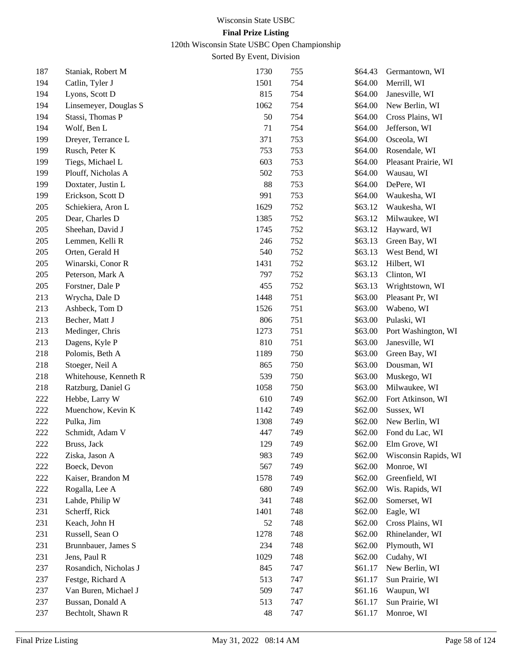120th Wisconsin State USBC Open Championship

| 187 | Staniak, Robert M     | 1730 | 755 | \$64.43 | Germantown, WI       |
|-----|-----------------------|------|-----|---------|----------------------|
| 194 | Catlin, Tyler J       | 1501 | 754 | \$64.00 | Merrill, WI          |
| 194 | Lyons, Scott D        | 815  | 754 | \$64.00 | Janesville, WI       |
| 194 | Linsemeyer, Douglas S | 1062 | 754 | \$64.00 | New Berlin, WI       |
| 194 | Stassi, Thomas P      | 50   | 754 | \$64.00 | Cross Plains, WI     |
| 194 | Wolf, Ben L           | 71   | 754 | \$64.00 | Jefferson, WI        |
| 199 | Dreyer, Terrance L    | 371  | 753 | \$64.00 | Osceola, WI          |
| 199 | Rusch, Peter K        | 753  | 753 | \$64.00 | Rosendale, WI        |
| 199 | Tiegs, Michael L      | 603  | 753 | \$64.00 | Pleasant Prairie, WI |
| 199 | Plouff, Nicholas A    | 502  | 753 | \$64.00 | Wausau, WI           |
| 199 | Doxtater, Justin L    | 88   | 753 | \$64.00 | DePere, WI           |
| 199 | Erickson, Scott D     | 991  | 753 | \$64.00 | Waukesha, WI         |
| 205 | Schiekiera, Aron L    | 1629 | 752 | \$63.12 | Waukesha, WI         |
| 205 | Dear, Charles D       | 1385 | 752 | \$63.12 | Milwaukee, WI        |
| 205 | Sheehan, David J      | 1745 | 752 | \$63.12 | Hayward, WI          |
| 205 | Lemmen, Kelli R       | 246  | 752 | \$63.13 | Green Bay, WI        |
| 205 | Orten, Gerald H       | 540  | 752 | \$63.13 | West Bend, WI        |
| 205 | Winarski, Conor R     | 1431 | 752 | \$63.12 | Hilbert, WI          |
| 205 | Peterson, Mark A      | 797  | 752 | \$63.13 | Clinton, WI          |
| 205 | Forstner, Dale P      | 455  | 752 | \$63.13 | Wrightstown, WI      |
| 213 | Wrycha, Dale D        | 1448 | 751 | \$63.00 | Pleasant Pr, WI      |
| 213 | Ashbeck, Tom D        | 1526 | 751 | \$63.00 | Wabeno, WI           |
| 213 | Becher, Matt J        | 806  | 751 | \$63.00 | Pulaski, WI          |
| 213 | Medinger, Chris       | 1273 | 751 | \$63.00 | Port Washington, WI  |
| 213 | Dagens, Kyle P        | 810  | 751 | \$63.00 | Janesville, WI       |
| 218 | Polomis, Beth A       | 1189 | 750 | \$63.00 | Green Bay, WI        |
| 218 | Stoeger, Neil A       | 865  | 750 | \$63.00 | Dousman, WI          |
| 218 | Whitehouse, Kenneth R | 539  | 750 | \$63.00 | Muskego, WI          |
| 218 | Ratzburg, Daniel G    | 1058 | 750 | \$63.00 | Milwaukee, WI        |
| 222 | Hebbe, Larry W        | 610  | 749 | \$62.00 | Fort Atkinson, WI    |
| 222 | Muenchow, Kevin K     | 1142 | 749 | \$62.00 | Sussex, WI           |
| 222 | Pulka, Jim            | 1308 | 749 | \$62.00 | New Berlin, WI       |
| 222 | Schmidt, Adam V       | 447  | 749 | \$62.00 | Fond du Lac, WI      |
| 222 | Bruss, Jack           | 129  | 749 | \$62.00 | Elm Grove, WI        |
| 222 | Ziska, Jason A        | 983  | 749 | \$62.00 | Wisconsin Rapids, WI |
| 222 | Boeck, Devon          | 567  | 749 | \$62.00 | Monroe, WI           |
| 222 | Kaiser, Brandon M     | 1578 | 749 | \$62.00 | Greenfield, WI       |
| 222 | Rogalla, Lee A        | 680  | 749 | \$62.00 | Wis. Rapids, WI      |
| 231 | Lahde, Philip W       | 341  | 748 | \$62.00 | Somerset, WI         |
| 231 | Scherff, Rick         | 1401 | 748 | \$62.00 | Eagle, WI            |
| 231 | Keach, John H         | 52   | 748 | \$62.00 | Cross Plains, WI     |
| 231 | Russell, Sean O       | 1278 | 748 | \$62.00 | Rhinelander, WI      |
| 231 | Brunnbauer, James S   | 234  | 748 | \$62.00 | Plymouth, WI         |
| 231 | Jens, Paul R          | 1029 | 748 | \$62.00 | Cudahy, WI           |
| 237 | Rosandich, Nicholas J | 845  | 747 | \$61.17 | New Berlin, WI       |
| 237 | Festge, Richard A     | 513  | 747 | \$61.17 | Sun Prairie, WI      |
| 237 | Van Buren, Michael J  | 509  | 747 | \$61.16 | Waupun, WI           |
| 237 | Bussan, Donald A      | 513  | 747 | \$61.17 | Sun Prairie, WI      |
| 237 | Bechtolt, Shawn R     | 48   | 747 | \$61.17 | Monroe, WI           |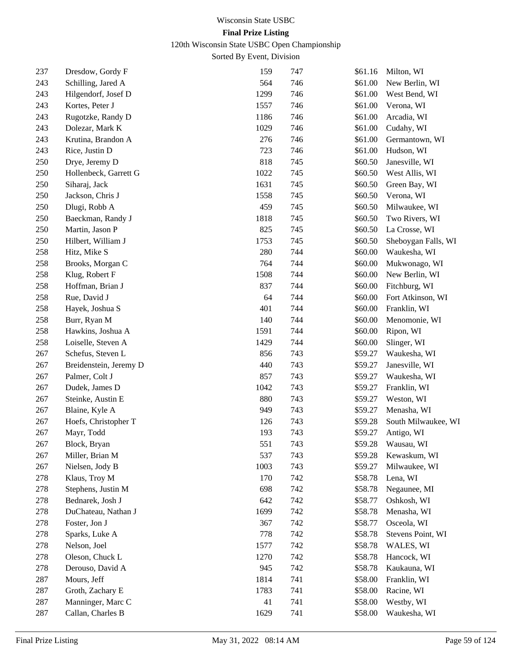120th Wisconsin State USBC Open Championship

| 237 | Dresdow, Gordy F       | 159  | 747 | \$61.16 | Milton, WI          |
|-----|------------------------|------|-----|---------|---------------------|
| 243 | Schilling, Jared A     | 564  | 746 | \$61.00 | New Berlin, WI      |
| 243 | Hilgendorf, Josef D    | 1299 | 746 | \$61.00 | West Bend, WI       |
| 243 | Kortes, Peter J        | 1557 | 746 | \$61.00 | Verona, WI          |
| 243 | Rugotzke, Randy D      | 1186 | 746 | \$61.00 | Arcadia, WI         |
| 243 | Dolezar, Mark K        | 1029 | 746 | \$61.00 | Cudahy, WI          |
| 243 | Krutina, Brandon A     | 276  | 746 | \$61.00 | Germantown, WI      |
| 243 | Rice, Justin D         | 723  | 746 | \$61.00 | Hudson, WI          |
| 250 | Drye, Jeremy D         | 818  | 745 | \$60.50 | Janesville, WI      |
| 250 | Hollenbeck, Garrett G  | 1022 | 745 | \$60.50 | West Allis, WI      |
| 250 | Siharaj, Jack          | 1631 | 745 | \$60.50 | Green Bay, WI       |
| 250 | Jackson, Chris J       | 1558 | 745 | \$60.50 | Verona, WI          |
| 250 | Dlugi, Robb A          | 459  | 745 | \$60.50 | Milwaukee, WI       |
| 250 | Baeckman, Randy J      | 1818 | 745 | \$60.50 | Two Rivers, WI      |
| 250 | Martin, Jason P        | 825  | 745 | \$60.50 | La Crosse, WI       |
| 250 | Hilbert, William J     | 1753 | 745 | \$60.50 | Sheboygan Falls, WI |
| 258 | Hitz, Mike S           | 280  | 744 | \$60.00 | Waukesha, WI        |
| 258 | Brooks, Morgan C       | 764  | 744 | \$60.00 | Mukwonago, WI       |
| 258 | Klug, Robert F         | 1508 | 744 | \$60.00 | New Berlin, WI      |
| 258 | Hoffman, Brian J       | 837  | 744 | \$60.00 | Fitchburg, WI       |
| 258 | Rue, David J           | 64   | 744 | \$60.00 | Fort Atkinson, WI   |
| 258 | Hayek, Joshua S        | 401  | 744 | \$60.00 | Franklin, WI        |
| 258 | Burr, Ryan M           | 140  | 744 | \$60.00 | Menomonie, WI       |
| 258 | Hawkins, Joshua A      | 1591 | 744 | \$60.00 | Ripon, WI           |
| 258 | Loiselle, Steven A     | 1429 | 744 | \$60.00 | Slinger, WI         |
| 267 | Schefus, Steven L      | 856  | 743 | \$59.27 | Waukesha, WI        |
| 267 | Breidenstein, Jeremy D | 440  | 743 | \$59.27 | Janesville, WI      |
| 267 | Palmer, Colt J         | 857  | 743 | \$59.27 | Waukesha, WI        |
| 267 | Dudek, James D         | 1042 | 743 | \$59.27 | Franklin, WI        |
| 267 | Steinke, Austin E      | 880  | 743 | \$59.27 | Weston, WI          |
| 267 | Blaine, Kyle A         | 949  | 743 | \$59.27 | Menasha, WI         |
| 267 | Hoefs, Christopher T   | 126  | 743 | \$59.28 | South Milwaukee, WI |
| 267 | Mayr, Todd             | 193  | 743 | \$59.27 | Antigo, WI          |
| 267 | Block, Bryan           | 551  | 743 | \$59.28 | Wausau, WI          |
| 267 | Miller, Brian M        | 537  | 743 | \$59.28 | Kewaskum, WI        |
| 267 | Nielsen, Jody B        | 1003 | 743 | \$59.27 | Milwaukee, WI       |
| 278 | Klaus, Troy M          | 170  | 742 | \$58.78 | Lena, WI            |
| 278 | Stephens, Justin M     | 698  | 742 | \$58.78 | Negaunee, MI        |
| 278 | Bednarek, Josh J       | 642  | 742 | \$58.77 | Oshkosh, WI         |
| 278 | DuChateau, Nathan J    | 1699 | 742 | \$58.78 | Menasha, WI         |
| 278 | Foster, Jon J          | 367  | 742 | \$58.77 | Osceola, WI         |
| 278 | Sparks, Luke A         | 778  | 742 | \$58.78 | Stevens Point, WI   |
| 278 | Nelson, Joel           | 1577 | 742 | \$58.78 | WALES, WI           |
| 278 | Oleson, Chuck L        | 1270 | 742 | \$58.78 | Hancock, WI         |
| 278 | Derouso, David A       | 945  | 742 | \$58.78 | Kaukauna, WI        |
| 287 | Mours, Jeff            | 1814 | 741 | \$58.00 | Franklin, WI        |
| 287 | Groth, Zachary E       | 1783 | 741 | \$58.00 | Racine, WI          |
| 287 | Manninger, Marc C      | 41   | 741 | \$58.00 | Westby, WI          |
| 287 | Callan, Charles B      | 1629 | 741 | \$58.00 | Waukesha, WI        |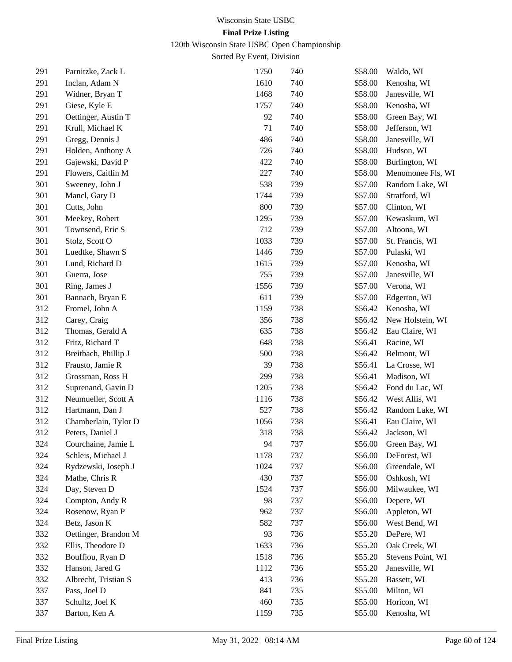120th Wisconsin State USBC Open Championship

| 291 | Parnitzke, Zack L    | 1750 | 740 | \$58.00 | Waldo, WI             |
|-----|----------------------|------|-----|---------|-----------------------|
| 291 | Inclan, Adam N       | 1610 | 740 | \$58.00 | Kenosha, WI           |
| 291 | Widner, Bryan T      | 1468 | 740 | \$58.00 | Janesville, WI        |
| 291 | Giese, Kyle E        | 1757 | 740 | \$58.00 | Kenosha, WI           |
| 291 | Oettinger, Austin T  | 92   | 740 | \$58.00 | Green Bay, WI         |
| 291 | Krull, Michael K     | 71   | 740 | \$58.00 | Jefferson, WI         |
| 291 | Gregg, Dennis J      | 486  | 740 | \$58.00 | Janesville, WI        |
| 291 | Holden, Anthony A    | 726  | 740 | \$58.00 | Hudson, WI            |
| 291 | Gajewski, David P    | 422  | 740 | \$58.00 | Burlington, WI        |
| 291 | Flowers, Caitlin M   | 227  | 740 | \$58.00 | Menomonee Fls, WI     |
| 301 | Sweeney, John J      | 538  | 739 | \$57.00 | Random Lake, WI       |
| 301 | Mancl, Gary D        | 1744 | 739 | \$57.00 | Stratford, WI         |
| 301 | Cutts, John          | 800  | 739 | \$57.00 | Clinton, WI           |
| 301 | Meekey, Robert       | 1295 | 739 | \$57.00 | Kewaskum, WI          |
| 301 | Townsend, Eric S     | 712  | 739 | \$57.00 | Altoona, WI           |
| 301 | Stolz, Scott O       | 1033 | 739 | \$57.00 | St. Francis, WI       |
| 301 | Luedtke, Shawn S     | 1446 | 739 | \$57.00 | Pulaski, WI           |
| 301 | Lund, Richard D      | 1615 | 739 | \$57.00 | Kenosha, WI           |
| 301 | Guerra, Jose         | 755  | 739 | \$57.00 | Janesville, WI        |
| 301 | Ring, James J        | 1556 | 739 | \$57.00 | Verona, WI            |
| 301 | Bannach, Bryan E     | 611  | 739 | \$57.00 | Edgerton, WI          |
| 312 | Fromel, John A       | 1159 | 738 | \$56.42 | Kenosha, WI           |
| 312 | Carey, Craig         | 356  | 738 | \$56.42 | New Holstein, WI      |
| 312 | Thomas, Gerald A     | 635  | 738 | \$56.42 | Eau Claire, WI        |
| 312 | Fritz, Richard T     | 648  | 738 | \$56.41 | Racine, WI            |
| 312 | Breitbach, Phillip J | 500  | 738 | \$56.42 | Belmont, WI           |
| 312 | Frausto, Jamie R     | 39   | 738 | \$56.41 | La Crosse, WI         |
| 312 | Grossman, Ross H     | 299  | 738 | \$56.41 | Madison, WI           |
| 312 | Suprenand, Gavin D   | 1205 | 738 | \$56.42 | Fond du Lac, WI       |
| 312 | Neumueller, Scott A  | 1116 | 738 | \$56.42 | West Allis, WI        |
| 312 | Hartmann, Dan J      | 527  | 738 | \$56.42 | Random Lake, WI       |
| 312 | Chamberlain, Tylor D | 1056 | 738 | \$56.41 | Eau Claire, WI        |
| 312 | Peters, Daniel J     | 318  | 738 | \$56.42 | Jackson, WI           |
| 324 | Courchaine, Jamie L  | 94   | 737 |         | \$56.00 Green Bay, WI |
| 324 | Schleis, Michael J   | 1178 | 737 | \$56.00 | DeForest, WI          |
| 324 | Rydzewski, Joseph J  | 1024 | 737 | \$56.00 | Greendale, WI         |
| 324 | Mathe, Chris R       | 430  | 737 | \$56.00 | Oshkosh, WI           |
| 324 | Day, Steven D        | 1524 | 737 | \$56.00 | Milwaukee, WI         |
| 324 | Compton, Andy R      | 98   | 737 | \$56.00 | Depere, WI            |
| 324 | Rosenow, Ryan P      | 962  | 737 | \$56.00 | Appleton, WI          |
| 324 | Betz, Jason K        | 582  | 737 | \$56.00 | West Bend, WI         |
| 332 | Oettinger, Brandon M | 93   | 736 | \$55.20 | DePere, WI            |
| 332 | Ellis, Theodore D    | 1633 | 736 | \$55.20 | Oak Creek, WI         |
| 332 | Bouffiou, Ryan D     | 1518 | 736 | \$55.20 | Stevens Point, WI     |
| 332 | Hanson, Jared G      | 1112 | 736 | \$55.20 | Janesville, WI        |
| 332 | Albrecht, Tristian S | 413  | 736 | \$55.20 | Bassett, WI           |
| 337 | Pass, Joel D         | 841  | 735 | \$55.00 | Milton, WI            |
| 337 | Schultz, Joel K      | 460  | 735 | \$55.00 | Horicon, WI           |
| 337 | Barton, Ken A        | 1159 | 735 | \$55.00 | Kenosha, WI           |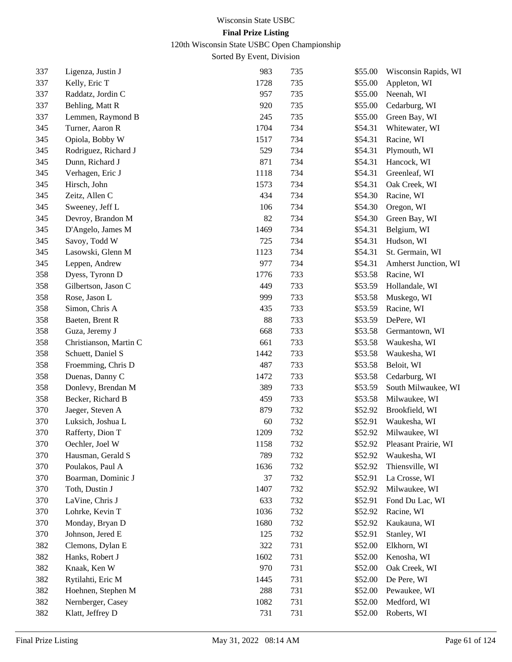120th Wisconsin State USBC Open Championship

| 337 | Ligenza, Justin J      | 983  | 735 | \$55.00 | Wisconsin Rapids, WI |
|-----|------------------------|------|-----|---------|----------------------|
| 337 | Kelly, Eric T          | 1728 | 735 | \$55.00 | Appleton, WI         |
| 337 | Raddatz, Jordin C      | 957  | 735 | \$55.00 | Neenah, WI           |
| 337 | Behling, Matt R        | 920  | 735 | \$55.00 | Cedarburg, WI        |
| 337 | Lemmen, Raymond B      | 245  | 735 | \$55.00 | Green Bay, WI        |
| 345 | Turner, Aaron R        | 1704 | 734 | \$54.31 | Whitewater, WI       |
| 345 | Opiola, Bobby W        | 1517 | 734 | \$54.31 | Racine, WI           |
| 345 | Rodriguez, Richard J   | 529  | 734 | \$54.31 | Plymouth, WI         |
| 345 | Dunn, Richard J        | 871  | 734 | \$54.31 | Hancock, WI          |
| 345 | Verhagen, Eric J       | 1118 | 734 | \$54.31 | Greenleaf, WI        |
| 345 | Hirsch, John           | 1573 | 734 | \$54.31 | Oak Creek, WI        |
| 345 | Zeitz, Allen C         | 434  | 734 | \$54.30 | Racine, WI           |
| 345 | Sweeney, Jeff L        | 106  | 734 | \$54.30 | Oregon, WI           |
| 345 | Devroy, Brandon M      | 82   | 734 | \$54.30 | Green Bay, WI        |
| 345 | D'Angelo, James M      | 1469 | 734 | \$54.31 | Belgium, WI          |
| 345 | Savoy, Todd W          | 725  | 734 | \$54.31 | Hudson, WI           |
| 345 | Lasowski, Glenn M      | 1123 | 734 | \$54.31 | St. Germain, WI      |
| 345 | Leppen, Andrew         | 977  | 734 | \$54.31 | Amherst Junction, WI |
| 358 | Dyess, Tyronn D        | 1776 | 733 | \$53.58 | Racine, WI           |
| 358 | Gilbertson, Jason C    | 449  | 733 | \$53.59 | Hollandale, WI       |
| 358 | Rose, Jason L          | 999  | 733 | \$53.58 | Muskego, WI          |
| 358 | Simon, Chris A         | 435  | 733 | \$53.59 | Racine, WI           |
| 358 | Baeten, Brent R        | 88   | 733 | \$53.59 | DePere, WI           |
| 358 | Guza, Jeremy J         | 668  | 733 | \$53.58 | Germantown, WI       |
| 358 | Christianson, Martin C | 661  | 733 | \$53.58 | Waukesha, WI         |
| 358 | Schuett, Daniel S      | 1442 | 733 | \$53.58 | Waukesha, WI         |
| 358 | Froemming, Chris D     | 487  | 733 | \$53.58 | Beloit, WI           |
| 358 | Duenas, Danny C        | 1472 | 733 | \$53.58 | Cedarburg, WI        |
| 358 | Donlevy, Brendan M     | 389  | 733 | \$53.59 | South Milwaukee, WI  |
| 358 | Becker, Richard B      | 459  | 733 | \$53.58 | Milwaukee, WI        |
| 370 | Jaeger, Steven A       | 879  | 732 | \$52.92 | Brookfield, WI       |
| 370 | Luksich, Joshua L      | 60   | 732 | \$52.91 | Waukesha, WI         |
| 370 | Rafferty, Dion T       | 1209 | 732 | \$52.92 | Milwaukee, WI        |
| 370 | Oechler, Joel W        | 1158 | 732 | \$52.92 | Pleasant Prairie, WI |
| 370 | Hausman, Gerald S      | 789  | 732 | \$52.92 | Waukesha, WI         |
| 370 | Poulakos, Paul A       | 1636 | 732 | \$52.92 | Thiensville, WI      |
| 370 | Boarman, Dominic J     | 37   | 732 | \$52.91 | La Crosse, WI        |
| 370 | Toth, Dustin J         | 1407 | 732 | \$52.92 | Milwaukee, WI        |
| 370 | LaVine, Chris J        | 633  | 732 | \$52.91 | Fond Du Lac, WI      |
| 370 | Lohrke, Kevin T        | 1036 | 732 | \$52.92 | Racine, WI           |
| 370 | Monday, Bryan D        | 1680 | 732 | \$52.92 | Kaukauna, WI         |
| 370 | Johnson, Jered E       | 125  | 732 | \$52.91 | Stanley, WI          |
| 382 | Clemons, Dylan E       | 322  | 731 | \$52.00 | Elkhorn, WI          |
| 382 | Hanks, Robert J        | 1602 | 731 | \$52.00 | Kenosha, WI          |
| 382 | Knaak, Ken W           | 970  | 731 | \$52.00 | Oak Creek, WI        |
| 382 | Rytilahti, Eric M      | 1445 | 731 | \$52.00 | De Pere, WI          |
| 382 | Hoehnen, Stephen M     | 288  | 731 | \$52.00 | Pewaukee, WI         |
| 382 | Nernberger, Casey      | 1082 | 731 | \$52.00 | Medford, WI          |
| 382 | Klatt, Jeffrey D       | 731  | 731 | \$52.00 | Roberts, WI          |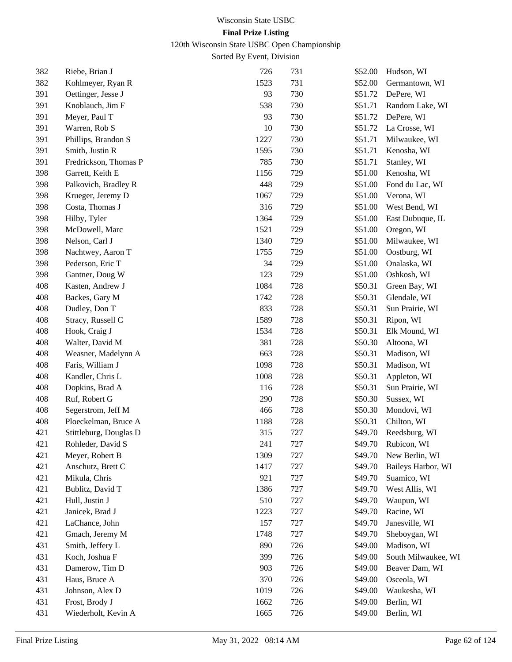120th Wisconsin State USBC Open Championship

| 382 | Riebe, Brian J         | 726  | 731 | \$52.00 | Hudson, WI          |
|-----|------------------------|------|-----|---------|---------------------|
| 382 | Kohlmeyer, Ryan R      | 1523 | 731 | \$52.00 | Germantown, WI      |
| 391 | Oettinger, Jesse J     | 93   | 730 | \$51.72 | DePere, WI          |
| 391 | Knoblauch, Jim F       | 538  | 730 | \$51.71 | Random Lake, WI     |
| 391 | Meyer, Paul T          | 93   | 730 | \$51.72 | DePere, WI          |
| 391 | Warren, Rob S          | 10   | 730 | \$51.72 | La Crosse, WI       |
| 391 | Phillips, Brandon S    | 1227 | 730 | \$51.71 | Milwaukee, WI       |
| 391 | Smith, Justin R        | 1595 | 730 | \$51.71 | Kenosha, WI         |
| 391 | Fredrickson, Thomas P  | 785  | 730 | \$51.71 | Stanley, WI         |
| 398 | Garrett, Keith E       | 1156 | 729 | \$51.00 | Kenosha, WI         |
| 398 | Palkovich, Bradley R   | 448  | 729 | \$51.00 | Fond du Lac, WI     |
| 398 | Krueger, Jeremy D      | 1067 | 729 | \$51.00 | Verona, WI          |
| 398 | Costa, Thomas J        | 316  | 729 | \$51.00 | West Bend, WI       |
| 398 | Hilby, Tyler           | 1364 | 729 | \$51.00 | East Dubuque, IL    |
| 398 | McDowell, Marc         | 1521 | 729 | \$51.00 | Oregon, WI          |
| 398 | Nelson, Carl J         | 1340 | 729 | \$51.00 | Milwaukee, WI       |
| 398 | Nachtwey, Aaron T      | 1755 | 729 | \$51.00 | Oostburg, WI        |
| 398 | Pederson, Eric T       | 34   | 729 | \$51.00 | Onalaska, WI        |
| 398 | Gantner, Doug W        | 123  | 729 | \$51.00 | Oshkosh, WI         |
| 408 | Kasten, Andrew J       | 1084 | 728 | \$50.31 | Green Bay, WI       |
| 408 | Backes, Gary M         | 1742 | 728 | \$50.31 | Glendale, WI        |
| 408 | Dudley, Don T          | 833  | 728 | \$50.31 | Sun Prairie, WI     |
| 408 | Stracy, Russell C      | 1589 | 728 | \$50.31 | Ripon, WI           |
| 408 | Hook, Craig J          | 1534 | 728 | \$50.31 | Elk Mound, WI       |
| 408 | Walter, David M        | 381  | 728 | \$50.30 | Altoona, WI         |
| 408 | Weasner, Madelynn A    | 663  | 728 | \$50.31 | Madison, WI         |
| 408 | Faris, William J       | 1098 | 728 | \$50.31 | Madison, WI         |
| 408 | Kandler, Chris L       | 1008 | 728 | \$50.31 | Appleton, WI        |
| 408 | Dopkins, Brad A        | 116  | 728 | \$50.31 | Sun Prairie, WI     |
| 408 | Ruf, Robert G          | 290  | 728 | \$50.30 | Sussex, WI          |
| 408 | Segerstrom, Jeff M     | 466  | 728 | \$50.30 | Mondovi, WI         |
| 408 | Ploeckelman, Bruce A   | 1188 | 728 | \$50.31 | Chilton, WI         |
| 421 | Stittleburg, Douglas D | 315  | 727 | \$49.70 | Reedsburg, WI       |
| 421 | Rohleder, David S      | 241  | 727 | \$49.70 | Rubicon, WI         |
| 421 | Meyer, Robert B        | 1309 | 727 | \$49.70 | New Berlin, WI      |
| 421 | Anschutz, Brett C      | 1417 | 727 | \$49.70 | Baileys Harbor, WI  |
| 421 | Mikula, Chris          | 921  | 727 | \$49.70 | Suamico, WI         |
| 421 | Bublitz, David T       | 1386 | 727 | \$49.70 | West Allis, WI      |
| 421 | Hull, Justin J         | 510  | 727 | \$49.70 | Waupun, WI          |
| 421 | Janicek, Brad J        | 1223 | 727 | \$49.70 | Racine, WI          |
| 421 | LaChance, John         | 157  | 727 | \$49.70 | Janesville, WI      |
| 421 | Gmach, Jeremy M        | 1748 | 727 | \$49.70 | Sheboygan, WI       |
| 431 | Smith, Jeffery L       | 890  | 726 | \$49.00 | Madison, WI         |
| 431 | Koch, Joshua F         | 399  | 726 | \$49.00 | South Milwaukee, WI |
| 431 | Damerow, Tim D         | 903  | 726 | \$49.00 | Beaver Dam, WI      |
| 431 | Haus, Bruce A          | 370  | 726 | \$49.00 | Osceola, WI         |
| 431 | Johnson, Alex D        | 1019 | 726 | \$49.00 | Waukesha, WI        |
| 431 | Frost, Brody J         | 1662 | 726 | \$49.00 | Berlin, WI          |
| 431 | Wiederholt, Kevin A    | 1665 | 726 | \$49.00 | Berlin, WI          |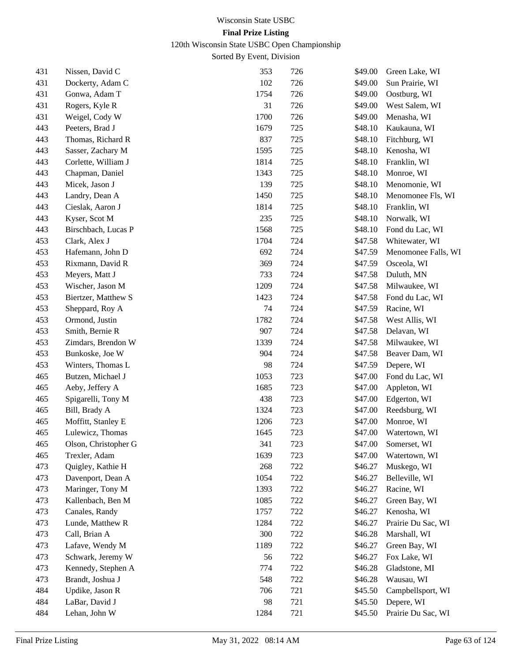120th Wisconsin State USBC Open Championship

| 431 | Nissen, David C      | 353  | 726 | \$49.00 | Green Lake, WI      |
|-----|----------------------|------|-----|---------|---------------------|
| 431 | Dockerty, Adam C     | 102  | 726 | \$49.00 | Sun Prairie, WI     |
| 431 | Gonwa, Adam T        | 1754 | 726 | \$49.00 | Oostburg, WI        |
| 431 | Rogers, Kyle R       | 31   | 726 | \$49.00 | West Salem, WI      |
| 431 | Weigel, Cody W       | 1700 | 726 | \$49.00 | Menasha, WI         |
| 443 | Peeters, Brad J      | 1679 | 725 | \$48.10 | Kaukauna, WI        |
| 443 | Thomas, Richard R    | 837  | 725 | \$48.10 | Fitchburg, WI       |
| 443 | Sasser, Zachary M    | 1595 | 725 | \$48.10 | Kenosha, WI         |
| 443 | Corlette, William J  | 1814 | 725 | \$48.10 | Franklin, WI        |
| 443 | Chapman, Daniel      | 1343 | 725 | \$48.10 | Monroe, WI          |
| 443 | Micek, Jason J       | 139  | 725 | \$48.10 | Menomonie, WI       |
| 443 | Landry, Dean A       | 1450 | 725 | \$48.10 | Menomonee Fls, WI   |
| 443 | Cieslak, Aaron J     | 1814 | 725 | \$48.10 | Franklin, WI        |
| 443 | Kyser, Scot M        | 235  | 725 | \$48.10 | Norwalk, WI         |
| 443 | Birschbach, Lucas P  | 1568 | 725 | \$48.10 | Fond du Lac, WI     |
| 453 | Clark, Alex J        | 1704 | 724 | \$47.58 | Whitewater, WI      |
| 453 | Hafemann, John D     | 692  | 724 | \$47.59 | Menomonee Falls, WI |
| 453 | Rixmann, David R     | 369  | 724 | \$47.59 | Osceola, WI         |
| 453 | Meyers, Matt J       | 733  | 724 | \$47.58 | Duluth, MN          |
| 453 | Wischer, Jason M     | 1209 | 724 | \$47.58 | Milwaukee, WI       |
| 453 | Biertzer, Matthew S  | 1423 | 724 | \$47.58 | Fond du Lac, WI     |
| 453 | Sheppard, Roy A      | 74   | 724 | \$47.59 | Racine, WI          |
| 453 | Ormond, Justin       | 1782 | 724 | \$47.58 | West Allis, WI      |
| 453 | Smith, Bernie R      | 907  | 724 | \$47.58 | Delavan, WI         |
| 453 | Zimdars, Brendon W   | 1339 | 724 | \$47.58 | Milwaukee, WI       |
| 453 | Bunkoske, Joe W      | 904  | 724 | \$47.58 | Beaver Dam, WI      |
| 453 | Winters, Thomas L    | 98   | 724 | \$47.59 | Depere, WI          |
| 465 | Butzen, Michael J    | 1053 | 723 | \$47.00 | Fond du Lac, WI     |
| 465 | Aeby, Jeffery A      | 1685 | 723 | \$47.00 | Appleton, WI        |
| 465 | Spigarelli, Tony M   | 438  | 723 | \$47.00 | Edgerton, WI        |
| 465 | Bill, Brady A        | 1324 | 723 | \$47.00 | Reedsburg, WI       |
| 465 | Moffitt, Stanley E   | 1206 | 723 | \$47.00 | Monroe, WI          |
| 465 | Lulewicz, Thomas     | 1645 | 723 | \$47.00 | Watertown, WI       |
| 465 | Olson, Christopher G | 341  | 723 | \$47.00 | Somerset, WI        |
| 465 | Trexler, Adam        | 1639 | 723 | \$47.00 | Watertown, WI       |
| 473 | Quigley, Kathie H    | 268  | 722 | \$46.27 | Muskego, WI         |
| 473 | Davenport, Dean A    | 1054 | 722 | \$46.27 | Belleville, WI      |
| 473 | Maringer, Tony M     | 1393 | 722 | \$46.27 | Racine, WI          |
| 473 | Kallenbach, Ben M    | 1085 | 722 | \$46.27 | Green Bay, WI       |
| 473 | Canales, Randy       | 1757 | 722 | \$46.27 | Kenosha, WI         |
| 473 | Lunde, Matthew R     | 1284 | 722 | \$46.27 | Prairie Du Sac, WI  |
| 473 | Call, Brian A        | 300  | 722 | \$46.28 | Marshall, WI        |
| 473 | Lafave, Wendy M      | 1189 | 722 | \$46.27 | Green Bay, WI       |
| 473 | Schwark, Jeremy W    | 56   | 722 | \$46.27 | Fox Lake, WI        |
| 473 | Kennedy, Stephen A   | 774  | 722 | \$46.28 | Gladstone, MI       |
| 473 | Brandt, Joshua J     | 548  | 722 | \$46.28 | Wausau, WI          |
| 484 | Updike, Jason R      | 706  | 721 | \$45.50 | Campbellsport, WI   |
| 484 | LaBar, David J       | 98   | 721 | \$45.50 | Depere, WI          |
| 484 | Lehan, John W        | 1284 | 721 | \$45.50 | Prairie Du Sac, WI  |
|     |                      |      |     |         |                     |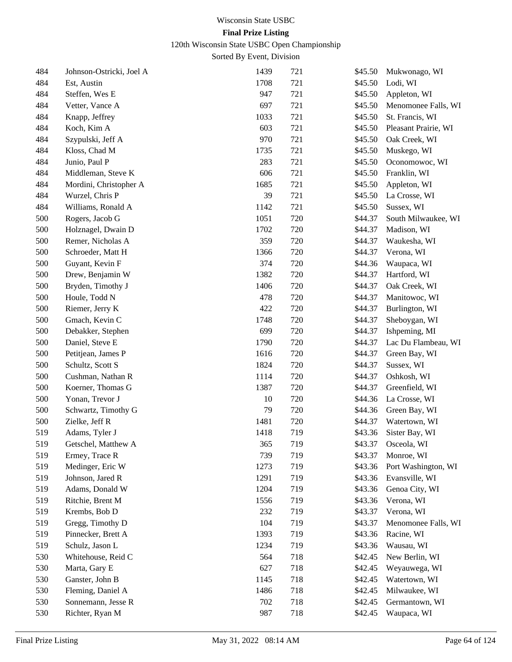120th Wisconsin State USBC Open Championship

| 484 | Johnson-Ostricki, Joel A | 1439 | 721 | \$45.50 | Mukwonago, WI        |
|-----|--------------------------|------|-----|---------|----------------------|
| 484 | Est, Austin              | 1708 | 721 | \$45.50 | Lodi, WI             |
| 484 | Steffen, Wes E           | 947  | 721 | \$45.50 | Appleton, WI         |
| 484 | Vetter, Vance A          | 697  | 721 | \$45.50 | Menomonee Falls, WI  |
| 484 | Knapp, Jeffrey           | 1033 | 721 | \$45.50 | St. Francis, WI      |
| 484 | Koch, Kim A              | 603  | 721 | \$45.50 | Pleasant Prairie, WI |
| 484 | Szypulski, Jeff A        | 970  | 721 | \$45.50 | Oak Creek, WI        |
| 484 | Kloss, Chad M            | 1735 | 721 | \$45.50 | Muskego, WI          |
| 484 | Junio, Paul P            | 283  | 721 | \$45.50 | Oconomowoc, WI       |
| 484 | Middleman, Steve K       | 606  | 721 | \$45.50 | Franklin, WI         |
| 484 | Mordini, Christopher A   | 1685 | 721 | \$45.50 | Appleton, WI         |
| 484 | Wurzel, Chris P          | 39   | 721 | \$45.50 | La Crosse, WI        |
| 484 | Williams, Ronald A       | 1142 | 721 | \$45.50 | Sussex, WI           |
| 500 | Rogers, Jacob G          | 1051 | 720 | \$44.37 | South Milwaukee, WI  |
| 500 | Holznagel, Dwain D       | 1702 | 720 | \$44.37 | Madison, WI          |
| 500 | Remer, Nicholas A        | 359  | 720 | \$44.37 | Waukesha, WI         |
| 500 | Schroeder, Matt H        | 1366 | 720 | \$44.37 | Verona, WI           |
| 500 | Guyant, Kevin F          | 374  | 720 | \$44.36 | Waupaca, WI          |
| 500 | Drew, Benjamin W         | 1382 | 720 | \$44.37 | Hartford, WI         |
| 500 | Bryden, Timothy J        | 1406 | 720 | \$44.37 | Oak Creek, WI        |
| 500 | Houle, Todd N            | 478  | 720 | \$44.37 | Manitowoc, WI        |
| 500 | Riemer, Jerry K          | 422  | 720 | \$44.37 | Burlington, WI       |
| 500 | Gmach, Kevin C           | 1748 | 720 | \$44.37 | Sheboygan, WI        |
| 500 | Debakker, Stephen        | 699  | 720 | \$44.37 | Ishpeming, MI        |
| 500 | Daniel, Steve E          | 1790 | 720 | \$44.37 | Lac Du Flambeau, WI  |
| 500 | Petitjean, James P       | 1616 | 720 | \$44.37 | Green Bay, WI        |
| 500 | Schultz, Scott S         | 1824 | 720 | \$44.37 | Sussex, WI           |
| 500 | Cushman, Nathan R        | 1114 | 720 | \$44.37 | Oshkosh, WI          |
| 500 | Koerner, Thomas G        | 1387 | 720 | \$44.37 | Greenfield, WI       |
| 500 | Yonan, Trevor J          | 10   | 720 | \$44.36 | La Crosse, WI        |
| 500 | Schwartz, Timothy G      | 79   | 720 | \$44.36 | Green Bay, WI        |
| 500 | Zielke, Jeff R           | 1481 | 720 | \$44.37 | Watertown, WI        |
| 519 | Adams, Tyler J           | 1418 | 719 | \$43.36 | Sister Bay, WI       |
| 519 | Getschel, Matthew A      | 365  | 719 | \$43.37 | Osceola, WI          |
| 519 | Ermey, Trace R           | 739  | 719 | \$43.37 | Monroe, WI           |
| 519 | Medinger, Eric W         | 1273 | 719 | \$43.36 | Port Washington, WI  |
| 519 | Johnson, Jared R         | 1291 | 719 | \$43.36 | Evansville, WI       |
| 519 | Adams, Donald W          | 1204 | 719 | \$43.36 | Genoa City, WI       |
| 519 | Ritchie, Brent M         | 1556 | 719 | \$43.36 | Verona, WI           |
| 519 | Krembs, Bob D            | 232  | 719 | \$43.37 | Verona, WI           |
| 519 | Gregg, Timothy D         | 104  | 719 | \$43.37 | Menomonee Falls, WI  |
| 519 | Pinnecker, Brett A       | 1393 | 719 | \$43.36 | Racine, WI           |
| 519 | Schulz, Jason L          | 1234 | 719 | \$43.36 | Wausau, WI           |
| 530 | Whitehouse, Reid C       | 564  | 718 | \$42.45 | New Berlin, WI       |
| 530 | Marta, Gary E            | 627  | 718 | \$42.45 | Weyauwega, WI        |
| 530 | Ganster, John B          | 1145 | 718 | \$42.45 | Watertown, WI        |
| 530 | Fleming, Daniel A        | 1486 | 718 | \$42.45 | Milwaukee, WI        |
| 530 | Sonnemann, Jesse R       | 702  | 718 | \$42.45 | Germantown, WI       |
| 530 | Richter, Ryan M          | 987  | 718 | \$42.45 | Waupaca, WI          |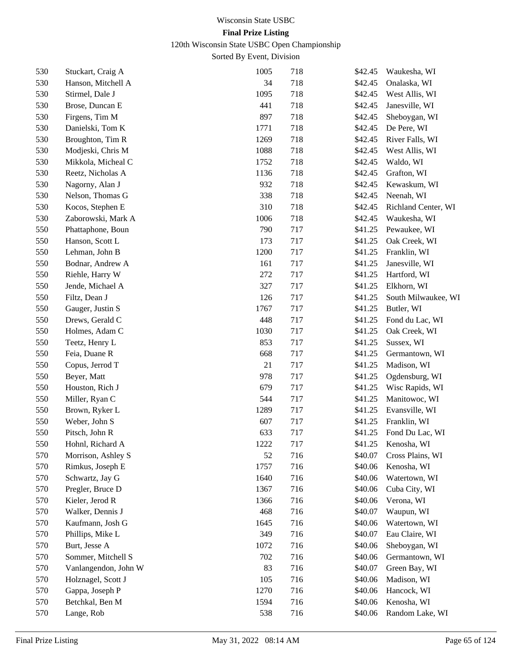120th Wisconsin State USBC Open Championship

| 530 | Stuckart, Craig A    | 1005 | 718 | \$42.45 | Waukesha, WI        |
|-----|----------------------|------|-----|---------|---------------------|
| 530 | Hanson, Mitchell A   | 34   | 718 | \$42.45 | Onalaska, WI        |
| 530 | Stirmel, Dale J      | 1095 | 718 | \$42.45 | West Allis, WI      |
| 530 | Brose, Duncan E      | 441  | 718 | \$42.45 | Janesville, WI      |
| 530 | Firgens, Tim M       | 897  | 718 | \$42.45 | Sheboygan, WI       |
| 530 | Danielski, Tom K     | 1771 | 718 | \$42.45 | De Pere, WI         |
| 530 | Broughton, Tim R     | 1269 | 718 | \$42.45 | River Falls, WI     |
| 530 | Modjeski, Chris M    | 1088 | 718 | \$42.45 | West Allis, WI      |
| 530 | Mikkola, Micheal C   | 1752 | 718 | \$42.45 | Waldo, WI           |
| 530 | Reetz, Nicholas A    | 1136 | 718 | \$42.45 | Grafton, WI         |
| 530 | Nagorny, Alan J      | 932  | 718 | \$42.45 | Kewaskum, WI        |
| 530 | Nelson, Thomas G     | 338  | 718 | \$42.45 | Neenah, WI          |
| 530 | Kocos, Stephen E     | 310  | 718 | \$42.45 | Richland Center, WI |
| 530 | Zaborowski, Mark A   | 1006 | 718 | \$42.45 | Waukesha, WI        |
| 550 | Phattaphone, Boun    | 790  | 717 | \$41.25 | Pewaukee, WI        |
| 550 | Hanson, Scott L      | 173  | 717 | \$41.25 | Oak Creek, WI       |
| 550 | Lehman, John B       | 1200 | 717 | \$41.25 | Franklin, WI        |
| 550 | Bodnar, Andrew A     | 161  | 717 | \$41.25 | Janesville, WI      |
| 550 | Riehle, Harry W      | 272  | 717 | \$41.25 | Hartford, WI        |
| 550 | Jende, Michael A     | 327  | 717 | \$41.25 | Elkhorn, WI         |
| 550 | Filtz, Dean J        | 126  | 717 | \$41.25 | South Milwaukee, WI |
| 550 | Gauger, Justin S     | 1767 | 717 | \$41.25 | Butler, WI          |
| 550 | Drews, Gerald C      | 448  | 717 | \$41.25 | Fond du Lac, WI     |
| 550 | Holmes, Adam C       | 1030 | 717 | \$41.25 | Oak Creek, WI       |
| 550 | Teetz, Henry L       | 853  | 717 | \$41.25 | Sussex, WI          |
| 550 | Feia, Duane R        | 668  | 717 | \$41.25 | Germantown, WI      |
| 550 | Copus, Jerrod T      | 21   | 717 | \$41.25 | Madison, WI         |
| 550 | Beyer, Matt          | 978  | 717 | \$41.25 | Ogdensburg, WI      |
| 550 | Houston, Rich J      | 679  | 717 | \$41.25 | Wisc Rapids, WI     |
| 550 | Miller, Ryan C       | 544  | 717 | \$41.25 | Manitowoc, WI       |
| 550 | Brown, Ryker L       | 1289 | 717 | \$41.25 | Evansville, WI      |
| 550 | Weber, John S        | 607  | 717 | \$41.25 | Franklin, WI        |
| 550 | Pitsch, John R       | 633  | 717 | \$41.25 | Fond Du Lac, WI     |
| 550 | Hohnl, Richard A     | 1222 | 717 | \$41.25 | Kenosha, WI         |
| 570 | Morrison, Ashley S   | 52   | 716 | \$40.07 | Cross Plains, WI    |
| 570 | Rimkus, Joseph E     | 1757 | 716 | \$40.06 | Kenosha, WI         |
| 570 | Schwartz, Jay G      | 1640 | 716 | \$40.06 | Watertown, WI       |
| 570 | Pregler, Bruce D     | 1367 | 716 | \$40.06 | Cuba City, WI       |
| 570 | Kieler, Jerod R      | 1366 | 716 | \$40.06 | Verona, WI          |
| 570 | Walker, Dennis J     | 468  | 716 | \$40.07 | Waupun, WI          |
| 570 | Kaufmann, Josh G     | 1645 | 716 | \$40.06 | Watertown, WI       |
| 570 | Phillips, Mike L     | 349  | 716 | \$40.07 | Eau Claire, WI      |
| 570 | Burt, Jesse A        | 1072 | 716 | \$40.06 | Sheboygan, WI       |
| 570 | Sommer, Mitchell S   | 702  | 716 | \$40.06 | Germantown, WI      |
| 570 | Vanlangendon, John W | 83   | 716 | \$40.07 | Green Bay, WI       |
| 570 | Holznagel, Scott J   | 105  | 716 | \$40.06 | Madison, WI         |
| 570 | Gappa, Joseph P      | 1270 | 716 | \$40.06 | Hancock, WI         |
| 570 | Betchkal, Ben M      | 1594 | 716 | \$40.06 | Kenosha, WI         |
| 570 | Lange, Rob           | 538  | 716 | \$40.06 | Random Lake, WI     |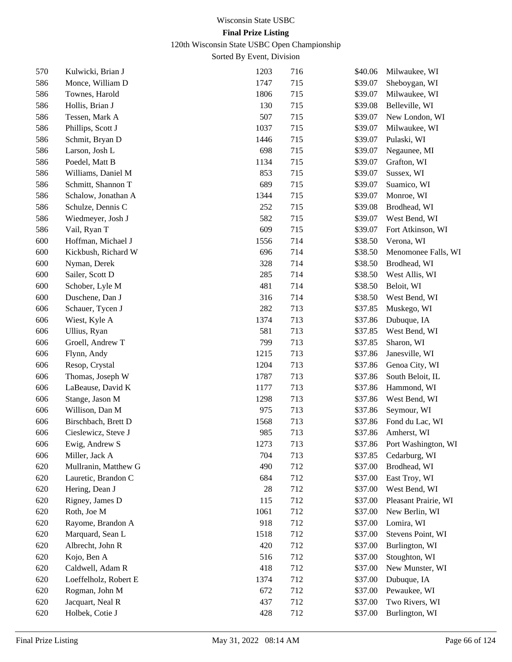120th Wisconsin State USBC Open Championship

| 570 | Kulwicki, Brian J     | 1203 | 716 | \$40.06 | Milwaukee, WI        |
|-----|-----------------------|------|-----|---------|----------------------|
| 586 | Monce, William D      | 1747 | 715 | \$39.07 | Sheboygan, WI        |
| 586 | Townes, Harold        | 1806 | 715 | \$39.07 | Milwaukee, WI        |
| 586 | Hollis, Brian J       | 130  | 715 | \$39.08 | Belleville, WI       |
| 586 | Tessen, Mark A        | 507  | 715 | \$39.07 | New London, WI       |
| 586 | Phillips, Scott J     | 1037 | 715 | \$39.07 | Milwaukee, WI        |
| 586 | Schmit, Bryan D       | 1446 | 715 | \$39.07 | Pulaski, WI          |
| 586 | Larson, Josh L        | 698  | 715 | \$39.07 | Negaunee, MI         |
| 586 | Poedel, Matt B        | 1134 | 715 | \$39.07 | Grafton, WI          |
| 586 | Williams, Daniel M    | 853  | 715 | \$39.07 | Sussex, WI           |
| 586 | Schmitt, Shannon T    | 689  | 715 | \$39.07 | Suamico, WI          |
| 586 | Schalow, Jonathan A   | 1344 | 715 | \$39.07 | Monroe, WI           |
| 586 | Schulze, Dennis C     | 252  | 715 | \$39.08 | Brodhead, WI         |
| 586 | Wiedmeyer, Josh J     | 582  | 715 | \$39.07 | West Bend, WI        |
| 586 | Vail, Ryan T          | 609  | 715 | \$39.07 | Fort Atkinson, WI    |
| 600 | Hoffman, Michael J    | 1556 | 714 | \$38.50 | Verona, WI           |
| 600 | Kickbush, Richard W   | 696  | 714 | \$38.50 | Menomonee Falls, WI  |
| 600 | Nyman, Derek          | 328  | 714 | \$38.50 | Brodhead, WI         |
| 600 | Sailer, Scott D       | 285  | 714 | \$38.50 | West Allis, WI       |
| 600 | Schober, Lyle M       | 481  | 714 | \$38.50 | Beloit, WI           |
| 600 | Duschene, Dan J       | 316  | 714 | \$38.50 | West Bend, WI        |
| 606 | Schauer, Tycen J      | 282  | 713 | \$37.85 | Muskego, WI          |
| 606 | Wiest, Kyle A         | 1374 | 713 | \$37.86 | Dubuque, IA          |
| 606 | Ullius, Ryan          | 581  | 713 | \$37.85 | West Bend, WI        |
| 606 | Groell, Andrew T      | 799  | 713 | \$37.85 | Sharon, WI           |
| 606 | Flynn, Andy           | 1215 | 713 | \$37.86 | Janesville, WI       |
| 606 | Resop, Crystal        | 1204 | 713 | \$37.86 | Genoa City, WI       |
| 606 | Thomas, Joseph W      | 1787 | 713 | \$37.86 | South Beloit, IL     |
| 606 | LaBeause, David K     | 1177 | 713 | \$37.86 | Hammond, WI          |
| 606 | Stange, Jason M       | 1298 | 713 | \$37.86 | West Bend, WI        |
| 606 | Willison, Dan M       | 975  | 713 | \$37.86 | Seymour, WI          |
| 606 | Birschbach, Brett D   | 1568 | 713 | \$37.86 | Fond du Lac, WI      |
| 606 | Cieslewicz, Steve J   | 985  | 713 | \$37.86 | Amherst, WI          |
| 606 | Ewig, Andrew S        | 1273 | 713 | \$37.86 | Port Washington, WI  |
| 606 | Miller, Jack A        | 704  | 713 | \$37.85 | Cedarburg, WI        |
| 620 | Mullranin, Matthew G  | 490  | 712 | \$37.00 | Brodhead, WI         |
| 620 | Lauretic, Brandon C   | 684  | 712 | \$37.00 | East Troy, WI        |
| 620 | Hering, Dean J        | 28   | 712 | \$37.00 | West Bend, WI        |
| 620 | Rigney, James D       | 115  | 712 | \$37.00 | Pleasant Prairie, WI |
| 620 | Roth, Joe M           | 1061 | 712 | \$37.00 | New Berlin, WI       |
| 620 | Rayome, Brandon A     | 918  | 712 | \$37.00 | Lomira, WI           |
| 620 | Marquard, Sean L      | 1518 | 712 | \$37.00 | Stevens Point, WI    |
| 620 | Albrecht, John R      | 420  | 712 | \$37.00 | Burlington, WI       |
| 620 | Kojo, Ben A           | 516  | 712 | \$37.00 | Stoughton, WI        |
| 620 | Caldwell, Adam R      | 418  | 712 | \$37.00 | New Munster, WI      |
| 620 | Loeffelholz, Robert E | 1374 | 712 | \$37.00 | Dubuque, IA          |
| 620 | Rogman, John M        | 672  | 712 | \$37.00 | Pewaukee, WI         |
| 620 | Jacquart, Neal R      | 437  | 712 | \$37.00 | Two Rivers, WI       |
| 620 | Holbek, Cotie J       | 428  | 712 | \$37.00 | Burlington, WI       |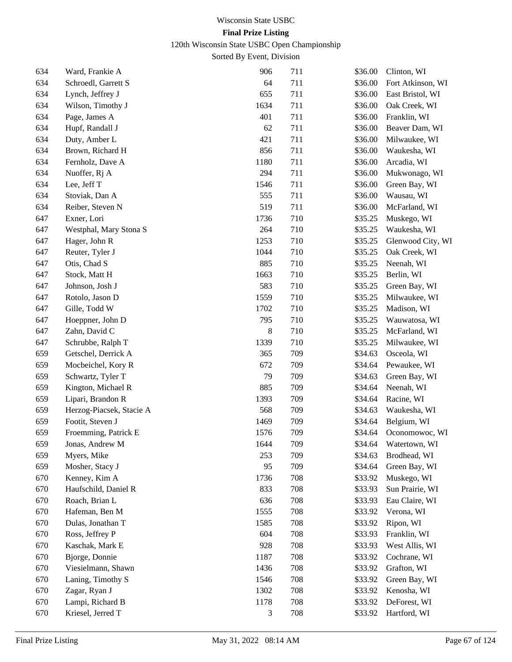120th Wisconsin State USBC Open Championship

| 634 | Ward, Frankie A          | 906  | 711 | \$36.00 | Clinton, WI       |
|-----|--------------------------|------|-----|---------|-------------------|
| 634 | Schroedl, Garrett S      | 64   | 711 | \$36.00 | Fort Atkinson, WI |
| 634 | Lynch, Jeffrey J         | 655  | 711 | \$36.00 | East Bristol, WI  |
| 634 | Wilson, Timothy J        | 1634 | 711 | \$36.00 | Oak Creek, WI     |
| 634 | Page, James A            | 401  | 711 | \$36.00 | Franklin, WI      |
| 634 | Hupf, Randall J          | 62   | 711 | \$36.00 | Beaver Dam, WI    |
| 634 | Duty, Amber L            | 421  | 711 | \$36.00 | Milwaukee, WI     |
| 634 | Brown, Richard H         | 856  | 711 | \$36.00 | Waukesha, WI      |
| 634 | Fernholz, Dave A         | 1180 | 711 | \$36.00 | Arcadia, WI       |
| 634 | Nuoffer, Rj A            | 294  | 711 | \$36.00 | Mukwonago, WI     |
| 634 | Lee, Jeff T              | 1546 | 711 | \$36.00 | Green Bay, WI     |
| 634 | Stoviak, Dan A           | 555  | 711 | \$36.00 | Wausau, WI        |
| 634 | Reiber, Steven N         | 519  | 711 | \$36.00 | McFarland, WI     |
| 647 | Exner, Lori              | 1736 | 710 | \$35.25 | Muskego, WI       |
| 647 | Westphal, Mary Stona S   | 264  | 710 | \$35.25 | Waukesha, WI      |
| 647 | Hager, John R            | 1253 | 710 | \$35.25 | Glenwood City, WI |
| 647 | Reuter, Tyler J          | 1044 | 710 | \$35.25 | Oak Creek, WI     |
| 647 | Otis, Chad S             | 885  | 710 | \$35.25 | Neenah, WI        |
| 647 | Stock, Matt H            | 1663 | 710 | \$35.25 | Berlin, WI        |
| 647 | Johnson, Josh J          | 583  | 710 | \$35.25 | Green Bay, WI     |
| 647 | Rotolo, Jason D          | 1559 | 710 | \$35.25 | Milwaukee, WI     |
| 647 | Gille, Todd W            | 1702 | 710 | \$35.25 | Madison, WI       |
| 647 | Hoeppner, John D         | 795  | 710 | \$35.25 | Wauwatosa, WI     |
| 647 | Zahn, David C            | 8    | 710 | \$35.25 | McFarland, WI     |
| 647 | Schrubbe, Ralph T        | 1339 | 710 | \$35.25 | Milwaukee, WI     |
| 659 | Getschel, Derrick A      | 365  | 709 | \$34.63 | Osceola, WI       |
| 659 | Mocbeichel, Kory R       | 672  | 709 | \$34.64 | Pewaukee, WI      |
| 659 | Schwartz, Tyler T        | 79   | 709 | \$34.63 | Green Bay, WI     |
| 659 | Kington, Michael R       | 885  | 709 | \$34.64 | Neenah, WI        |
| 659 | Lipari, Brandon R        | 1393 | 709 | \$34.64 | Racine, WI        |
| 659 | Herzog-Piacsek, Stacie A | 568  | 709 | \$34.63 | Waukesha, WI      |
| 659 | Footit, Steven J         | 1469 | 709 | \$34.64 | Belgium, WI       |
| 659 | Froemming, Patrick E     | 1576 | 709 | \$34.64 | Oconomowoc, WI    |
| 659 | Jonas, Andrew M          | 1644 | 709 | \$34.64 | Watertown, WI     |
| 659 | Myers, Mike              | 253  | 709 | \$34.63 | Brodhead, WI      |
| 659 | Mosher, Stacy J          | 95   | 709 | \$34.64 | Green Bay, WI     |
| 670 | Kenney, Kim A            | 1736 | 708 | \$33.92 | Muskego, WI       |
| 670 | Haufschild, Daniel R     | 833  | 708 | \$33.93 | Sun Prairie, WI   |
| 670 | Roach, Brian L           | 636  | 708 | \$33.93 | Eau Claire, WI    |
| 670 | Hafeman, Ben M           | 1555 | 708 | \$33.92 | Verona, WI        |
| 670 | Dulas, Jonathan T        | 1585 | 708 | \$33.92 | Ripon, WI         |
| 670 | Ross, Jeffrey P          | 604  | 708 | \$33.93 | Franklin, WI      |
| 670 | Kaschak, Mark E          | 928  | 708 | \$33.93 | West Allis, WI    |
| 670 | Bjorge, Donnie           | 1187 | 708 | \$33.92 | Cochrane, WI      |
| 670 | Viesielmann, Shawn       | 1436 | 708 | \$33.92 | Grafton, WI       |
| 670 | Laning, Timothy S        | 1546 | 708 | \$33.92 | Green Bay, WI     |
| 670 | Zagar, Ryan J            | 1302 | 708 | \$33.92 | Kenosha, WI       |
| 670 | Lampi, Richard B         | 1178 | 708 | \$33.92 | DeForest, WI      |
| 670 | Kriesel, Jerred T        | 3    | 708 | \$33.92 | Hartford, WI      |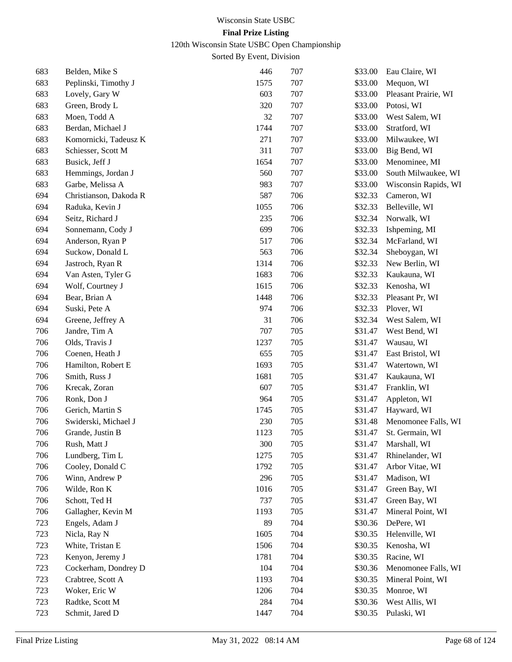120th Wisconsin State USBC Open Championship

| 683 | Belden, Mike S         | 446  | 707 | \$33.00 | Eau Claire, WI       |
|-----|------------------------|------|-----|---------|----------------------|
| 683 | Peplinski, Timothy J   | 1575 | 707 | \$33.00 | Mequon, WI           |
| 683 | Lovely, Gary W         | 603  | 707 | \$33.00 | Pleasant Prairie, WI |
| 683 | Green, Brody L         | 320  | 707 | \$33.00 | Potosi, WI           |
| 683 | Moen, Todd A           | 32   | 707 | \$33.00 | West Salem, WI       |
| 683 | Berdan, Michael J      | 1744 | 707 | \$33.00 | Stratford, WI        |
| 683 | Komornicki, Tadeusz K  | 271  | 707 | \$33.00 | Milwaukee, WI        |
| 683 | Schiesser, Scott M     | 311  | 707 | \$33.00 | Big Bend, WI         |
| 683 | Busick, Jeff J         | 1654 | 707 | \$33.00 | Menominee, MI        |
| 683 | Hemmings, Jordan J     | 560  | 707 | \$33.00 | South Milwaukee, WI  |
| 683 | Garbe, Melissa A       | 983  | 707 | \$33.00 | Wisconsin Rapids, WI |
| 694 | Christianson, Dakoda R | 587  | 706 | \$32.33 | Cameron, WI          |
| 694 | Raduka, Kevin J        | 1055 | 706 | \$32.33 | Belleville, WI       |
| 694 | Seitz, Richard J       | 235  | 706 | \$32.34 | Norwalk, WI          |
| 694 | Sonnemann, Cody J      | 699  | 706 | \$32.33 | Ishpeming, MI        |
| 694 | Anderson, Ryan P       | 517  | 706 | \$32.34 | McFarland, WI        |
| 694 | Suckow, Donald L       | 563  | 706 | \$32.34 | Sheboygan, WI        |
| 694 | Jastroch, Ryan R       | 1314 | 706 | \$32.33 | New Berlin, WI       |
| 694 | Van Asten, Tyler G     | 1683 | 706 | \$32.33 | Kaukauna, WI         |
| 694 | Wolf, Courtney J       | 1615 | 706 | \$32.33 | Kenosha, WI          |
| 694 | Bear, Brian A          | 1448 | 706 | \$32.33 | Pleasant Pr, WI      |
| 694 | Suski, Pete A          | 974  | 706 | \$32.33 | Plover, WI           |
| 694 | Greene, Jeffrey A      | 31   | 706 | \$32.34 | West Salem, WI       |
| 706 | Jandre, Tim A          | 707  | 705 | \$31.47 | West Bend, WI        |
| 706 | Olds, Travis J         | 1237 | 705 | \$31.47 | Wausau, WI           |
| 706 | Coenen, Heath J        | 655  | 705 | \$31.47 | East Bristol, WI     |
| 706 | Hamilton, Robert E     | 1693 | 705 | \$31.47 | Watertown, WI        |
| 706 | Smith, Russ J          | 1681 | 705 | \$31.47 | Kaukauna, WI         |
| 706 | Krecak, Zoran          | 607  | 705 | \$31.47 | Franklin, WI         |
| 706 | Ronk, Don J            | 964  | 705 | \$31.47 | Appleton, WI         |
| 706 | Gerich, Martin S       | 1745 | 705 | \$31.47 | Hayward, WI          |
| 706 | Swiderski, Michael J   | 230  | 705 | \$31.48 | Menomonee Falls, WI  |
| 706 | Grande, Justin B       | 1123 | 705 | \$31.47 | St. Germain, WI      |
| 706 | Rush, Matt J           | 300  | 705 | \$31.47 | Marshall, WI         |
| 706 | Lundberg, Tim L        | 1275 | 705 | \$31.47 | Rhinelander, WI      |
| 706 | Cooley, Donald C       | 1792 | 705 | \$31.47 | Arbor Vitae, WI      |
| 706 | Winn, Andrew P         | 296  | 705 | \$31.47 | Madison, WI          |
| 706 | Wilde, Ron K           | 1016 | 705 | \$31.47 | Green Bay, WI        |
| 706 | Schott, Ted H          | 737  | 705 | \$31.47 | Green Bay, WI        |
| 706 | Gallagher, Kevin M     | 1193 | 705 | \$31.47 | Mineral Point, WI    |
| 723 | Engels, Adam J         | 89   | 704 | \$30.36 | DePere, WI           |
| 723 | Nicla, Ray N           | 1605 | 704 | \$30.35 | Helenville, WI       |
| 723 | White, Tristan E       | 1506 | 704 | \$30.35 | Kenosha, WI          |
| 723 | Kenyon, Jeremy J       | 1781 | 704 | \$30.35 | Racine, WI           |
| 723 | Cockerham, Dondrey D   | 104  | 704 | \$30.36 | Menomonee Falls, WI  |
| 723 | Crabtree, Scott A      | 1193 | 704 | \$30.35 | Mineral Point, WI    |
| 723 | Woker, Eric W          | 1206 | 704 | \$30.35 | Monroe, WI           |
| 723 | Radtke, Scott M        | 284  | 704 | \$30.36 | West Allis, WI       |
| 723 | Schmit, Jared D        | 1447 | 704 | \$30.35 | Pulaski, WI          |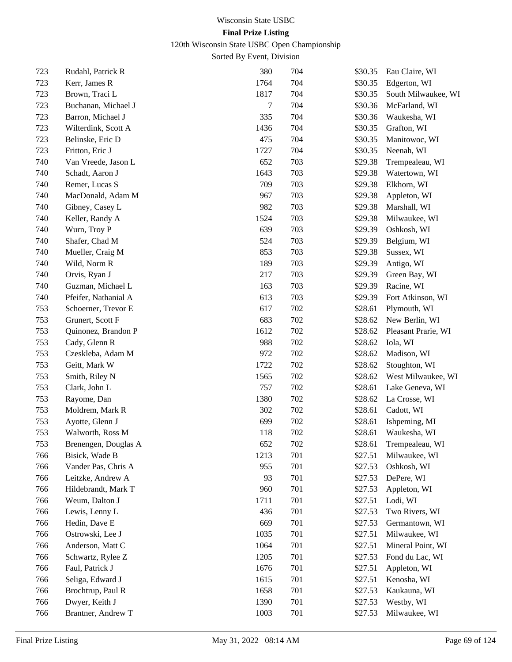120th Wisconsin State USBC Open Championship

| 723 | Rudahl, Patrick R    | 380  | 704 | \$30.35 | Eau Claire, WI      |
|-----|----------------------|------|-----|---------|---------------------|
| 723 | Kerr, James R        | 1764 | 704 | \$30.35 | Edgerton, WI        |
| 723 | Brown, Traci L       | 1817 | 704 | \$30.35 | South Milwaukee, WI |
| 723 | Buchanan, Michael J  | 7    | 704 | \$30.36 | McFarland, WI       |
| 723 | Barron, Michael J    | 335  | 704 | \$30.36 | Waukesha, WI        |
| 723 | Wilterdink, Scott A  | 1436 | 704 | \$30.35 | Grafton, WI         |
| 723 | Belinske, Eric D     | 475  | 704 | \$30.35 | Manitowoc, WI       |
| 723 | Fritton, Eric J      | 1727 | 704 | \$30.35 | Neenah, WI          |
| 740 | Van Vreede, Jason L  | 652  | 703 | \$29.38 | Trempealeau, WI     |
| 740 | Schadt, Aaron J      | 1643 | 703 | \$29.38 | Watertown, WI       |
| 740 | Remer, Lucas S       | 709  | 703 | \$29.38 | Elkhorn, WI         |
| 740 | MacDonald, Adam M    | 967  | 703 | \$29.38 | Appleton, WI        |
| 740 | Gibney, Casey L      | 982  | 703 | \$29.38 | Marshall, WI        |
| 740 | Keller, Randy A      | 1524 | 703 | \$29.38 | Milwaukee, WI       |
| 740 | Wurn, Troy P         | 639  | 703 | \$29.39 | Oshkosh, WI         |
| 740 | Shafer, Chad M       | 524  | 703 | \$29.39 | Belgium, WI         |
| 740 | Mueller, Craig M     | 853  | 703 | \$29.38 | Sussex, WI          |
| 740 | Wild, Norm R         | 189  | 703 | \$29.39 | Antigo, WI          |
| 740 | Orvis, Ryan J        | 217  | 703 | \$29.39 | Green Bay, WI       |
| 740 | Guzman, Michael L    | 163  | 703 | \$29.39 | Racine, WI          |
| 740 | Pfeifer, Nathanial A | 613  | 703 | \$29.39 | Fort Atkinson, WI   |
| 753 | Schoerner, Trevor E  | 617  | 702 | \$28.61 | Plymouth, WI        |
| 753 | Grunert, Scott F     | 683  | 702 | \$28.62 | New Berlin, WI      |
| 753 | Quinonez, Brandon P  | 1612 | 702 | \$28.62 | Pleasant Prarie, WI |
| 753 | Cady, Glenn R        | 988  | 702 | \$28.62 | Iola, WI            |
| 753 | Czeskleba, Adam M    | 972  | 702 | \$28.62 | Madison, WI         |
| 753 | Geitt, Mark W        | 1722 | 702 | \$28.62 | Stoughton, WI       |
| 753 | Smith, Riley N       | 1565 | 702 | \$28.62 | West Milwaukee, WI  |
| 753 | Clark, John L        | 757  | 702 | \$28.61 | Lake Geneva, WI     |
| 753 | Rayome, Dan          | 1380 | 702 | \$28.62 | La Crosse, WI       |
| 753 | Moldrem, Mark R      | 302  | 702 | \$28.61 | Cadott, WI          |
| 753 | Ayotte, Glenn J      | 699  | 702 | \$28.61 | Ishpeming, MI       |
| 753 | Walworth, Ross M     | 118  | 702 | \$28.61 | Waukesha, WI        |
| 753 | Brenengen, Douglas A | 652  | 702 | \$28.61 | Trempealeau, WI     |
| 766 | Bisick, Wade B       | 1213 | 701 | \$27.51 | Milwaukee, WI       |
| 766 | Vander Pas, Chris A  | 955  | 701 | \$27.53 | Oshkosh, WI         |
| 766 | Leitzke, Andrew A    | 93   | 701 | \$27.53 | DePere, WI          |
| 766 | Hildebrandt, Mark T  | 960  | 701 | \$27.53 | Appleton, WI        |
| 766 | Weum, Dalton J       | 1711 | 701 | \$27.51 | Lodi, WI            |
| 766 | Lewis, Lenny L       | 436  | 701 | \$27.53 | Two Rivers, WI      |
| 766 | Hedin, Dave E        | 669  | 701 | \$27.53 | Germantown, WI      |
| 766 | Ostrowski, Lee J     | 1035 | 701 | \$27.51 | Milwaukee, WI       |
| 766 | Anderson, Matt C     | 1064 | 701 | \$27.51 | Mineral Point, WI   |
| 766 | Schwartz, Rylee Z    | 1205 | 701 | \$27.53 | Fond du Lac, WI     |
| 766 | Faul, Patrick J      | 1676 | 701 | \$27.51 | Appleton, WI        |
| 766 | Seliga, Edward J     | 1615 | 701 | \$27.51 | Kenosha, WI         |
| 766 | Brochtrup, Paul R    | 1658 | 701 | \$27.53 | Kaukauna, WI        |
| 766 | Dwyer, Keith J       | 1390 | 701 | \$27.53 | Westby, WI          |
| 766 | Brantner, Andrew T   | 1003 | 701 | \$27.53 | Milwaukee, WI       |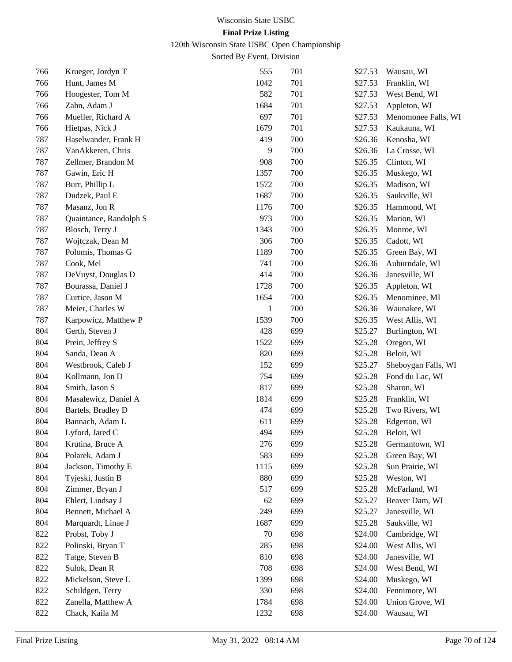120th Wisconsin State USBC Open Championship

| 766 | Krueger, Jordyn T      | 555  | 701 | \$27.53 | Wausau, WI          |
|-----|------------------------|------|-----|---------|---------------------|
| 766 | Hunt, James M          | 1042 | 701 | \$27.53 | Franklin, WI        |
| 766 | Hoogester, Tom M       | 582  | 701 | \$27.53 | West Bend, WI       |
| 766 | Zahn, Adam J           | 1684 | 701 | \$27.53 | Appleton, WI        |
| 766 | Mueller, Richard A     | 697  | 701 | \$27.53 | Menomonee Falls, WI |
| 766 | Hietpas, Nick J        | 1679 | 701 | \$27.53 | Kaukauna, WI        |
| 787 | Haselwander, Frank H   | 419  | 700 | \$26.36 | Kenosha, WI         |
| 787 | VanAkkeren, Chris      | 9    | 700 | \$26.36 | La Crosse, WI       |
| 787 | Zellmer, Brandon M     | 908  | 700 | \$26.35 | Clinton, WI         |
| 787 | Gawin, Eric H          | 1357 | 700 | \$26.35 | Muskego, WI         |
| 787 | Burr, Phillip L        | 1572 | 700 | \$26.35 | Madison, WI         |
| 787 | Dudzek, Paul E         | 1687 | 700 | \$26.35 | Saukville, WI       |
| 787 | Masanz, Jon R          | 1176 | 700 | \$26.35 | Hammond, WI         |
| 787 | Quaintance, Randolph S | 973  | 700 | \$26.35 | Marion, WI          |
| 787 | Blosch, Terry J        | 1343 | 700 | \$26.35 | Monroe, WI          |
| 787 | Wojtczak, Dean M       | 306  | 700 | \$26.35 | Cadott, WI          |
| 787 | Polomis, Thomas G      | 1189 | 700 | \$26.35 | Green Bay, WI       |
| 787 | Cook, Mel              | 741  | 700 | \$26.36 | Auburndale, WI      |
| 787 | DeVuyst, Douglas D     | 414  | 700 | \$26.36 | Janesville, WI      |
| 787 | Bourassa, Daniel J     | 1728 | 700 | \$26.35 | Appleton, WI        |
| 787 | Curtice, Jason M       | 1654 | 700 | \$26.35 | Menominee, MI       |
| 787 | Meier, Charles W       | 1    | 700 | \$26.36 | Waunakee, WI        |
| 787 | Karpowicz, Matthew P   | 1539 | 700 | \$26.35 | West Allis, WI      |
| 804 | Gerth, Steven J        | 428  | 699 | \$25.27 | Burlington, WI      |
| 804 | Prein, Jeffrey S       | 1522 | 699 | \$25.28 | Oregon, WI          |
| 804 | Sanda, Dean A          | 820  | 699 | \$25.28 | Beloit, WI          |
| 804 | Westbrook, Caleb J     | 152  | 699 | \$25.27 | Sheboygan Falls, WI |
| 804 | Kollmann, Jon D        | 754  | 699 | \$25.28 | Fond du Lac, WI     |
| 804 | Smith, Jason S         | 817  | 699 | \$25.28 | Sharon, WI          |
| 804 | Masalewicz, Daniel A   | 1814 | 699 | \$25.28 | Franklin, WI        |
| 804 | Bartels, Bradley D     | 474  | 699 | \$25.28 | Two Rivers, WI      |
| 804 | Bannach, Adam L        | 611  | 699 | \$25.28 | Edgerton, WI        |
| 804 | Lyford, Jared C        | 494  | 699 | \$25.28 | Beloit, WI          |
| 804 | Krutina, Bruce A       | 276  | 699 | \$25.28 | Germantown, WI      |
| 804 | Polarek, Adam J        | 583  | 699 | \$25.28 | Green Bay, WI       |
| 804 | Jackson, Timothy E     | 1115 | 699 | \$25.28 | Sun Prairie, WI     |
| 804 | Tyjeski, Justin B      | 880  | 699 | \$25.28 | Weston, WI          |
| 804 | Zimmer, Bryan J        | 517  | 699 | \$25.28 | McFarland, WI       |
| 804 | Ehlert, Lindsay J      | 62   | 699 | \$25.27 | Beaver Dam, WI      |
| 804 | Bennett, Michael A     | 249  | 699 | \$25.27 | Janesville, WI      |
| 804 | Marquardt, Linae J     | 1687 | 699 | \$25.28 | Saukville, WI       |
| 822 | Probst, Toby J         | 70   | 698 | \$24.00 | Cambridge, WI       |
| 822 | Polinski, Bryan T      | 285  | 698 | \$24.00 | West Allis, WI      |
| 822 | Tatge, Steven B        | 810  | 698 | \$24.00 | Janesville, WI      |
| 822 | Sulok, Dean R          | 708  | 698 | \$24.00 | West Bend, WI       |
| 822 | Mickelson, Steve L     | 1399 | 698 | \$24.00 | Muskego, WI         |
| 822 | Schildgen, Terry       | 330  | 698 | \$24.00 | Fennimore, WI       |
| 822 | Zanella, Matthew A     | 1784 | 698 | \$24.00 | Union Grove, WI     |
| 822 | Chack, Kaila M         | 1232 | 698 | \$24.00 | Wausau, WI          |
|     |                        |      |     |         |                     |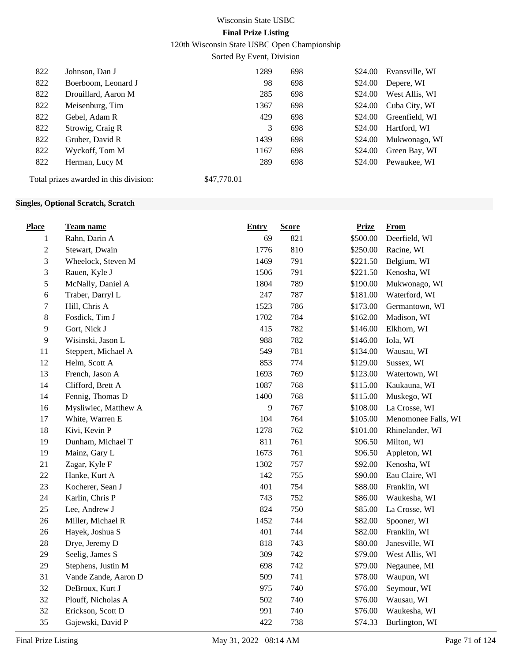120th Wisconsin State USBC Open Championship

Sorted By Event, Division

| 822 | Johnson, Dan J                         | 1289        | 698 | \$24.00 | Evansville, WI |
|-----|----------------------------------------|-------------|-----|---------|----------------|
| 822 | Boerboom, Leonard J                    | 98          | 698 | \$24.00 | Depere, WI     |
| 822 | Drouillard, Aaron M                    | 285         | 698 | \$24.00 | West Allis, WI |
| 822 | Meisenburg, Tim                        | 1367        | 698 | \$24.00 | Cuba City, WI  |
| 822 | Gebel, Adam R                          | 429         | 698 | \$24.00 | Greenfield, WI |
| 822 | Strowig, Craig R                       | 3           | 698 | \$24.00 | Hartford, WI   |
| 822 | Gruber, David R                        | 1439        | 698 | \$24.00 | Mukwonago, WI  |
| 822 | Wyckoff, Tom M                         | 1167        | 698 | \$24.00 | Green Bay, WI  |
| 822 | Herman, Lucy M                         | 289         | 698 | \$24.00 | Pewaukee, WI   |
|     | Total prizes awarded in this division: | \$47,770.01 |     |         |                |

#### **Singles, Optional Scratch, Scratch**

| <b>Place</b>   | <b>Team name</b>     | <b>Entry</b> | <b>Score</b> | <b>Prize</b> | From                |
|----------------|----------------------|--------------|--------------|--------------|---------------------|
| 1              | Rahn, Darin A        | 69           | 821          | \$500.00     | Deerfield, WI       |
| $\overline{2}$ | Stewart, Dwain       | 1776         | 810          | \$250.00     | Racine, WI          |
| 3              | Wheelock, Steven M   | 1469         | 791          | \$221.50     | Belgium, WI         |
| 3              | Rauen, Kyle J        | 1506         | 791          | \$221.50     | Kenosha, WI         |
| 5              | McNally, Daniel A    | 1804         | 789          | \$190.00     | Mukwonago, WI       |
| 6              | Traber, Darryl L     | 247          | 787          | \$181.00     | Waterford, WI       |
| 7              | Hill, Chris A        | 1523         | 786          | \$173.00     | Germantown, WI      |
| $8\,$          | Fosdick, Tim J       | 1702         | 784          | \$162.00     | Madison, WI         |
| 9              | Gort, Nick J         | 415          | 782          | \$146.00     | Elkhorn, WI         |
| 9              | Wisinski, Jason L    | 988          | 782          | \$146.00     | Iola, WI            |
| 11             | Steppert, Michael A  | 549          | 781          | \$134.00     | Wausau, WI          |
| 12             | Helm, Scott A        | 853          | 774          | \$129.00     | Sussex, WI          |
| 13             | French, Jason A      | 1693         | 769          | \$123.00     | Watertown, WI       |
| 14             | Clifford, Brett A    | 1087         | 768          | \$115.00     | Kaukauna, WI        |
| 14             | Fennig, Thomas D     | 1400         | 768          | \$115.00     | Muskego, WI         |
| 16             | Mysliwiec, Matthew A | 9            | 767          | \$108.00     | La Crosse, WI       |
| 17             | White, Warren E      | 104          | 764          | \$105.00     | Menomonee Falls, WI |
| 18             | Kivi, Kevin P        | 1278         | 762          | \$101.00     | Rhinelander, WI     |
| 19             | Dunham, Michael T    | 811          | 761          | \$96.50      | Milton, WI          |
| 19             | Mainz, Gary L        | 1673         | 761          | \$96.50      | Appleton, WI        |
| 21             | Zagar, Kyle F        | 1302         | 757          | \$92.00      | Kenosha, WI         |
| $22\,$         | Hanke, Kurt A        | 142          | 755          | \$90.00      | Eau Claire, WI      |
| 23             | Kocherer, Sean J     | 401          | 754          | \$88.00      | Franklin, WI        |
| 24             | Karlin, Chris P      | 743          | 752          | \$86.00      | Waukesha, WI        |
| 25             | Lee, Andrew J        | 824          | 750          | \$85.00      | La Crosse, WI       |
| 26             | Miller, Michael R    | 1452         | 744          | \$82.00      | Spooner, WI         |
| 26             | Hayek, Joshua S      | 401          | 744          | \$82.00      | Franklin, WI        |
| 28             | Drye, Jeremy D       | 818          | 743          | \$80.00      | Janesville, WI      |
| 29             | Seelig, James S      | 309          | 742          | \$79.00      | West Allis, WI      |
| 29             | Stephens, Justin M   | 698          | 742          | \$79.00      | Negaunee, MI        |
| 31             | Vande Zande, Aaron D | 509          | 741          | \$78.00      | Waupun, WI          |
| 32             | DeBroux, Kurt J      | 975          | 740          | \$76.00      | Seymour, WI         |
| 32             | Plouff, Nicholas A   | 502          | 740          | \$76.00      | Wausau, WI          |
| 32             | Erickson, Scott D    | 991          | 740          | \$76.00      | Waukesha, WI        |
| 35             | Gajewski, David P    | 422          | 738          | \$74.33      | Burlington, WI      |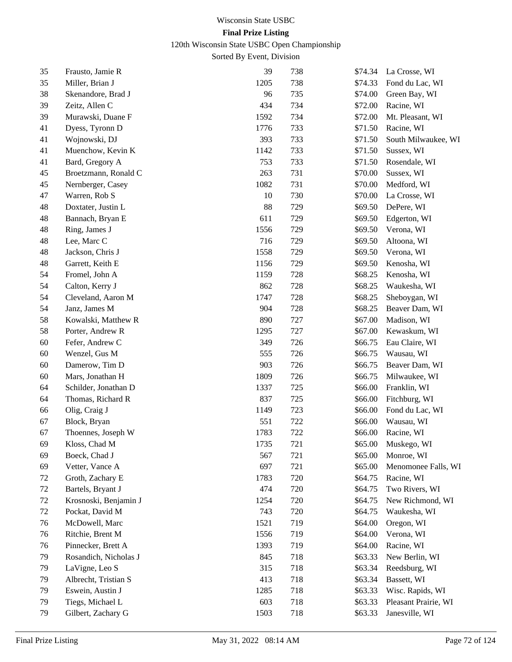120th Wisconsin State USBC Open Championship

| 35 | Frausto, Jamie R      | 39   | 738 | \$74.34 | La Crosse, WI        |
|----|-----------------------|------|-----|---------|----------------------|
| 35 | Miller, Brian J       | 1205 | 738 | \$74.33 | Fond du Lac, WI      |
| 38 | Skenandore, Brad J    | 96   | 735 | \$74.00 | Green Bay, WI        |
| 39 | Zeitz, Allen C        | 434  | 734 | \$72.00 | Racine, WI           |
| 39 | Murawski, Duane F     | 1592 | 734 | \$72.00 | Mt. Pleasant, WI     |
| 41 | Dyess, Tyronn D       | 1776 | 733 | \$71.50 | Racine, WI           |
| 41 | Wojnowski, DJ         | 393  | 733 | \$71.50 | South Milwaukee, WI  |
| 41 | Muenchow, Kevin K     | 1142 | 733 | \$71.50 | Sussex, WI           |
| 41 | Bard, Gregory A       | 753  | 733 | \$71.50 | Rosendale, WI        |
| 45 | Broetzmann, Ronald C  | 263  | 731 | \$70.00 | Sussex, WI           |
| 45 | Nernberger, Casey     | 1082 | 731 | \$70.00 | Medford, WI          |
| 47 | Warren, Rob S         | 10   | 730 | \$70.00 | La Crosse, WI        |
| 48 | Doxtater, Justin L    | 88   | 729 | \$69.50 | DePere, WI           |
| 48 | Bannach, Bryan E      | 611  | 729 | \$69.50 | Edgerton, WI         |
| 48 | Ring, James J         | 1556 | 729 | \$69.50 | Verona, WI           |
| 48 | Lee, Marc C           | 716  | 729 | \$69.50 | Altoona, WI          |
| 48 | Jackson, Chris J      | 1558 | 729 | \$69.50 | Verona, WI           |
| 48 | Garrett, Keith E      | 1156 | 729 | \$69.50 | Kenosha, WI          |
| 54 | Fromel, John A        | 1159 | 728 | \$68.25 | Kenosha, WI          |
| 54 | Calton, Kerry J       | 862  | 728 | \$68.25 | Waukesha, WI         |
| 54 | Cleveland, Aaron M    | 1747 | 728 | \$68.25 | Sheboygan, WI        |
| 54 | Janz, James M         | 904  | 728 | \$68.25 | Beaver Dam, WI       |
| 58 | Kowalski, Matthew R   | 890  | 727 | \$67.00 | Madison, WI          |
| 58 | Porter, Andrew R      | 1295 | 727 | \$67.00 | Kewaskum, WI         |
| 60 | Fefer, Andrew C       | 349  | 726 | \$66.75 | Eau Claire, WI       |
| 60 | Wenzel, Gus M         | 555  | 726 | \$66.75 | Wausau, WI           |
| 60 | Damerow, Tim D        | 903  | 726 | \$66.75 | Beaver Dam, WI       |
| 60 | Mars, Jonathan H      | 1809 | 726 | \$66.75 | Milwaukee, WI        |
| 64 | Schilder, Jonathan D  | 1337 | 725 | \$66.00 | Franklin, WI         |
| 64 | Thomas, Richard R     | 837  | 725 | \$66.00 | Fitchburg, WI        |
| 66 | Olig, Craig J         | 1149 | 723 | \$66.00 | Fond du Lac, WI      |
| 67 | Block, Bryan          | 551  | 722 | \$66.00 | Wausau, WI           |
| 67 | Thoennes, Joseph W    | 1783 | 722 | \$66.00 | Racine, WI           |
| 69 | Kloss, Chad M         | 1735 | 721 | \$65.00 | Muskego, WI          |
| 69 | Boeck, Chad J         | 567  | 721 | \$65.00 | Monroe, WI           |
| 69 | Vetter, Vance A       | 697  | 721 | \$65.00 | Menomonee Falls, WI  |
| 72 | Groth, Zachary E      | 1783 | 720 | \$64.75 | Racine, WI           |
| 72 | Bartels, Bryant J     | 474  | 720 | \$64.75 | Two Rivers, WI       |
| 72 | Krosnoski, Benjamin J | 1254 | 720 | \$64.75 | New Richmond, WI     |
| 72 | Pockat, David M       | 743  | 720 | \$64.75 | Waukesha, WI         |
| 76 | McDowell, Marc        | 1521 | 719 | \$64.00 | Oregon, WI           |
| 76 | Ritchie, Brent M      | 1556 | 719 | \$64.00 | Verona, WI           |
| 76 | Pinnecker, Brett A    | 1393 | 719 | \$64.00 | Racine, WI           |
| 79 | Rosandich, Nicholas J | 845  | 718 | \$63.33 | New Berlin, WI       |
| 79 | LaVigne, Leo S        | 315  | 718 | \$63.34 | Reedsburg, WI        |
| 79 | Albrecht, Tristian S  | 413  | 718 | \$63.34 | Bassett, WI          |
| 79 | Eswein, Austin J      | 1285 | 718 | \$63.33 | Wisc. Rapids, WI     |
| 79 | Tiegs, Michael L      | 603  | 718 | \$63.33 | Pleasant Prairie, WI |
| 79 | Gilbert, Zachary G    | 1503 | 718 | \$63.33 | Janesville, WI       |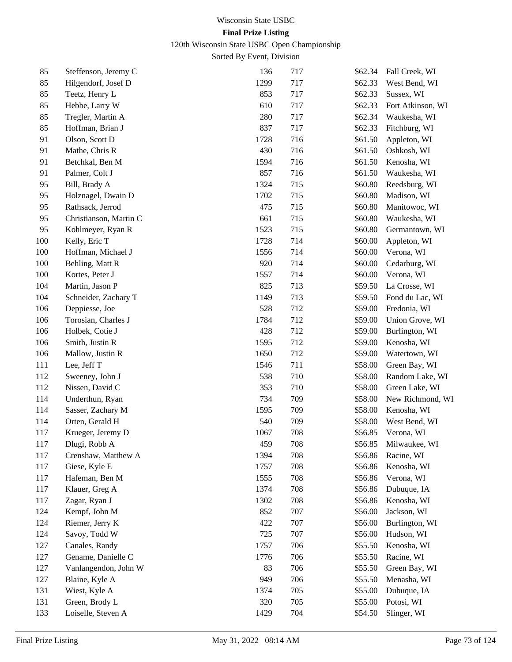120th Wisconsin State USBC Open Championship

| 85  | Steffenson, Jeremy C   | 136  | 717 | \$62.34 | Fall Creek, WI    |
|-----|------------------------|------|-----|---------|-------------------|
| 85  | Hilgendorf, Josef D    | 1299 | 717 | \$62.33 | West Bend, WI     |
| 85  | Teetz, Henry L         | 853  | 717 | \$62.33 | Sussex, WI        |
| 85  | Hebbe, Larry W         | 610  | 717 | \$62.33 | Fort Atkinson, WI |
| 85  | Tregler, Martin A      | 280  | 717 | \$62.34 | Waukesha, WI      |
| 85  | Hoffman, Brian J       | 837  | 717 | \$62.33 | Fitchburg, WI     |
| 91  | Olson, Scott D         | 1728 | 716 | \$61.50 | Appleton, WI      |
| 91  | Mathe, Chris R         | 430  | 716 | \$61.50 | Oshkosh, WI       |
| 91  | Betchkal, Ben M        | 1594 | 716 | \$61.50 | Kenosha, WI       |
| 91  | Palmer, Colt J         | 857  | 716 | \$61.50 | Waukesha, WI      |
| 95  | Bill, Brady A          | 1324 | 715 | \$60.80 | Reedsburg, WI     |
| 95  | Holznagel, Dwain D     | 1702 | 715 | \$60.80 | Madison, WI       |
| 95  | Rathsack, Jerrod       | 475  | 715 | \$60.80 | Manitowoc, WI     |
| 95  | Christianson, Martin C | 661  | 715 | \$60.80 | Waukesha, WI      |
| 95  | Kohlmeyer, Ryan R      | 1523 | 715 | \$60.80 | Germantown, WI    |
| 100 | Kelly, Eric T          | 1728 | 714 | \$60.00 | Appleton, WI      |
| 100 | Hoffman, Michael J     | 1556 | 714 | \$60.00 | Verona, WI        |
| 100 | Behling, Matt R        | 920  | 714 | \$60.00 | Cedarburg, WI     |
| 100 | Kortes, Peter J        | 1557 | 714 | \$60.00 | Verona, WI        |
| 104 | Martin, Jason P        | 825  | 713 | \$59.50 | La Crosse, WI     |
| 104 | Schneider, Zachary T   | 1149 | 713 | \$59.50 | Fond du Lac, WI   |
| 106 | Deppiesse, Joe         | 528  | 712 | \$59.00 | Fredonia, WI      |
| 106 | Torosian, Charles J    | 1784 | 712 | \$59.00 | Union Grove, WI   |
| 106 | Holbek, Cotie J        | 428  | 712 | \$59.00 | Burlington, WI    |
| 106 | Smith, Justin R        | 1595 | 712 | \$59.00 | Kenosha, WI       |
| 106 | Mallow, Justin R       | 1650 | 712 | \$59.00 | Watertown, WI     |
| 111 | Lee, Jeff T            | 1546 | 711 | \$58.00 | Green Bay, WI     |
| 112 | Sweeney, John J        | 538  | 710 | \$58.00 | Random Lake, WI   |
| 112 | Nissen, David C        | 353  | 710 | \$58.00 | Green Lake, WI    |
| 114 | Underthun, Ryan        | 734  | 709 | \$58.00 | New Richmond, WI  |
| 114 | Sasser, Zachary M      | 1595 | 709 | \$58.00 | Kenosha, WI       |
| 114 | Orten, Gerald H        | 540  | 709 | \$58.00 | West Bend, WI     |
| 117 | Krueger, Jeremy D      | 1067 | 708 | \$56.85 | Verona, WI        |
| 117 | Dlugi, Robb A          | 459  | 708 | \$56.85 | Milwaukee, WI     |
| 117 | Crenshaw, Matthew A    | 1394 | 708 | \$56.86 | Racine, WI        |
| 117 | Giese, Kyle E          | 1757 | 708 | \$56.86 | Kenosha, WI       |
| 117 | Hafeman, Ben M         | 1555 | 708 | \$56.86 | Verona, WI        |
| 117 | Klauer, Greg A         | 1374 | 708 | \$56.86 | Dubuque, IA       |
| 117 | Zagar, Ryan J          | 1302 | 708 | \$56.86 | Kenosha, WI       |
| 124 | Kempf, John M          | 852  | 707 | \$56.00 | Jackson, WI       |
| 124 | Riemer, Jerry K        | 422  | 707 | \$56.00 | Burlington, WI    |
| 124 | Savoy, Todd W          | 725  | 707 | \$56.00 | Hudson, WI        |
| 127 | Canales, Randy         | 1757 | 706 | \$55.50 | Kenosha, WI       |
| 127 | Gename, Danielle C     | 1776 | 706 | \$55.50 | Racine, WI        |
| 127 | Vanlangendon, John W   | 83   | 706 | \$55.50 | Green Bay, WI     |
| 127 | Blaine, Kyle A         | 949  | 706 | \$55.50 | Menasha, WI       |
| 131 | Wiest, Kyle A          | 1374 | 705 | \$55.00 | Dubuque, IA       |
| 131 | Green, Brody L         | 320  | 705 | \$55.00 | Potosi, WI        |
| 133 | Loiselle, Steven A     | 1429 | 704 | \$54.50 | Slinger, WI       |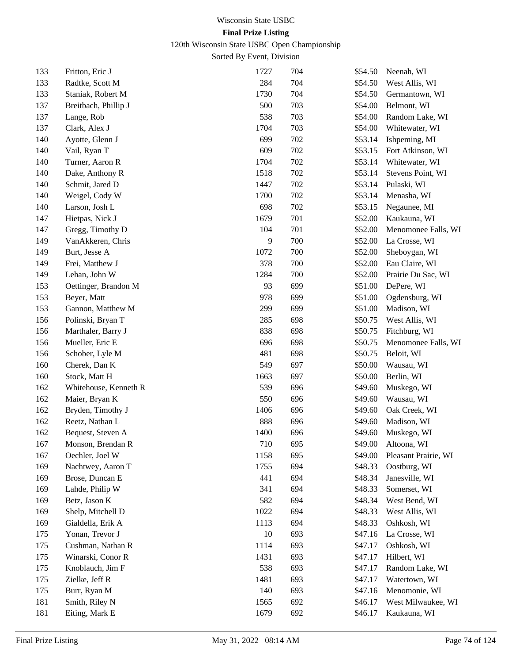120th Wisconsin State USBC Open Championship

| 133 | Fritton, Eric J       | 1727    | 704 | \$54.50 | Neenah, WI           |
|-----|-----------------------|---------|-----|---------|----------------------|
| 133 | Radtke, Scott M       | 284     | 704 | \$54.50 | West Allis, WI       |
| 133 | Staniak, Robert M     | 1730    | 704 | \$54.50 | Germantown, WI       |
| 137 | Breitbach, Phillip J  | 500     | 703 | \$54.00 | Belmont, WI          |
| 137 | Lange, Rob            | 538     | 703 | \$54.00 | Random Lake, WI      |
| 137 | Clark, Alex J         | 1704    | 703 | \$54.00 | Whitewater, WI       |
| 140 | Ayotte, Glenn J       | 699     | 702 | \$53.14 | Ishpeming, MI        |
| 140 | Vail, Ryan T          | 609     | 702 | \$53.15 | Fort Atkinson, WI    |
| 140 | Turner, Aaron R       | 1704    | 702 | \$53.14 | Whitewater, WI       |
| 140 | Dake, Anthony R       | 1518    | 702 | \$53.14 | Stevens Point, WI    |
| 140 | Schmit, Jared D       | 1447    | 702 | \$53.14 | Pulaski, WI          |
| 140 | Weigel, Cody W        | 1700    | 702 | \$53.14 | Menasha, WI          |
| 140 | Larson, Josh L        | 698     | 702 | \$53.15 | Negaunee, MI         |
| 147 | Hietpas, Nick J       | 1679    | 701 | \$52.00 | Kaukauna, WI         |
| 147 | Gregg, Timothy D      | 104     | 701 | \$52.00 | Menomonee Falls, WI  |
| 149 | VanAkkeren, Chris     | 9       | 700 | \$52.00 | La Crosse, WI        |
| 149 | Burt, Jesse A         | 1072    | 700 | \$52.00 | Sheboygan, WI        |
| 149 | Frei, Matthew J       | 378     | 700 | \$52.00 | Eau Claire, WI       |
| 149 | Lehan, John W         | 1284    | 700 | \$52.00 | Prairie Du Sac, WI   |
| 153 | Oettinger, Brandon M  | 93      | 699 | \$51.00 | DePere, WI           |
| 153 | Beyer, Matt           | 978     | 699 | \$51.00 | Ogdensburg, WI       |
| 153 | Gannon, Matthew M     | 299     | 699 | \$51.00 | Madison, WI          |
| 156 | Polinski, Bryan T     | 285     | 698 | \$50.75 | West Allis, WI       |
| 156 | Marthaler, Barry J    | 838     | 698 | \$50.75 | Fitchburg, WI        |
| 156 | Mueller, Eric E       | 696     | 698 | \$50.75 | Menomonee Falls, WI  |
| 156 | Schober, Lyle M       | 481     | 698 | \$50.75 | Beloit, WI           |
| 160 | Cherek, Dan K         | 549     | 697 | \$50.00 | Wausau, WI           |
| 160 | Stock, Matt H         | 1663    | 697 | \$50.00 | Berlin, WI           |
| 162 | Whitehouse, Kenneth R | 539     | 696 | \$49.60 | Muskego, WI          |
| 162 | Maier, Bryan K        | 550     | 696 | \$49.60 | Wausau, WI           |
| 162 | Bryden, Timothy J     | 1406    | 696 | \$49.60 | Oak Creek, WI        |
| 162 | Reetz, Nathan L       | 888     | 696 | \$49.60 | Madison, WI          |
| 162 | Bequest, Steven A     | 1400    | 696 | \$49.60 | Muskego, WI          |
| 167 | Monson, Brendan R     | $710\,$ | 695 | \$49.00 | Altoona, WI          |
| 167 | Oechler, Joel W       | 1158    | 695 | \$49.00 | Pleasant Prairie, WI |
| 169 | Nachtwey, Aaron T     | 1755    | 694 | \$48.33 | Oostburg, WI         |
| 169 | Brose, Duncan E       | 441     | 694 | \$48.34 | Janesville, WI       |
| 169 | Lahde, Philip W       | 341     | 694 | \$48.33 | Somerset, WI         |
| 169 | Betz, Jason K         | 582     | 694 | \$48.34 | West Bend, WI        |
| 169 | Shelp, Mitchell D     | 1022    | 694 | \$48.33 | West Allis, WI       |
| 169 | Gialdella, Erik A     | 1113    | 694 | \$48.33 | Oshkosh, WI          |
| 175 | Yonan, Trevor J       | 10      | 693 | \$47.16 | La Crosse, WI        |
| 175 | Cushman, Nathan R     | 1114    | 693 | \$47.17 | Oshkosh, WI          |
| 175 | Winarski, Conor R     | 1431    | 693 | \$47.17 | Hilbert, WI          |
| 175 | Knoblauch, Jim F      | 538     | 693 | \$47.17 | Random Lake, WI      |
| 175 | Zielke, Jeff R        | 1481    | 693 | \$47.17 | Watertown, WI        |
| 175 | Burr, Ryan M          | 140     | 693 | \$47.16 | Menomonie, WI        |
| 181 | Smith, Riley N        | 1565    | 692 | \$46.17 | West Milwaukee, WI   |
| 181 | Eiting, Mark E        | 1679    | 692 | \$46.17 | Kaukauna, WI         |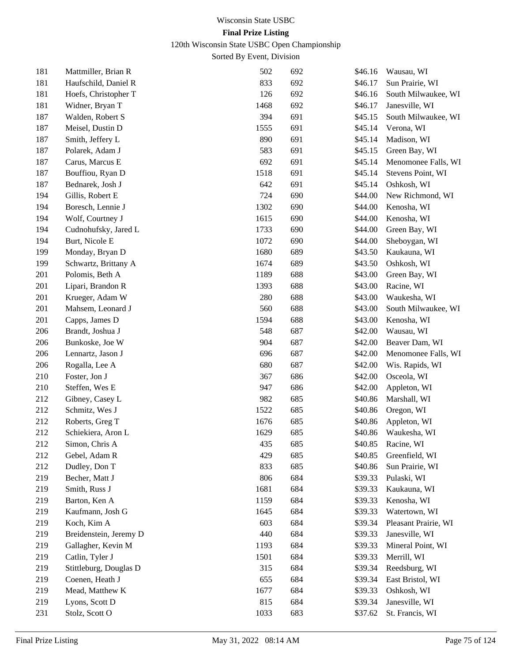120th Wisconsin State USBC Open Championship

| 181 | Mattmiller, Brian R    | 502  | 692 | \$46.16 | Wausau, WI           |
|-----|------------------------|------|-----|---------|----------------------|
| 181 | Haufschild, Daniel R   | 833  | 692 | \$46.17 | Sun Prairie, WI      |
| 181 | Hoefs, Christopher T   | 126  | 692 | \$46.16 | South Milwaukee, WI  |
| 181 | Widner, Bryan T        | 1468 | 692 | \$46.17 | Janesville, WI       |
| 187 | Walden, Robert S       | 394  | 691 | \$45.15 | South Milwaukee, WI  |
| 187 | Meisel, Dustin D       | 1555 | 691 | \$45.14 | Verona, WI           |
| 187 | Smith, Jeffery L       | 890  | 691 | \$45.14 | Madison, WI          |
| 187 | Polarek, Adam J        | 583  | 691 | \$45.15 | Green Bay, WI        |
| 187 | Carus, Marcus E        | 692  | 691 | \$45.14 | Menomonee Falls, WI  |
| 187 | Bouffiou, Ryan D       | 1518 | 691 | \$45.14 | Stevens Point, WI    |
| 187 | Bednarek, Josh J       | 642  | 691 | \$45.14 | Oshkosh, WI          |
| 194 | Gillis, Robert E       | 724  | 690 | \$44.00 | New Richmond, WI     |
| 194 | Boresch, Lennie J      | 1302 | 690 | \$44.00 | Kenosha, WI          |
| 194 | Wolf, Courtney J       | 1615 | 690 | \$44.00 | Kenosha, WI          |
| 194 | Cudnohufsky, Jared L   | 1733 | 690 | \$44.00 | Green Bay, WI        |
| 194 | Burt, Nicole E         | 1072 | 690 | \$44.00 | Sheboygan, WI        |
| 199 | Monday, Bryan D        | 1680 | 689 | \$43.50 | Kaukauna, WI         |
| 199 | Schwartz, Brittany A   | 1674 | 689 | \$43.50 | Oshkosh, WI          |
| 201 | Polomis, Beth A        | 1189 | 688 | \$43.00 | Green Bay, WI        |
| 201 | Lipari, Brandon R      | 1393 | 688 | \$43.00 | Racine, WI           |
| 201 | Krueger, Adam W        | 280  | 688 | \$43.00 | Waukesha, WI         |
| 201 | Mahsem, Leonard J      | 560  | 688 | \$43.00 | South Milwaukee, WI  |
| 201 | Capps, James D         | 1594 | 688 | \$43.00 | Kenosha, WI          |
| 206 | Brandt, Joshua J       | 548  | 687 | \$42.00 | Wausau, WI           |
| 206 | Bunkoske, Joe W        | 904  | 687 | \$42.00 | Beaver Dam, WI       |
| 206 | Lennartz, Jason J      | 696  | 687 | \$42.00 | Menomonee Falls, WI  |
| 206 | Rogalla, Lee A         | 680  | 687 | \$42.00 | Wis. Rapids, WI      |
| 210 | Foster, Jon J          | 367  | 686 | \$42.00 | Osceola, WI          |
| 210 | Steffen, Wes E         | 947  | 686 | \$42.00 | Appleton, WI         |
| 212 | Gibney, Casey L        | 982  | 685 | \$40.86 | Marshall, WI         |
| 212 | Schmitz, Wes J         | 1522 | 685 | \$40.86 | Oregon, WI           |
| 212 | Roberts, Greg T        | 1676 | 685 | \$40.86 | Appleton, WI         |
| 212 | Schiekiera, Aron L     | 1629 | 685 | \$40.86 | Waukesha, WI         |
| 212 | Simon, Chris A         | 435  | 685 | \$40.85 | Racine, WI           |
| 212 | Gebel, Adam R          | 429  | 685 | \$40.85 | Greenfield, WI       |
| 212 | Dudley, Don T          | 833  | 685 | \$40.86 | Sun Prairie, WI      |
| 219 | Becher, Matt J         | 806  | 684 | \$39.33 | Pulaski, WI          |
| 219 | Smith, Russ J          | 1681 | 684 | \$39.33 | Kaukauna, WI         |
| 219 | Barton, Ken A          | 1159 | 684 | \$39.33 | Kenosha, WI          |
| 219 | Kaufmann, Josh G       | 1645 | 684 | \$39.33 | Watertown, WI        |
| 219 | Koch, Kim A            | 603  | 684 | \$39.34 | Pleasant Prairie, WI |
| 219 | Breidenstein, Jeremy D | 440  | 684 | \$39.33 | Janesville, WI       |
| 219 | Gallagher, Kevin M     | 1193 | 684 | \$39.33 | Mineral Point, WI    |
| 219 | Catlin, Tyler J        | 1501 | 684 | \$39.33 | Merrill, WI          |
| 219 | Stittleburg, Douglas D | 315  | 684 | \$39.34 | Reedsburg, WI        |
| 219 | Coenen, Heath J        | 655  | 684 | \$39.34 | East Bristol, WI     |
| 219 | Mead, Matthew K        | 1677 | 684 | \$39.33 | Oshkosh, WI          |
| 219 | Lyons, Scott D         | 815  | 684 | \$39.34 | Janesville, WI       |
| 231 | Stolz, Scott O         | 1033 | 683 | \$37.62 | St. Francis, WI      |
|     |                        |      |     |         |                      |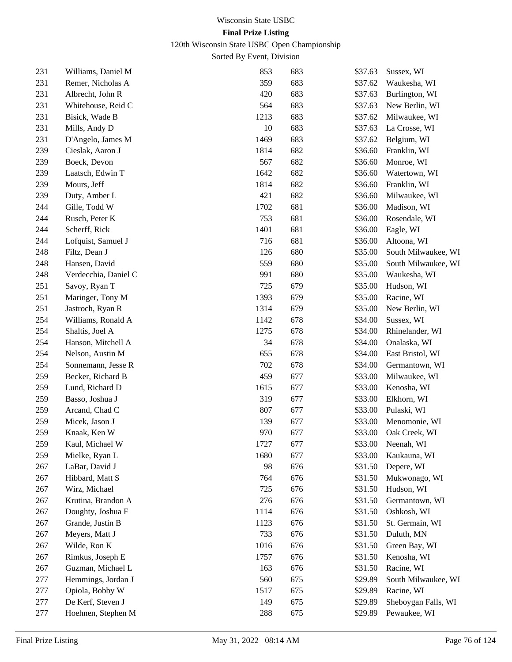120th Wisconsin State USBC Open Championship

| 231 | Williams, Daniel M   | 853  | 683 | \$37.63 | Sussex, WI          |
|-----|----------------------|------|-----|---------|---------------------|
| 231 | Remer, Nicholas A    | 359  | 683 | \$37.62 | Waukesha, WI        |
| 231 | Albrecht, John R     | 420  | 683 | \$37.63 | Burlington, WI      |
| 231 | Whitehouse, Reid C   | 564  | 683 | \$37.63 | New Berlin, WI      |
| 231 | Bisick, Wade B       | 1213 | 683 | \$37.62 | Milwaukee, WI       |
| 231 | Mills, Andy D        | 10   | 683 | \$37.63 | La Crosse, WI       |
| 231 | D'Angelo, James M    | 1469 | 683 | \$37.62 | Belgium, WI         |
| 239 | Cieslak, Aaron J     | 1814 | 682 | \$36.60 | Franklin, WI        |
| 239 | Boeck, Devon         | 567  | 682 | \$36.60 | Monroe, WI          |
| 239 | Laatsch, Edwin T     | 1642 | 682 | \$36.60 | Watertown, WI       |
| 239 | Mours, Jeff          | 1814 | 682 | \$36.60 | Franklin, WI        |
| 239 | Duty, Amber L        | 421  | 682 | \$36.60 | Milwaukee, WI       |
| 244 | Gille, Todd W        | 1702 | 681 | \$36.00 | Madison, WI         |
| 244 | Rusch, Peter K       | 753  | 681 | \$36.00 | Rosendale, WI       |
| 244 | Scherff, Rick        | 1401 | 681 | \$36.00 | Eagle, WI           |
| 244 | Lofquist, Samuel J   | 716  | 681 | \$36.00 | Altoona, WI         |
| 248 | Filtz, Dean J        | 126  | 680 | \$35.00 | South Milwaukee, WI |
| 248 | Hansen, David        | 559  | 680 | \$35.00 | South Milwaukee, WI |
| 248 | Verdecchia, Daniel C | 991  | 680 | \$35.00 | Waukesha, WI        |
| 251 | Savoy, Ryan T        | 725  | 679 | \$35.00 | Hudson, WI          |
| 251 | Maringer, Tony M     | 1393 | 679 | \$35.00 | Racine, WI          |
| 251 | Jastroch, Ryan R     | 1314 | 679 | \$35.00 | New Berlin, WI      |
| 254 | Williams, Ronald A   | 1142 | 678 | \$34.00 | Sussex, WI          |
| 254 | Shaltis, Joel A      | 1275 | 678 | \$34.00 | Rhinelander, WI     |
| 254 | Hanson, Mitchell A   | 34   | 678 | \$34.00 | Onalaska, WI        |
| 254 | Nelson, Austin M     | 655  | 678 | \$34.00 | East Bristol, WI    |
| 254 | Sonnemann, Jesse R   | 702  | 678 | \$34.00 | Germantown, WI      |
| 259 | Becker, Richard B    | 459  | 677 | \$33.00 | Milwaukee, WI       |
| 259 | Lund, Richard D      | 1615 | 677 | \$33.00 | Kenosha, WI         |
| 259 | Basso, Joshua J      | 319  | 677 | \$33.00 | Elkhorn, WI         |
| 259 | Arcand, Chad C       | 807  | 677 | \$33.00 | Pulaski, WI         |
| 259 | Micek, Jason J       | 139  | 677 | \$33.00 | Menomonie, WI       |
| 259 | Knaak, Ken W         | 970  | 677 | \$33.00 | Oak Creek, WI       |
| 259 | Kaul, Michael W      | 1727 | 677 | \$33.00 | Neenah, WI          |
| 259 | Mielke, Ryan L       | 1680 | 677 | \$33.00 | Kaukauna, WI        |
| 267 | LaBar, David J       | 98   | 676 | \$31.50 | Depere, WI          |
| 267 | Hibbard, Matt S      | 764  | 676 | \$31.50 | Mukwonago, WI       |
| 267 | Wirz, Michael        | 725  | 676 | \$31.50 | Hudson, WI          |
| 267 | Krutina, Brandon A   | 276  | 676 | \$31.50 | Germantown, WI      |
| 267 | Doughty, Joshua F    | 1114 | 676 | \$31.50 | Oshkosh, WI         |
| 267 | Grande, Justin B     | 1123 | 676 | \$31.50 | St. Germain, WI     |
| 267 | Meyers, Matt J       | 733  | 676 | \$31.50 | Duluth, MN          |
| 267 | Wilde, Ron K         | 1016 | 676 | \$31.50 | Green Bay, WI       |
| 267 | Rimkus, Joseph E     | 1757 | 676 | \$31.50 | Kenosha, WI         |
| 267 | Guzman, Michael L    | 163  | 676 | \$31.50 | Racine, WI          |
| 277 | Hemmings, Jordan J   | 560  | 675 | \$29.89 | South Milwaukee, WI |
| 277 | Opiola, Bobby W      | 1517 | 675 | \$29.89 | Racine, WI          |
| 277 | De Kerf, Steven J    | 149  | 675 | \$29.89 | Sheboygan Falls, WI |
| 277 | Hoehnen, Stephen M   | 288  | 675 | \$29.89 | Pewaukee, WI        |
|     |                      |      |     |         |                     |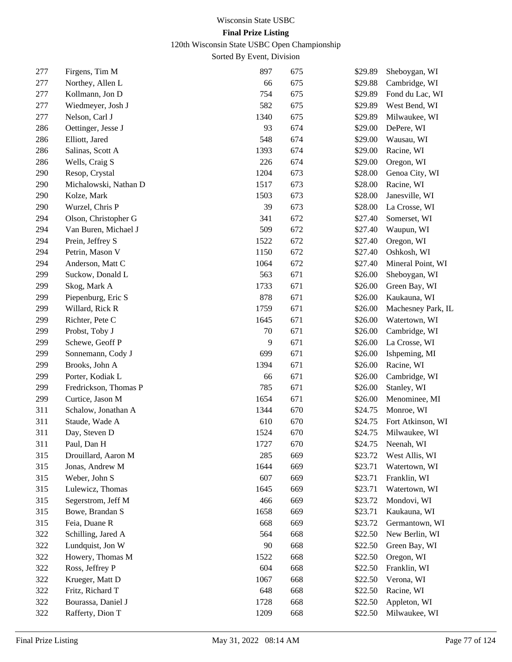120th Wisconsin State USBC Open Championship

| 277 | Firgens, Tim M        | 897  | 675 | \$29.89 | Sheboygan, WI      |
|-----|-----------------------|------|-----|---------|--------------------|
| 277 | Northey, Allen L      | 66   | 675 | \$29.88 | Cambridge, WI      |
| 277 | Kollmann, Jon D       | 754  | 675 | \$29.89 | Fond du Lac, WI    |
| 277 | Wiedmeyer, Josh J     | 582  | 675 | \$29.89 | West Bend, WI      |
| 277 | Nelson, Carl J        | 1340 | 675 | \$29.89 | Milwaukee, WI      |
| 286 | Oettinger, Jesse J    | 93   | 674 | \$29.00 | DePere, WI         |
| 286 | Elliott, Jared        | 548  | 674 | \$29.00 | Wausau, WI         |
| 286 | Salinas, Scott A      | 1393 | 674 | \$29.00 | Racine, WI         |
| 286 | Wells, Craig S        | 226  | 674 | \$29.00 | Oregon, WI         |
| 290 | Resop, Crystal        | 1204 | 673 | \$28.00 | Genoa City, WI     |
| 290 | Michalowski, Nathan D | 1517 | 673 | \$28.00 | Racine, WI         |
| 290 | Kolze, Mark           | 1503 | 673 | \$28.00 | Janesville, WI     |
| 290 | Wurzel, Chris P       | 39   | 673 | \$28.00 | La Crosse, WI      |
| 294 | Olson, Christopher G  | 341  | 672 | \$27.40 | Somerset, WI       |
| 294 | Van Buren, Michael J  | 509  | 672 | \$27.40 | Waupun, WI         |
| 294 | Prein, Jeffrey S      | 1522 | 672 | \$27.40 | Oregon, WI         |
| 294 | Petrin, Mason V       | 1150 | 672 | \$27.40 | Oshkosh, WI        |
| 294 | Anderson, Matt C      | 1064 | 672 | \$27.40 | Mineral Point, WI  |
| 299 | Suckow, Donald L      | 563  | 671 | \$26.00 | Sheboygan, WI      |
| 299 | Skog, Mark A          | 1733 | 671 | \$26.00 | Green Bay, WI      |
| 299 | Piepenburg, Eric S    | 878  | 671 | \$26.00 | Kaukauna, WI       |
| 299 | Willard, Rick R       | 1759 | 671 | \$26.00 | Machesney Park, IL |
| 299 | Richter, Pete C       | 1645 | 671 | \$26.00 | Watertown, WI      |
| 299 | Probst, Toby J        | 70   | 671 | \$26.00 | Cambridge, WI      |
| 299 | Schewe, Geoff P       | 9    | 671 | \$26.00 | La Crosse, WI      |
| 299 | Sonnemann, Cody J     | 699  | 671 | \$26.00 | Ishpeming, MI      |
| 299 | Brooks, John A        | 1394 | 671 | \$26.00 | Racine, WI         |
| 299 | Porter, Kodiak L      | 66   | 671 | \$26.00 | Cambridge, WI      |
| 299 | Fredrickson, Thomas P | 785  | 671 | \$26.00 | Stanley, WI        |
| 299 | Curtice, Jason M      | 1654 | 671 | \$26.00 | Menominee, MI      |
| 311 | Schalow, Jonathan A   | 1344 | 670 | \$24.75 | Monroe, WI         |
| 311 | Staude, Wade A        | 610  | 670 | \$24.75 | Fort Atkinson, WI  |
| 311 | Day, Steven D         | 1524 | 670 | \$24.75 | Milwaukee, WI      |
| 311 | Paul, Dan H           | 1727 | 670 | \$24.75 | Neenah, WI         |
| 315 | Drouillard, Aaron M   | 285  | 669 | \$23.72 | West Allis, WI     |
| 315 | Jonas, Andrew M       | 1644 | 669 | \$23.71 | Watertown, WI      |
| 315 | Weber, John S         | 607  | 669 | \$23.71 | Franklin, WI       |
| 315 | Lulewicz, Thomas      | 1645 | 669 | \$23.71 | Watertown, WI      |
| 315 | Segerstrom, Jeff M    | 466  | 669 | \$23.72 | Mondovi, WI        |
| 315 | Bowe, Brandan S       | 1658 | 669 | \$23.71 | Kaukauna, WI       |
| 315 | Feia, Duane R         | 668  | 669 | \$23.72 | Germantown, WI     |
| 322 | Schilling, Jared A    | 564  | 668 | \$22.50 | New Berlin, WI     |
| 322 | Lundquist, Jon W      | 90   | 668 | \$22.50 | Green Bay, WI      |
| 322 | Howery, Thomas M      | 1522 | 668 | \$22.50 | Oregon, WI         |
| 322 | Ross, Jeffrey P       | 604  | 668 | \$22.50 | Franklin, WI       |
| 322 | Krueger, Matt D       | 1067 | 668 | \$22.50 | Verona, WI         |
| 322 | Fritz, Richard T      | 648  | 668 | \$22.50 | Racine, WI         |
| 322 | Bourassa, Daniel J    | 1728 | 668 | \$22.50 | Appleton, WI       |
| 322 | Rafferty, Dion T      | 1209 | 668 | \$22.50 | Milwaukee, WI      |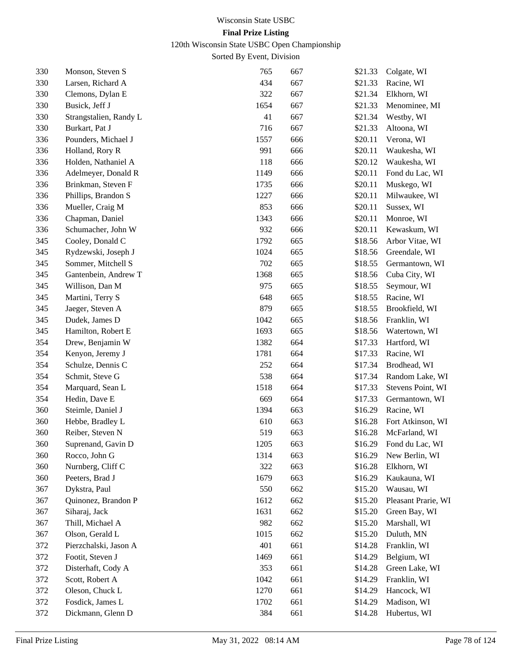120th Wisconsin State USBC Open Championship

| 330 | Monson, Steven S       | 765  | 667 | \$21.33 | Colgate, WI         |
|-----|------------------------|------|-----|---------|---------------------|
| 330 | Larsen, Richard A      | 434  | 667 | \$21.33 | Racine, WI          |
| 330 | Clemons, Dylan E       | 322  | 667 | \$21.34 | Elkhorn, WI         |
| 330 | Busick, Jeff J         | 1654 | 667 | \$21.33 | Menominee, MI       |
| 330 | Strangstalien, Randy L | 41   | 667 | \$21.34 | Westby, WI          |
| 330 | Burkart, Pat J         | 716  | 667 | \$21.33 | Altoona, WI         |
| 336 | Pounders, Michael J    | 1557 | 666 | \$20.11 | Verona, WI          |
| 336 | Holland, Rory R        | 991  | 666 | \$20.11 | Waukesha, WI        |
| 336 | Holden, Nathaniel A    | 118  | 666 | \$20.12 | Waukesha, WI        |
| 336 | Adelmeyer, Donald R    | 1149 | 666 | \$20.11 | Fond du Lac, WI     |
| 336 | Brinkman, Steven F     | 1735 | 666 | \$20.11 | Muskego, WI         |
| 336 | Phillips, Brandon S    | 1227 | 666 | \$20.11 | Milwaukee, WI       |
| 336 | Mueller, Craig M       | 853  | 666 | \$20.11 | Sussex, WI          |
| 336 | Chapman, Daniel        | 1343 | 666 | \$20.11 | Monroe, WI          |
| 336 | Schumacher, John W     | 932  | 666 | \$20.11 | Kewaskum, WI        |
| 345 | Cooley, Donald C       | 1792 | 665 | \$18.56 | Arbor Vitae, WI     |
| 345 | Rydzewski, Joseph J    | 1024 | 665 | \$18.56 | Greendale, WI       |
| 345 | Sommer, Mitchell S     | 702  | 665 | \$18.55 | Germantown, WI      |
| 345 | Gantenbein, Andrew T   | 1368 | 665 | \$18.56 | Cuba City, WI       |
| 345 | Willison, Dan M        | 975  | 665 | \$18.55 | Seymour, WI         |
| 345 | Martini, Terry S       | 648  | 665 | \$18.55 | Racine, WI          |
| 345 | Jaeger, Steven A       | 879  | 665 | \$18.55 | Brookfield, WI      |
| 345 | Dudek, James D         | 1042 | 665 | \$18.56 | Franklin, WI        |
| 345 | Hamilton, Robert E     | 1693 | 665 | \$18.56 | Watertown, WI       |
| 354 | Drew, Benjamin W       | 1382 | 664 | \$17.33 | Hartford, WI        |
| 354 | Kenyon, Jeremy J       | 1781 | 664 | \$17.33 | Racine, WI          |
| 354 | Schulze, Dennis C      | 252  | 664 | \$17.34 | Brodhead, WI        |
| 354 | Schmit, Steve G        | 538  | 664 | \$17.34 | Random Lake, WI     |
| 354 | Marquard, Sean L       | 1518 | 664 | \$17.33 | Stevens Point, WI   |
| 354 | Hedin, Dave E          | 669  | 664 | \$17.33 | Germantown, WI      |
| 360 | Steimle, Daniel J      | 1394 | 663 | \$16.29 | Racine, WI          |
| 360 | Hebbe, Bradley L       | 610  | 663 | \$16.28 | Fort Atkinson, WI   |
| 360 | Reiber, Steven N       | 519  | 663 | \$16.28 | McFarland, WI       |
| 360 | Suprenand, Gavin D     | 1205 | 663 | \$16.29 | Fond du Lac, WI     |
| 360 | Rocco, John G          | 1314 | 663 | \$16.29 | New Berlin, WI      |
| 360 | Nurnberg, Cliff C      | 322  | 663 | \$16.28 | Elkhorn, WI         |
| 360 | Peeters, Brad J        | 1679 | 663 | \$16.29 | Kaukauna, WI        |
| 367 | Dykstra, Paul          | 550  | 662 | \$15.20 | Wausau, WI          |
| 367 | Quinonez, Brandon P    | 1612 | 662 | \$15.20 | Pleasant Prarie, WI |
| 367 | Siharaj, Jack          | 1631 | 662 | \$15.20 | Green Bay, WI       |
| 367 | Thill, Michael A       | 982  | 662 | \$15.20 | Marshall, WI        |
| 367 | Olson, Gerald L        | 1015 | 662 | \$15.20 | Duluth, MN          |
| 372 | Pierzchalski, Jason A  | 401  | 661 | \$14.28 | Franklin, WI        |
| 372 | Footit, Steven J       | 1469 | 661 | \$14.29 | Belgium, WI         |
| 372 | Disterhaft, Cody A     | 353  | 661 | \$14.28 | Green Lake, WI      |
| 372 | Scott, Robert A        | 1042 | 661 | \$14.29 | Franklin, WI        |
| 372 | Oleson, Chuck L        | 1270 | 661 | \$14.29 | Hancock, WI         |
| 372 | Fosdick, James L       | 1702 | 661 | \$14.29 | Madison, WI         |
| 372 | Dickmann, Glenn D      | 384  | 661 | \$14.28 | Hubertus, WI        |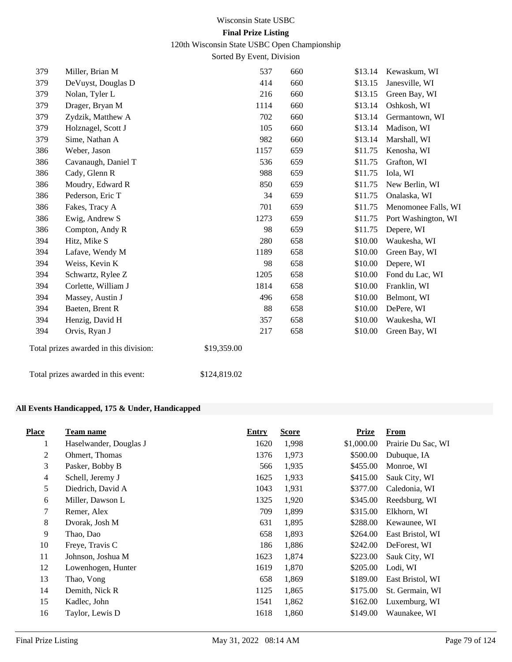120th Wisconsin State USBC Open Championship

Sorted By Event, Division

| 379 | Miller, Brian M                        | 537          |     | 660 | \$13.14 | Kewaskum, WI        |
|-----|----------------------------------------|--------------|-----|-----|---------|---------------------|
| 379 | DeVuyst, Douglas D                     | 414          |     | 660 | \$13.15 | Janesville, WI      |
| 379 | Nolan, Tyler L                         | 216          |     | 660 | \$13.15 | Green Bay, WI       |
| 379 | Drager, Bryan M                        | 1114         |     | 660 | \$13.14 | Oshkosh, WI         |
| 379 | Zydzik, Matthew A                      |              | 702 | 660 | \$13.14 | Germantown, WI      |
| 379 | Holznagel, Scott J                     |              | 105 | 660 | \$13.14 | Madison, WI         |
| 379 | Sime, Nathan A                         | 982          |     | 660 | \$13.14 | Marshall, WI        |
| 386 | Weber, Jason                           | 1157         |     | 659 | \$11.75 | Kenosha, WI         |
| 386 | Cavanaugh, Daniel T                    |              | 536 | 659 | \$11.75 | Grafton, WI         |
| 386 | Cady, Glenn R                          | 988          |     | 659 | \$11.75 | Iola, WI            |
| 386 | Moudry, Edward R                       |              | 850 | 659 | \$11.75 | New Berlin, WI      |
| 386 | Pederson, Eric T                       |              | 34  | 659 | \$11.75 | Onalaska, WI        |
| 386 | Fakes, Tracy A                         | 701          |     | 659 | \$11.75 | Menomonee Falls, WI |
| 386 | Ewig, Andrew S                         | 1273         |     | 659 | \$11.75 | Port Washington, WI |
| 386 | Compton, Andy R                        |              | 98  | 659 | \$11.75 | Depere, WI          |
| 394 | Hitz, Mike S                           |              | 280 | 658 | \$10.00 | Waukesha, WI        |
| 394 | Lafave, Wendy M                        | 1189         |     | 658 | \$10.00 | Green Bay, WI       |
| 394 | Weiss, Kevin K                         |              | 98  | 658 | \$10.00 | Depere, WI          |
| 394 | Schwartz, Rylee Z                      | 1205         |     | 658 | \$10.00 | Fond du Lac, WI     |
| 394 | Corlette, William J                    | 1814         |     | 658 | \$10.00 | Franklin, WI        |
| 394 | Massey, Austin J                       | 496          |     | 658 | \$10.00 | Belmont, WI         |
| 394 | Baeten, Brent R                        |              | 88  | 658 | \$10.00 | DePere, WI          |
| 394 | Henzig, David H                        | 357          |     | 658 | \$10.00 | Waukesha, WI        |
| 394 | Orvis, Ryan J                          | 217          |     | 658 | \$10.00 | Green Bay, WI       |
|     | Total prizes awarded in this division: | \$19,359.00  |     |     |         |                     |
|     | Total prizes awarded in this event:    | \$124,819.02 |     |     |         |                     |

#### **All Events Handicapped, 175 & Under, Handicapped**

| <b>Place</b>   | Team name              | <b>Entry</b> | <b>Score</b> | Prize      | From               |
|----------------|------------------------|--------------|--------------|------------|--------------------|
| 1              | Haselwander, Douglas J | 1620         | 1,998        | \$1,000.00 | Prairie Du Sac, WI |
| $\overline{c}$ | Ohmert, Thomas         | 1376         | 1,973        | \$500.00   | Dubuque, IA        |
| 3              | Pasker, Bobby B        | 566          | 1,935        | \$455.00   | Monroe, WI         |
| 4              | Schell, Jeremy J       | 1625         | 1,933        | \$415.00   | Sauk City, WI      |
| 5              | Diedrich, David A      | 1043         | 1,931        | \$377.00   | Caledonia, WI      |
| 6              | Miller, Dawson L       | 1325         | 1,920        | \$345.00   | Reedsburg, WI      |
| 7              | Remer, Alex            | 709          | 1,899        | \$315.00   | Elkhorn, WI        |
| 8              | Dvorak, Josh M         | 631          | 1,895        | \$288.00   | Kewaunee, WI       |
| 9              | Thao, Dao              | 658          | 1,893        | \$264.00   | East Bristol, WI   |
| 10             | Freye, Travis C        | 186          | 1,886        | \$242.00   | DeForest, WI       |
| 11             | Johnson, Joshua M      | 1623         | 1,874        | \$223.00   | Sauk City, WI      |
| 12             | Lowenhogen, Hunter     | 1619         | 1,870        | \$205.00   | Lodi, WI           |
| 13             | Thao, Vong             | 658          | 1,869        | \$189.00   | East Bristol, WI   |
| 14             | Demith, Nick R         | 1125         | 1,865        | \$175.00   | St. Germain, WI    |
| 15             | Kadlec, John           | 1541         | 1,862        | \$162.00   | Luxemburg, WI      |
| 16             | Taylor, Lewis D        | 1618         | 1,860        | \$149.00   | Waunakee, WI       |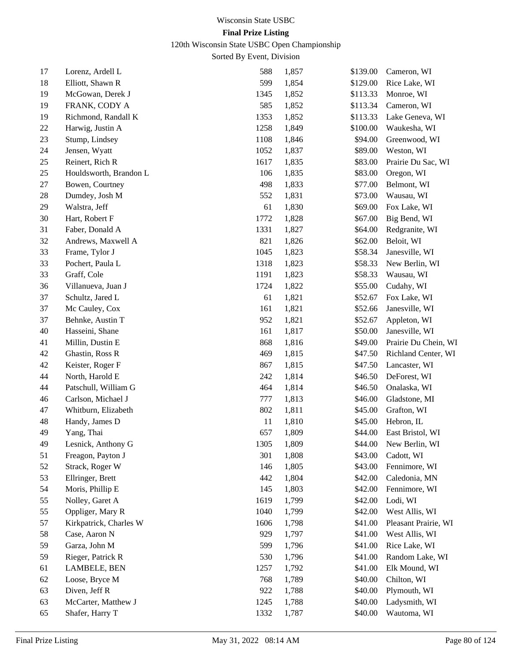120th Wisconsin State USBC Open Championship

| 17 | Lorenz, Ardell L       | 588  | 1,857 | \$139.00 | Cameron, WI            |
|----|------------------------|------|-------|----------|------------------------|
| 18 | Elliott, Shawn R       | 599  | 1,854 | \$129.00 | Rice Lake, WI          |
| 19 | McGowan, Derek J       | 1345 | 1,852 | \$113.33 | Monroe, WI             |
| 19 | FRANK, CODY A          | 585  | 1,852 | \$113.34 | Cameron, WI            |
| 19 | Richmond, Randall K    | 1353 | 1,852 | \$113.33 | Lake Geneva, WI        |
| 22 | Harwig, Justin A       | 1258 | 1,849 | \$100.00 | Waukesha, WI           |
| 23 | Stump, Lindsey         | 1108 | 1,846 | \$94.00  | Greenwood, WI          |
| 24 | Jensen, Wyatt          | 1052 | 1,837 | \$89.00  | Weston, WI             |
| 25 | Reinert, Rich R        | 1617 | 1,835 | \$83.00  | Prairie Du Sac, WI     |
| 25 | Houldsworth, Brandon L | 106  | 1,835 | \$83.00  | Oregon, WI             |
| 27 | Bowen, Courtney        | 498  | 1,833 | \$77.00  | Belmont, WI            |
| 28 | Dumdey, Josh M         | 552  | 1,831 | \$73.00  | Wausau, WI             |
| 29 | Walstra, Jeff          | 61   | 1,830 | \$69.00  | Fox Lake, WI           |
| 30 | Hart, Robert F         | 1772 | 1,828 | \$67.00  | Big Bend, WI           |
| 31 | Faber, Donald A        | 1331 | 1,827 | \$64.00  | Redgranite, WI         |
| 32 | Andrews, Maxwell A     | 821  | 1,826 | \$62.00  | Beloit, WI             |
| 33 | Frame, Tylor J         | 1045 | 1,823 | \$58.34  | Janesville, WI         |
| 33 | Pochert, Paula L       | 1318 | 1,823 | \$58.33  | New Berlin, WI         |
| 33 | Graff, Cole            | 1191 | 1,823 | \$58.33  | Wausau, WI             |
| 36 | Villanueva, Juan J     | 1724 | 1,822 | \$55.00  | Cudahy, WI             |
| 37 | Schultz, Jared L       | 61   | 1,821 | \$52.67  | Fox Lake, WI           |
| 37 | Mc Cauley, Cox         | 161  | 1,821 | \$52.66  | Janesville, WI         |
| 37 | Behnke, Austin T       | 952  | 1,821 | \$52.67  | Appleton, WI           |
| 40 | Hasseini, Shane        | 161  | 1,817 | \$50.00  | Janesville, WI         |
| 41 | Millin, Dustin E       | 868  | 1,816 | \$49.00  | Prairie Du Chein, WI   |
| 42 | Ghastin, Ross R        | 469  | 1,815 | \$47.50  | Richland Center, WI    |
| 42 | Keister, Roger F       | 867  | 1,815 | \$47.50  | Lancaster, WI          |
| 44 | North, Harold E        | 242  | 1,814 | \$46.50  | DeForest, WI           |
| 44 | Patschull, William G   | 464  | 1,814 | \$46.50  | Onalaska, WI           |
| 46 | Carlson, Michael J     | 777  | 1,813 | \$46.00  | Gladstone, MI          |
| 47 | Whitburn, Elizabeth    | 802  | 1,811 | \$45.00  | Grafton, WI            |
| 48 | Handy, James D         | 11   | 1,810 | \$45.00  | Hebron, IL             |
| 49 | Yang, Thai             | 657  | 1,809 | \$44.00  | East Bristol, WI       |
| 49 | Lesnick, Anthony G     | 1305 | 1,809 |          | \$44.00 New Berlin, WI |
| 51 | Freagon, Payton J      | 301  | 1,808 | \$43.00  | Cadott, WI             |
| 52 | Strack, Roger W        | 146  | 1,805 | \$43.00  | Fennimore, WI          |
| 53 | Ellringer, Brett       | 442  | 1,804 | \$42.00  | Caledonia, MN          |
| 54 | Moris, Phillip E       | 145  | 1,803 | \$42.00  | Fennimore, WI          |
| 55 | Nolley, Garet A        | 1619 | 1,799 | \$42.00  | Lodi, WI               |
| 55 | Oppliger, Mary R       | 1040 | 1,799 | \$42.00  | West Allis, WI         |
| 57 | Kirkpatrick, Charles W | 1606 | 1,798 | \$41.00  | Pleasant Prairie, WI   |
| 58 | Case, Aaron N          | 929  | 1,797 | \$41.00  | West Allis, WI         |
| 59 | Garza, John M          | 599  | 1,796 | \$41.00  | Rice Lake, WI          |
| 59 | Rieger, Patrick R      | 530  | 1,796 | \$41.00  | Random Lake, WI        |
| 61 | LAMBELE, BEN           | 1257 | 1,792 | \$41.00  | Elk Mound, WI          |
| 62 | Loose, Bryce M         | 768  | 1,789 | \$40.00  | Chilton, WI            |
| 63 | Diven, Jeff R          | 922  | 1,788 | \$40.00  | Plymouth, WI           |
| 63 | McCarter, Matthew J    | 1245 | 1,788 | \$40.00  | Ladysmith, WI          |
| 65 | Shafer, Harry T        | 1332 | 1,787 | \$40.00  | Wautoma, WI            |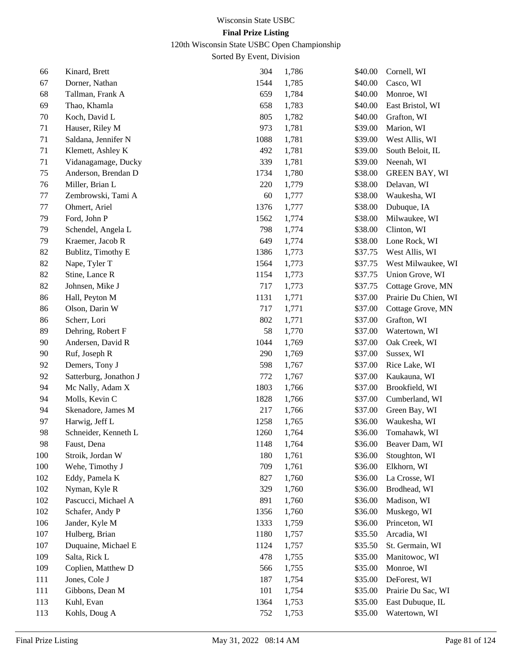120th Wisconsin State USBC Open Championship

| 66  | Kinard, Brett          | 304  | 1,786 | \$40.00 | Cornell, WI          |
|-----|------------------------|------|-------|---------|----------------------|
| 67  | Dorner, Nathan         | 1544 | 1,785 | \$40.00 | Casco, WI            |
| 68  | Tallman, Frank A       | 659  | 1,784 | \$40.00 | Monroe, WI           |
| 69  | Thao, Khamla           | 658  | 1,783 | \$40.00 | East Bristol, WI     |
| 70  | Koch, David L          | 805  | 1,782 | \$40.00 | Grafton, WI          |
| 71  | Hauser, Riley M        | 973  | 1,781 | \$39.00 | Marion, WI           |
| 71  | Saldana, Jennifer N    | 1088 | 1,781 | \$39.00 | West Allis, WI       |
| 71  | Klemett, Ashley K      | 492  | 1,781 | \$39.00 | South Beloit, IL     |
| 71  | Vidanagamage, Ducky    | 339  | 1,781 | \$39.00 | Neenah, WI           |
| 75  | Anderson, Brendan D    | 1734 | 1,780 | \$38.00 | <b>GREEN BAY, WI</b> |
| 76  | Miller, Brian L        | 220  | 1,779 | \$38.00 | Delavan, WI          |
| 77  | Zembrowski, Tami A     | 60   | 1,777 | \$38.00 | Waukesha, WI         |
| 77  | Ohmert, Ariel          | 1376 | 1,777 | \$38.00 | Dubuque, IA          |
| 79  | Ford, John P           | 1562 | 1,774 | \$38.00 | Milwaukee, WI        |
| 79  | Schendel, Angela L     | 798  | 1,774 | \$38.00 | Clinton, WI          |
| 79  | Kraemer, Jacob R       | 649  | 1,774 | \$38.00 | Lone Rock, WI        |
| 82  | Bublitz, Timothy E     | 1386 | 1,773 | \$37.75 | West Allis, WI       |
| 82  | Nape, Tyler T          | 1564 | 1,773 | \$37.75 | West Milwaukee, WI   |
| 82  | Stine, Lance R         | 1154 | 1,773 | \$37.75 | Union Grove, WI      |
| 82  | Johnsen, Mike J        | 717  | 1,773 | \$37.75 | Cottage Grove, MN    |
| 86  | Hall, Peyton M         | 1131 | 1,771 | \$37.00 | Prairie Du Chien, WI |
| 86  | Olson, Darin W         | 717  | 1,771 | \$37.00 | Cottage Grove, MN    |
| 86  | Scherr, Lori           | 802  | 1,771 | \$37.00 | Grafton, WI          |
| 89  | Dehring, Robert F      | 58   | 1,770 | \$37.00 | Watertown, WI        |
| 90  | Andersen, David R      | 1044 | 1,769 | \$37.00 | Oak Creek, WI        |
| 90  | Ruf, Joseph R          | 290  | 1,769 | \$37.00 | Sussex, WI           |
| 92  | Demers, Tony J         | 598  | 1,767 | \$37.00 | Rice Lake, WI        |
| 92  | Satterburg, Jonathon J | 772  | 1,767 | \$37.00 | Kaukauna, WI         |
| 94  | Mc Nally, Adam X       | 1803 | 1,766 | \$37.00 | Brookfield, WI       |
| 94  | Molls, Kevin C         | 1828 | 1,766 | \$37.00 | Cumberland, WI       |
| 94  | Skenadore, James M     | 217  | 1,766 | \$37.00 | Green Bay, WI        |
| 97  | Harwig, Jeff L         | 1258 | 1,765 | \$36.00 | Waukesha, WI         |
| 98  | Schneider, Kenneth L   | 1260 | 1,764 | \$36.00 | Tomahawk, WI         |
| 98  | Faust, Dena            | 1148 | 1,764 | \$36.00 | Beaver Dam, WI       |
| 100 | Stroik, Jordan W       | 180  | 1,761 | \$36.00 | Stoughton, WI        |
| 100 | Wehe, Timothy J        | 709  | 1,761 | \$36.00 | Elkhorn, WI          |
| 102 | Eddy, Pamela K         | 827  | 1,760 | \$36.00 | La Crosse, WI        |
| 102 | Nyman, Kyle R          | 329  | 1,760 | \$36.00 | Brodhead, WI         |
| 102 | Pascucci, Michael A    | 891  | 1,760 | \$36.00 | Madison, WI          |
| 102 | Schafer, Andy P        | 1356 | 1,760 | \$36.00 | Muskego, WI          |
| 106 | Jander, Kyle M         | 1333 | 1,759 | \$36.00 | Princeton, WI        |
| 107 | Hulberg, Brian         | 1180 | 1,757 | \$35.50 | Arcadia, WI          |
| 107 | Duquaine, Michael E    | 1124 | 1,757 | \$35.50 | St. Germain, WI      |
| 109 | Salta, Rick L          | 478  | 1,755 | \$35.00 | Manitowoc, WI        |
| 109 | Coplien, Matthew D     | 566  | 1,755 | \$35.00 | Monroe, WI           |
| 111 | Jones, Cole J          | 187  | 1,754 | \$35.00 | DeForest, WI         |
| 111 | Gibbons, Dean M        | 101  | 1,754 | \$35.00 | Prairie Du Sac, WI   |
| 113 | Kuhl, Evan             | 1364 | 1,753 | \$35.00 | East Dubuque, IL     |
| 113 | Kohls, Doug A          | 752  | 1,753 | \$35.00 | Watertown, WI        |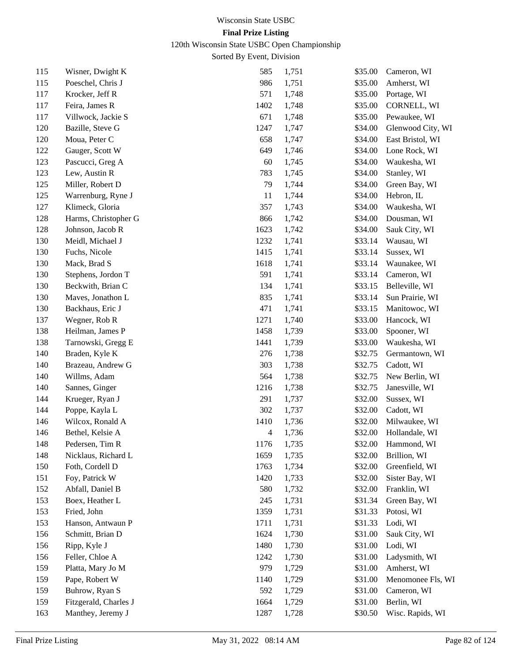120th Wisconsin State USBC Open Championship

| 115 | Wisner, Dwight K      | 585                      | 1,751 | \$35.00 | Cameron, WI         |
|-----|-----------------------|--------------------------|-------|---------|---------------------|
| 115 | Poeschel, Chris J     | 986                      | 1,751 | \$35.00 | Amherst, WI         |
| 117 | Krocker, Jeff R       | 571                      | 1,748 | \$35.00 | Portage, WI         |
| 117 | Feira, James R        | 1402                     | 1,748 | \$35.00 | CORNELL, WI         |
| 117 | Villwock, Jackie S    | 671                      | 1,748 | \$35.00 | Pewaukee, WI        |
| 120 | Bazille, Steve G      | 1247                     | 1,747 | \$34.00 | Glenwood City, WI   |
| 120 | Moua, Peter C         | 658                      | 1,747 | \$34.00 | East Bristol, WI    |
| 122 | Gauger, Scott W       | 649                      | 1,746 | \$34.00 | Lone Rock, WI       |
| 123 | Pascucci, Greg A      | 60                       | 1,745 | \$34.00 | Waukesha, WI        |
| 123 | Lew, Austin R         | 783                      | 1,745 | \$34.00 | Stanley, WI         |
| 125 | Miller, Robert D      | 79                       | 1,744 | \$34.00 | Green Bay, WI       |
| 125 | Warrenburg, Ryne J    | 11                       | 1,744 | \$34.00 | Hebron, IL          |
| 127 | Klimeck, Gloria       | 357                      | 1,743 | \$34.00 | Waukesha, WI        |
| 128 | Harms, Christopher G  | 866                      | 1,742 | \$34.00 | Dousman, WI         |
| 128 | Johnson, Jacob R      | 1623                     | 1,742 | \$34.00 | Sauk City, WI       |
| 130 | Meidl, Michael J      | 1232                     | 1,741 | \$33.14 | Wausau, WI          |
| 130 | Fuchs, Nicole         | 1415                     | 1,741 | \$33.14 | Sussex, WI          |
| 130 | Mack, Brad S          | 1618                     | 1,741 | \$33.14 | Waunakee, WI        |
| 130 | Stephens, Jordon T    | 591                      | 1,741 | \$33.14 | Cameron, WI         |
| 130 | Beckwith, Brian C     | 134                      | 1,741 | \$33.15 | Belleville, WI      |
| 130 | Maves, Jonathon L     | 835                      | 1,741 | \$33.14 | Sun Prairie, WI     |
| 130 | Backhaus, Eric J      | 471                      | 1,741 | \$33.15 | Manitowoc, WI       |
| 137 | Wegner, Rob R         | 1271                     | 1,740 | \$33.00 | Hancock, WI         |
| 138 | Heilman, James P      | 1458                     | 1,739 | \$33.00 | Spooner, WI         |
| 138 | Tarnowski, Gregg E    | 1441                     | 1,739 | \$33.00 | Waukesha, WI        |
| 140 | Braden, Kyle K        | 276                      | 1,738 | \$32.75 | Germantown, WI      |
| 140 | Brazeau, Andrew G     | 303                      | 1,738 | \$32.75 | Cadott, WI          |
| 140 | Willms, Adam          | 564                      | 1,738 | \$32.75 | New Berlin, WI      |
| 140 | Sannes, Ginger        | 1216                     | 1,738 | \$32.75 | Janesville, WI      |
| 144 | Krueger, Ryan J       | 291                      | 1,737 | \$32.00 | Sussex, WI          |
| 144 | Poppe, Kayla L        | 302                      | 1,737 | \$32.00 | Cadott, WI          |
| 146 | Wilcox, Ronald A      | 1410                     | 1,736 | \$32.00 | Milwaukee, WI       |
| 146 | Bethel, Kelsie A      | $\overline{\mathcal{L}}$ | 1,736 | \$32.00 | Hollandale, WI      |
| 148 | Pedersen, Tim R       | 1176                     | 1,735 |         | \$32.00 Hammond, WI |
| 148 | Nicklaus, Richard L   | 1659                     | 1,735 | \$32.00 | Brillion, WI        |
| 150 | Foth, Cordell D       | 1763                     | 1,734 | \$32.00 | Greenfield, WI      |
| 151 | Foy, Patrick W        | 1420                     | 1,733 | \$32.00 | Sister Bay, WI      |
| 152 | Abfall, Daniel B      | 580                      | 1,732 | \$32.00 | Franklin, WI        |
| 153 | Boex, Heather L       | 245                      | 1,731 | \$31.34 | Green Bay, WI       |
| 153 | Fried, John           | 1359                     | 1,731 | \$31.33 | Potosi, WI          |
| 153 | Hanson, Antwaun P     | 1711                     | 1,731 | \$31.33 | Lodi, WI            |
| 156 | Schmitt, Brian D      | 1624                     | 1,730 | \$31.00 | Sauk City, WI       |
| 156 | Ripp, Kyle J          | 1480                     | 1,730 | \$31.00 | Lodi, WI            |
| 156 | Feller, Chloe A       | 1242                     | 1,730 | \$31.00 | Ladysmith, WI       |
| 159 | Platta, Mary Jo M     | 979                      | 1,729 | \$31.00 | Amherst, WI         |
| 159 | Pape, Robert W        | 1140                     | 1,729 | \$31.00 | Menomonee Fls, WI   |
| 159 | Buhrow, Ryan S        | 592                      | 1,729 | \$31.00 | Cameron, WI         |
| 159 | Fitzgerald, Charles J | 1664                     | 1,729 | \$31.00 | Berlin, WI          |
| 163 | Manthey, Jeremy J     | 1287                     | 1,728 | \$30.50 | Wisc. Rapids, WI    |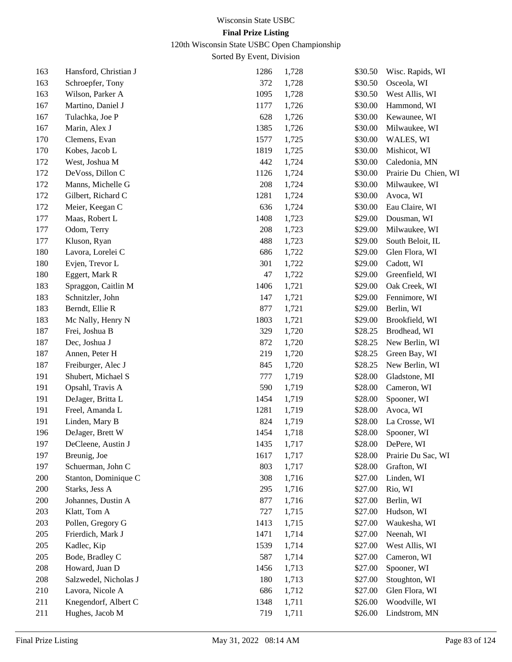120th Wisconsin State USBC Open Championship

| 163 | Hansford, Christian J | 1286 | 1,728 | \$30.50 | Wisc. Rapids, WI     |
|-----|-----------------------|------|-------|---------|----------------------|
| 163 | Schroepfer, Tony      | 372  | 1,728 | \$30.50 | Osceola, WI          |
| 163 | Wilson, Parker A      | 1095 | 1,728 | \$30.50 | West Allis, WI       |
| 167 | Martino, Daniel J     | 1177 | 1,726 | \$30.00 | Hammond, WI          |
| 167 | Tulachka, Joe P       | 628  | 1,726 | \$30.00 | Kewaunee, WI         |
| 167 | Marin, Alex J         | 1385 | 1,726 | \$30.00 | Milwaukee, WI        |
| 170 | Clemens, Evan         | 1577 | 1,725 | \$30.00 | WALES, WI            |
| 170 | Kobes, Jacob L        | 1819 | 1,725 | \$30.00 | Mishicot, WI         |
| 172 | West, Joshua M        | 442  | 1,724 | \$30.00 | Caledonia, MN        |
| 172 | DeVoss, Dillon C      | 1126 | 1,724 | \$30.00 | Prairie Du Chien, WI |
| 172 | Manns, Michelle G     | 208  | 1,724 | \$30.00 | Milwaukee, WI        |
| 172 | Gilbert, Richard C    | 1281 | 1,724 | \$30.00 | Avoca, WI            |
| 172 | Meier, Keegan C       | 636  | 1,724 | \$30.00 | Eau Claire, WI       |
| 177 | Maas, Robert L        | 1408 | 1,723 | \$29.00 | Dousman, WI          |
| 177 | Odom, Terry           | 208  | 1,723 | \$29.00 | Milwaukee, WI        |
| 177 | Kluson, Ryan          | 488  | 1,723 | \$29.00 | South Beloit, IL     |
| 180 | Lavora, Lorelei C     | 686  | 1,722 | \$29.00 | Glen Flora, WI       |
| 180 | Evjen, Trevor L       | 301  | 1,722 | \$29.00 | Cadott, WI           |
| 180 | Eggert, Mark R        | 47   | 1,722 | \$29.00 | Greenfield, WI       |
| 183 | Spraggon, Caitlin M   | 1406 | 1,721 | \$29.00 | Oak Creek, WI        |
| 183 | Schnitzler, John      | 147  | 1,721 | \$29.00 | Fennimore, WI        |
| 183 | Berndt, Ellie R       | 877  | 1,721 | \$29.00 | Berlin, WI           |
| 183 | Mc Nally, Henry N     | 1803 | 1,721 | \$29.00 | Brookfield, WI       |
| 187 | Frei, Joshua B        | 329  | 1,720 | \$28.25 | Brodhead, WI         |
| 187 | Dec, Joshua J         | 872  | 1,720 | \$28.25 | New Berlin, WI       |
| 187 | Annen, Peter H        | 219  | 1,720 | \$28.25 | Green Bay, WI        |
| 187 | Freiburger, Alec J    | 845  | 1,720 | \$28.25 | New Berlin, WI       |
| 191 | Shubert, Michael S    | 777  | 1,719 | \$28.00 | Gladstone, MI        |
| 191 | Opsahl, Travis A      | 590  | 1,719 | \$28.00 | Cameron, WI          |
| 191 | DeJager, Britta L     | 1454 | 1,719 | \$28.00 | Spooner, WI          |
| 191 | Freel, Amanda L       | 1281 | 1,719 | \$28.00 | Avoca, WI            |
| 191 | Linden, Mary B        | 824  | 1,719 | \$28.00 | La Crosse, WI        |
| 196 | DeJager, Brett W      | 1454 | 1,718 | \$28.00 | Spooner, WI          |
| 197 | DeCleene, Austin J    | 1435 | 1,717 |         | \$28.00 DePere, WI   |
| 197 | Breunig, Joe          | 1617 | 1,717 | \$28.00 | Prairie Du Sac, WI   |
| 197 | Schuerman, John C     | 803  | 1,717 | \$28.00 | Grafton, WI          |
| 200 | Stanton, Dominique C  | 308  | 1,716 | \$27.00 | Linden, WI           |
| 200 | Starks, Jess A        | 295  | 1,716 | \$27.00 | Rio, WI              |
| 200 | Johannes, Dustin A    | 877  | 1,716 | \$27.00 | Berlin, WI           |
| 203 | Klatt, Tom A          | 727  | 1,715 | \$27.00 | Hudson, WI           |
| 203 | Pollen, Gregory G     | 1413 | 1,715 | \$27.00 | Waukesha, WI         |
| 205 | Frierdich, Mark J     | 1471 | 1,714 | \$27.00 | Neenah, WI           |
| 205 | Kadlec, Kip           | 1539 | 1,714 | \$27.00 | West Allis, WI       |
| 205 | Bode, Bradley C       | 587  | 1,714 | \$27.00 | Cameron, WI          |
| 208 | Howard, Juan D        | 1456 | 1,713 | \$27.00 | Spooner, WI          |
| 208 | Salzwedel, Nicholas J | 180  | 1,713 | \$27.00 | Stoughton, WI        |
| 210 | Lavora, Nicole A      | 686  | 1,712 | \$27.00 | Glen Flora, WI       |
| 211 | Knegendorf, Albert C  | 1348 | 1,711 | \$26.00 | Woodville, WI        |
| 211 | Hughes, Jacob M       | 719  | 1,711 | \$26.00 | Lindstrom, MN        |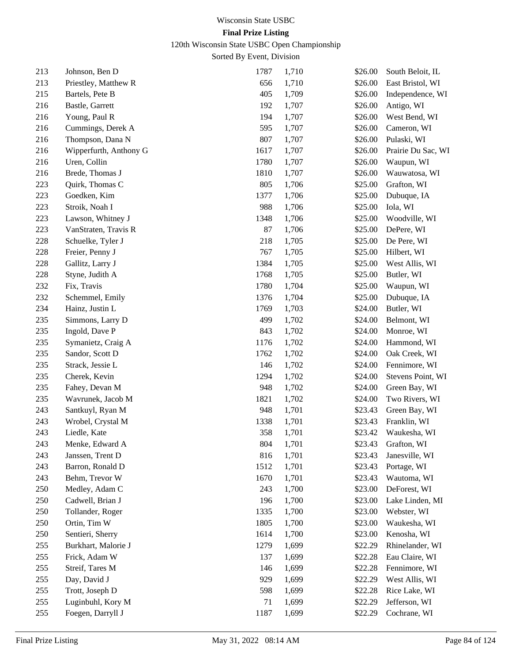120th Wisconsin State USBC Open Championship

| 213 | Johnson, Ben D         | 1787 | 1,710 | \$26.00 | South Beloit, IL   |
|-----|------------------------|------|-------|---------|--------------------|
| 213 | Priestley, Matthew R   | 656  | 1,710 | \$26.00 | East Bristol, WI   |
| 215 | Bartels, Pete B        | 405  | 1,709 | \$26.00 | Independence, WI   |
| 216 | Bastle, Garrett        | 192  | 1,707 | \$26.00 | Antigo, WI         |
| 216 | Young, Paul R          | 194  | 1,707 | \$26.00 | West Bend, WI      |
| 216 | Cummings, Derek A      | 595  | 1,707 | \$26.00 | Cameron, WI        |
| 216 | Thompson, Dana N       | 807  | 1,707 | \$26.00 | Pulaski, WI        |
| 216 | Wipperfurth, Anthony G | 1617 | 1,707 | \$26.00 | Prairie Du Sac, WI |
| 216 | Uren, Collin           | 1780 | 1,707 | \$26.00 | Waupun, WI         |
| 216 | Brede, Thomas J        | 1810 | 1,707 | \$26.00 | Wauwatosa, WI      |
| 223 | Quirk, Thomas C        | 805  | 1,706 | \$25.00 | Grafton, WI        |
| 223 | Goedken, Kim           | 1377 | 1,706 | \$25.00 | Dubuque, IA        |
| 223 | Stroik, Noah I         | 988  | 1,706 | \$25.00 | Iola, WI           |
| 223 | Lawson, Whitney J      | 1348 | 1,706 | \$25.00 | Woodville, WI      |
| 223 | VanStraten, Travis R   | 87   | 1,706 | \$25.00 | DePere, WI         |
| 228 | Schuelke, Tyler J      | 218  | 1,705 | \$25.00 | De Pere, WI        |
| 228 | Freier, Penny J        | 767  | 1,705 | \$25.00 | Hilbert, WI        |
| 228 | Gallitz, Larry J       | 1384 | 1,705 | \$25.00 | West Allis, WI     |
| 228 | Styne, Judith A        | 1768 | 1,705 | \$25.00 | Butler, WI         |
| 232 | Fix, Travis            | 1780 | 1,704 | \$25.00 | Waupun, WI         |
| 232 | Schemmel, Emily        | 1376 | 1,704 | \$25.00 | Dubuque, IA        |
| 234 | Hainz, Justin L        | 1769 | 1,703 | \$24.00 | Butler, WI         |
| 235 | Simmons, Larry D       | 499  | 1,702 | \$24.00 | Belmont, WI        |
| 235 | Ingold, Dave P         | 843  | 1,702 | \$24.00 | Monroe, WI         |
| 235 | Symanietz, Craig A     | 1176 | 1,702 | \$24.00 | Hammond, WI        |
| 235 | Sandor, Scott D        | 1762 | 1,702 | \$24.00 | Oak Creek, WI      |
| 235 | Strack, Jessie L       | 146  | 1,702 | \$24.00 | Fennimore, WI      |
| 235 | Cherek, Kevin          | 1294 | 1,702 | \$24.00 | Stevens Point, WI  |
| 235 | Fahey, Devan M         | 948  | 1,702 | \$24.00 | Green Bay, WI      |
| 235 | Wavrunek, Jacob M      | 1821 | 1,702 | \$24.00 | Two Rivers, WI     |
| 243 | Santkuyl, Ryan M       | 948  | 1,701 | \$23.43 | Green Bay, WI      |
| 243 | Wrobel, Crystal M      | 1338 | 1,701 | \$23.43 | Franklin, WI       |
| 243 | Liedle, Kate           | 358  | 1,701 | \$23.42 | Waukesha, WI       |
| 243 | Menke, Edward A        | 804  | 1,701 | \$23.43 | Grafton, WI        |
| 243 | Janssen, Trent D       | 816  | 1,701 | \$23.43 | Janesville, WI     |
| 243 | Barron, Ronald D       | 1512 | 1,701 | \$23.43 | Portage, WI        |
| 243 | Behm, Trevor W         | 1670 | 1,701 | \$23.43 | Wautoma, WI        |
| 250 | Medley, Adam C         | 243  | 1,700 | \$23.00 | DeForest, WI       |
| 250 | Cadwell, Brian J       | 196  | 1,700 | \$23.00 | Lake Linden, MI    |
| 250 | Tollander, Roger       | 1335 | 1,700 | \$23.00 | Webster, WI        |
| 250 | Ortin, Tim W           | 1805 | 1,700 | \$23.00 | Waukesha, WI       |
| 250 | Sentieri, Sherry       | 1614 | 1,700 | \$23.00 | Kenosha, WI        |
| 255 | Burkhart, Malorie J    | 1279 | 1,699 | \$22.29 | Rhinelander, WI    |
| 255 | Frick, Adam W          | 137  | 1,699 | \$22.28 | Eau Claire, WI     |
| 255 | Streif, Tares M        | 146  | 1,699 | \$22.28 | Fennimore, WI      |
| 255 | Day, David J           | 929  | 1,699 | \$22.29 | West Allis, WI     |
| 255 | Trott, Joseph D        | 598  | 1,699 | \$22.28 | Rice Lake, WI      |
| 255 | Luginbuhl, Kory M      | 71   | 1,699 | \$22.29 | Jefferson, WI      |
| 255 | Foegen, Darryll J      | 1187 | 1,699 | \$22.29 | Cochrane, WI       |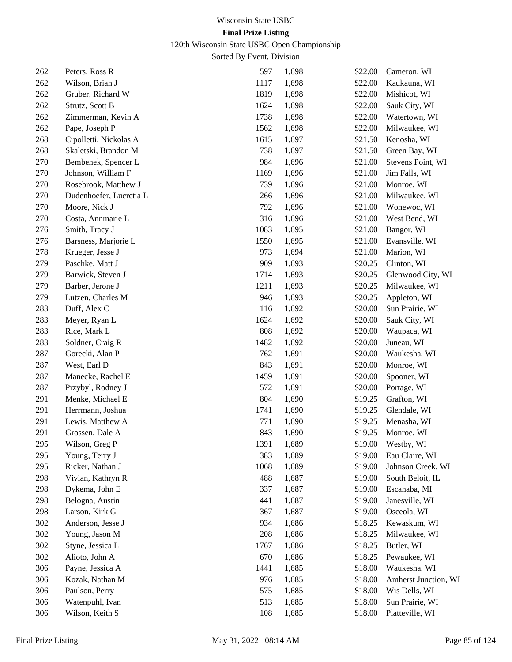120th Wisconsin State USBC Open Championship

| 262 | Peters, Ross R          | 597  | 1,698 | \$22.00 | Cameron, WI          |
|-----|-------------------------|------|-------|---------|----------------------|
| 262 | Wilson, Brian J         | 1117 | 1,698 | \$22.00 | Kaukauna, WI         |
| 262 | Gruber, Richard W       | 1819 | 1,698 | \$22.00 | Mishicot, WI         |
| 262 | Strutz, Scott B         | 1624 | 1,698 | \$22.00 | Sauk City, WI        |
| 262 | Zimmerman, Kevin A      | 1738 | 1,698 | \$22.00 | Watertown, WI        |
| 262 | Pape, Joseph P          | 1562 | 1,698 | \$22.00 | Milwaukee, WI        |
| 268 | Cipolletti, Nickolas A  | 1615 | 1,697 | \$21.50 | Kenosha, WI          |
| 268 | Skaletski, Brandon M    | 738  | 1,697 | \$21.50 | Green Bay, WI        |
| 270 | Bembenek, Spencer L     | 984  | 1,696 | \$21.00 | Stevens Point, WI    |
| 270 | Johnson, William F      | 1169 | 1,696 | \$21.00 | Jim Falls, WI        |
| 270 | Rosebrook, Matthew J    | 739  | 1,696 | \$21.00 | Monroe, WI           |
| 270 | Dudenhoefer, Lucretia L | 266  | 1,696 | \$21.00 | Milwaukee, WI        |
| 270 | Moore, Nick J           | 792  | 1,696 | \$21.00 | Wonewoc, WI          |
| 270 | Costa, Annmarie L       | 316  | 1,696 | \$21.00 | West Bend, WI        |
| 276 | Smith, Tracy J          | 1083 | 1,695 | \$21.00 | Bangor, WI           |
| 276 | Barsness, Marjorie L    | 1550 | 1,695 | \$21.00 | Evansville, WI       |
| 278 | Krueger, Jesse J        | 973  | 1,694 | \$21.00 | Marion, WI           |
| 279 | Paschke, Matt J         | 909  | 1,693 | \$20.25 | Clinton, WI          |
| 279 | Barwick, Steven J       | 1714 | 1,693 | \$20.25 | Glenwood City, WI    |
| 279 | Barber, Jerone J        | 1211 | 1,693 | \$20.25 | Milwaukee, WI        |
| 279 | Lutzen, Charles M       | 946  | 1,693 | \$20.25 | Appleton, WI         |
| 283 | Duff, Alex C            | 116  | 1,692 | \$20.00 | Sun Prairie, WI      |
| 283 | Meyer, Ryan L           | 1624 | 1,692 | \$20.00 | Sauk City, WI        |
| 283 | Rice, Mark L            | 808  | 1,692 | \$20.00 | Waupaca, WI          |
| 283 | Soldner, Craig R        | 1482 | 1,692 | \$20.00 | Juneau, WI           |
| 287 | Gorecki, Alan P         | 762  | 1,691 | \$20.00 | Waukesha, WI         |
| 287 | West, Earl D            | 843  | 1,691 | \$20.00 | Monroe, WI           |
| 287 | Manecke, Rachel E       | 1459 | 1,691 | \$20.00 | Spooner, WI          |
| 287 | Przybyl, Rodney J       | 572  | 1,691 | \$20.00 | Portage, WI          |
| 291 | Menke, Michael E        | 804  | 1,690 | \$19.25 | Grafton, WI          |
| 291 | Herrmann, Joshua        | 1741 | 1,690 | \$19.25 | Glendale, WI         |
| 291 | Lewis, Matthew A        | 771  | 1,690 | \$19.25 | Menasha, WI          |
| 291 | Grossen, Dale A         | 843  | 1,690 | \$19.25 | Monroe, WI           |
| 295 | Wilson, Greg P          | 1391 | 1,689 | \$19.00 | Westby, WI           |
| 295 | Young, Terry J          | 383  | 1,689 | \$19.00 | Eau Claire, WI       |
| 295 | Ricker, Nathan J        | 1068 | 1,689 | \$19.00 | Johnson Creek, WI    |
| 298 | Vivian, Kathryn R       | 488  | 1,687 | \$19.00 | South Beloit, IL     |
| 298 | Dykema, John E          | 337  | 1,687 | \$19.00 | Escanaba, MI         |
| 298 | Belogna, Austin         | 441  | 1,687 | \$19.00 | Janesville, WI       |
| 298 | Larson, Kirk G          | 367  | 1,687 | \$19.00 | Osceola, WI          |
| 302 | Anderson, Jesse J       | 934  | 1,686 | \$18.25 | Kewaskum, WI         |
| 302 | Young, Jason M          | 208  | 1,686 | \$18.25 | Milwaukee, WI        |
| 302 | Styne, Jessica L        | 1767 | 1,686 | \$18.25 | Butler, WI           |
| 302 | Alioto, John A          | 670  | 1,686 | \$18.25 | Pewaukee, WI         |
| 306 | Payne, Jessica A        | 1441 | 1,685 | \$18.00 | Waukesha, WI         |
| 306 | Kozak, Nathan M         | 976  | 1,685 | \$18.00 | Amherst Junction, WI |
| 306 | Paulson, Perry          | 575  | 1,685 | \$18.00 | Wis Dells, WI        |
| 306 | Watenpuhl, Ivan         | 513  | 1,685 | \$18.00 | Sun Prairie, WI      |
| 306 | Wilson, Keith S         | 108  | 1,685 | \$18.00 | Platteville, WI      |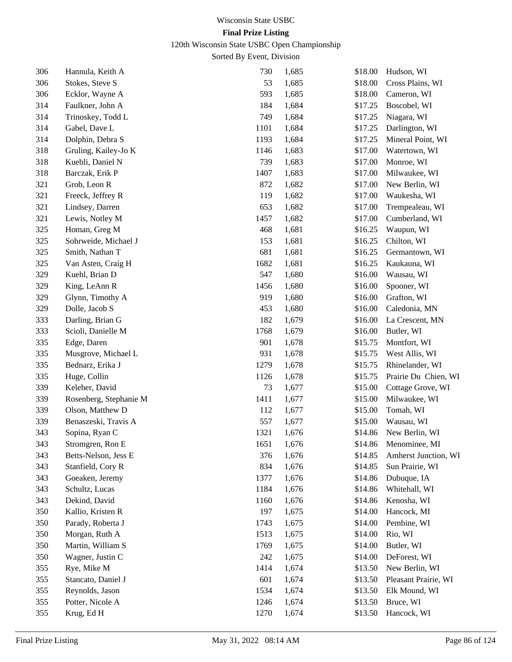120th Wisconsin State USBC Open Championship

| 306 | Hannula, Keith A       | 730  | 1,685 | \$18.00 | Hudson, WI           |
|-----|------------------------|------|-------|---------|----------------------|
| 306 | Stokes, Steve S        | 53   | 1,685 | \$18.00 | Cross Plains, WI     |
| 306 | Ecklor, Wayne A        | 593  | 1,685 | \$18.00 | Cameron, WI          |
| 314 | Faulkner, John A       | 184  | 1,684 | \$17.25 | Boscobel, WI         |
| 314 | Trinoskey, Todd L      | 749  | 1,684 | \$17.25 | Niagara, WI          |
| 314 | Gabel, Dave L          | 1101 | 1,684 | \$17.25 | Darlington, WI       |
| 314 | Dolphin, Debra S       | 1193 | 1,684 | \$17.25 | Mineral Point, WI    |
| 318 | Gruling, Kailey-Jo K   | 1146 | 1,683 | \$17.00 | Watertown, WI        |
| 318 | Kuebli, Daniel N       | 739  | 1,683 | \$17.00 | Monroe, WI           |
| 318 | Barczak, Erik P        | 1407 | 1,683 | \$17.00 | Milwaukee, WI        |
| 321 | Grob, Leon R           | 872  | 1,682 | \$17.00 | New Berlin, WI       |
| 321 | Freeck, Jeffrey R      | 119  | 1,682 | \$17.00 | Waukesha, WI         |
| 321 | Lindsey, Darren        | 653  | 1,682 | \$17.00 | Trempealeau, WI      |
| 321 | Lewis, Notley M        | 1457 | 1,682 | \$17.00 | Cumberland, WI       |
| 325 | Homan, Greg M          | 468  | 1,681 | \$16.25 | Waupun, WI           |
| 325 | Sohrweide, Michael J   | 153  | 1,681 | \$16.25 | Chilton, WI          |
| 325 | Smith, Nathan T        | 681  | 1,681 | \$16.25 | Germantown, WI       |
| 325 | Van Asten, Craig H     | 1682 | 1,681 | \$16.25 | Kaukauna, WI         |
| 329 | Kuehl, Brian D         | 547  | 1,680 | \$16.00 | Wausau, WI           |
| 329 | King, LeAnn R          | 1456 | 1,680 | \$16.00 | Spooner, WI          |
| 329 | Glynn, Timothy A       | 919  | 1,680 | \$16.00 | Grafton, WI          |
| 329 | Dolle, Jacob S         | 453  | 1,680 | \$16.00 | Caledonia, MN        |
| 333 | Darling, Brian G       | 182  | 1,679 | \$16.00 | La Crescent, MN      |
| 333 | Scioli, Danielle M     | 1768 | 1,679 | \$16.00 | Butler, WI           |
| 335 | Edge, Daren            | 901  | 1,678 | \$15.75 | Montfort, WI         |
| 335 | Musgrove, Michael L    | 931  | 1,678 | \$15.75 | West Allis, WI       |
| 335 | Bednarz, Erika J       | 1279 | 1,678 | \$15.75 | Rhinelander, WI      |
| 335 | Huge, Collin           | 1126 | 1,678 | \$15.75 | Prairie Du Chien, WI |
| 339 | Keleher, David         | 73   | 1,677 | \$15.00 | Cottage Grove, WI    |
| 339 | Rosenberg, Stephanie M | 1411 | 1,677 | \$15.00 | Milwaukee, WI        |
| 339 | Olson, Matthew D       | 112  | 1,677 | \$15.00 | Tomah, WI            |
| 339 | Benaszeski, Travis A   | 557  | 1,677 | \$15.00 | Wausau, WI           |
| 343 | Sopina, Ryan C         | 1321 | 1,676 | \$14.86 | New Berlin, WI       |
| 343 | Stromgren, Ron E       | 1651 | 1,676 | \$14.86 | Menominee, MI        |
| 343 | Betts-Nelson, Jess E   | 376  | 1,676 | \$14.85 | Amherst Junction, WI |
| 343 | Stanfield, Cory R      | 834  | 1,676 | \$14.85 | Sun Prairie, WI      |
| 343 | Goeaken, Jeremy        | 1377 | 1,676 | \$14.86 | Dubuque, IA          |
| 343 | Schultz, Lucas         | 1184 | 1,676 | \$14.86 | Whitehall, WI        |
| 343 | Dekind, David          | 1160 | 1,676 | \$14.86 | Kenosha, WI          |
| 350 | Kallio, Kristen R      | 197  | 1,675 | \$14.00 | Hancock, MI          |
| 350 | Parady, Roberta J      | 1743 | 1,675 | \$14.00 | Pembine, WI          |
| 350 | Morgan, Ruth A         | 1513 | 1,675 | \$14.00 | Rio, WI              |
| 350 | Martin, William S      | 1769 | 1,675 | \$14.00 | Butler, WI           |
| 350 | Wagner, Justin C       | 242  | 1,675 | \$14.00 | DeForest, WI         |
| 355 | Rye, Mike M            | 1414 | 1,674 | \$13.50 | New Berlin, WI       |
| 355 | Stancato, Daniel J     | 601  | 1,674 | \$13.50 | Pleasant Prairie, WI |
| 355 | Reynolds, Jason        | 1534 | 1,674 | \$13.50 | Elk Mound, WI        |
| 355 | Potter, Nicole A       | 1246 | 1,674 | \$13.50 | Bruce, WI            |
| 355 | Krug, Ed H             | 1270 | 1,674 | \$13.50 | Hancock, WI          |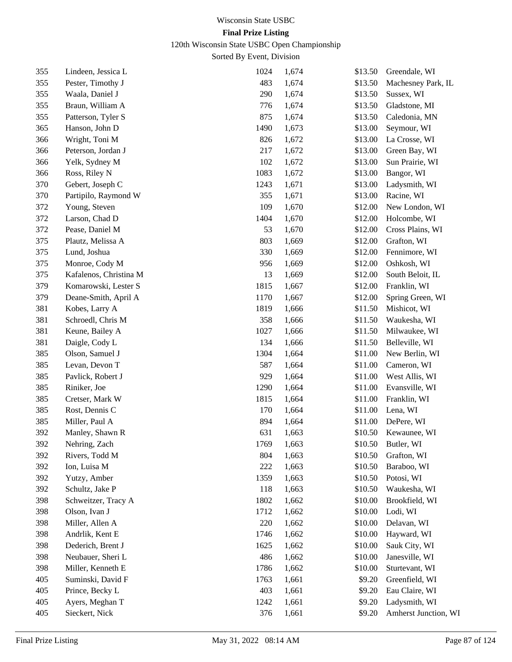120th Wisconsin State USBC Open Championship

| 355 | Lindeen, Jessica L     | 1024 | 1,674 | \$13.50 | Greendale, WI        |
|-----|------------------------|------|-------|---------|----------------------|
| 355 | Pester, Timothy J      | 483  | 1,674 | \$13.50 | Machesney Park, IL   |
| 355 | Waala, Daniel J        | 290  | 1,674 | \$13.50 | Sussex, WI           |
| 355 | Braun, William A       | 776  | 1,674 | \$13.50 | Gladstone, MI        |
| 355 | Patterson, Tyler S     | 875  | 1,674 | \$13.50 | Caledonia, MN        |
| 365 | Hanson, John D         | 1490 | 1,673 | \$13.00 | Seymour, WI          |
| 366 | Wright, Toni M         | 826  | 1,672 | \$13.00 | La Crosse, WI        |
| 366 | Peterson, Jordan J     | 217  | 1,672 | \$13.00 | Green Bay, WI        |
| 366 | Yelk, Sydney M         | 102  | 1,672 | \$13.00 | Sun Prairie, WI      |
| 366 | Ross, Riley N          | 1083 | 1,672 | \$13.00 | Bangor, WI           |
| 370 | Gebert, Joseph C       | 1243 | 1,671 | \$13.00 | Ladysmith, WI        |
| 370 | Partipilo, Raymond W   | 355  | 1,671 | \$13.00 | Racine, WI           |
| 372 | Young, Steven          | 109  | 1,670 | \$12.00 | New London, WI       |
| 372 | Larson, Chad D         | 1404 | 1,670 | \$12.00 | Holcombe, WI         |
| 372 | Pease, Daniel M        | 53   | 1,670 | \$12.00 | Cross Plains, WI     |
| 375 | Plautz, Melissa A      | 803  | 1,669 | \$12.00 | Grafton, WI          |
| 375 | Lund, Joshua           | 330  | 1,669 | \$12.00 | Fennimore, WI        |
| 375 | Monroe, Cody M         | 956  | 1,669 | \$12.00 | Oshkosh, WI          |
| 375 | Kafalenos, Christina M | 13   | 1,669 | \$12.00 | South Beloit, IL     |
| 379 | Komarowski, Lester S   | 1815 | 1,667 | \$12.00 | Franklin, WI         |
| 379 | Deane-Smith, April A   | 1170 | 1,667 | \$12.00 | Spring Green, WI     |
| 381 | Kobes, Larry A         | 1819 | 1,666 | \$11.50 | Mishicot, WI         |
| 381 | Schroedl, Chris M      | 358  | 1,666 | \$11.50 | Waukesha, WI         |
| 381 | Keune, Bailey A        | 1027 | 1,666 | \$11.50 | Milwaukee, WI        |
| 381 | Daigle, Cody L         | 134  | 1,666 | \$11.50 | Belleville, WI       |
| 385 | Olson, Samuel J        | 1304 | 1,664 | \$11.00 | New Berlin, WI       |
| 385 | Levan, Devon T         | 587  | 1,664 | \$11.00 | Cameron, WI          |
| 385 | Pavlick, Robert J      | 929  | 1,664 | \$11.00 | West Allis, WI       |
| 385 | Riniker, Joe           | 1290 | 1,664 | \$11.00 | Evansville, WI       |
| 385 | Cretser, Mark W        | 1815 | 1,664 | \$11.00 | Franklin, WI         |
| 385 | Rost, Dennis C         | 170  | 1,664 | \$11.00 | Lena, WI             |
| 385 | Miller, Paul A         | 894  | 1,664 | \$11.00 | DePere, WI           |
| 392 | Manley, Shawn R        | 631  | 1,663 | \$10.50 | Kewaunee, WI         |
| 392 | Nehring, Zach          | 1769 | 1,663 | \$10.50 | Butler, WI           |
| 392 | Rivers, Todd M         | 804  | 1,663 | \$10.50 | Grafton, WI          |
| 392 | Ion, Luisa M           | 222  | 1,663 | \$10.50 | Baraboo, WI          |
| 392 | Yutzy, Amber           | 1359 | 1,663 | \$10.50 | Potosi, WI           |
| 392 | Schultz, Jake P        | 118  | 1,663 | \$10.50 | Waukesha, WI         |
| 398 | Schweitzer, Tracy A    | 1802 | 1,662 | \$10.00 | Brookfield, WI       |
| 398 | Olson, Ivan J          | 1712 | 1,662 | \$10.00 | Lodi, WI             |
| 398 | Miller, Allen A        | 220  | 1,662 | \$10.00 | Delavan, WI          |
| 398 | Andrlik, Kent E        | 1746 | 1,662 | \$10.00 | Hayward, WI          |
| 398 | Dederich, Brent J      | 1625 | 1,662 | \$10.00 | Sauk City, WI        |
| 398 | Neubauer, Sheri L      | 486  | 1,662 | \$10.00 | Janesville, WI       |
| 398 | Miller, Kenneth E      | 1786 | 1,662 | \$10.00 | Sturtevant, WI       |
| 405 | Suminski, David F      | 1763 | 1,661 | \$9.20  | Greenfield, WI       |
| 405 | Prince, Becky L        | 403  | 1,661 | \$9.20  | Eau Claire, WI       |
| 405 | Ayers, Meghan T        | 1242 | 1,661 | \$9.20  | Ladysmith, WI        |
| 405 | Sieckert, Nick         | 376  | 1,661 | \$9.20  | Amherst Junction, WI |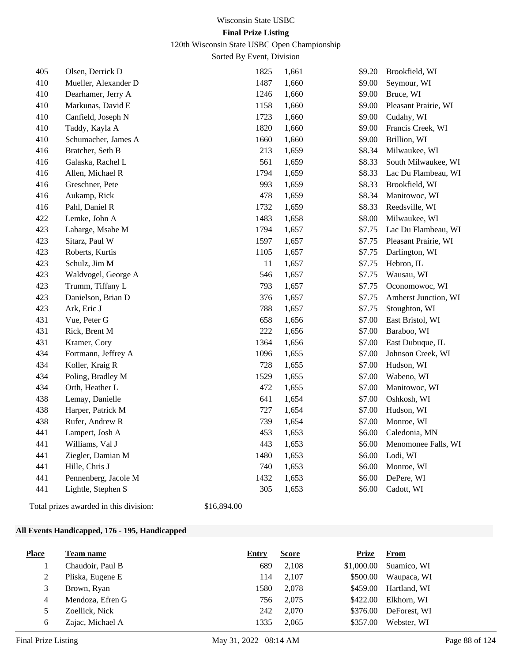120th Wisconsin State USBC Open Championship

Sorted By Event, Division

| 405 | Olsen, Derrick D     | 1825   | 1,661 | \$9.20 | Brookfield, WI       |
|-----|----------------------|--------|-------|--------|----------------------|
| 410 | Mueller, Alexander D | 1487   | 1,660 | \$9.00 | Seymour, WI          |
| 410 | Dearhamer, Jerry A   | 1246   | 1,660 | \$9.00 | Bruce, WI            |
| 410 | Markunas, David E    | 1158   | 1,660 | \$9.00 | Pleasant Prairie, WI |
| 410 | Canfield, Joseph N   | 1723   | 1,660 | \$9.00 | Cudahy, WI           |
| 410 | Taddy, Kayla A       | 1820   | 1,660 | \$9.00 | Francis Creek, WI    |
| 410 | Schumacher, James A  | 1660   | 1,660 | \$9.00 | Brillion, WI         |
| 416 | Bratcher, Seth B     | 213    | 1,659 | \$8.34 | Milwaukee, WI        |
| 416 | Galaska, Rachel L    | 561    | 1,659 | \$8.33 | South Milwaukee, WI  |
| 416 | Allen, Michael R     | 1794   | 1,659 | \$8.33 | Lac Du Flambeau, WI  |
| 416 | Greschner, Pete      | 993    | 1,659 | \$8.33 | Brookfield, WI       |
| 416 | Aukamp, Rick         | 478    | 1,659 | \$8.34 | Manitowoc, WI        |
| 416 | Pahl, Daniel R       | 1732   | 1,659 | \$8.33 | Reedsville, WI       |
| 422 | Lemke, John A        | 1483   | 1,658 | \$8.00 | Milwaukee, WI        |
| 423 | Labarge, Msabe M     | 1794   | 1,657 | \$7.75 | Lac Du Flambeau, WI  |
| 423 | Sitarz, Paul W       | 1597   | 1,657 | \$7.75 | Pleasant Prairie, WI |
| 423 | Roberts, Kurtis      | 1105   | 1,657 | \$7.75 | Darlington, WI       |
| 423 | Schulz, Jim M        | $11\,$ | 1,657 | \$7.75 | Hebron, IL           |
| 423 | Waldvogel, George A  | 546    | 1,657 | \$7.75 | Wausau, WI           |
| 423 | Trumm, Tiffany L     | 793    | 1,657 | \$7.75 | Oconomowoc, WI       |
| 423 | Danielson, Brian D   | 376    | 1,657 | \$7.75 | Amherst Junction, WI |
| 423 | Ark, Eric J          | 788    | 1,657 | \$7.75 | Stoughton, WI        |
| 431 | Vue, Peter G         | 658    | 1,656 | \$7.00 | East Bristol, WI     |
| 431 | Rick, Brent M        | 222    | 1,656 | \$7.00 | Baraboo, WI          |
| 431 | Kramer, Cory         | 1364   | 1,656 | \$7.00 | East Dubuque, IL     |
| 434 | Fortmann, Jeffrey A  | 1096   | 1,655 | \$7.00 | Johnson Creek, WI    |
| 434 | Koller, Kraig R      | 728    | 1,655 | \$7.00 | Hudson, WI           |
| 434 | Poling, Bradley M    | 1529   | 1,655 | \$7.00 | Wabeno, WI           |
| 434 | Orth, Heather L      | 472    | 1,655 | \$7.00 | Manitowoc, WI        |
| 438 | Lemay, Danielle      | 641    | 1,654 | \$7.00 | Oshkosh, WI          |
| 438 | Harper, Patrick M    | 727    | 1,654 | \$7.00 | Hudson, WI           |
| 438 | Rufer, Andrew R      | 739    | 1,654 | \$7.00 | Monroe, WI           |
| 441 | Lampert, Josh A      | 453    | 1,653 | \$6.00 | Caledonia, MN        |
| 441 | Williams, Val J      | 443    | 1,653 | \$6.00 | Menomonee Falls, WI  |
| 441 | Ziegler, Damian M    | 1480   | 1,653 | \$6.00 | Lodi, WI             |
| 441 | Hille, Chris J       | 740    | 1,653 | \$6.00 | Monroe, WI           |
| 441 | Pennenberg, Jacole M | 1432   | 1,653 | \$6.00 | DePere, WI           |
| 441 | Lightle, Stephen S   | 305    | 1,653 | \$6.00 | Cadott, WI           |
|     |                      |        |       |        |                      |

Total prizes awarded in this division: \$16,894.00

#### **All Events Handicapped, 176 - 195, Handicapped**

| <b>Place</b> | <b>Team name</b> | Entry | <b>Score</b> | <b>Prize</b> | From         |
|--------------|------------------|-------|--------------|--------------|--------------|
|              | Chaudoir, Paul B | 689   | 2,108        | \$1,000.00   | Suamico, WI  |
|              | Pliska, Eugene E | 114   | 2.107        | \$500.00     | Waupaca, WI  |
| 3            | Brown, Ryan      | 1580  | 2.078        | \$459.00     | Hartland, WI |
| 4            | Mendoza, Efren G | 756   | 2,075        | \$422.00     | Elkhorn, WI  |
|              | Zoellick, Nick   | 242   | 2.070        | \$376.00     | DeForest, WI |
| 6            | Zajac, Michael A | 1335  | 2.065        | \$357.00     | Webster, WI  |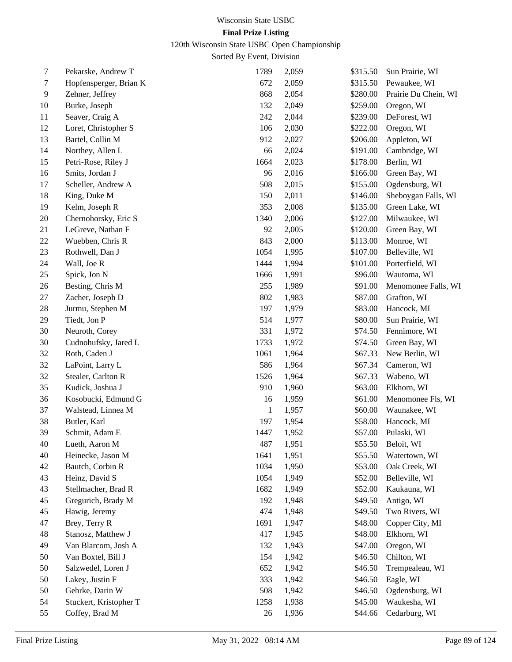120th Wisconsin State USBC Open Championship

| 7  | Pekarske, Andrew T     | 1789 | 2,059 | \$315.50 | Sun Prairie, WI      |
|----|------------------------|------|-------|----------|----------------------|
| 7  | Hopfensperger, Brian K | 672  | 2,059 | \$315.50 | Pewaukee, WI         |
| 9  | Zehner, Jeffrey        | 868  | 2,054 | \$280.00 | Prairie Du Chein, WI |
| 10 | Burke, Joseph          | 132  | 2,049 | \$259.00 | Oregon, WI           |
| 11 | Seaver, Craig A        | 242  | 2,044 | \$239.00 | DeForest, WI         |
| 12 | Loret, Christopher S   | 106  | 2,030 | \$222.00 | Oregon, WI           |
| 13 | Bartel, Collin M       | 912  | 2,027 | \$206.00 | Appleton, WI         |
| 14 | Northey, Allen L       | 66   | 2,024 | \$191.00 | Cambridge, WI        |
| 15 | Petri-Rose, Riley J    | 1664 | 2,023 | \$178.00 | Berlin, WI           |
| 16 | Smits, Jordan J        | 96   | 2,016 | \$166.00 | Green Bay, WI        |
| 17 | Scheller, Andrew A     | 508  | 2,015 | \$155.00 | Ogdensburg, WI       |
| 18 | King, Duke M           | 150  | 2,011 | \$146.00 | Sheboygan Falls, WI  |
| 19 | Kelm, Joseph R         | 353  | 2,008 | \$135.00 | Green Lake, WI       |
| 20 | Chernohorsky, Eric S   | 1340 | 2,006 | \$127.00 | Milwaukee, WI        |
| 21 | LeGreve, Nathan F      | 92   | 2,005 | \$120.00 | Green Bay, WI        |
| 22 | Wuebben, Chris R       | 843  | 2,000 | \$113.00 | Monroe, WI           |
| 23 | Rothwell, Dan J        | 1054 | 1,995 | \$107.00 | Belleville, WI       |
| 24 | Wall, Joe R            | 1444 | 1,994 | \$101.00 | Porterfield, WI      |
| 25 | Spick, Jon N           | 1666 | 1,991 | \$96.00  | Wautoma, WI          |
| 26 | Besting, Chris M       | 255  | 1,989 | \$91.00  | Menomonee Falls, WI  |
| 27 | Zacher, Joseph D       | 802  | 1,983 | \$87.00  | Grafton, WI          |
| 28 | Jurmu, Stephen M       | 197  | 1,979 | \$83.00  | Hancock, MI          |
| 29 | Tiedt, Jon P           | 514  | 1,977 | \$80.00  | Sun Prairie, WI      |
| 30 | Neuroth, Corey         | 331  | 1,972 | \$74.50  | Fennimore, WI        |
| 30 | Cudnohufsky, Jared L   | 1733 | 1,972 | \$74.50  | Green Bay, WI        |
| 32 | Roth, Caden J          | 1061 | 1,964 | \$67.33  | New Berlin, WI       |
| 32 | LaPoint, Larry L       | 586  | 1,964 | \$67.34  | Cameron, WI          |
| 32 | Stealer, Carlton R     | 1526 | 1,964 | \$67.33  | Wabeno, WI           |
| 35 | Kudick, Joshua J       | 910  | 1,960 | \$63.00  | Elkhorn, WI          |
| 36 | Kosobucki, Edmund G    | 16   | 1,959 | \$61.00  | Menomonee Fls, WI    |
| 37 | Walstead, Linnea M     | 1    | 1,957 | \$60.00  | Waunakee, WI         |
| 38 | Butler, Karl           | 197  | 1,954 | \$58.00  | Hancock, MI          |
| 39 | Schmit, Adam E         | 1447 | 1,952 | \$57.00  | Pulaski, WI          |
| 40 | Lueth, Aaron M         | 487  | 1,951 | \$55.50  | Beloit, WI           |
| 40 | Heinecke, Jason M      | 1641 | 1,951 | \$55.50  | Watertown, WI        |
| 42 | Bautch, Corbin R       | 1034 | 1,950 | \$53.00  | Oak Creek, WI        |
| 43 | Heinz, David S         | 1054 | 1,949 | \$52.00  | Belleville, WI       |
| 43 | Stellmacher, Brad R    | 1682 | 1,949 | \$52.00  | Kaukauna, WI         |
| 45 | Gregurich, Brady M     | 192  | 1,948 | \$49.50  | Antigo, WI           |
| 45 | Hawig, Jeremy          | 474  | 1,948 | \$49.50  | Two Rivers, WI       |
| 47 | Brey, Terry R          | 1691 | 1,947 | \$48.00  | Copper City, MI      |
| 48 | Stanosz, Matthew J     | 417  | 1,945 | \$48.00  | Elkhorn, WI          |
| 49 | Van Blarcom, Josh A    | 132  | 1,943 | \$47.00  | Oregon, WI           |
| 50 | Van Boxtel, Bill J     | 154  | 1,942 | \$46.50  | Chilton, WI          |
| 50 | Salzwedel, Loren J     | 652  | 1,942 | \$46.50  | Trempealeau, WI      |
| 50 | Lakey, Justin F        | 333  | 1,942 | \$46.50  | Eagle, WI            |
| 50 | Gehrke, Darin W        | 508  | 1,942 | \$46.50  | Ogdensburg, WI       |
| 54 | Stuckert, Kristopher T | 1258 | 1,938 | \$45.00  | Waukesha, WI         |
| 55 | Coffey, Brad M         | 26   | 1,936 | \$44.66  | Cedarburg, WI        |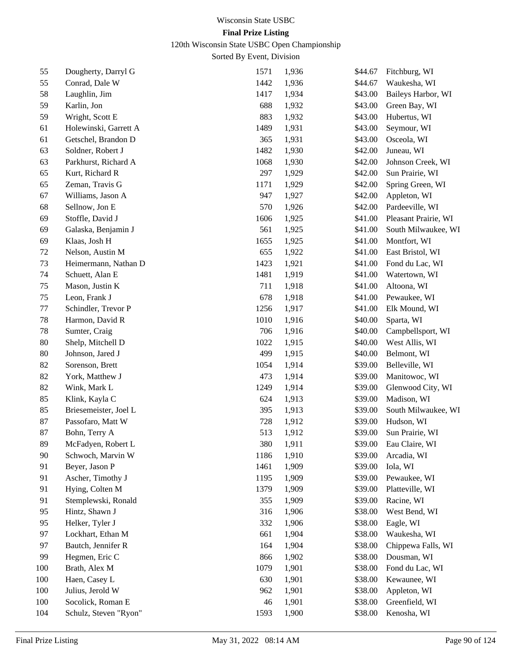120th Wisconsin State USBC Open Championship

| 55  | Dougherty, Darryl G   | 1571 | 1,936 | \$44.67 | Fitchburg, WI        |
|-----|-----------------------|------|-------|---------|----------------------|
| 55  | Conrad, Dale W        | 1442 | 1,936 | \$44.67 | Waukesha, WI         |
| 58  | Laughlin, Jim         | 1417 | 1,934 | \$43.00 | Baileys Harbor, WI   |
| 59  | Karlin, Jon           | 688  | 1,932 | \$43.00 | Green Bay, WI        |
| 59  | Wright, Scott E       | 883  | 1,932 | \$43.00 | Hubertus, WI         |
| 61  | Holewinski, Garrett A | 1489 | 1,931 | \$43.00 | Seymour, WI          |
| 61  | Getschel, Brandon D   | 365  | 1,931 | \$43.00 | Osceola, WI          |
| 63  | Soldner, Robert J     | 1482 | 1,930 | \$42.00 | Juneau, WI           |
| 63  | Parkhurst, Richard A  | 1068 | 1,930 | \$42.00 | Johnson Creek, WI    |
| 65  | Kurt, Richard R       | 297  | 1,929 | \$42.00 | Sun Prairie, WI      |
| 65  | Zeman, Travis G       | 1171 | 1,929 | \$42.00 | Spring Green, WI     |
| 67  | Williams, Jason A     | 947  | 1,927 | \$42.00 | Appleton, WI         |
| 68  | Sellnow, Jon E        | 570  | 1,926 | \$42.00 | Pardeeville, WI      |
| 69  | Stoffle, David J      | 1606 | 1,925 | \$41.00 | Pleasant Prairie, WI |
| 69  | Galaska, Benjamin J   | 561  | 1,925 | \$41.00 | South Milwaukee, WI  |
| 69  | Klaas, Josh H         | 1655 | 1,925 | \$41.00 | Montfort, WI         |
| 72  | Nelson, Austin M      | 655  | 1,922 | \$41.00 | East Bristol, WI     |
| 73  | Heimermann, Nathan D  | 1423 | 1,921 | \$41.00 | Fond du Lac, WI      |
| 74  | Schuett, Alan E       | 1481 | 1,919 | \$41.00 | Watertown, WI        |
| 75  | Mason, Justin K       | 711  | 1,918 | \$41.00 | Altoona, WI          |
| 75  | Leon, Frank J         | 678  | 1,918 | \$41.00 | Pewaukee, WI         |
| 77  | Schindler, Trevor P   | 1256 | 1,917 | \$41.00 | Elk Mound, WI        |
| 78  | Harmon, David R       | 1010 | 1,916 | \$40.00 | Sparta, WI           |
| 78  | Sumter, Craig         | 706  | 1,916 | \$40.00 | Campbellsport, WI    |
| 80  | Shelp, Mitchell D     | 1022 | 1,915 | \$40.00 | West Allis, WI       |
| 80  | Johnson, Jared J      | 499  | 1,915 | \$40.00 | Belmont, WI          |
| 82  | Sorenson, Brett       | 1054 | 1,914 | \$39.00 | Belleville, WI       |
| 82  | York, Matthew J       | 473  | 1,914 | \$39.00 | Manitowoc, WI        |
| 82  | Wink, Mark L          | 1249 | 1,914 | \$39.00 | Glenwood City, WI    |
| 85  | Klink, Kayla C        | 624  | 1,913 | \$39.00 | Madison, WI          |
| 85  | Briesemeister, Joel L | 395  | 1,913 | \$39.00 | South Milwaukee, WI  |
| 87  | Passofaro, Matt W     | 728  | 1,912 | \$39.00 | Hudson, WI           |
| 87  | Bohn, Terry A         | 513  | 1,912 | \$39.00 | Sun Prairie, WI      |
| 89  | McFadyen, Robert L    | 380  | 1,911 | \$39.00 | Eau Claire, WI       |
| 90  | Schwoch, Marvin W     | 1186 | 1,910 | \$39.00 | Arcadia, WI          |
| 91  | Beyer, Jason P        | 1461 | 1,909 | \$39.00 | Iola, WI             |
| 91  | Ascher, Timothy J     | 1195 | 1,909 | \$39.00 | Pewaukee, WI         |
| 91  | Hying, Colten M       | 1379 | 1,909 | \$39.00 | Platteville, WI      |
| 91  | Stemplewski, Ronald   | 355  | 1,909 | \$39.00 | Racine, WI           |
| 95  | Hintz, Shawn J        | 316  | 1,906 | \$38.00 | West Bend, WI        |
| 95  | Helker, Tyler J       | 332  | 1,906 | \$38.00 | Eagle, WI            |
| 97  | Lockhart, Ethan M     | 661  | 1,904 | \$38.00 | Waukesha, WI         |
| 97  | Bautch, Jennifer R    | 164  | 1,904 | \$38.00 | Chippewa Falls, WI   |
| 99  | Hegmen, Eric C        | 866  | 1,902 | \$38.00 | Dousman, WI          |
| 100 | Brath, Alex M         | 1079 | 1,901 | \$38.00 | Fond du Lac, WI      |
| 100 | Haen, Casey L         | 630  | 1,901 | \$38.00 | Kewaunee, WI         |
| 100 | Julius, Jerold W      | 962  | 1,901 | \$38.00 | Appleton, WI         |
| 100 | Socolick, Roman E     | 46   | 1,901 | \$38.00 | Greenfield, WI       |
| 104 | Schulz, Steven "Ryon" | 1593 | 1,900 | \$38.00 | Kenosha, WI          |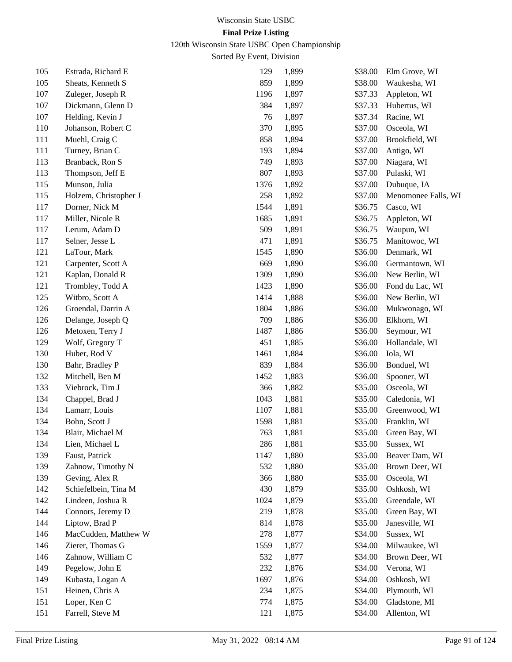120th Wisconsin State USBC Open Championship

| 105 | Estrada, Richard E    | 129  | 1,899 | \$38.00 | Elm Grove, WI       |
|-----|-----------------------|------|-------|---------|---------------------|
| 105 | Sheats, Kenneth S     | 859  | 1,899 | \$38.00 | Waukesha, WI        |
| 107 | Zuleger, Joseph R     | 1196 | 1,897 | \$37.33 | Appleton, WI        |
| 107 | Dickmann, Glenn D     | 384  | 1,897 | \$37.33 | Hubertus, WI        |
| 107 | Helding, Kevin J      | 76   | 1,897 | \$37.34 | Racine, WI          |
| 110 | Johanson, Robert C    | 370  | 1,895 | \$37.00 | Osceola, WI         |
| 111 | Muehl, Craig C        | 858  | 1,894 | \$37.00 | Brookfield, WI      |
| 111 | Turney, Brian C       | 193  | 1,894 | \$37.00 | Antigo, WI          |
| 113 | Branback, Ron S       | 749  | 1,893 | \$37.00 | Niagara, WI         |
| 113 | Thompson, Jeff E      | 807  | 1,893 | \$37.00 | Pulaski, WI         |
| 115 | Munson, Julia         | 1376 | 1,892 | \$37.00 | Dubuque, IA         |
| 115 | Holzem, Christopher J | 258  | 1,892 | \$37.00 | Menomonee Falls, WI |
| 117 | Dorner, Nick M        | 1544 | 1,891 | \$36.75 | Casco, WI           |
| 117 | Miller, Nicole R      | 1685 | 1,891 | \$36.75 | Appleton, WI        |
| 117 | Lerum, Adam D         | 509  | 1,891 | \$36.75 | Waupun, WI          |
| 117 | Selner, Jesse L       | 471  | 1,891 | \$36.75 | Manitowoc, WI       |
| 121 | LaTour, Mark          | 1545 | 1,890 | \$36.00 | Denmark, WI         |
| 121 | Carpenter, Scott A    | 669  | 1,890 | \$36.00 | Germantown, WI      |
| 121 | Kaplan, Donald R      | 1309 | 1,890 | \$36.00 | New Berlin, WI      |
| 121 | Trombley, Todd A      | 1423 | 1,890 | \$36.00 | Fond du Lac, WI     |
| 125 | Witbro, Scott A       | 1414 | 1,888 | \$36.00 | New Berlin, WI      |
| 126 | Groendal, Darrin A    | 1804 | 1,886 | \$36.00 | Mukwonago, WI       |
| 126 | Delange, Joseph Q     | 709  | 1,886 | \$36.00 | Elkhorn, WI         |
| 126 | Metoxen, Terry J      | 1487 | 1,886 | \$36.00 | Seymour, WI         |
| 129 | Wolf, Gregory T       | 451  | 1,885 | \$36.00 | Hollandale, WI      |
| 130 | Huber, Rod V          | 1461 | 1,884 | \$36.00 | Iola, WI            |
| 130 | Bahr, Bradley P       | 839  | 1,884 | \$36.00 | Bonduel, WI         |
| 132 | Mitchell, Ben M       | 1452 | 1,883 | \$36.00 | Spooner, WI         |
| 133 | Viebrock, Tim J       | 366  | 1,882 | \$35.00 | Osceola, WI         |
| 134 | Chappel, Brad J       | 1043 | 1,881 | \$35.00 | Caledonia, WI       |
| 134 | Lamarr, Louis         | 1107 | 1,881 | \$35.00 | Greenwood, WI       |
| 134 | Bohn, Scott J         | 1598 | 1,881 | \$35.00 | Franklin, WI        |
| 134 | Blair, Michael M      | 763  | 1,881 | \$35.00 | Green Bay, WI       |
| 134 | Lien, Michael L       | 286  | 1,881 | \$35.00 | Sussex, WI          |
| 139 | Faust, Patrick        | 1147 | 1,880 | \$35.00 | Beaver Dam, WI      |
| 139 | Zahnow, Timothy N     | 532  | 1,880 | \$35.00 | Brown Deer, WI      |
| 139 | Geving, Alex R        | 366  | 1,880 | \$35.00 | Osceola, WI         |
| 142 | Schiefelbein, Tina M  | 430  | 1,879 | \$35.00 | Oshkosh, WI         |
| 142 | Lindeen, Joshua R     | 1024 | 1,879 | \$35.00 | Greendale, WI       |
| 144 | Connors, Jeremy D     | 219  | 1,878 | \$35.00 | Green Bay, WI       |
| 144 | Liptow, Brad P        | 814  | 1,878 | \$35.00 | Janesville, WI      |
| 146 | MacCudden, Matthew W  | 278  | 1,877 | \$34.00 | Sussex, WI          |
| 146 | Zierer, Thomas G      | 1559 | 1,877 | \$34.00 | Milwaukee, WI       |
| 146 | Zahnow, William C     | 532  | 1,877 | \$34.00 | Brown Deer, WI      |
| 149 | Pegelow, John E       | 232  | 1,876 | \$34.00 | Verona, WI          |
| 149 | Kubasta, Logan A      | 1697 | 1,876 | \$34.00 | Oshkosh, WI         |
| 151 | Heinen, Chris A       | 234  | 1,875 | \$34.00 | Plymouth, WI        |
| 151 | Loper, Ken C          | 774  | 1,875 | \$34.00 | Gladstone, MI       |
| 151 | Farrell, Steve M      | 121  | 1,875 | \$34.00 | Allenton, WI        |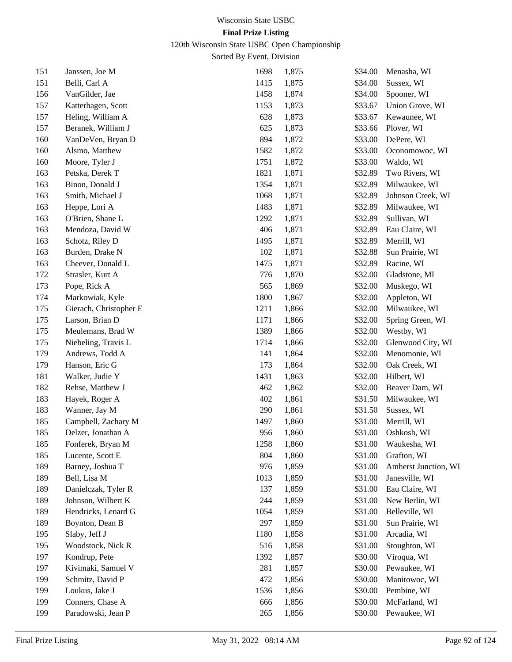# 120th Wisconsin State USBC Open Championship

| 151 | Janssen, Joe M         | 1698 | 1,875 | \$34.00 | Menasha, WI          |
|-----|------------------------|------|-------|---------|----------------------|
| 151 | Belli, Carl A          | 1415 | 1,875 | \$34.00 | Sussex, WI           |
| 156 | VanGilder, Jae         | 1458 | 1,874 | \$34.00 | Spooner, WI          |
| 157 | Katterhagen, Scott     | 1153 | 1,873 | \$33.67 | Union Grove, WI      |
| 157 | Heling, William A      | 628  | 1,873 | \$33.67 | Kewaunee, WI         |
| 157 | Beranek, William J     | 625  | 1,873 | \$33.66 | Plover, WI           |
| 160 | VanDeVen, Bryan D      | 894  | 1,872 | \$33.00 | DePere, WI           |
| 160 | Alsmo, Matthew         | 1582 | 1,872 | \$33.00 | Oconomowoc, WI       |
| 160 | Moore, Tyler J         | 1751 | 1,872 | \$33.00 | Waldo, WI            |
| 163 | Petska, Derek T        | 1821 | 1,871 | \$32.89 | Two Rivers, WI       |
| 163 | Binon, Donald J        | 1354 | 1,871 | \$32.89 | Milwaukee, WI        |
| 163 | Smith, Michael J       | 1068 | 1,871 | \$32.89 | Johnson Creek, WI    |
| 163 | Heppe, Lori A          | 1483 | 1,871 | \$32.89 | Milwaukee, WI        |
| 163 | O'Brien, Shane L       | 1292 | 1,871 | \$32.89 | Sullivan, WI         |
| 163 | Mendoza, David W       | 406  | 1,871 | \$32.89 | Eau Claire, WI       |
| 163 | Schotz, Riley D        | 1495 | 1,871 | \$32.89 | Merrill, WI          |
| 163 | Burden, Drake N        | 102  | 1,871 | \$32.88 | Sun Prairie, WI      |
| 163 | Cheever, Donald L      | 1475 | 1,871 | \$32.89 | Racine, WI           |
| 172 | Strasler, Kurt A       | 776  | 1,870 | \$32.00 | Gladstone, MI        |
| 173 | Pope, Rick A           | 565  | 1,869 | \$32.00 | Muskego, WI          |
| 174 | Markowiak, Kyle        | 1800 | 1,867 | \$32.00 | Appleton, WI         |
| 175 | Gierach, Christopher E | 1211 | 1,866 | \$32.00 | Milwaukee, WI        |
| 175 | Larson, Brian D        | 1171 | 1,866 | \$32.00 | Spring Green, WI     |
| 175 | Meulemans, Brad W      | 1389 | 1,866 | \$32.00 | Westby, WI           |
| 175 | Niebeling, Travis L    | 1714 | 1,866 | \$32.00 | Glenwood City, WI    |
| 179 | Andrews, Todd A        | 141  | 1,864 | \$32.00 | Menomonie, WI        |
| 179 | Hanson, Eric G         | 173  | 1,864 | \$32.00 | Oak Creek, WI        |
| 181 | Walker, Judie Y        | 1431 | 1,863 | \$32.00 | Hilbert, WI          |
| 182 | Rehse, Matthew J       | 462  | 1,862 | \$32.00 | Beaver Dam, WI       |
| 183 | Hayek, Roger A         | 402  | 1,861 | \$31.50 | Milwaukee, WI        |
| 183 | Wanner, Jay M          | 290  | 1,861 | \$31.50 | Sussex, WI           |
| 185 | Campbell, Zachary M    | 1497 | 1,860 | \$31.00 | Merrill, WI          |
| 185 | Delzer, Jonathan A     | 956  | 1,860 | \$31.00 | Oshkosh, WI          |
| 185 | Fonferek, Bryan M      | 1258 | 1,860 | \$31.00 | Waukesha, WI         |
| 185 | Lucente, Scott E       | 804  | 1,860 | \$31.00 | Grafton, WI          |
| 189 | Barney, Joshua T       | 976  | 1,859 | \$31.00 | Amherst Junction, WI |
| 189 | Bell, Lisa M           | 1013 | 1,859 | \$31.00 | Janesville, WI       |
| 189 | Danielczak, Tyler R    | 137  | 1,859 | \$31.00 | Eau Claire, WI       |
| 189 | Johnson, Wilbert K     | 244  | 1,859 | \$31.00 | New Berlin, WI       |
| 189 | Hendricks, Lenard G    | 1054 | 1,859 | \$31.00 | Belleville, WI       |
| 189 | Boynton, Dean B        | 297  | 1,859 | \$31.00 | Sun Prairie, WI      |
| 195 | Slaby, Jeff J          | 1180 | 1,858 | \$31.00 | Arcadia, WI          |
| 195 | Woodstock, Nick R      | 516  | 1,858 | \$31.00 | Stoughton, WI        |
| 197 | Kondrup, Pete          | 1392 | 1,857 | \$30.00 | Viroqua, WI          |
| 197 | Kivimaki, Samuel V     | 281  | 1,857 | \$30.00 | Pewaukee, WI         |
| 199 | Schmitz, David P       | 472  | 1,856 | \$30.00 | Manitowoc, WI        |
| 199 | Loukus, Jake J         | 1536 | 1,856 | \$30.00 | Pembine, WI          |
| 199 | Conners, Chase A       | 666  | 1,856 | \$30.00 | McFarland, WI        |
| 199 | Paradowski, Jean P     | 265  | 1,856 | \$30.00 | Pewaukee, WI         |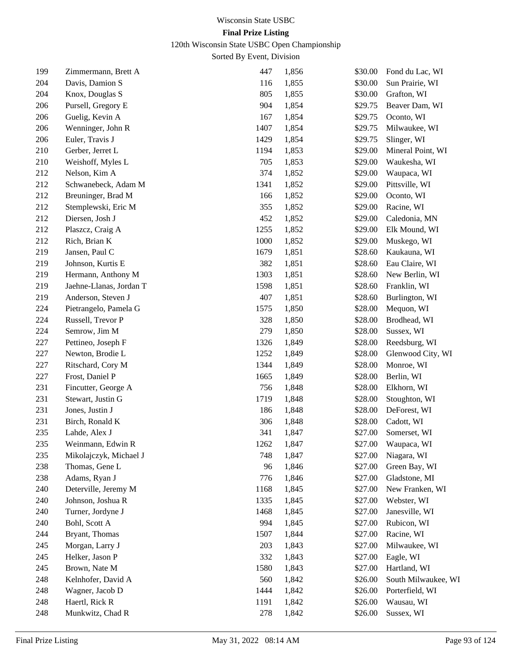120th Wisconsin State USBC Open Championship

| 199 | Zimmermann, Brett A     | 447  | 1,856 | \$30.00 | Fond du Lac, WI     |
|-----|-------------------------|------|-------|---------|---------------------|
| 204 | Davis, Damion S         | 116  | 1,855 | \$30.00 | Sun Prairie, WI     |
| 204 | Knox, Douglas S         | 805  | 1,855 | \$30.00 | Grafton, WI         |
| 206 | Pursell, Gregory E      | 904  | 1,854 | \$29.75 | Beaver Dam, WI      |
| 206 | Guelig, Kevin A         | 167  | 1,854 | \$29.75 | Oconto, WI          |
| 206 | Wenninger, John R       | 1407 | 1,854 | \$29.75 | Milwaukee, WI       |
| 206 | Euler, Travis J         | 1429 | 1,854 | \$29.75 | Slinger, WI         |
| 210 | Gerber, Jerret L        | 1194 | 1,853 | \$29.00 | Mineral Point, WI   |
| 210 | Weishoff, Myles L       | 705  | 1,853 | \$29.00 | Waukesha, WI        |
| 212 | Nelson, Kim A           | 374  | 1,852 | \$29.00 | Waupaca, WI         |
| 212 | Schwanebeck, Adam M     | 1341 | 1,852 | \$29.00 | Pittsville, WI      |
| 212 | Breuninger, Brad M      | 166  | 1,852 | \$29.00 | Oconto, WI          |
| 212 | Stemplewski, Eric M     | 355  | 1,852 | \$29.00 | Racine, WI          |
| 212 | Diersen, Josh J         | 452  | 1,852 | \$29.00 | Caledonia, MN       |
| 212 | Plaszcz, Craig A        | 1255 | 1,852 | \$29.00 | Elk Mound, WI       |
| 212 | Rich, Brian K           | 1000 | 1,852 | \$29.00 | Muskego, WI         |
| 219 | Jansen, Paul C          | 1679 | 1,851 | \$28.60 | Kaukauna, WI        |
| 219 | Johnson, Kurtis E       | 382  | 1,851 | \$28.60 | Eau Claire, WI      |
| 219 | Hermann, Anthony M      | 1303 | 1,851 | \$28.60 | New Berlin, WI      |
| 219 | Jaehne-Llanas, Jordan T | 1598 | 1,851 | \$28.60 | Franklin, WI        |
| 219 | Anderson, Steven J      | 407  | 1,851 | \$28.60 | Burlington, WI      |
| 224 | Pietrangelo, Pamela G   | 1575 | 1,850 | \$28.00 | Mequon, WI          |
| 224 | Russell, Trevor P       | 328  | 1,850 | \$28.00 | Brodhead, WI        |
| 224 | Semrow, Jim M           | 279  | 1,850 | \$28.00 | Sussex, WI          |
| 227 | Pettineo, Joseph F      | 1326 | 1,849 | \$28.00 | Reedsburg, WI       |
| 227 | Newton, Brodie L        | 1252 | 1,849 | \$28.00 | Glenwood City, WI   |
| 227 | Ritschard, Cory M       | 1344 | 1,849 | \$28.00 | Monroe, WI          |
| 227 | Frost, Daniel P         | 1665 | 1,849 | \$28.00 | Berlin, WI          |
| 231 | Fincutter, George A     | 756  | 1,848 | \$28.00 | Elkhorn, WI         |
| 231 | Stewart, Justin G       | 1719 | 1,848 | \$28.00 | Stoughton, WI       |
| 231 | Jones, Justin J         | 186  | 1,848 | \$28.00 | DeForest, WI        |
| 231 | Birch, Ronald K         | 306  | 1,848 | \$28.00 | Cadott, WI          |
| 235 | Lahde, Alex J           | 341  | 1,847 | \$27.00 | Somerset, WI        |
| 235 | Weinmann, Edwin R       | 1262 | 1,847 | \$27.00 | Waupaca, WI         |
| 235 | Mikolajczyk, Michael J  | 748  | 1,847 | \$27.00 | Niagara, WI         |
| 238 | Thomas, Gene L          | 96   | 1,846 | \$27.00 | Green Bay, WI       |
| 238 | Adams, Ryan J           | 776  | 1,846 | \$27.00 | Gladstone, MI       |
| 240 | Deterville, Jeremy M    | 1168 | 1,845 | \$27.00 | New Franken, WI     |
| 240 | Johnson, Joshua R       | 1335 | 1,845 | \$27.00 | Webster, WI         |
| 240 | Turner, Jordyne J       | 1468 | 1,845 | \$27.00 | Janesville, WI      |
| 240 | Bohl, Scott A           | 994  | 1,845 | \$27.00 | Rubicon, WI         |
| 244 | Bryant, Thomas          | 1507 | 1,844 | \$27.00 | Racine, WI          |
| 245 | Morgan, Larry J         | 203  | 1,843 | \$27.00 | Milwaukee, WI       |
| 245 | Helker, Jason P         | 332  | 1,843 | \$27.00 | Eagle, WI           |
| 245 | Brown, Nate M           | 1580 | 1,843 | \$27.00 | Hartland, WI        |
| 248 | Kelnhofer, David A      | 560  | 1,842 | \$26.00 | South Milwaukee, WI |
| 248 | Wagner, Jacob D         | 1444 | 1,842 | \$26.00 | Porterfield, WI     |
| 248 | Haertl, Rick R          | 1191 | 1,842 | \$26.00 | Wausau, WI          |
| 248 | Munkwitz, Chad R        | 278  | 1,842 | \$26.00 | Sussex, WI          |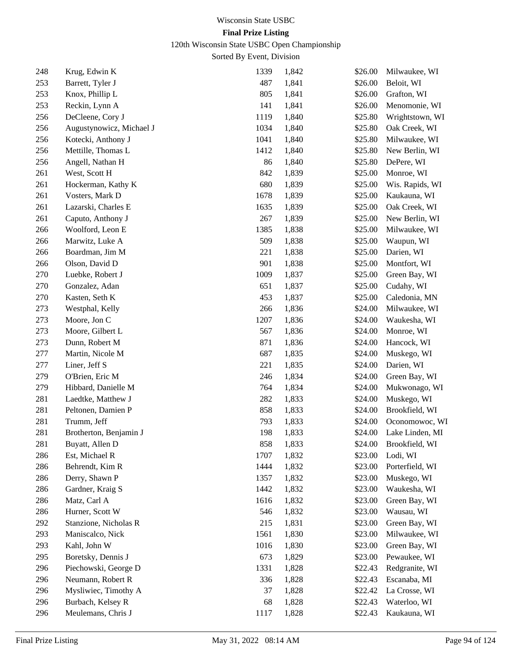# 120th Wisconsin State USBC Open Championship

| 248 | Krug, Edwin K            | 1339 | 1,842 | \$26.00 | Milwaukee, WI   |
|-----|--------------------------|------|-------|---------|-----------------|
| 253 | Barrett, Tyler J         | 487  | 1,841 | \$26.00 | Beloit, WI      |
| 253 | Knox, Phillip L          | 805  | 1,841 | \$26.00 | Grafton, WI     |
| 253 | Reckin, Lynn A           | 141  | 1,841 | \$26.00 | Menomonie, WI   |
| 256 | DeCleene, Cory J         | 1119 | 1,840 | \$25.80 | Wrightstown, WI |
| 256 | Augustynowicz, Michael J | 1034 | 1,840 | \$25.80 | Oak Creek, WI   |
| 256 | Kotecki, Anthony J       | 1041 | 1,840 | \$25.80 | Milwaukee, WI   |
| 256 | Mettille, Thomas L       | 1412 | 1,840 | \$25.80 | New Berlin, WI  |
| 256 | Angell, Nathan H         | 86   | 1,840 | \$25.80 | DePere, WI      |
| 261 | West, Scott H            | 842  | 1,839 | \$25.00 | Monroe, WI      |
| 261 | Hockerman, Kathy K       | 680  | 1,839 | \$25.00 | Wis. Rapids, WI |
| 261 | Vosters, Mark D          | 1678 | 1,839 | \$25.00 | Kaukauna, WI    |
| 261 | Lazarski, Charles E      | 1635 | 1,839 | \$25.00 | Oak Creek, WI   |
| 261 | Caputo, Anthony J        | 267  | 1,839 | \$25.00 | New Berlin, WI  |
| 266 | Woolford, Leon E         | 1385 | 1,838 | \$25.00 | Milwaukee, WI   |
| 266 | Marwitz, Luke A          | 509  | 1,838 | \$25.00 | Waupun, WI      |
| 266 | Boardman, Jim M          | 221  | 1,838 | \$25.00 | Darien, WI      |
| 266 | Olson, David D           | 901  | 1,838 | \$25.00 | Montfort, WI    |
| 270 | Luebke, Robert J         | 1009 | 1,837 | \$25.00 | Green Bay, WI   |
| 270 | Gonzalez, Adan           | 651  | 1,837 | \$25.00 | Cudahy, WI      |
| 270 | Kasten, Seth K           | 453  | 1,837 | \$25.00 | Caledonia, MN   |
| 273 | Westphal, Kelly          | 266  | 1,836 | \$24.00 | Milwaukee, WI   |
| 273 | Moore, Jon C             | 1207 | 1,836 | \$24.00 | Waukesha, WI    |
| 273 | Moore, Gilbert L         | 567  | 1,836 | \$24.00 | Monroe, WI      |
| 273 | Dunn, Robert M           | 871  | 1,836 | \$24.00 | Hancock, WI     |
| 277 | Martin, Nicole M         | 687  | 1,835 | \$24.00 | Muskego, WI     |
| 277 | Liner, Jeff S            | 221  | 1,835 | \$24.00 | Darien, WI      |
| 279 | O'Brien, Eric M          | 246  | 1,834 | \$24.00 | Green Bay, WI   |
| 279 | Hibbard, Danielle M      | 764  | 1,834 | \$24.00 | Mukwonago, WI   |
| 281 | Laedtke, Matthew J       | 282  | 1,833 | \$24.00 | Muskego, WI     |
| 281 | Peltonen, Damien P       | 858  | 1,833 | \$24.00 | Brookfield, WI  |
| 281 | Trumm, Jeff              | 793  | 1,833 | \$24.00 | Oconomowoc, WI  |
| 281 | Brotherton, Benjamin J   | 198  | 1,833 | \$24.00 | Lake Linden, MI |
| 281 | Buyatt, Allen D          | 858  | 1,833 | \$24.00 | Brookfield, WI  |
| 286 | Est, Michael R           | 1707 | 1,832 | \$23.00 | Lodi, WI        |
| 286 | Behrendt, Kim R          | 1444 | 1,832 | \$23.00 | Porterfield, WI |
| 286 | Derry, Shawn P           | 1357 | 1,832 | \$23.00 | Muskego, WI     |
| 286 | Gardner, Kraig S         | 1442 | 1,832 | \$23.00 | Waukesha, WI    |
| 286 | Matz, Carl A             | 1616 | 1,832 | \$23.00 | Green Bay, WI   |
| 286 | Hurner, Scott W          | 546  | 1,832 | \$23.00 | Wausau, WI      |
| 292 | Stanzione, Nicholas R    | 215  | 1,831 | \$23.00 | Green Bay, WI   |
| 293 | Maniscalco, Nick         | 1561 | 1,830 | \$23.00 | Milwaukee, WI   |
| 293 | Kahl, John W             | 1016 | 1,830 | \$23.00 | Green Bay, WI   |
| 295 | Boretsky, Dennis J       | 673  | 1,829 | \$23.00 | Pewaukee, WI    |
| 296 | Piechowski, George D     | 1331 | 1,828 | \$22.43 | Redgranite, WI  |
| 296 | Neumann, Robert R        | 336  | 1,828 | \$22.43 | Escanaba, MI    |
| 296 | Mysliwiec, Timothy A     | 37   | 1,828 | \$22.42 | La Crosse, WI   |
| 296 | Burbach, Kelsey R        | 68   | 1,828 | \$22.43 | Waterloo, WI    |
| 296 | Meulemans, Chris J       | 1117 | 1,828 | \$22.43 | Kaukauna, WI    |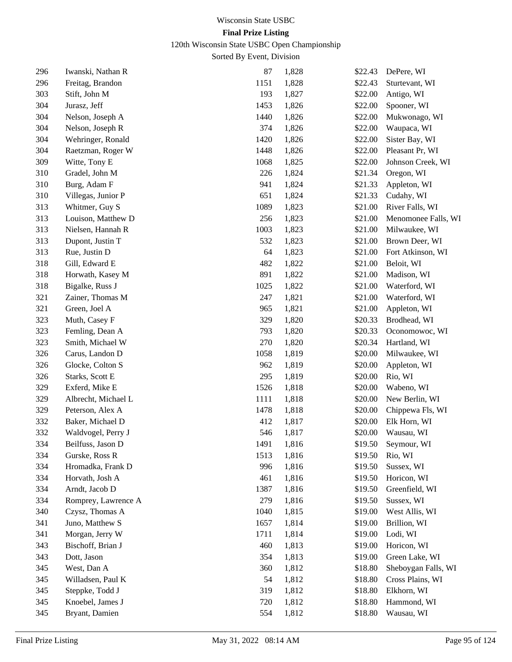# 120th Wisconsin State USBC Open Championship

| 296 | Iwanski, Nathan R   | 87   | 1,828 | \$22.43 | DePere, WI          |
|-----|---------------------|------|-------|---------|---------------------|
| 296 | Freitag, Brandon    | 1151 | 1,828 | \$22.43 | Sturtevant, WI      |
| 303 | Stift, John M       | 193  | 1,827 | \$22.00 | Antigo, WI          |
| 304 | Jurasz, Jeff        | 1453 | 1,826 | \$22.00 | Spooner, WI         |
| 304 | Nelson, Joseph A    | 1440 | 1,826 | \$22.00 | Mukwonago, WI       |
| 304 | Nelson, Joseph R    | 374  | 1,826 | \$22.00 | Waupaca, WI         |
| 304 | Wehringer, Ronald   | 1420 | 1,826 | \$22.00 | Sister Bay, WI      |
| 304 | Raetzman, Roger W   | 1448 | 1,826 | \$22.00 | Pleasant Pr, WI     |
| 309 | Witte, Tony E       | 1068 | 1,825 | \$22.00 | Johnson Creek, WI   |
| 310 | Gradel, John M      | 226  | 1,824 | \$21.34 | Oregon, WI          |
| 310 | Burg, Adam F        | 941  | 1,824 | \$21.33 | Appleton, WI        |
| 310 | Villegas, Junior P  | 651  | 1,824 | \$21.33 | Cudahy, WI          |
| 313 | Whitmer, Guy S      | 1089 | 1,823 | \$21.00 | River Falls, WI     |
| 313 | Louison, Matthew D  | 256  | 1,823 | \$21.00 | Menomonee Falls, WI |
| 313 | Nielsen, Hannah R   | 1003 | 1,823 | \$21.00 | Milwaukee, WI       |
| 313 | Dupont, Justin T    | 532  | 1,823 | \$21.00 | Brown Deer, WI      |
| 313 | Rue, Justin D       | 64   | 1,823 | \$21.00 | Fort Atkinson, WI   |
| 318 | Gill, Edward E      | 482  | 1,822 | \$21.00 | Beloit, WI          |
| 318 | Horwath, Kasey M    | 891  | 1,822 | \$21.00 | Madison, WI         |
| 318 | Bigalke, Russ J     | 1025 | 1,822 | \$21.00 | Waterford, WI       |
| 321 | Zainer, Thomas M    | 247  | 1,821 | \$21.00 | Waterford, WI       |
| 321 | Green, Joel A       | 965  | 1,821 | \$21.00 | Appleton, WI        |
| 323 | Muth, Casey F       | 329  | 1,820 | \$20.33 | Brodhead, WI        |
| 323 | Femling, Dean A     | 793  | 1,820 | \$20.33 | Oconomowoc, WI      |
| 323 | Smith, Michael W    | 270  | 1,820 | \$20.34 | Hartland, WI        |
| 326 | Carus, Landon D     | 1058 | 1,819 | \$20.00 | Milwaukee, WI       |
| 326 | Glocke, Colton S    | 962  | 1,819 | \$20.00 | Appleton, WI        |
| 326 | Starks, Scott E     | 295  | 1,819 | \$20.00 | Rio, WI             |
| 329 | Exferd, Mike E      | 1526 | 1,818 | \$20.00 | Wabeno, WI          |
| 329 | Albrecht, Michael L | 1111 | 1,818 | \$20.00 | New Berlin, WI      |
| 329 | Peterson, Alex A    | 1478 | 1,818 | \$20.00 | Chippewa Fls, WI    |
| 332 | Baker, Michael D    | 412  | 1,817 | \$20.00 | Elk Horn, WI        |
| 332 | Waldvogel, Perry J  | 546  | 1,817 | \$20.00 | Wausau, WI          |
| 334 | Beilfuss, Jason D   | 1491 | 1,816 | \$19.50 | Seymour, WI         |
| 334 | Gurske, Ross R      | 1513 | 1,816 | \$19.50 | Rio, WI             |
| 334 | Hromadka, Frank D   | 996  | 1,816 | \$19.50 | Sussex, WI          |
| 334 | Horvath, Josh A     | 461  | 1,816 | \$19.50 | Horicon, WI         |
| 334 | Arndt, Jacob D      | 1387 | 1,816 | \$19.50 | Greenfield, WI      |
| 334 | Romprey, Lawrence A | 279  | 1,816 | \$19.50 | Sussex, WI          |
| 340 | Czysz, Thomas A     | 1040 | 1,815 | \$19.00 | West Allis, WI      |
| 341 | Juno, Matthew S     | 1657 | 1,814 | \$19.00 | Brillion, WI        |
| 341 | Morgan, Jerry W     | 1711 | 1,814 | \$19.00 | Lodi, WI            |
| 343 | Bischoff, Brian J   | 460  | 1,813 | \$19.00 | Horicon, WI         |
| 343 | Dott, Jason         | 354  | 1,813 | \$19.00 | Green Lake, WI      |
| 345 | West, Dan A         | 360  | 1,812 | \$18.80 | Sheboygan Falls, WI |
| 345 | Willadsen, Paul K   | 54   | 1,812 | \$18.80 | Cross Plains, WI    |
| 345 | Steppke, Todd J     | 319  | 1,812 | \$18.80 | Elkhorn, WI         |
| 345 | Knoebel, James J    | 720  | 1,812 | \$18.80 | Hammond, WI         |
| 345 | Bryant, Damien      | 554  | 1,812 | \$18.80 | Wausau, WI          |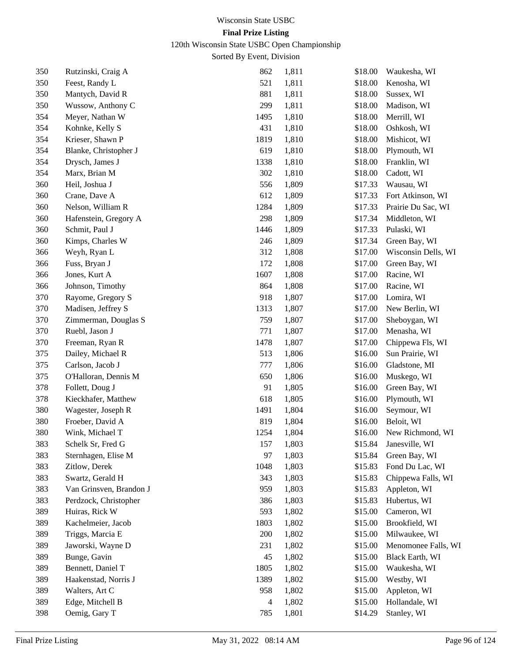120th Wisconsin State USBC Open Championship

| 350 | Rutzinski, Craig A      | 862  | 1,811 | \$18.00 | Waukesha, WI        |
|-----|-------------------------|------|-------|---------|---------------------|
| 350 | Feest, Randy L          | 521  | 1,811 | \$18.00 | Kenosha, WI         |
| 350 | Mantych, David R        | 881  | 1,811 | \$18.00 | Sussex, WI          |
| 350 | Wussow, Anthony C       | 299  | 1,811 | \$18.00 | Madison, WI         |
| 354 | Meyer, Nathan W         | 1495 | 1,810 | \$18.00 | Merrill, WI         |
| 354 | Kohnke, Kelly S         | 431  | 1,810 | \$18.00 | Oshkosh, WI         |
| 354 | Krieser, Shawn P        | 1819 | 1,810 | \$18.00 | Mishicot, WI        |
| 354 | Blanke, Christopher J   | 619  | 1,810 | \$18.00 | Plymouth, WI        |
| 354 | Drysch, James J         | 1338 | 1,810 | \$18.00 | Franklin, WI        |
| 354 | Marx, Brian M           | 302  | 1,810 | \$18.00 | Cadott, WI          |
| 360 | Heil, Joshua J          | 556  | 1,809 | \$17.33 | Wausau, WI          |
| 360 | Crane, Dave A           | 612  | 1,809 | \$17.33 | Fort Atkinson, WI   |
| 360 | Nelson, William R       | 1284 | 1,809 | \$17.33 | Prairie Du Sac, WI  |
| 360 | Hafenstein, Gregory A   | 298  | 1,809 | \$17.34 | Middleton, WI       |
| 360 | Schmit, Paul J          | 1446 | 1,809 | \$17.33 | Pulaski, WI         |
| 360 | Kimps, Charles W        | 246  | 1,809 | \$17.34 | Green Bay, WI       |
| 366 | Weyh, Ryan L            | 312  | 1,808 | \$17.00 | Wisconsin Dells, WI |
| 366 | Fuss, Bryan J           | 172  | 1,808 | \$17.00 | Green Bay, WI       |
| 366 | Jones, Kurt A           | 1607 | 1,808 | \$17.00 | Racine, WI          |
| 366 | Johnson, Timothy        | 864  | 1,808 | \$17.00 | Racine, WI          |
| 370 | Rayome, Gregory S       | 918  | 1,807 | \$17.00 | Lomira, WI          |
| 370 | Madisen, Jeffrey S      | 1313 | 1,807 | \$17.00 | New Berlin, WI      |
| 370 | Zimmerman, Douglas S    | 759  | 1,807 | \$17.00 | Sheboygan, WI       |
| 370 | Ruebl, Jason J          | 771  | 1,807 | \$17.00 | Menasha, WI         |
| 370 | Freeman, Ryan R         | 1478 | 1,807 | \$17.00 | Chippewa Fls, WI    |
| 375 | Dailey, Michael R       | 513  | 1,806 | \$16.00 | Sun Prairie, WI     |
| 375 | Carlson, Jacob J        | 777  | 1,806 | \$16.00 | Gladstone, MI       |
| 375 | O'Halloran, Dennis M    | 650  | 1,806 | \$16.00 | Muskego, WI         |
| 378 | Follett, Doug J         | 91   | 1,805 | \$16.00 | Green Bay, WI       |
| 378 | Kieckhafer, Matthew     | 618  | 1,805 | \$16.00 | Plymouth, WI        |
| 380 | Wagester, Joseph R      | 1491 | 1,804 | \$16.00 | Seymour, WI         |
| 380 | Froeber, David A        | 819  | 1,804 | \$16.00 | Beloit, WI          |
| 380 | Wink, Michael T         | 1254 | 1,804 | \$16.00 | New Richmond, WI    |
| 383 | Schelk Sr, Fred G       | 157  | 1,803 | \$15.84 | Janesville, WI      |
| 383 | Sternhagen, Elise M     | 97   | 1,803 | \$15.84 | Green Bay, WI       |
| 383 | Zitlow, Derek           | 1048 | 1,803 | \$15.83 | Fond Du Lac, WI     |
| 383 | Swartz, Gerald H        | 343  | 1,803 | \$15.83 | Chippewa Falls, WI  |
| 383 | Van Grinsven, Brandon J | 959  | 1,803 | \$15.83 | Appleton, WI        |
| 383 | Perdzock, Christopher   | 386  | 1,803 | \$15.83 | Hubertus, WI        |
| 389 | Huiras, Rick W          | 593  | 1,802 | \$15.00 | Cameron, WI         |
| 389 | Kachelmeier, Jacob      | 1803 | 1,802 | \$15.00 | Brookfield, WI      |
| 389 | Triggs, Marcia E        | 200  | 1,802 | \$15.00 | Milwaukee, WI       |
| 389 | Jaworski, Wayne D       | 231  | 1,802 | \$15.00 | Menomonee Falls, WI |
| 389 | Bunge, Gavin            | 45   | 1,802 | \$15.00 | Black Earth, WI     |
| 389 | Bennett, Daniel T       | 1805 | 1,802 | \$15.00 | Waukesha, WI        |
| 389 | Haakenstad, Norris J    | 1389 | 1,802 | \$15.00 | Westby, WI          |
| 389 | Walters, Art C          | 958  | 1,802 | \$15.00 | Appleton, WI        |
| 389 | Edge, Mitchell B        | 4    | 1,802 | \$15.00 | Hollandale, WI      |
| 398 | Oemig, Gary T           | 785  | 1,801 | \$14.29 | Stanley, WI         |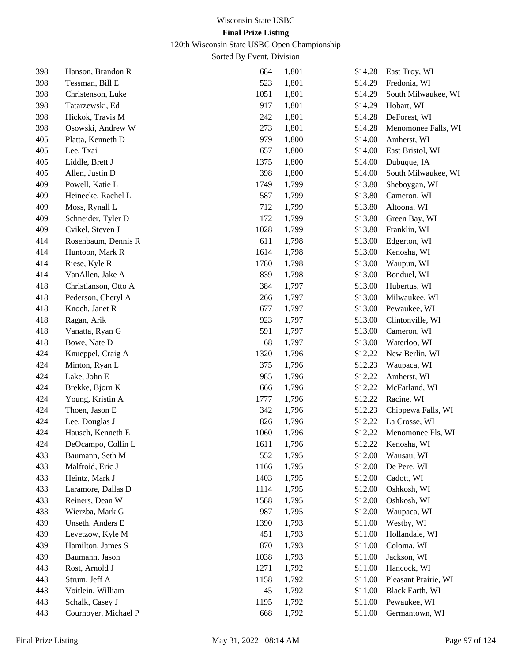120th Wisconsin State USBC Open Championship

| 398 | Hanson, Brandon R    | 684  | 1,801 | \$14.28 | East Troy, WI        |
|-----|----------------------|------|-------|---------|----------------------|
| 398 | Tessman, Bill E      | 523  | 1,801 | \$14.29 | Fredonia, WI         |
| 398 | Christenson, Luke    | 1051 | 1,801 | \$14.29 | South Milwaukee, WI  |
| 398 | Tatarzewski, Ed      | 917  | 1,801 | \$14.29 | Hobart, WI           |
| 398 | Hickok, Travis M     | 242  | 1,801 | \$14.28 | DeForest, WI         |
| 398 | Osowski, Andrew W    | 273  | 1,801 | \$14.28 | Menomonee Falls, WI  |
| 405 | Platta, Kenneth D    | 979  | 1,800 | \$14.00 | Amherst, WI          |
| 405 | Lee, Txai            | 657  | 1,800 | \$14.00 | East Bristol, WI     |
| 405 | Liddle, Brett J      | 1375 | 1,800 | \$14.00 | Dubuque, IA          |
| 405 | Allen, Justin D      | 398  | 1,800 | \$14.00 | South Milwaukee, WI  |
| 409 | Powell, Katie L      | 1749 | 1,799 | \$13.80 | Sheboygan, WI        |
| 409 | Heinecke, Rachel L   | 587  | 1,799 | \$13.80 | Cameron, WI          |
| 409 | Moss, Rynall L       | 712  | 1,799 | \$13.80 | Altoona, WI          |
| 409 | Schneider, Tyler D   | 172  | 1,799 | \$13.80 | Green Bay, WI        |
| 409 | Cvikel, Steven J     | 1028 | 1,799 | \$13.80 | Franklin, WI         |
| 414 | Rosenbaum, Dennis R  | 611  | 1,798 | \$13.00 | Edgerton, WI         |
| 414 | Huntoon, Mark R      | 1614 | 1,798 | \$13.00 | Kenosha, WI          |
| 414 | Riese, Kyle R        | 1780 | 1,798 | \$13.00 | Waupun, WI           |
| 414 | VanAllen, Jake A     | 839  | 1,798 | \$13.00 | Bonduel, WI          |
| 418 | Christianson, Otto A | 384  | 1,797 | \$13.00 | Hubertus, WI         |
| 418 | Pederson, Cheryl A   | 266  | 1,797 | \$13.00 | Milwaukee, WI        |
| 418 | Knoch, Janet R       | 677  | 1,797 | \$13.00 | Pewaukee, WI         |
| 418 | Ragan, Arik          | 923  | 1,797 | \$13.00 | Clintonville, WI     |
| 418 | Vanatta, Ryan G      | 591  | 1,797 | \$13.00 | Cameron, WI          |
| 418 | Bowe, Nate D         | 68   | 1,797 | \$13.00 | Waterloo, WI         |
| 424 | Knueppel, Craig A    | 1320 | 1,796 | \$12.22 | New Berlin, WI       |
| 424 | Minton, Ryan L       | 375  | 1,796 | \$12.23 | Waupaca, WI          |
| 424 | Lake, John E         | 985  | 1,796 | \$12.22 | Amherst, WI          |
| 424 | Brekke, Bjorn K      | 666  | 1,796 | \$12.22 | McFarland, WI        |
| 424 | Young, Kristin A     | 1777 | 1,796 | \$12.22 | Racine, WI           |
| 424 | Thoen, Jason E       | 342  | 1,796 | \$12.23 | Chippewa Falls, WI   |
| 424 | Lee, Douglas J       | 826  | 1,796 | \$12.22 | La Crosse, WI        |
| 424 | Hausch, Kenneth E    | 1060 | 1,796 | \$12.22 | Menomonee Fls, WI    |
| 424 | DeOcampo, Collin L   | 1611 | 1,796 | \$12.22 | Kenosha, WI          |
| 433 | Baumann, Seth M      | 552  | 1,795 | \$12.00 | Wausau, WI           |
| 433 | Malfroid, Eric J     | 1166 | 1,795 | \$12.00 | De Pere, WI          |
| 433 | Heintz, Mark J       | 1403 | 1,795 | \$12.00 | Cadott, WI           |
| 433 | Laramore, Dallas D   | 1114 | 1,795 | \$12.00 | Oshkosh, WI          |
| 433 | Reiners, Dean W      | 1588 | 1,795 | \$12.00 | Oshkosh, WI          |
| 433 | Wierzba, Mark G      | 987  | 1,795 | \$12.00 | Waupaca, WI          |
| 439 | Unseth, Anders E     | 1390 | 1,793 | \$11.00 | Westby, WI           |
| 439 | Levetzow, Kyle M     | 451  | 1,793 | \$11.00 | Hollandale, WI       |
| 439 | Hamilton, James S    | 870  | 1,793 | \$11.00 | Coloma, WI           |
| 439 | Baumann, Jason       | 1038 | 1,793 | \$11.00 | Jackson, WI          |
| 443 | Rost, Arnold J       | 1271 | 1,792 | \$11.00 | Hancock, WI          |
| 443 | Strum, Jeff A        | 1158 | 1,792 | \$11.00 | Pleasant Prairie, WI |
| 443 | Voitlein, William    | 45   | 1,792 | \$11.00 | Black Earth, WI      |
| 443 | Schalk, Casey J      | 1195 | 1,792 | \$11.00 | Pewaukee, WI         |
| 443 | Cournoyer, Michael P | 668  | 1,792 | \$11.00 | Germantown, WI       |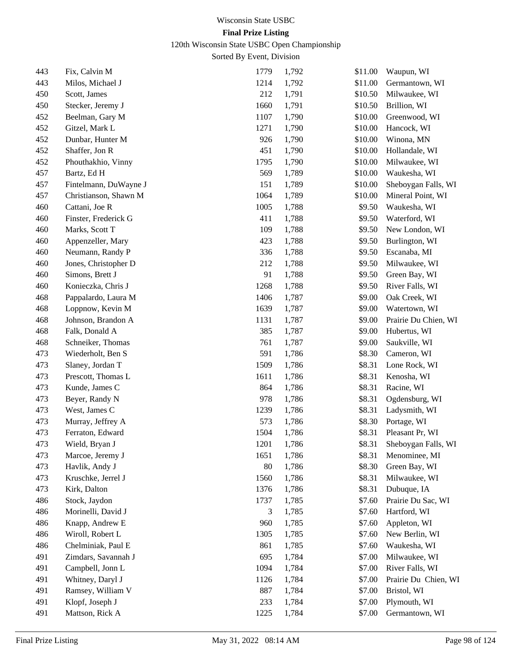120th Wisconsin State USBC Open Championship

| 443 | Fix, Calvin M         | 1779 | 1,792 | \$11.00 | Waupun, WI           |
|-----|-----------------------|------|-------|---------|----------------------|
| 443 | Milos, Michael J      | 1214 | 1,792 | \$11.00 | Germantown, WI       |
| 450 | Scott, James          | 212  | 1,791 | \$10.50 | Milwaukee, WI        |
| 450 | Stecker, Jeremy J     | 1660 | 1,791 | \$10.50 | Brillion, WI         |
| 452 | Beelman, Gary M       | 1107 | 1,790 | \$10.00 | Greenwood, WI        |
| 452 | Gitzel, Mark L        | 1271 | 1,790 | \$10.00 | Hancock, WI          |
| 452 | Dunbar, Hunter M      | 926  | 1,790 | \$10.00 | Winona, MN           |
| 452 | Shaffer, Jon R        | 451  | 1,790 | \$10.00 | Hollandale, WI       |
| 452 | Phouthakhio, Vinny    | 1795 | 1,790 | \$10.00 | Milwaukee, WI        |
| 457 | Bartz, Ed H           | 569  | 1,789 | \$10.00 | Waukesha, WI         |
| 457 | Fintelmann, DuWayne J | 151  | 1,789 | \$10.00 | Sheboygan Falls, WI  |
| 457 | Christianson, Shawn M | 1064 | 1,789 | \$10.00 | Mineral Point, WI    |
| 460 | Cattani, Joe R        | 1005 | 1,788 | \$9.50  | Waukesha, WI         |
| 460 | Finster, Frederick G  | 411  | 1,788 | \$9.50  | Waterford, WI        |
| 460 | Marks, Scott T        | 109  | 1,788 | \$9.50  | New London, WI       |
| 460 | Appenzeller, Mary     | 423  | 1,788 | \$9.50  | Burlington, WI       |
| 460 | Neumann, Randy P      | 336  | 1,788 | \$9.50  | Escanaba, MI         |
| 460 | Jones, Christopher D  | 212  | 1,788 | \$9.50  | Milwaukee, WI        |
| 460 | Simons, Brett J       | 91   | 1,788 | \$9.50  | Green Bay, WI        |
| 460 | Konieczka, Chris J    | 1268 | 1,788 | \$9.50  | River Falls, WI      |
| 468 | Pappalardo, Laura M   | 1406 | 1,787 | \$9.00  | Oak Creek, WI        |
| 468 | Loppnow, Kevin M      | 1639 | 1,787 | \$9.00  | Watertown, WI        |
| 468 | Johnson, Brandon A    | 1131 | 1,787 | \$9.00  | Prairie Du Chien, WI |
| 468 | Falk, Donald A        | 385  | 1,787 | \$9.00  | Hubertus, WI         |
| 468 | Schneiker, Thomas     | 761  | 1,787 | \$9.00  | Saukville, WI        |
| 473 | Wiederholt, Ben S     | 591  | 1,786 | \$8.30  | Cameron, WI          |
| 473 | Slaney, Jordan T      | 1509 | 1,786 | \$8.31  | Lone Rock, WI        |
| 473 | Prescott, Thomas L    | 1611 | 1,786 | \$8.31  | Kenosha, WI          |
| 473 | Kunde, James C        | 864  | 1,786 | \$8.31  | Racine, WI           |
| 473 | Beyer, Randy N        | 978  | 1,786 | \$8.31  | Ogdensburg, WI       |
| 473 | West, James C         | 1239 | 1,786 | \$8.31  | Ladysmith, WI        |
| 473 | Murray, Jeffrey A     | 573  | 1,786 | \$8.30  | Portage, WI          |
| 473 | Ferraton, Edward      | 1504 | 1,786 | \$8.31  | Pleasant Pr, WI      |
| 473 | Wield, Bryan J        | 1201 | 1,786 | \$8.31  | Sheboygan Falls, WI  |
| 473 | Marcoe, Jeremy J      | 1651 | 1,786 | \$8.31  | Menominee, MI        |
| 473 | Havlik, Andy J        | 80   | 1,786 | \$8.30  | Green Bay, WI        |
| 473 | Kruschke, Jerrel J    | 1560 | 1,786 | \$8.31  | Milwaukee, WI        |
| 473 | Kirk, Dalton          | 1376 | 1,786 | \$8.31  | Dubuque, IA          |
| 486 | Stock, Jaydon         | 1737 | 1,785 | \$7.60  | Prairie Du Sac, WI   |
| 486 | Morinelli, David J    | 3    | 1,785 | \$7.60  | Hartford, WI         |
| 486 | Knapp, Andrew E       | 960  | 1,785 | \$7.60  | Appleton, WI         |
| 486 | Wiroll, Robert L      | 1305 | 1,785 | \$7.60  | New Berlin, WI       |
| 486 | Chelminiak, Paul E    | 861  | 1,785 | \$7.60  | Waukesha, WI         |
| 491 | Zimdars, Savannah J   | 695  | 1,784 | \$7.00  | Milwaukee, WI        |
| 491 | Campbell, Jonn L      | 1094 | 1,784 | \$7.00  | River Falls, WI      |
| 491 | Whitney, Daryl J      | 1126 | 1,784 | \$7.00  | Prairie Du Chien, WI |
| 491 | Ramsey, William V     | 887  | 1,784 | \$7.00  | Bristol, WI          |
| 491 | Klopf, Joseph J       | 233  | 1,784 | \$7.00  | Plymouth, WI         |
| 491 | Mattson, Rick A       | 1225 | 1,784 | \$7.00  | Germantown, WI       |
|     |                       |      |       |         |                      |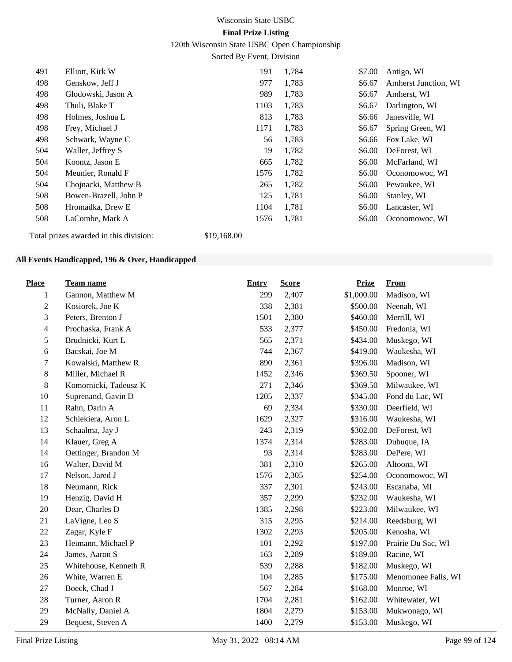120th Wisconsin State USBC Open Championship

Sorted By Event, Division

| 491 | Elliott, Kirk W                        | 191         | 1,784 | \$7.00 | Antigo, WI           |
|-----|----------------------------------------|-------------|-------|--------|----------------------|
| 498 | Genskow, Jeff J                        | 977         | 1,783 | \$6.67 | Amherst Junction, WI |
| 498 | Glodowski, Jason A                     | 989         | 1,783 | \$6.67 | Amherst, WI          |
| 498 | Thuli, Blake T                         | 1103        | 1,783 | \$6.67 | Darlington, WI       |
| 498 | Holmes, Joshua L                       | 813         | 1,783 | \$6.66 | Janesville, WI       |
| 498 | Frey, Michael J                        | 1171        | 1,783 | \$6.67 | Spring Green, WI     |
| 498 | Schwark, Wayne C                       | 56          | 1,783 | \$6.66 | Fox Lake, WI         |
| 504 | Waller, Jeffrey S                      | 19          | 1,782 | \$6.00 | DeForest, WI         |
| 504 | Koontz, Jason E                        | 665         | 1,782 | \$6.00 | McFarland, WI        |
| 504 | Meunier, Ronald F                      | 1576        | 1,782 | \$6.00 | Oconomowoc, WI       |
| 504 | Chojnacki, Matthew B                   | 265         | 1,782 | \$6.00 | Pewaukee, WI         |
| 508 | Bowen-Brazell, John P                  | 125         | 1,781 | \$6.00 | Stanley, WI          |
| 508 | Hromadka, Drew E                       | 1104        | 1,781 | \$6.00 | Lancaster, WI        |
| 508 | LaCombe, Mark A                        | 1576        | 1,781 | \$6.00 | Oconomowoc, WI       |
|     | Total prizes awarded in this division: | \$19,168.00 |       |        |                      |

#### **All Events Handicapped, 196 & Over, Handicapped**

| <b>Place</b>   | <b>Team name</b>      | <b>Entry</b> | <b>Score</b> | <b>Prize</b> | <b>From</b>         |
|----------------|-----------------------|--------------|--------------|--------------|---------------------|
| 1              | Gannon, Matthew M     | 299          | 2,407        | \$1,000.00   | Madison, WI         |
| $\sqrt{2}$     | Kosiorek, Joe K       | 338          | 2,381        | \$500.00     | Neenah, WI          |
| 3              | Peters, Brenton J     | 1501         | 2,380        | \$460.00     | Merrill, WI         |
| $\overline{4}$ | Prochaska, Frank A    | 533          | 2,377        | \$450.00     | Fredonia, WI        |
| $\sqrt{5}$     | Brudnicki, Kurt L     | 565          | 2,371        | \$434.00     | Muskego, WI         |
| $\sqrt{6}$     | Bacskai, Joe M        | 744          | 2,367        | \$419.00     | Waukesha, WI        |
| $\overline{7}$ | Kowalski, Matthew R   | 890          | 2,361        | \$396.00     | Madison, WI         |
| $\,8\,$        | Miller, Michael R     | 1452         | 2,346        | \$369.50     | Spooner, WI         |
| $\,8\,$        | Komornicki, Tadeusz K | 271          | 2,346        | \$369.50     | Milwaukee, WI       |
| 10             | Suprenand, Gavin D    | 1205         | 2,337        | \$345.00     | Fond du Lac, WI     |
| 11             | Rahn, Darin A         | 69           | 2,334        | \$330.00     | Deerfield, WI       |
| 12             | Schiekiera, Aron L    | 1629         | 2,327        | \$316.00     | Waukesha, WI        |
| 13             | Schaalma, Jay J       | 243          | 2,319        | \$302.00     | DeForest, WI        |
| 14             | Klauer, Greg A        | 1374         | 2,314        | \$283.00     | Dubuque, IA         |
| 14             | Oettinger, Brandon M  | 93           | 2,314        | \$283.00     | DePere, WI          |
| 16             | Walter, David M       | 381          | 2,310        | \$265.00     | Altoona, WI         |
| 17             | Nelson, Jared J       | 1576         | 2,305        | \$254.00     | Oconomowoc, WI      |
| 18             | Neumann, Rick         | 337          | 2,301        | \$243.00     | Escanaba, MI        |
| 19             | Henzig, David H       | 357          | 2,299        | \$232.00     | Waukesha, WI        |
| $20\,$         | Dear, Charles D       | 1385         | 2,298        | \$223.00     | Milwaukee, WI       |
| 21             | LaVigne, Leo S        | 315          | 2,295        | \$214.00     | Reedsburg, WI       |
| 22             | Zagar, Kyle F         | 1302         | 2,293        | \$205.00     | Kenosha, WI         |
| 23             | Heimann, Michael P    | 101          | 2,292        | \$197.00     | Prairie Du Sac, WI  |
| 24             | James, Aaron S        | 163          | 2,289        | \$189.00     | Racine, WI          |
| 25             | Whitehouse, Kenneth R | 539          | 2,288        | \$182.00     | Muskego, WI         |
| 26             | White, Warren E       | 104          | 2,285        | \$175.00     | Menomonee Falls, WI |
| 27             | Boeck, Chad J         | 567          | 2,284        | \$168.00     | Monroe, WI          |
| 28             | Turner, Aaron R       | 1704         | 2,281        | \$162.00     | Whitewater, WI      |
| 29             | McNally, Daniel A     | 1804         | 2,279        | \$153.00     | Mukwonago, WI       |
| 29             | Bequest, Steven A     | 1400         | 2,279        | \$153.00     | Muskego, WI         |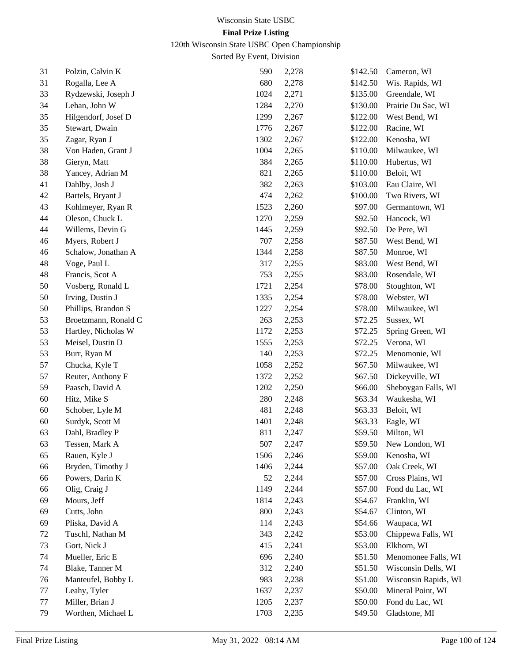120th Wisconsin State USBC Open Championship

| 31 | Polzin, Calvin K     | 590  | 2,278 | \$142.50 | Cameron, WI          |
|----|----------------------|------|-------|----------|----------------------|
| 31 | Rogalla, Lee A       | 680  | 2,278 | \$142.50 | Wis. Rapids, WI      |
| 33 | Rydzewski, Joseph J  | 1024 | 2,271 | \$135.00 | Greendale, WI        |
| 34 | Lehan, John W        | 1284 | 2,270 | \$130.00 | Prairie Du Sac, WI   |
| 35 | Hilgendorf, Josef D  | 1299 | 2,267 | \$122.00 | West Bend, WI        |
| 35 | Stewart, Dwain       | 1776 | 2,267 | \$122.00 | Racine, WI           |
| 35 | Zagar, Ryan J        | 1302 | 2,267 | \$122.00 | Kenosha, WI          |
| 38 | Von Haden, Grant J   | 1004 | 2,265 | \$110.00 | Milwaukee, WI        |
| 38 | Gieryn, Matt         | 384  | 2,265 | \$110.00 | Hubertus, WI         |
| 38 | Yancey, Adrian M     | 821  | 2,265 | \$110.00 | Beloit, WI           |
| 41 | Dahlby, Josh J       | 382  | 2,263 | \$103.00 | Eau Claire, WI       |
| 42 | Bartels, Bryant J    | 474  | 2,262 | \$100.00 | Two Rivers, WI       |
| 43 | Kohlmeyer, Ryan R    | 1523 | 2,260 | \$97.00  | Germantown, WI       |
| 44 | Oleson, Chuck L      | 1270 | 2,259 | \$92.50  | Hancock, WI          |
| 44 | Willems, Devin G     | 1445 | 2,259 | \$92.50  | De Pere, WI          |
| 46 | Myers, Robert J      | 707  | 2,258 | \$87.50  | West Bend, WI        |
| 46 | Schalow, Jonathan A  | 1344 | 2,258 | \$87.50  | Monroe, WI           |
| 48 | Voge, Paul L         | 317  | 2,255 | \$83.00  | West Bend, WI        |
| 48 | Francis, Scot A      | 753  | 2,255 | \$83.00  | Rosendale, WI        |
| 50 | Vosberg, Ronald L    | 1721 | 2,254 | \$78.00  | Stoughton, WI        |
| 50 | Irving, Dustin J     | 1335 | 2,254 | \$78.00  | Webster, WI          |
| 50 | Phillips, Brandon S  | 1227 | 2,254 | \$78.00  | Milwaukee, WI        |
| 53 | Broetzmann, Ronald C | 263  | 2,253 | \$72.25  | Sussex, WI           |
| 53 | Hartley, Nicholas W  | 1172 | 2,253 | \$72.25  | Spring Green, WI     |
| 53 | Meisel, Dustin D     | 1555 | 2,253 | \$72.25  | Verona, WI           |
| 53 | Burr, Ryan M         | 140  | 2,253 | \$72.25  | Menomonie, WI        |
| 57 | Chucka, Kyle T       | 1058 | 2,252 | \$67.50  | Milwaukee, WI        |
| 57 | Reuter, Anthony F    | 1372 | 2,252 | \$67.50  | Dickeyville, WI      |
| 59 | Paasch, David A      | 1202 | 2,250 | \$66.00  | Sheboygan Falls, WI  |
| 60 | Hitz, Mike S         | 280  | 2,248 | \$63.34  | Waukesha, WI         |
| 60 | Schober, Lyle M      | 481  | 2,248 | \$63.33  | Beloit, WI           |
| 60 | Surdyk, Scott M      | 1401 | 2,248 | \$63.33  | Eagle, WI            |
| 63 | Dahl, Bradley P      | 811  | 2,247 | \$59.50  | Milton, WI           |
| 63 | Tessen, Mark A       | 507  | 2,247 | \$59.50  | New London, WI       |
| 65 | Rauen, Kyle J        | 1506 | 2,246 | \$59.00  | Kenosha, WI          |
| 66 | Bryden, Timothy J    | 1406 | 2,244 | \$57.00  | Oak Creek, WI        |
| 66 | Powers, Darin K      | 52   | 2,244 | \$57.00  | Cross Plains, WI     |
| 66 | Olig, Craig J        | 1149 | 2,244 | \$57.00  | Fond du Lac, WI      |
| 69 | Mours, Jeff          | 1814 | 2,243 | \$54.67  | Franklin, WI         |
| 69 | Cutts, John          | 800  | 2,243 | \$54.67  | Clinton, WI          |
| 69 | Pliska, David A      | 114  | 2,243 | \$54.66  | Waupaca, WI          |
| 72 | Tuschl, Nathan M     | 343  | 2,242 | \$53.00  | Chippewa Falls, WI   |
| 73 | Gort, Nick J         | 415  | 2,241 | \$53.00  | Elkhorn, WI          |
| 74 | Mueller, Eric E      | 696  | 2,240 | \$51.50  | Menomonee Falls, WI  |
| 74 | Blake, Tanner M      | 312  | 2,240 | \$51.50  | Wisconsin Dells, WI  |
| 76 | Manteufel, Bobby L   | 983  | 2,238 | \$51.00  | Wisconsin Rapids, WI |
| 77 | Leahy, Tyler         | 1637 | 2,237 | \$50.00  | Mineral Point, WI    |
| 77 | Miller, Brian J      | 1205 | 2,237 | \$50.00  | Fond du Lac, WI      |
| 79 | Worthen, Michael L   | 1703 | 2,235 | \$49.50  | Gladstone, MI        |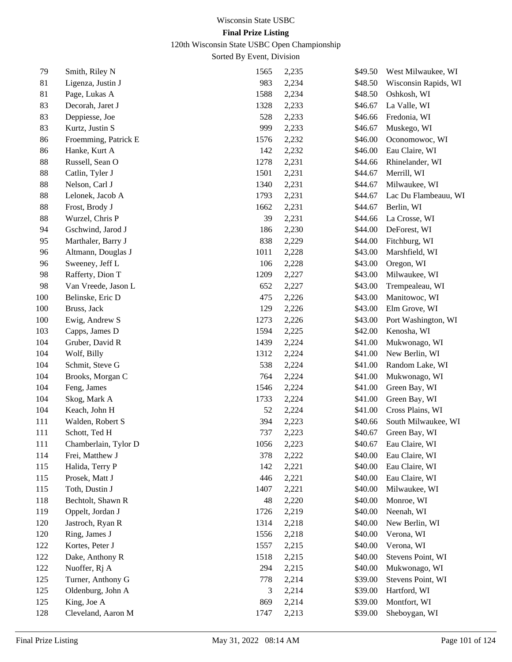120th Wisconsin State USBC Open Championship

| 79  | Smith, Riley N       | 1565 | 2,235 | \$49.50 | West Milwaukee, WI   |
|-----|----------------------|------|-------|---------|----------------------|
| 81  | Ligenza, Justin J    | 983  | 2,234 | \$48.50 | Wisconsin Rapids, WI |
| 81  | Page, Lukas A        | 1588 | 2,234 | \$48.50 | Oshkosh, WI          |
| 83  | Decorah, Jaret J     | 1328 | 2,233 | \$46.67 | La Valle, WI         |
| 83  | Deppiesse, Joe       | 528  | 2,233 | \$46.66 | Fredonia, WI         |
| 83  | Kurtz, Justin S      | 999  | 2,233 | \$46.67 | Muskego, WI          |
| 86  | Froemming, Patrick E | 1576 | 2,232 | \$46.00 | Oconomowoc, WI       |
| 86  | Hanke, Kurt A        | 142  | 2,232 | \$46.00 | Eau Claire, WI       |
| 88  | Russell, Sean O      | 1278 | 2,231 | \$44.66 | Rhinelander, WI      |
| 88  | Catlin, Tyler J      | 1501 | 2,231 | \$44.67 | Merrill, WI          |
| 88  | Nelson, Carl J       | 1340 | 2,231 | \$44.67 | Milwaukee, WI        |
| 88  | Lelonek, Jacob A     | 1793 | 2,231 | \$44.67 | Lac Du Flambeauu, WI |
| 88  | Frost, Brody J       | 1662 | 2,231 | \$44.67 | Berlin, WI           |
| 88  | Wurzel, Chris P      | 39   | 2,231 | \$44.66 | La Crosse, WI        |
| 94  | Gschwind, Jarod J    | 186  | 2,230 | \$44.00 | DeForest, WI         |
| 95  | Marthaler, Barry J   | 838  | 2,229 | \$44.00 | Fitchburg, WI        |
| 96  | Altmann, Douglas J   | 1011 | 2,228 | \$43.00 | Marshfield, WI       |
| 96  | Sweeney, Jeff L      | 106  | 2,228 | \$43.00 | Oregon, WI           |
| 98  | Rafferty, Dion T     | 1209 | 2,227 | \$43.00 | Milwaukee, WI        |
| 98  | Van Vreede, Jason L  | 652  | 2,227 | \$43.00 | Trempealeau, WI      |
| 100 | Belinske, Eric D     | 475  | 2,226 | \$43.00 | Manitowoc, WI        |
| 100 | Bruss, Jack          | 129  | 2,226 | \$43.00 | Elm Grove, WI        |
| 100 | Ewig, Andrew S       | 1273 | 2,226 | \$43.00 | Port Washington, WI  |
| 103 | Capps, James D       | 1594 | 2,225 | \$42.00 | Kenosha, WI          |
| 104 | Gruber, David R      | 1439 | 2,224 | \$41.00 | Mukwonago, WI        |
| 104 | Wolf, Billy          | 1312 | 2,224 | \$41.00 | New Berlin, WI       |
| 104 | Schmit, Steve G      | 538  | 2,224 | \$41.00 | Random Lake, WI      |
| 104 | Brooks, Morgan C     | 764  | 2,224 | \$41.00 | Mukwonago, WI        |
| 104 | Feng, James          | 1546 | 2,224 | \$41.00 | Green Bay, WI        |
| 104 | Skog, Mark A         | 1733 | 2,224 | \$41.00 | Green Bay, WI        |
| 104 | Keach, John H        | 52   | 2,224 | \$41.00 | Cross Plains, WI     |
| 111 | Walden, Robert S     | 394  | 2,223 | \$40.66 | South Milwaukee, WI  |
| 111 | Schott, Ted H        | 737  | 2,223 | \$40.67 | Green Bay, WI        |
| 111 | Chamberlain, Tylor D | 1056 | 2,223 | \$40.67 | Eau Claire, WI       |
| 114 | Frei, Matthew J      | 378  | 2,222 | \$40.00 | Eau Claire, WI       |
| 115 | Halida, Terry P      | 142  | 2,221 | \$40.00 | Eau Claire, WI       |
| 115 | Prosek, Matt J       | 446  | 2,221 | \$40.00 | Eau Claire, WI       |
| 115 | Toth, Dustin J       | 1407 | 2,221 | \$40.00 | Milwaukee, WI        |
| 118 | Bechtolt, Shawn R    | 48   | 2,220 | \$40.00 | Monroe, WI           |
| 119 | Oppelt, Jordan J     | 1726 | 2,219 | \$40.00 | Neenah, WI           |
| 120 | Jastroch, Ryan R     | 1314 | 2,218 | \$40.00 | New Berlin, WI       |
| 120 | Ring, James J        | 1556 | 2,218 | \$40.00 | Verona, WI           |
| 122 | Kortes, Peter J      | 1557 | 2,215 | \$40.00 | Verona, WI           |
| 122 | Dake, Anthony R      | 1518 | 2,215 | \$40.00 | Stevens Point, WI    |
| 122 | Nuoffer, Rj A        | 294  | 2,215 | \$40.00 | Mukwonago, WI        |
| 125 | Turner, Anthony G    | 778  | 2,214 | \$39.00 | Stevens Point, WI    |
| 125 | Oldenburg, John A    | 3    | 2,214 | \$39.00 | Hartford, WI         |
| 125 | King, Joe A          | 869  | 2,214 | \$39.00 | Montfort, WI         |
| 128 | Cleveland, Aaron M   | 1747 | 2,213 | \$39.00 | Sheboygan, WI        |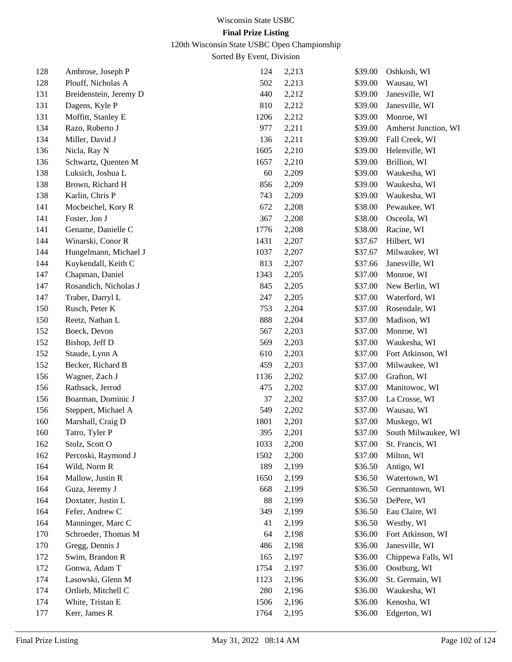# 120th Wisconsin State USBC Open Championship

| 128 | Ambrose, Joseph P      | 124  | 2,213 | \$39.00 | Oshkosh, WI          |
|-----|------------------------|------|-------|---------|----------------------|
| 128 | Plouff, Nicholas A     | 502  | 2,213 | \$39.00 | Wausau, WI           |
| 131 | Breidenstein, Jeremy D | 440  | 2,212 | \$39.00 | Janesville, WI       |
| 131 | Dagens, Kyle P         | 810  | 2,212 | \$39.00 | Janesville, WI       |
| 131 | Moffitt, Stanley E     | 1206 | 2,212 | \$39.00 | Monroe, WI           |
| 134 | Razo, Roberto J        | 977  | 2,211 | \$39.00 | Amherst Junction, WI |
| 134 | Miller, David J        | 136  | 2,211 | \$39.00 | Fall Creek, WI       |
| 136 | Nicla, Ray N           | 1605 | 2,210 | \$39.00 | Helenville, WI       |
| 136 | Schwartz, Quenten M    | 1657 | 2,210 | \$39.00 | Brillion, WI         |
| 138 | Luksich, Joshua L      | 60   | 2,209 | \$39.00 | Waukesha, WI         |
| 138 | Brown, Richard H       | 856  | 2,209 | \$39.00 | Waukesha, WI         |
| 138 | Karlin, Chris P        | 743  | 2,209 | \$39.00 | Waukesha, WI         |
| 141 | Mocbeichel, Kory R     | 672  | 2,208 | \$38.00 | Pewaukee, WI         |
| 141 | Foster, Jon J          | 367  | 2,208 | \$38.00 | Osceola, WI          |
| 141 | Gename, Danielle C     | 1776 | 2,208 | \$38.00 | Racine, WI           |
| 144 | Winarski, Conor R      | 1431 | 2,207 | \$37.67 | Hilbert, WI          |
| 144 | Hungelmann, Michael J  | 1037 | 2,207 | \$37.67 | Milwaukee, WI        |
| 144 | Kuykendall, Keith C    | 813  | 2,207 | \$37.66 | Janesville, WI       |
| 147 | Chapman, Daniel        | 1343 | 2,205 | \$37.00 | Monroe, WI           |
| 147 | Rosandich, Nicholas J  | 845  | 2,205 | \$37.00 | New Berlin, WI       |
| 147 | Traber, Darryl L       | 247  | 2,205 | \$37.00 | Waterford, WI        |
| 150 | Rusch, Peter K         | 753  | 2,204 | \$37.00 | Rosendale, WI        |
| 150 | Reetz, Nathan L        | 888  | 2,204 | \$37.00 | Madison, WI          |
| 152 | Boeck, Devon           | 567  | 2,203 | \$37.00 | Monroe, WI           |
| 152 | Bishop, Jeff D         | 569  | 2,203 | \$37.00 | Waukesha, WI         |
| 152 | Staude, Lynn A         | 610  | 2,203 | \$37.00 | Fort Atkinson, WI    |
| 152 | Becker, Richard B      | 459  | 2,203 | \$37.00 | Milwaukee, WI        |
| 156 | Wagner, Zach J         | 1136 | 2,202 | \$37.00 | Grafton, WI          |
| 156 | Rathsack, Jerrod       | 475  | 2,202 | \$37.00 | Manitowoc, WI        |
| 156 | Boarman, Dominic J     | 37   | 2,202 | \$37.00 | La Crosse, WI        |
| 156 | Steppert, Michael A    | 549  | 2,202 | \$37.00 | Wausau, WI           |
| 160 | Marshall, Craig D      | 1801 | 2,201 | \$37.00 | Muskego, WI          |
| 160 | Tatro, Tyler P         | 395  | 2,201 | \$37.00 | South Milwaukee, WI  |
| 162 | Stolz, Scott O         | 1033 | 2,200 | \$37.00 | St. Francis, WI      |
| 162 | Percoski, Raymond J    | 1502 | 2,200 | \$37.00 | Milton, WI           |
| 164 | Wild, Norm R           | 189  | 2,199 | \$36.50 | Antigo, WI           |
| 164 | Mallow, Justin R       | 1650 | 2,199 | \$36.50 | Watertown, WI        |
| 164 | Guza, Jeremy J         | 668  | 2,199 | \$36.50 | Germantown, WI       |
| 164 | Doxtater, Justin L     | 88   | 2,199 | \$36.50 | DePere, WI           |
| 164 | Fefer, Andrew C        | 349  | 2,199 | \$36.50 | Eau Claire, WI       |
| 164 | Manninger, Marc C      | 41   | 2,199 | \$36.50 | Westby, WI           |
| 170 | Schroeder, Thomas M    | 64   | 2,198 | \$36.00 | Fort Atkinson, WI    |
| 170 | Gregg, Dennis J        | 486  | 2,198 | \$36.00 | Janesville, WI       |
| 172 | Swim, Brandon R        | 165  | 2,197 | \$36.00 | Chippewa Falls, WI   |
| 172 | Gonwa, Adam T          | 1754 | 2,197 | \$36.00 | Oostburg, WI         |
| 174 | Lasowski, Glenn M      | 1123 | 2,196 | \$36.00 | St. Germain, WI      |
| 174 | Ortlieb, Mitchell C    | 280  | 2,196 | \$36.00 | Waukesha, WI         |
| 174 | White, Tristan E       | 1506 | 2,196 | \$36.00 | Kenosha, WI          |
| 177 | Kerr, James R          | 1764 | 2,195 | \$36.00 | Edgerton, WI         |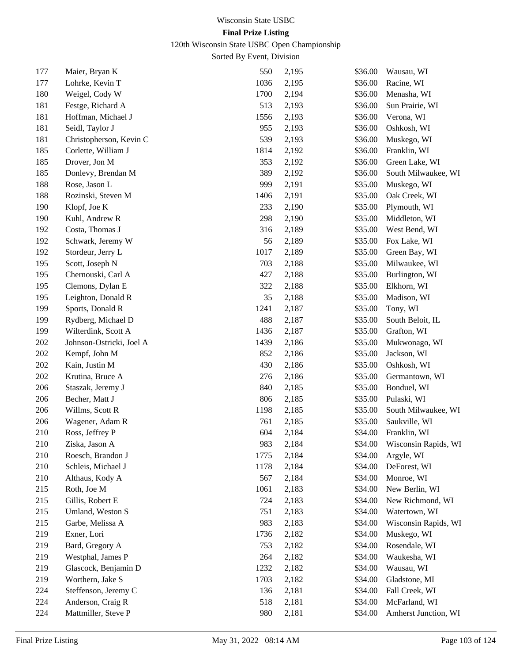120th Wisconsin State USBC Open Championship

| 177 | Maier, Bryan K           | 550  | 2,195 | \$36.00 | Wausau, WI           |
|-----|--------------------------|------|-------|---------|----------------------|
| 177 | Lohrke, Kevin T          | 1036 | 2,195 | \$36.00 | Racine, WI           |
| 180 | Weigel, Cody W           | 1700 | 2,194 | \$36.00 | Menasha, WI          |
| 181 | Festge, Richard A        | 513  | 2,193 | \$36.00 | Sun Prairie, WI      |
| 181 | Hoffman, Michael J       | 1556 | 2,193 | \$36.00 | Verona, WI           |
| 181 | Seidl, Taylor J          | 955  | 2,193 | \$36.00 | Oshkosh, WI          |
| 181 | Christopherson, Kevin C  | 539  | 2,193 | \$36.00 | Muskego, WI          |
| 185 | Corlette, William J      | 1814 | 2,192 | \$36.00 | Franklin, WI         |
| 185 | Drover, Jon M            | 353  | 2,192 | \$36.00 | Green Lake, WI       |
| 185 | Donlevy, Brendan M       | 389  | 2,192 | \$36.00 | South Milwaukee, WI  |
| 188 | Rose, Jason L            | 999  | 2,191 | \$35.00 | Muskego, WI          |
| 188 | Rozinski, Steven M       | 1406 | 2,191 | \$35.00 | Oak Creek, WI        |
| 190 | Klopf, Joe K             | 233  | 2,190 | \$35.00 | Plymouth, WI         |
| 190 | Kuhl, Andrew R           | 298  | 2,190 | \$35.00 | Middleton, WI        |
| 192 | Costa, Thomas J          | 316  | 2,189 | \$35.00 | West Bend, WI        |
| 192 | Schwark, Jeremy W        | 56   | 2,189 | \$35.00 | Fox Lake, WI         |
| 192 | Stordeur, Jerry L        | 1017 | 2,189 | \$35.00 | Green Bay, WI        |
| 195 | Scott, Joseph N          | 703  | 2,188 | \$35.00 | Milwaukee, WI        |
| 195 | Chernouski, Carl A       | 427  | 2,188 | \$35.00 | Burlington, WI       |
| 195 | Clemons, Dylan E         | 322  | 2,188 | \$35.00 | Elkhorn, WI          |
| 195 | Leighton, Donald R       | 35   | 2,188 | \$35.00 | Madison, WI          |
| 199 | Sports, Donald R         | 1241 | 2,187 | \$35.00 | Tony, WI             |
| 199 | Rydberg, Michael D       | 488  | 2,187 | \$35.00 | South Beloit, IL     |
| 199 | Wilterdink, Scott A      | 1436 | 2,187 | \$35.00 | Grafton, WI          |
| 202 | Johnson-Ostricki, Joel A | 1439 | 2,186 | \$35.00 | Mukwonago, WI        |
| 202 | Kempf, John M            | 852  | 2,186 | \$35.00 | Jackson, WI          |
| 202 | Kain, Justin M           | 430  | 2,186 | \$35.00 | Oshkosh, WI          |
| 202 | Krutina, Bruce A         | 276  | 2,186 | \$35.00 | Germantown, WI       |
| 206 | Staszak, Jeremy J        | 840  | 2,185 | \$35.00 | Bonduel, WI          |
| 206 | Becher, Matt J           | 806  | 2,185 | \$35.00 | Pulaski, WI          |
| 206 | Willms, Scott R          | 1198 | 2,185 | \$35.00 | South Milwaukee, WI  |
| 206 | Wagener, Adam R          | 761  | 2,185 | \$35.00 | Saukville, WI        |
| 210 | Ross, Jeffrey P          | 604  | 2,184 | \$34.00 | Franklin, WI         |
| 210 | Ziska, Jason A           | 983  | 2,184 | \$34.00 | Wisconsin Rapids, WI |
| 210 | Roesch, Brandon J        | 1775 | 2,184 | \$34.00 | Argyle, WI           |
| 210 | Schleis, Michael J       | 1178 | 2,184 | \$34.00 | DeForest, WI         |
| 210 | Althaus, Kody A          | 567  | 2,184 | \$34.00 | Monroe, WI           |
| 215 | Roth, Joe M              | 1061 | 2,183 | \$34.00 | New Berlin, WI       |
| 215 | Gillis, Robert E         | 724  | 2,183 | \$34.00 | New Richmond, WI     |
| 215 | Umland, Weston S         | 751  | 2,183 | \$34.00 | Watertown, WI        |
| 215 | Garbe, Melissa A         | 983  | 2,183 | \$34.00 | Wisconsin Rapids, WI |
| 219 | Exner, Lori              | 1736 | 2,182 | \$34.00 | Muskego, WI          |
| 219 | Bard, Gregory A          | 753  | 2,182 | \$34.00 | Rosendale, WI        |
| 219 | Westphal, James P        | 264  | 2,182 | \$34.00 | Waukesha, WI         |
| 219 | Glascock, Benjamin D     | 1232 | 2,182 | \$34.00 | Wausau, WI           |
| 219 | Worthern, Jake S         | 1703 | 2,182 | \$34.00 | Gladstone, MI        |
| 224 | Steffenson, Jeremy C     | 136  | 2,181 | \$34.00 | Fall Creek, WI       |
| 224 | Anderson, Craig R        | 518  | 2,181 | \$34.00 | McFarland, WI        |
| 224 | Mattmiller, Steve P      | 980  | 2,181 | \$34.00 | Amherst Junction, WI |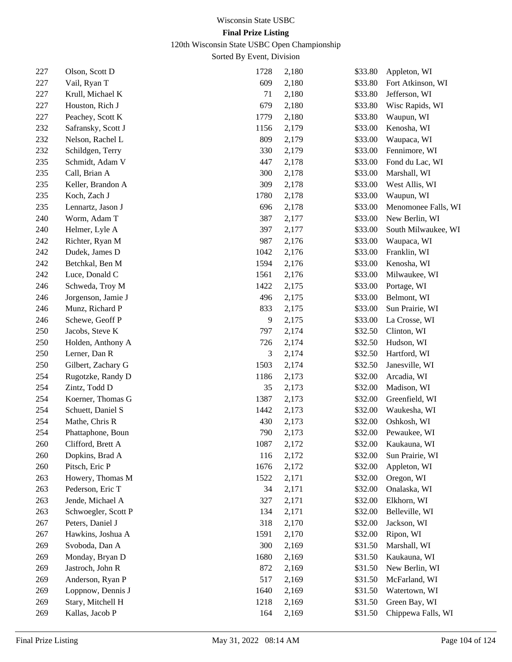120th Wisconsin State USBC Open Championship

| 227 | Olson, Scott D      | 1728 | 2,180 | \$33.80 | Appleton, WI        |
|-----|---------------------|------|-------|---------|---------------------|
| 227 | Vail, Ryan T        | 609  | 2,180 | \$33.80 | Fort Atkinson, WI   |
| 227 | Krull, Michael K    | 71   | 2,180 | \$33.80 | Jefferson, WI       |
| 227 | Houston, Rich J     | 679  | 2,180 | \$33.80 | Wisc Rapids, WI     |
| 227 | Peachey, Scott K    | 1779 | 2,180 | \$33.80 | Waupun, WI          |
| 232 | Safransky, Scott J  | 1156 | 2,179 | \$33.00 | Kenosha, WI         |
| 232 | Nelson, Rachel L    | 809  | 2,179 | \$33.00 | Waupaca, WI         |
| 232 | Schildgen, Terry    | 330  | 2,179 | \$33.00 | Fennimore, WI       |
| 235 | Schmidt, Adam V     | 447  | 2,178 | \$33.00 | Fond du Lac, WI     |
| 235 | Call, Brian A       | 300  | 2,178 | \$33.00 | Marshall, WI        |
| 235 | Keller, Brandon A   | 309  | 2,178 | \$33.00 | West Allis, WI      |
| 235 | Koch, Zach J        | 1780 | 2,178 | \$33.00 | Waupun, WI          |
| 235 | Lennartz, Jason J   | 696  | 2,178 | \$33.00 | Menomonee Falls, WI |
| 240 | Worm, Adam T        | 387  | 2,177 | \$33.00 | New Berlin, WI      |
| 240 | Helmer, Lyle A      | 397  | 2,177 | \$33.00 | South Milwaukee, WI |
| 242 | Richter, Ryan M     | 987  | 2,176 | \$33.00 | Waupaca, WI         |
| 242 | Dudek, James D      | 1042 | 2,176 | \$33.00 | Franklin, WI        |
| 242 | Betchkal, Ben M     | 1594 | 2,176 | \$33.00 | Kenosha, WI         |
| 242 | Luce, Donald C      | 1561 | 2,176 | \$33.00 | Milwaukee, WI       |
| 246 | Schweda, Troy M     | 1422 | 2,175 | \$33.00 | Portage, WI         |
| 246 | Jorgenson, Jamie J  | 496  | 2,175 | \$33.00 | Belmont, WI         |
| 246 | Munz, Richard P     | 833  | 2,175 | \$33.00 | Sun Prairie, WI     |
| 246 | Schewe, Geoff P     | 9    | 2,175 | \$33.00 | La Crosse, WI       |
| 250 | Jacobs, Steve K     | 797  | 2,174 | \$32.50 | Clinton, WI         |
| 250 | Holden, Anthony A   | 726  | 2,174 | \$32.50 | Hudson, WI          |
| 250 | Lerner, Dan R       | 3    | 2,174 | \$32.50 | Hartford, WI        |
| 250 | Gilbert, Zachary G  | 1503 | 2,174 | \$32.50 | Janesville, WI      |
| 254 | Rugotzke, Randy D   | 1186 | 2,173 | \$32.00 | Arcadia, WI         |
| 254 | Zintz, Todd D       | 35   | 2,173 | \$32.00 | Madison, WI         |
| 254 | Koerner, Thomas G   | 1387 | 2,173 | \$32.00 | Greenfield, WI      |
| 254 | Schuett, Daniel S   | 1442 | 2,173 | \$32.00 | Waukesha, WI        |
| 254 | Mathe, Chris R      | 430  | 2,173 | \$32.00 | Oshkosh, WI         |
| 254 | Phattaphone, Boun   | 790  | 2,173 | \$32.00 | Pewaukee, WI        |
| 260 | Clifford, Brett A   | 1087 | 2,172 | \$32.00 | Kaukauna, WI        |
| 260 | Dopkins, Brad A     | 116  | 2,172 | \$32.00 | Sun Prairie, WI     |
| 260 | Pitsch, Eric P      | 1676 | 2,172 | \$32.00 | Appleton, WI        |
| 263 | Howery, Thomas M    | 1522 | 2,171 | \$32.00 | Oregon, WI          |
| 263 | Pederson, Eric T    | 34   | 2,171 | \$32.00 | Onalaska, WI        |
| 263 | Jende, Michael A    | 327  | 2,171 | \$32.00 | Elkhorn, WI         |
| 263 | Schwoegler, Scott P | 134  | 2,171 | \$32.00 | Belleville, WI      |
| 267 | Peters, Daniel J    | 318  | 2,170 | \$32.00 | Jackson, WI         |
| 267 | Hawkins, Joshua A   | 1591 | 2,170 | \$32.00 | Ripon, WI           |
| 269 | Svoboda, Dan A      | 300  | 2,169 | \$31.50 | Marshall, WI        |
| 269 | Monday, Bryan D     | 1680 | 2,169 | \$31.50 | Kaukauna, WI        |
| 269 | Jastroch, John R    | 872  | 2,169 | \$31.50 | New Berlin, WI      |
| 269 | Anderson, Ryan P    | 517  | 2,169 | \$31.50 | McFarland, WI       |
| 269 | Loppnow, Dennis J   | 1640 | 2,169 | \$31.50 | Watertown, WI       |
| 269 | Stary, Mitchell H   | 1218 | 2,169 | \$31.50 | Green Bay, WI       |
| 269 | Kallas, Jacob P     | 164  | 2,169 | \$31.50 | Chippewa Falls, WI  |
|     |                     |      |       |         |                     |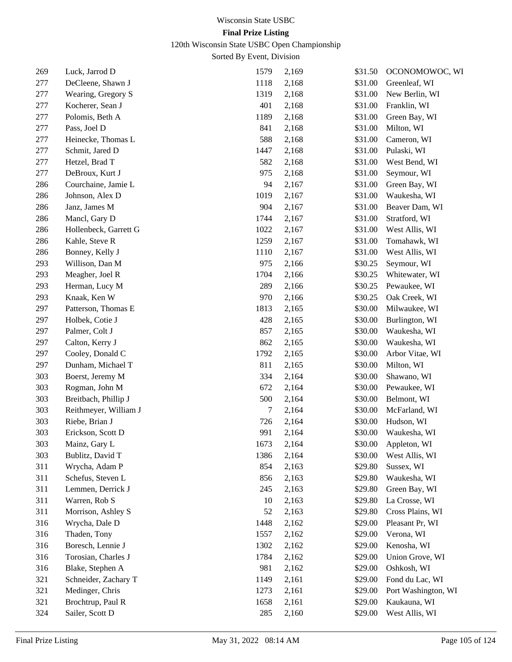120th Wisconsin State USBC Open Championship

| 269 | Luck, Jarrod D        | 1579 | 2,169 | \$31.50 | OCONOMOWOC, WI      |
|-----|-----------------------|------|-------|---------|---------------------|
| 277 | DeCleene, Shawn J     | 1118 | 2,168 | \$31.00 | Greenleaf, WI       |
| 277 | Wearing, Gregory S    | 1319 | 2,168 | \$31.00 | New Berlin, WI      |
| 277 | Kocherer, Sean J      | 401  | 2,168 | \$31.00 | Franklin, WI        |
| 277 | Polomis, Beth A       | 1189 | 2,168 | \$31.00 | Green Bay, WI       |
| 277 | Pass, Joel D          | 841  | 2,168 | \$31.00 | Milton, WI          |
| 277 | Heinecke, Thomas L    | 588  | 2,168 | \$31.00 | Cameron, WI         |
| 277 | Schmit, Jared D       | 1447 | 2,168 | \$31.00 | Pulaski, WI         |
| 277 | Hetzel, Brad T        | 582  | 2,168 | \$31.00 | West Bend, WI       |
| 277 | DeBroux, Kurt J       | 975  | 2,168 | \$31.00 | Seymour, WI         |
| 286 | Courchaine, Jamie L   | 94   | 2,167 | \$31.00 | Green Bay, WI       |
| 286 | Johnson, Alex D       | 1019 | 2,167 | \$31.00 | Waukesha, WI        |
| 286 | Janz, James M         | 904  | 2,167 | \$31.00 | Beaver Dam, WI      |
| 286 | Mancl, Gary D         | 1744 | 2,167 | \$31.00 | Stratford, WI       |
| 286 | Hollenbeck, Garrett G | 1022 | 2,167 | \$31.00 | West Allis, WI      |
| 286 | Kahle, Steve R        | 1259 | 2,167 | \$31.00 | Tomahawk, WI        |
| 286 | Bonney, Kelly J       | 1110 | 2,167 | \$31.00 | West Allis, WI      |
| 293 | Willison, Dan M       | 975  | 2,166 | \$30.25 | Seymour, WI         |
| 293 | Meagher, Joel R       | 1704 | 2,166 | \$30.25 | Whitewater, WI      |
| 293 | Herman, Lucy M        | 289  | 2,166 | \$30.25 | Pewaukee, WI        |
| 293 | Knaak, Ken W          | 970  | 2,166 | \$30.25 | Oak Creek, WI       |
| 297 | Patterson, Thomas E   | 1813 | 2,165 | \$30.00 | Milwaukee, WI       |
| 297 | Holbek, Cotie J       | 428  | 2,165 | \$30.00 | Burlington, WI      |
| 297 | Palmer, Colt J        | 857  | 2,165 | \$30.00 | Waukesha, WI        |
| 297 | Calton, Kerry J       | 862  | 2,165 | \$30.00 | Waukesha, WI        |
| 297 | Cooley, Donald C      | 1792 | 2,165 | \$30.00 | Arbor Vitae, WI     |
| 297 | Dunham, Michael T     | 811  | 2,165 | \$30.00 | Milton, WI          |
| 303 | Boerst, Jeremy M      | 334  | 2,164 | \$30.00 | Shawano, WI         |
| 303 | Rogman, John M        | 672  | 2,164 | \$30.00 | Pewaukee, WI        |
| 303 | Breitbach, Phillip J  | 500  | 2,164 | \$30.00 | Belmont, WI         |
| 303 | Reithmeyer, William J | 7    | 2,164 | \$30.00 | McFarland, WI       |
| 303 | Riebe, Brian J        | 726  | 2,164 | \$30.00 | Hudson, WI          |
| 303 | Erickson, Scott D     | 991  | 2,164 | \$30.00 | Waukesha, WI        |
| 303 | Mainz, Gary L         | 1673 | 2,164 | \$30.00 | Appleton, WI        |
| 303 | Bublitz, David T      | 1386 | 2,164 | \$30.00 | West Allis, WI      |
| 311 | Wrycha, Adam P        | 854  | 2,163 | \$29.80 | Sussex, WI          |
| 311 | Schefus, Steven L     | 856  | 2,163 | \$29.80 | Waukesha, WI        |
| 311 | Lemmen, Derrick J     | 245  | 2,163 | \$29.80 | Green Bay, WI       |
| 311 | Warren, Rob S         | 10   | 2,163 | \$29.80 | La Crosse, WI       |
| 311 | Morrison, Ashley S    | 52   | 2,163 | \$29.80 | Cross Plains, WI    |
| 316 | Wrycha, Dale D        | 1448 | 2,162 | \$29.00 | Pleasant Pr, WI     |
| 316 | Thaden, Tony          | 1557 | 2,162 | \$29.00 | Verona, WI          |
| 316 | Boresch, Lennie J     | 1302 | 2,162 | \$29.00 | Kenosha, WI         |
| 316 | Torosian, Charles J   | 1784 | 2,162 | \$29.00 | Union Grove, WI     |
| 316 | Blake, Stephen A      | 981  | 2,162 | \$29.00 | Oshkosh, WI         |
| 321 | Schneider, Zachary T  | 1149 | 2,161 | \$29.00 | Fond du Lac, WI     |
| 321 | Medinger, Chris       | 1273 | 2,161 | \$29.00 | Port Washington, WI |
| 321 | Brochtrup, Paul R     | 1658 | 2,161 | \$29.00 | Kaukauna, WI        |
| 324 | Sailer, Scott D       | 285  | 2,160 | \$29.00 | West Allis, WI      |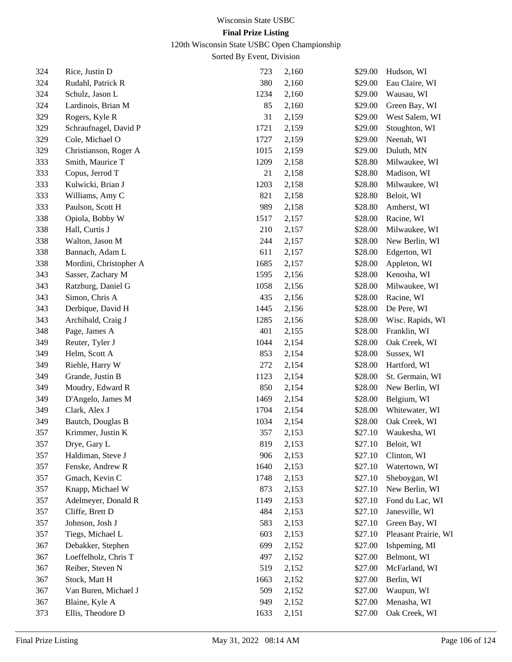120th Wisconsin State USBC Open Championship

| 324 | Rice, Justin D         | 723  | 2,160 | \$29.00 | Hudson, WI           |
|-----|------------------------|------|-------|---------|----------------------|
| 324 | Rudahl, Patrick R      | 380  | 2,160 | \$29.00 | Eau Claire, WI       |
| 324 | Schulz, Jason L        | 1234 | 2,160 | \$29.00 | Wausau, WI           |
| 324 | Lardinois, Brian M     | 85   | 2,160 | \$29.00 | Green Bay, WI        |
| 329 | Rogers, Kyle R         | 31   | 2,159 | \$29.00 | West Salem, WI       |
| 329 | Schraufnagel, David P  | 1721 | 2,159 | \$29.00 | Stoughton, WI        |
| 329 | Cole, Michael O        | 1727 | 2,159 | \$29.00 | Neenah, WI           |
| 329 | Christianson, Roger A  | 1015 | 2,159 | \$29.00 | Duluth, MN           |
| 333 | Smith, Maurice T       | 1209 | 2,158 | \$28.80 | Milwaukee, WI        |
| 333 | Copus, Jerrod T        | 21   | 2,158 | \$28.80 | Madison, WI          |
| 333 | Kulwicki, Brian J      | 1203 | 2,158 | \$28.80 | Milwaukee, WI        |
| 333 | Williams, Amy C        | 821  | 2,158 | \$28.80 | Beloit, WI           |
| 333 | Paulson, Scott H       | 989  | 2,158 | \$28.80 | Amherst, WI          |
| 338 | Opiola, Bobby W        | 1517 | 2,157 | \$28.00 | Racine, WI           |
| 338 | Hall, Curtis J         | 210  | 2,157 | \$28.00 | Milwaukee, WI        |
| 338 | Walton, Jason M        | 244  | 2,157 | \$28.00 | New Berlin, WI       |
| 338 | Bannach, Adam L        | 611  | 2,157 | \$28.00 | Edgerton, WI         |
| 338 | Mordini, Christopher A | 1685 | 2,157 | \$28.00 | Appleton, WI         |
| 343 | Sasser, Zachary M      | 1595 | 2,156 | \$28.00 | Kenosha, WI          |
| 343 | Ratzburg, Daniel G     | 1058 | 2,156 | \$28.00 | Milwaukee, WI        |
| 343 | Simon, Chris A         | 435  | 2,156 | \$28.00 | Racine, WI           |
| 343 | Derbique, David H      | 1445 | 2,156 | \$28.00 | De Pere, WI          |
| 343 | Archibald, Craig J     | 1285 | 2,156 | \$28.00 | Wisc. Rapids, WI     |
| 348 | Page, James A          | 401  | 2,155 | \$28.00 | Franklin, WI         |
| 349 | Reuter, Tyler J        | 1044 | 2,154 | \$28.00 | Oak Creek, WI        |
| 349 | Helm, Scott A          | 853  | 2,154 | \$28.00 | Sussex, WI           |
| 349 | Riehle, Harry W        | 272  | 2,154 | \$28.00 | Hartford, WI         |
| 349 | Grande, Justin B       | 1123 | 2,154 | \$28.00 | St. Germain, WI      |
| 349 | Moudry, Edward R       | 850  | 2,154 | \$28.00 | New Berlin, WI       |
| 349 | D'Angelo, James M      | 1469 | 2,154 | \$28.00 | Belgium, WI          |
| 349 | Clark, Alex J          | 1704 | 2,154 | \$28.00 | Whitewater, WI       |
| 349 | Bautch, Douglas B      | 1034 | 2,154 | \$28.00 | Oak Creek, WI        |
| 357 | Krimmer, Justin K      | 357  | 2,153 | \$27.10 | Waukesha, WI         |
| 357 | Drye, Gary L           | 819  | 2,153 | \$27.10 | Beloit, WI           |
| 357 | Haldiman, Steve J      | 906  | 2,153 | \$27.10 | Clinton, WI          |
| 357 | Fenske, Andrew R       | 1640 | 2,153 | \$27.10 | Watertown, WI        |
| 357 | Gmach, Kevin C         | 1748 | 2,153 | \$27.10 | Sheboygan, WI        |
| 357 | Knapp, Michael W       | 873  | 2,153 | \$27.10 | New Berlin, WI       |
| 357 | Adelmeyer, Donald R    | 1149 | 2,153 | \$27.10 | Fond du Lac, WI      |
| 357 | Cliffe, Brett D        | 484  | 2,153 | \$27.10 | Janesville, WI       |
| 357 | Johnson, Josh J        | 583  | 2,153 | \$27.10 | Green Bay, WI        |
| 357 | Tiegs, Michael L       | 603  | 2,153 | \$27.10 | Pleasant Prairie, WI |
| 367 | Debakker, Stephen      | 699  | 2,152 | \$27.00 | Ishpeming, MI        |
| 367 | Loeffelholz, Chris T   | 497  | 2,152 | \$27.00 | Belmont, WI          |
| 367 | Reiber, Steven N       | 519  | 2,152 | \$27.00 | McFarland, WI        |
| 367 | Stock, Matt H          | 1663 | 2,152 | \$27.00 | Berlin, WI           |
| 367 | Van Buren, Michael J   | 509  | 2,152 | \$27.00 | Waupun, WI           |
| 367 | Blaine, Kyle A         | 949  | 2,152 | \$27.00 | Menasha, WI          |
| 373 | Ellis, Theodore D      | 1633 | 2,151 | \$27.00 | Oak Creek, WI        |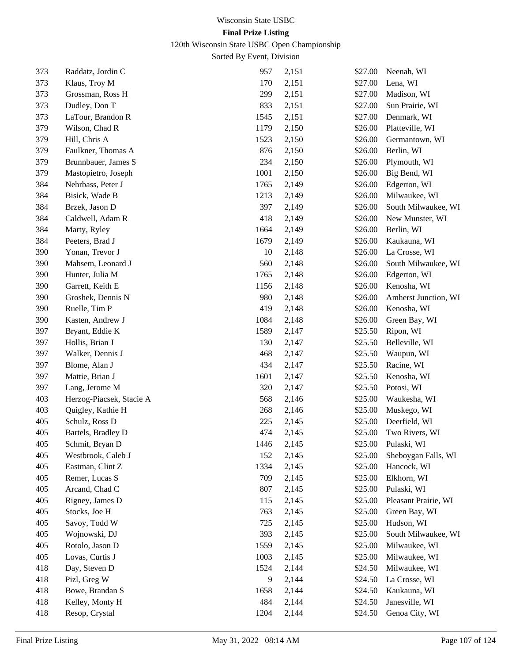# 120th Wisconsin State USBC Open Championship

| 373 | Raddatz, Jordin C        | 957  | 2,151 | \$27.00 | Neenah, WI           |
|-----|--------------------------|------|-------|---------|----------------------|
| 373 | Klaus, Troy M            | 170  | 2,151 | \$27.00 | Lena, WI             |
| 373 | Grossman, Ross H         | 299  | 2,151 | \$27.00 | Madison, WI          |
| 373 | Dudley, Don T            | 833  | 2,151 | \$27.00 | Sun Prairie, WI      |
| 373 | LaTour, Brandon R        | 1545 | 2,151 | \$27.00 | Denmark, WI          |
| 379 | Wilson, Chad R           | 1179 | 2,150 | \$26.00 | Platteville, WI      |
| 379 | Hill, Chris A            | 1523 | 2,150 | \$26.00 | Germantown, WI       |
| 379 | Faulkner, Thomas A       | 876  | 2,150 | \$26.00 | Berlin, WI           |
| 379 | Brunnbauer, James S      | 234  | 2,150 | \$26.00 | Plymouth, WI         |
| 379 | Mastopietro, Joseph      | 1001 | 2,150 | \$26.00 | Big Bend, WI         |
| 384 | Nehrbass, Peter J        | 1765 | 2,149 | \$26.00 | Edgerton, WI         |
| 384 | Bisick, Wade B           | 1213 | 2,149 | \$26.00 | Milwaukee, WI        |
| 384 | Brzek, Jason D           | 397  | 2,149 | \$26.00 | South Milwaukee, WI  |
| 384 | Caldwell, Adam R         | 418  | 2,149 | \$26.00 | New Munster, WI      |
| 384 | Marty, Ryley             | 1664 | 2,149 | \$26.00 | Berlin, WI           |
| 384 | Peeters, Brad J          | 1679 | 2,149 | \$26.00 | Kaukauna, WI         |
| 390 | Yonan, Trevor J          | 10   | 2,148 | \$26.00 | La Crosse, WI        |
| 390 | Mahsem, Leonard J        | 560  | 2,148 | \$26.00 | South Milwaukee, WI  |
| 390 | Hunter, Julia M          | 1765 | 2,148 | \$26.00 | Edgerton, WI         |
| 390 | Garrett, Keith E         | 1156 | 2,148 | \$26.00 | Kenosha, WI          |
| 390 | Groshek, Dennis N        | 980  | 2,148 | \$26.00 | Amherst Junction, WI |
| 390 | Ruelle, Tim P            | 419  | 2,148 | \$26.00 | Kenosha, WI          |
| 390 | Kasten, Andrew J         | 1084 | 2,148 | \$26.00 | Green Bay, WI        |
| 397 | Bryant, Eddie K          | 1589 | 2,147 | \$25.50 | Ripon, WI            |
| 397 | Hollis, Brian J          | 130  | 2,147 | \$25.50 | Belleville, WI       |
| 397 | Walker, Dennis J         | 468  | 2,147 | \$25.50 | Waupun, WI           |
| 397 | Blome, Alan J            | 434  | 2,147 | \$25.50 | Racine, WI           |
| 397 | Mattie, Brian J          | 1601 | 2,147 | \$25.50 | Kenosha, WI          |
| 397 | Lang, Jerome M           | 320  | 2,147 | \$25.50 | Potosi, WI           |
| 403 | Herzog-Piacsek, Stacie A | 568  | 2,146 | \$25.00 | Waukesha, WI         |
| 403 | Quigley, Kathie H        | 268  | 2,146 | \$25.00 | Muskego, WI          |
| 405 | Schulz, Ross D           | 225  | 2,145 | \$25.00 | Deerfield, WI        |
| 405 | Bartels, Bradley D       | 474  | 2,145 | \$25.00 | Two Rivers, WI       |
| 405 | Schmit, Bryan D          | 1446 | 2,145 | \$25.00 | Pulaski, WI          |
| 405 | Westbrook, Caleb J       | 152  | 2,145 | \$25.00 | Sheboygan Falls, WI  |
| 405 | Eastman, Clint Z         | 1334 | 2,145 | \$25.00 | Hancock, WI          |
| 405 | Remer, Lucas S           | 709  | 2,145 | \$25.00 | Elkhorn, WI          |
| 405 | Arcand, Chad C           | 807  | 2,145 | \$25.00 | Pulaski, WI          |
| 405 | Rigney, James D          | 115  | 2,145 | \$25.00 | Pleasant Prairie, WI |
| 405 | Stocks, Joe H            | 763  | 2,145 | \$25.00 | Green Bay, WI        |
| 405 | Savoy, Todd W            | 725  | 2,145 | \$25.00 | Hudson, WI           |
| 405 | Wojnowski, DJ            | 393  | 2,145 | \$25.00 | South Milwaukee, WI  |
| 405 | Rotolo, Jason D          | 1559 | 2,145 | \$25.00 | Milwaukee, WI        |
| 405 | Lovas, Curtis J          | 1003 | 2,145 | \$25.00 | Milwaukee, WI        |
| 418 | Day, Steven D            | 1524 | 2,144 | \$24.50 | Milwaukee, WI        |
| 418 | Pizl, Greg W             | 9    | 2,144 | \$24.50 | La Crosse, WI        |
| 418 | Bowe, Brandan S          | 1658 | 2,144 | \$24.50 | Kaukauna, WI         |
| 418 | Kelley, Monty H          | 484  | 2,144 | \$24.50 | Janesville, WI       |
| 418 | Resop, Crystal           | 1204 | 2,144 | \$24.50 | Genoa City, WI       |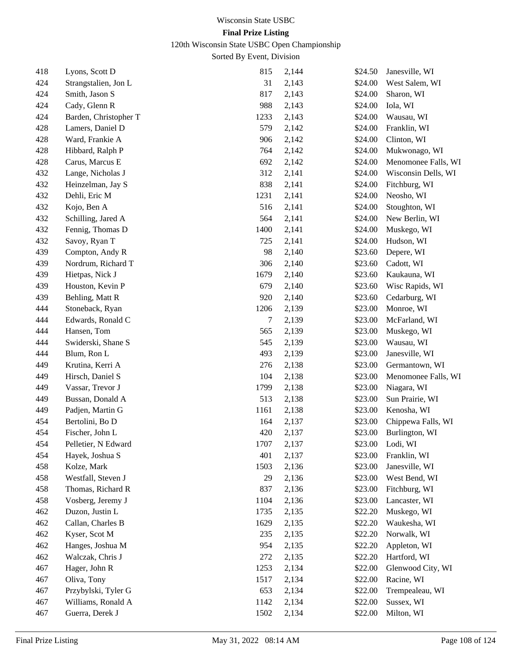# 120th Wisconsin State USBC Open Championship

| 418 | Lyons, Scott D        | 815  | 2,144 | \$24.50 | Janesville, WI      |
|-----|-----------------------|------|-------|---------|---------------------|
| 424 | Strangstalien, Jon L  | 31   | 2,143 | \$24.00 | West Salem, WI      |
| 424 | Smith, Jason S        | 817  | 2,143 | \$24.00 | Sharon, WI          |
| 424 | Cady, Glenn R         | 988  | 2,143 | \$24.00 | Iola, WI            |
| 424 | Barden, Christopher T | 1233 | 2,143 | \$24.00 | Wausau, WI          |
| 428 | Lamers, Daniel D      | 579  | 2,142 | \$24.00 | Franklin, WI        |
| 428 | Ward, Frankie A       | 906  | 2,142 | \$24.00 | Clinton, WI         |
| 428 | Hibbard, Ralph P      | 764  | 2,142 | \$24.00 | Mukwonago, WI       |
| 428 | Carus, Marcus E       | 692  | 2,142 | \$24.00 | Menomonee Falls, WI |
| 432 | Lange, Nicholas J     | 312  | 2,141 | \$24.00 | Wisconsin Dells, WI |
| 432 | Heinzelman, Jay S     | 838  | 2,141 | \$24.00 | Fitchburg, WI       |
| 432 | Dehli, Eric M         | 1231 | 2,141 | \$24.00 | Neosho, WI          |
| 432 | Kojo, Ben A           | 516  | 2,141 | \$24.00 | Stoughton, WI       |
| 432 | Schilling, Jared A    | 564  | 2,141 | \$24.00 | New Berlin, WI      |
| 432 | Fennig, Thomas D      | 1400 | 2,141 | \$24.00 | Muskego, WI         |
| 432 | Savoy, Ryan T         | 725  | 2,141 | \$24.00 | Hudson, WI          |
| 439 | Compton, Andy R       | 98   | 2,140 | \$23.60 | Depere, WI          |
| 439 | Nordrum, Richard T    | 306  | 2,140 | \$23.60 | Cadott, WI          |
| 439 | Hietpas, Nick J       | 1679 | 2,140 | \$23.60 | Kaukauna, WI        |
| 439 | Houston, Kevin P      | 679  | 2,140 | \$23.60 | Wisc Rapids, WI     |
| 439 | Behling, Matt R       | 920  | 2,140 | \$23.60 | Cedarburg, WI       |
| 444 | Stoneback, Ryan       | 1206 | 2,139 | \$23.00 | Monroe, WI          |
| 444 | Edwards, Ronald C     | 7    | 2,139 | \$23.00 | McFarland, WI       |
| 444 | Hansen, Tom           | 565  | 2,139 | \$23.00 | Muskego, WI         |
| 444 | Swiderski, Shane S    | 545  | 2,139 | \$23.00 | Wausau, WI          |
| 444 | Blum, Ron L           | 493  | 2,139 | \$23.00 | Janesville, WI      |
| 449 | Krutina, Kerri A      | 276  | 2,138 | \$23.00 | Germantown, WI      |
| 449 | Hirsch, Daniel S      | 104  | 2,138 | \$23.00 | Menomonee Falls, WI |
| 449 | Vassar, Trevor J      | 1799 | 2,138 | \$23.00 | Niagara, WI         |
| 449 | Bussan, Donald A      | 513  | 2,138 | \$23.00 | Sun Prairie, WI     |
| 449 | Padjen, Martin G      | 1161 | 2,138 | \$23.00 | Kenosha, WI         |
| 454 | Bertolini, Bo D       | 164  | 2,137 | \$23.00 | Chippewa Falls, WI  |
| 454 | Fischer, John L       | 420  | 2,137 | \$23.00 | Burlington, WI      |
| 454 | Pelletier, N Edward   | 1707 | 2,137 | \$23.00 | Lodi, WI            |
| 454 | Hayek, Joshua S       | 401  | 2,137 | \$23.00 | Franklin, WI        |
| 458 | Kolze, Mark           | 1503 | 2,136 | \$23.00 | Janesville, WI      |
| 458 | Westfall, Steven J    | 29   | 2,136 | \$23.00 | West Bend, WI       |
| 458 | Thomas, Richard R     | 837  | 2,136 | \$23.00 | Fitchburg, WI       |
| 458 | Vosberg, Jeremy J     | 1104 | 2,136 | \$23.00 | Lancaster, WI       |
| 462 | Duzon, Justin L       | 1735 | 2,135 | \$22.20 | Muskego, WI         |
| 462 | Callan, Charles B     | 1629 | 2,135 | \$22.20 | Waukesha, WI        |
| 462 | Kyser, Scot M         | 235  | 2,135 | \$22.20 | Norwalk, WI         |
| 462 | Hanges, Joshua M      | 954  | 2,135 | \$22.20 | Appleton, WI        |
| 462 | Walczak, Chris J      | 272  | 2,135 | \$22.20 | Hartford, WI        |
| 467 | Hager, John R         | 1253 | 2,134 | \$22.00 | Glenwood City, WI   |
| 467 | Oliva, Tony           | 1517 | 2,134 | \$22.00 | Racine, WI          |
| 467 | Przybylski, Tyler G   | 653  | 2,134 | \$22.00 | Trempealeau, WI     |
| 467 | Williams, Ronald A    | 1142 | 2,134 | \$22.00 | Sussex, WI          |
| 467 | Guerra, Derek J       | 1502 | 2,134 | \$22.00 | Milton, WI          |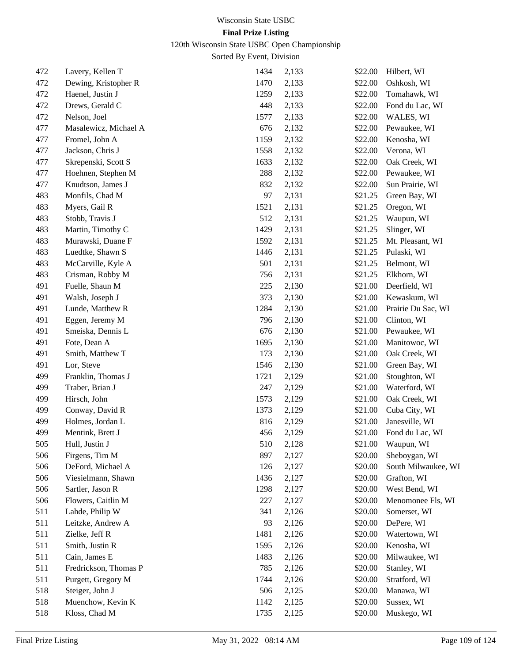120th Wisconsin State USBC Open Championship

| 472 | Lavery, Kellen T      | 1434 | 2,133 | \$22.00 | Hilbert, WI         |
|-----|-----------------------|------|-------|---------|---------------------|
| 472 | Dewing, Kristopher R  | 1470 | 2,133 | \$22.00 | Oshkosh, WI         |
| 472 | Haenel, Justin J      | 1259 | 2,133 | \$22.00 | Tomahawk, WI        |
| 472 | Drews, Gerald C       | 448  | 2,133 | \$22.00 | Fond du Lac, WI     |
| 472 | Nelson, Joel          | 1577 | 2,133 | \$22.00 | WALES, WI           |
| 477 | Masalewicz, Michael A | 676  | 2,132 | \$22.00 | Pewaukee, WI        |
| 477 | Fromel, John A        | 1159 | 2,132 | \$22.00 | Kenosha, WI         |
| 477 | Jackson, Chris J      | 1558 | 2,132 | \$22.00 | Verona, WI          |
| 477 | Skrepenski, Scott S   | 1633 | 2,132 | \$22.00 | Oak Creek, WI       |
| 477 | Hoehnen, Stephen M    | 288  | 2,132 | \$22.00 | Pewaukee, WI        |
| 477 | Knudtson, James J     | 832  | 2,132 | \$22.00 | Sun Prairie, WI     |
| 483 | Monfils, Chad M       | 97   | 2,131 | \$21.25 | Green Bay, WI       |
| 483 | Myers, Gail R         | 1521 | 2,131 | \$21.25 | Oregon, WI          |
| 483 | Stobb, Travis J       | 512  | 2,131 | \$21.25 | Waupun, WI          |
| 483 | Martin, Timothy C     | 1429 | 2,131 | \$21.25 | Slinger, WI         |
| 483 | Murawski, Duane F     | 1592 | 2,131 | \$21.25 | Mt. Pleasant, WI    |
| 483 | Luedtke, Shawn S      | 1446 | 2,131 | \$21.25 | Pulaski, WI         |
| 483 | McCarville, Kyle A    | 501  | 2,131 | \$21.25 | Belmont, WI         |
| 483 | Crisman, Robby M      | 756  | 2,131 | \$21.25 | Elkhorn, WI         |
| 491 | Fuelle, Shaun M       | 225  | 2,130 | \$21.00 | Deerfield, WI       |
| 491 | Walsh, Joseph J       | 373  | 2,130 | \$21.00 | Kewaskum, WI        |
| 491 | Lunde, Matthew R      | 1284 | 2,130 | \$21.00 | Prairie Du Sac, WI  |
| 491 | Eggen, Jeremy M       | 796  | 2,130 | \$21.00 | Clinton, WI         |
| 491 | Smeiska, Dennis L     | 676  | 2,130 | \$21.00 | Pewaukee, WI        |
| 491 | Fote, Dean A          | 1695 | 2,130 | \$21.00 | Manitowoc, WI       |
| 491 | Smith, Matthew T      | 173  | 2,130 | \$21.00 | Oak Creek, WI       |
| 491 | Lor, Steve            | 1546 | 2,130 | \$21.00 | Green Bay, WI       |
| 499 | Franklin, Thomas J    | 1721 | 2,129 | \$21.00 | Stoughton, WI       |
| 499 | Traber, Brian J       | 247  | 2,129 | \$21.00 | Waterford, WI       |
| 499 | Hirsch, John          | 1573 | 2,129 | \$21.00 | Oak Creek, WI       |
| 499 | Conway, David R       | 1373 | 2,129 | \$21.00 | Cuba City, WI       |
| 499 | Holmes, Jordan L      | 816  | 2,129 | \$21.00 | Janesville, WI      |
| 499 | Mentink, Brett J      | 456  | 2,129 | \$21.00 | Fond du Lac, WI     |
| 505 | Hull, Justin J        | 510  | 2,128 |         | \$21.00 Waupun, WI  |
| 506 | Firgens, Tim M        | 897  | 2,127 | \$20.00 | Sheboygan, WI       |
| 506 | DeFord, Michael A     | 126  | 2,127 | \$20.00 | South Milwaukee, WI |
| 506 | Viesielmann, Shawn    | 1436 | 2,127 | \$20.00 | Grafton, WI         |
| 506 | Sartler, Jason R      | 1298 | 2,127 | \$20.00 | West Bend, WI       |
| 506 | Flowers, Caitlin M    | 227  | 2,127 | \$20.00 | Menomonee Fls, WI   |
| 511 | Lahde, Philip W       | 341  | 2,126 | \$20.00 | Somerset, WI        |
| 511 | Leitzke, Andrew A     | 93   | 2,126 | \$20.00 | DePere, WI          |
| 511 | Zielke, Jeff R        | 1481 | 2,126 | \$20.00 | Watertown, WI       |
| 511 | Smith, Justin R       | 1595 | 2,126 | \$20.00 | Kenosha, WI         |
| 511 | Cain, James E         | 1483 | 2,126 | \$20.00 | Milwaukee, WI       |
| 511 | Fredrickson, Thomas P | 785  | 2,126 | \$20.00 | Stanley, WI         |
| 511 | Purgett, Gregory M    | 1744 | 2,126 | \$20.00 | Stratford, WI       |
| 518 | Steiger, John J       | 506  | 2,125 | \$20.00 | Manawa, WI          |
| 518 | Muenchow, Kevin K     | 1142 | 2,125 | \$20.00 | Sussex, WI          |
| 518 | Kloss, Chad M         | 1735 | 2,125 | \$20.00 | Muskego, WI         |
|     |                       |      |       |         |                     |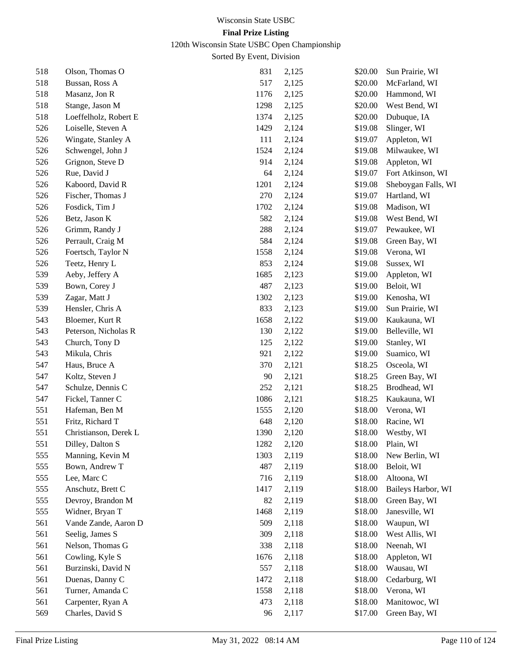120th Wisconsin State USBC Open Championship

| 518 | Olson, Thomas O       | 831  | 2,125 | \$20.00 | Sun Prairie, WI     |
|-----|-----------------------|------|-------|---------|---------------------|
| 518 | Bussan, Ross A        | 517  | 2,125 | \$20.00 | McFarland, WI       |
| 518 | Masanz, Jon R         | 1176 | 2,125 | \$20.00 | Hammond, WI         |
| 518 | Stange, Jason M       | 1298 | 2,125 | \$20.00 | West Bend, WI       |
| 518 | Loeffelholz, Robert E | 1374 | 2,125 | \$20.00 | Dubuque, IA         |
| 526 | Loiselle, Steven A    | 1429 | 2,124 | \$19.08 | Slinger, WI         |
| 526 | Wingate, Stanley A    | 111  | 2,124 | \$19.07 | Appleton, WI        |
| 526 | Schwengel, John J     | 1524 | 2,124 | \$19.08 | Milwaukee, WI       |
| 526 | Grignon, Steve D      | 914  | 2,124 | \$19.08 | Appleton, WI        |
| 526 | Rue, David J          | 64   | 2,124 | \$19.07 | Fort Atkinson, WI   |
| 526 | Kaboord, David R      | 1201 | 2,124 | \$19.08 | Sheboygan Falls, WI |
| 526 | Fischer, Thomas J     | 270  | 2,124 | \$19.07 | Hartland, WI        |
| 526 | Fosdick, Tim J        | 1702 | 2,124 | \$19.08 | Madison, WI         |
| 526 | Betz, Jason K         | 582  | 2,124 | \$19.08 | West Bend, WI       |
| 526 | Grimm, Randy J        | 288  | 2,124 | \$19.07 | Pewaukee, WI        |
| 526 | Perrault, Craig M     | 584  | 2,124 | \$19.08 | Green Bay, WI       |
| 526 | Foertsch, Taylor N    | 1558 | 2,124 | \$19.08 | Verona, WI          |
| 526 | Teetz, Henry L        | 853  | 2,124 | \$19.08 | Sussex, WI          |
| 539 | Aeby, Jeffery A       | 1685 | 2,123 | \$19.00 | Appleton, WI        |
| 539 | Bown, Corey J         | 487  | 2,123 | \$19.00 | Beloit, WI          |
| 539 | Zagar, Matt J         | 1302 | 2,123 | \$19.00 | Kenosha, WI         |
| 539 | Hensler, Chris A      | 833  | 2,123 | \$19.00 | Sun Prairie, WI     |
| 543 | Bloemer, Kurt R       | 1658 | 2,122 | \$19.00 | Kaukauna, WI        |
| 543 | Peterson, Nicholas R  | 130  | 2,122 | \$19.00 | Belleville, WI      |
| 543 | Church, Tony D        | 125  | 2,122 | \$19.00 | Stanley, WI         |
| 543 | Mikula, Chris         | 921  | 2,122 | \$19.00 | Suamico, WI         |
| 547 | Haus, Bruce A         | 370  | 2,121 | \$18.25 | Osceola, WI         |
| 547 | Koltz, Steven J       | 90   | 2,121 | \$18.25 | Green Bay, WI       |
| 547 | Schulze, Dennis C     | 252  | 2,121 | \$18.25 | Brodhead, WI        |
| 547 | Fickel, Tanner C      | 1086 | 2,121 | \$18.25 | Kaukauna, WI        |
| 551 | Hafeman, Ben M        | 1555 | 2,120 | \$18.00 | Verona, WI          |
| 551 | Fritz, Richard T      | 648  | 2,120 | \$18.00 | Racine, WI          |
| 551 | Christianson, Derek L | 1390 | 2,120 | \$18.00 | Westby, WI          |
| 551 | Dilley, Dalton S      | 1282 | 2,120 |         | \$18.00 Plain, WI   |
| 555 | Manning, Kevin M      | 1303 | 2,119 | \$18.00 | New Berlin, WI      |
| 555 | Bown, Andrew T        | 487  | 2,119 | \$18.00 | Beloit, WI          |
| 555 | Lee, Marc C           | 716  | 2,119 | \$18.00 | Altoona, WI         |
| 555 | Anschutz, Brett C     | 1417 | 2,119 | \$18.00 | Baileys Harbor, WI  |
| 555 | Devroy, Brandon M     | 82   | 2,119 | \$18.00 | Green Bay, WI       |
| 555 | Widner, Bryan T       | 1468 | 2,119 | \$18.00 | Janesville, WI      |
| 561 | Vande Zande, Aaron D  | 509  | 2,118 | \$18.00 | Waupun, WI          |
| 561 | Seelig, James S       | 309  | 2,118 | \$18.00 | West Allis, WI      |
| 561 | Nelson, Thomas G      | 338  | 2,118 | \$18.00 | Neenah, WI          |
| 561 | Cowling, Kyle S       | 1676 | 2,118 | \$18.00 | Appleton, WI        |
| 561 | Burzinski, David N    | 557  | 2,118 | \$18.00 | Wausau, WI          |
| 561 | Duenas, Danny C       | 1472 | 2,118 | \$18.00 | Cedarburg, WI       |
| 561 | Turner, Amanda C      | 1558 | 2,118 | \$18.00 | Verona, WI          |
| 561 | Carpenter, Ryan A     | 473  | 2,118 | \$18.00 | Manitowoc, WI       |
| 569 | Charles, David S      | 96   | 2,117 | \$17.00 | Green Bay, WI       |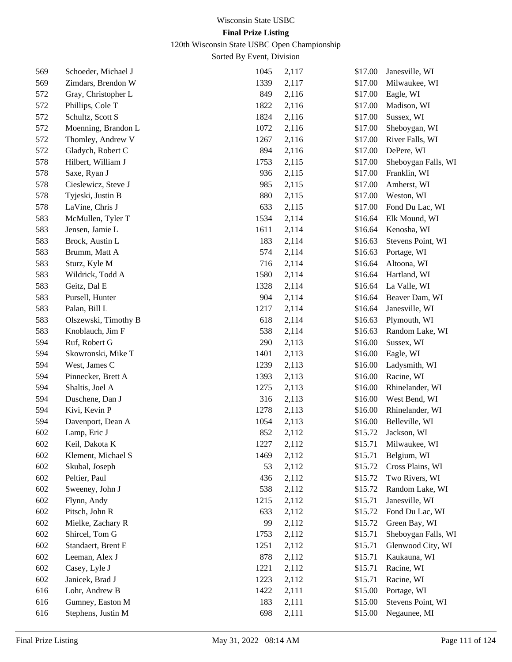120th Wisconsin State USBC Open Championship

| 569 | Schoeder, Michael J  | 1045 | 2,117 | \$17.00 | Janesville, WI      |
|-----|----------------------|------|-------|---------|---------------------|
| 569 | Zimdars, Brendon W   | 1339 | 2,117 | \$17.00 | Milwaukee, WI       |
| 572 | Gray, Christopher L  | 849  | 2,116 | \$17.00 | Eagle, WI           |
| 572 | Phillips, Cole T     | 1822 | 2,116 | \$17.00 | Madison, WI         |
| 572 | Schultz, Scott S     | 1824 | 2,116 | \$17.00 | Sussex, WI          |
| 572 | Moenning, Brandon L  | 1072 | 2,116 | \$17.00 | Sheboygan, WI       |
| 572 | Thomley, Andrew V    | 1267 | 2,116 | \$17.00 | River Falls, WI     |
| 572 | Gladych, Robert C    | 894  | 2,116 | \$17.00 | DePere, WI          |
| 578 | Hilbert, William J   | 1753 | 2,115 | \$17.00 | Sheboygan Falls, WI |
| 578 | Saxe, Ryan J         | 936  | 2,115 | \$17.00 | Franklin, WI        |
| 578 | Cieslewicz, Steve J  | 985  | 2,115 | \$17.00 | Amherst, WI         |
| 578 | Tyjeski, Justin B    | 880  | 2,115 | \$17.00 | Weston, WI          |
| 578 | LaVine, Chris J      | 633  | 2,115 | \$17.00 | Fond Du Lac, WI     |
| 583 | McMullen, Tyler T    | 1534 | 2,114 | \$16.64 | Elk Mound, WI       |
| 583 | Jensen, Jamie L      | 1611 | 2,114 | \$16.64 | Kenosha, WI         |
| 583 | Brock, Austin L      | 183  | 2,114 | \$16.63 | Stevens Point, WI   |
| 583 | Brumm, Matt A        | 574  | 2,114 | \$16.63 | Portage, WI         |
| 583 | Sturz, Kyle M        | 716  | 2,114 | \$16.64 | Altoona, WI         |
| 583 | Wildrick, Todd A     | 1580 | 2,114 | \$16.64 | Hartland, WI        |
| 583 | Geitz, Dal E         | 1328 | 2,114 | \$16.64 | La Valle, WI        |
| 583 | Pursell, Hunter      | 904  | 2,114 | \$16.64 | Beaver Dam, WI      |
| 583 | Palan, Bill L        | 1217 | 2,114 | \$16.64 | Janesville, WI      |
| 583 | Olszewski, Timothy B | 618  | 2,114 | \$16.63 | Plymouth, WI        |
| 583 | Knoblauch, Jim F     | 538  | 2,114 | \$16.63 | Random Lake, WI     |
| 594 | Ruf, Robert G        | 290  | 2,113 | \$16.00 | Sussex, WI          |
| 594 | Skowronski, Mike T   | 1401 | 2,113 | \$16.00 | Eagle, WI           |
| 594 | West, James C        | 1239 | 2,113 | \$16.00 | Ladysmith, WI       |
| 594 | Pinnecker, Brett A   | 1393 | 2,113 | \$16.00 | Racine, WI          |
| 594 | Shaltis, Joel A      | 1275 | 2,113 | \$16.00 | Rhinelander, WI     |
| 594 | Duschene, Dan J      | 316  | 2,113 | \$16.00 | West Bend, WI       |
| 594 | Kivi, Kevin P        | 1278 | 2,113 | \$16.00 | Rhinelander, WI     |
| 594 | Davenport, Dean A    | 1054 | 2,113 | \$16.00 | Belleville, WI      |
| 602 | Lamp, Eric J         | 852  | 2,112 | \$15.72 | Jackson, WI         |
| 602 | Keil, Dakota K       | 1227 | 2,112 | \$15.71 | Milwaukee, WI       |
| 602 | Klement, Michael S   | 1469 | 2,112 | \$15.71 | Belgium, WI         |
| 602 | Skubal, Joseph       | 53   | 2,112 | \$15.72 | Cross Plains, WI    |
| 602 | Peltier, Paul        | 436  | 2,112 | \$15.72 | Two Rivers, WI      |
| 602 | Sweeney, John J      | 538  | 2,112 | \$15.72 | Random Lake, WI     |
| 602 | Flynn, Andy          | 1215 | 2,112 | \$15.71 | Janesville, WI      |
| 602 | Pitsch, John R       | 633  | 2,112 | \$15.72 | Fond Du Lac, WI     |
| 602 | Mielke, Zachary R    | 99   | 2,112 | \$15.72 | Green Bay, WI       |
| 602 | Shircel, Tom G       | 1753 | 2,112 | \$15.71 | Sheboygan Falls, WI |
| 602 | Standaert, Brent E   | 1251 | 2,112 | \$15.71 | Glenwood City, WI   |
| 602 | Leeman, Alex J       | 878  | 2,112 | \$15.71 | Kaukauna, WI        |
| 602 | Casey, Lyle J        | 1221 | 2,112 | \$15.71 | Racine, WI          |
| 602 | Janicek, Brad J      | 1223 | 2,112 | \$15.71 | Racine, WI          |
| 616 | Lohr, Andrew B       | 1422 | 2,111 | \$15.00 | Portage, WI         |
| 616 | Gumney, Easton M     | 183  | 2,111 | \$15.00 | Stevens Point, WI   |
| 616 | Stephens, Justin M   | 698  | 2,111 | \$15.00 | Negaunee, MI        |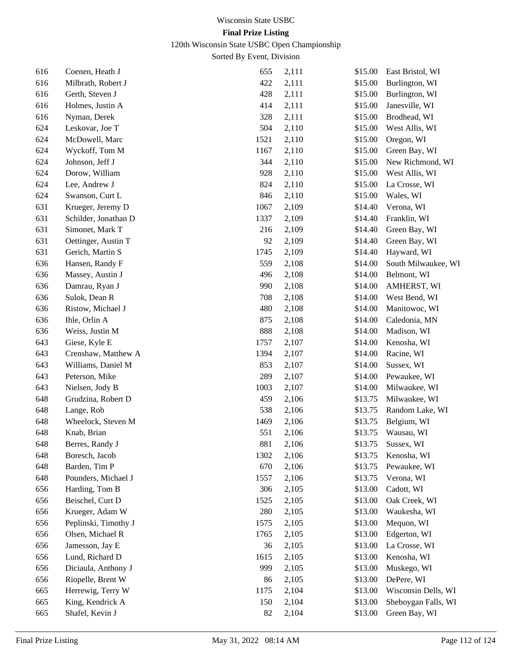120th Wisconsin State USBC Open Championship

| 616 | Coenen, Heath J      | 655  | 2,111 | \$15.00 | East Bristol, WI    |
|-----|----------------------|------|-------|---------|---------------------|
| 616 | Milbrath, Robert J   | 422  | 2,111 | \$15.00 | Burlington, WI      |
| 616 | Gerth, Steven J      | 428  | 2,111 | \$15.00 | Burlington, WI      |
| 616 | Holmes, Justin A     | 414  | 2,111 | \$15.00 | Janesville, WI      |
| 616 | Nyman, Derek         | 328  | 2,111 | \$15.00 | Brodhead, WI        |
| 624 | Leskovar, Joe T      | 504  | 2,110 | \$15.00 | West Allis, WI      |
| 624 | McDowell, Marc       | 1521 | 2,110 | \$15.00 | Oregon, WI          |
| 624 | Wyckoff, Tom M       | 1167 | 2,110 | \$15.00 | Green Bay, WI       |
| 624 | Johnson, Jeff J      | 344  | 2,110 | \$15.00 | New Richmond, WI    |
| 624 | Dorow, William       | 928  | 2,110 | \$15.00 | West Allis, WI      |
| 624 | Lee, Andrew J        | 824  | 2,110 | \$15.00 | La Crosse, WI       |
| 624 | Swanson, Curt L      | 846  | 2,110 | \$15.00 | Wales, WI           |
| 631 | Krueger, Jeremy D    | 1067 | 2,109 | \$14.40 | Verona, WI          |
| 631 | Schilder, Jonathan D | 1337 | 2,109 | \$14.40 | Franklin, WI        |
| 631 | Simonet, Mark T      | 216  | 2,109 | \$14.40 | Green Bay, WI       |
| 631 | Oettinger, Austin T  | 92   | 2,109 | \$14.40 | Green Bay, WI       |
| 631 | Gerich, Martin S     | 1745 | 2,109 | \$14.40 | Hayward, WI         |
| 636 | Hansen, Randy F      | 559  | 2,108 | \$14.00 | South Milwaukee, WI |
| 636 | Massey, Austin J     | 496  | 2,108 | \$14.00 | Belmont, WI         |
| 636 | Damrau, Ryan J       | 990  | 2,108 | \$14.00 | AMHERST, WI         |
| 636 | Sulok, Dean R        | 708  | 2,108 | \$14.00 | West Bend, WI       |
| 636 | Ristow, Michael J    | 480  | 2,108 | \$14.00 | Manitowoc, WI       |
| 636 | Ihle, Orlin A        | 875  | 2,108 | \$14.00 | Caledonia, MN       |
| 636 | Weiss, Justin M      | 888  | 2,108 | \$14.00 | Madison, WI         |
| 643 | Giese, Kyle E        | 1757 | 2,107 | \$14.00 | Kenosha, WI         |
| 643 | Crenshaw, Matthew A  | 1394 | 2,107 | \$14.00 | Racine, WI          |
| 643 | Williams, Daniel M   | 853  | 2,107 | \$14.00 | Sussex, WI          |
| 643 | Peterson, Mike       | 289  | 2,107 | \$14.00 | Pewaukee, WI        |
| 643 | Nielsen, Jody B      | 1003 | 2,107 | \$14.00 | Milwaukee, WI       |
| 648 | Grudzina, Robert D   | 459  | 2,106 | \$13.75 | Milwaukee, WI       |
| 648 | Lange, Rob           | 538  | 2,106 | \$13.75 | Random Lake, WI     |
| 648 | Wheelock, Steven M   | 1469 | 2,106 | \$13.75 | Belgium, WI         |
| 648 | Knab, Brian          | 551  | 2,106 | \$13.75 | Wausau, WI          |
| 648 | Berres, Randy J      | 881  | 2,106 | \$13.75 | Sussex, WI          |
| 648 | Boresch, Jacob       | 1302 | 2,106 | \$13.75 | Kenosha, WI         |
| 648 | Barden, Tim P        | 670  | 2,106 | \$13.75 | Pewaukee, WI        |
| 648 | Pounders, Michael J  | 1557 | 2,106 | \$13.75 | Verona, WI          |
| 656 | Harding, Tom B       | 306  | 2,105 | \$13.00 | Cadott, WI          |
| 656 | Beischel, Curt D     | 1525 | 2,105 | \$13.00 | Oak Creek, WI       |
| 656 | Krueger, Adam W      | 280  | 2,105 | \$13.00 | Waukesha, WI        |
| 656 | Peplinski, Timothy J | 1575 | 2,105 | \$13.00 | Mequon, WI          |
| 656 | Olsen, Michael R     | 1765 | 2,105 | \$13.00 | Edgerton, WI        |
| 656 | Jamesson, Jay E      | 36   | 2,105 | \$13.00 | La Crosse, WI       |
| 656 | Lund, Richard D      | 1615 | 2,105 | \$13.00 | Kenosha, WI         |
| 656 | Diciaula, Anthony J  | 999  | 2,105 | \$13.00 | Muskego, WI         |
| 656 | Riopelle, Brent W    | 86   | 2,105 | \$13.00 | DePere, WI          |
| 665 | Herrewig, Terry W    | 1175 | 2,104 | \$13.00 | Wisconsin Dells, WI |
| 665 | King, Kendrick A     | 150  | 2,104 | \$13.00 | Sheboygan Falls, WI |
| 665 | Shafel, Kevin J      | 82   | 2,104 | \$13.00 | Green Bay, WI       |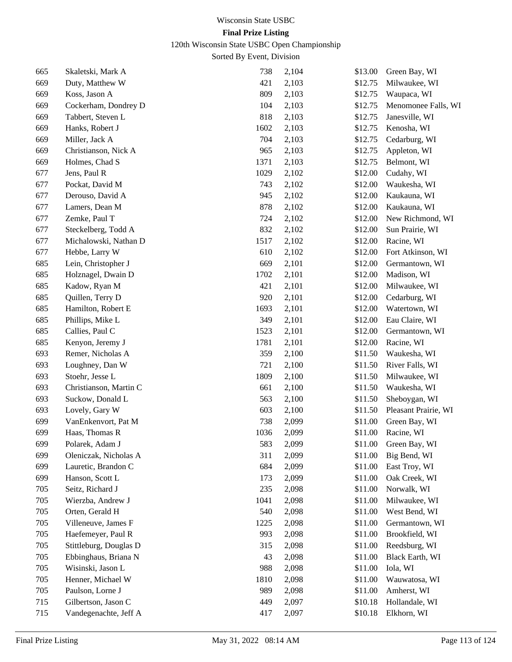# 120th Wisconsin State USBC Open Championship

| 665 | Skaletski, Mark A      | 738  | 2,104 | \$13.00 | Green Bay, WI        |
|-----|------------------------|------|-------|---------|----------------------|
| 669 | Duty, Matthew W        | 421  | 2,103 | \$12.75 | Milwaukee, WI        |
| 669 | Koss, Jason A          | 809  | 2,103 | \$12.75 | Waupaca, WI          |
| 669 | Cockerham, Dondrey D   | 104  | 2,103 | \$12.75 | Menomonee Falls, WI  |
| 669 | Tabbert, Steven L      | 818  | 2,103 | \$12.75 | Janesville, WI       |
| 669 | Hanks, Robert J        | 1602 | 2,103 | \$12.75 | Kenosha, WI          |
| 669 | Miller, Jack A         | 704  | 2,103 | \$12.75 | Cedarburg, WI        |
| 669 | Christianson, Nick A   | 965  | 2,103 | \$12.75 | Appleton, WI         |
| 669 | Holmes, Chad S         | 1371 | 2,103 | \$12.75 | Belmont, WI          |
| 677 | Jens, Paul R           | 1029 | 2,102 | \$12.00 | Cudahy, WI           |
| 677 | Pockat, David M        | 743  | 2,102 | \$12.00 | Waukesha, WI         |
| 677 | Derouso, David A       | 945  | 2,102 | \$12.00 | Kaukauna, WI         |
| 677 | Lamers, Dean M         | 878  | 2,102 | \$12.00 | Kaukauna, WI         |
| 677 | Zemke, Paul T          | 724  | 2,102 | \$12.00 | New Richmond, WI     |
| 677 | Steckelberg, Todd A    | 832  | 2,102 | \$12.00 | Sun Prairie, WI      |
| 677 | Michalowski, Nathan D  | 1517 | 2,102 | \$12.00 | Racine, WI           |
| 677 | Hebbe, Larry W         | 610  | 2,102 | \$12.00 | Fort Atkinson, WI    |
| 685 | Lein, Christopher J    | 669  | 2,101 | \$12.00 | Germantown, WI       |
| 685 | Holznagel, Dwain D     | 1702 | 2,101 | \$12.00 | Madison, WI          |
| 685 | Kadow, Ryan M          | 421  | 2,101 | \$12.00 | Milwaukee, WI        |
| 685 | Quillen, Terry D       | 920  | 2,101 | \$12.00 | Cedarburg, WI        |
| 685 | Hamilton, Robert E     | 1693 | 2,101 | \$12.00 | Watertown, WI        |
| 685 | Phillips, Mike L       | 349  | 2,101 | \$12.00 | Eau Claire, WI       |
| 685 | Callies, Paul C        | 1523 | 2,101 | \$12.00 | Germantown, WI       |
| 685 | Kenyon, Jeremy J       | 1781 | 2,101 | \$12.00 | Racine, WI           |
| 693 | Remer, Nicholas A      | 359  | 2,100 | \$11.50 | Waukesha, WI         |
| 693 | Loughney, Dan W        | 721  | 2,100 | \$11.50 | River Falls, WI      |
| 693 | Stoehr, Jesse L        | 1809 | 2,100 | \$11.50 | Milwaukee, WI        |
| 693 | Christianson, Martin C | 661  | 2,100 | \$11.50 | Waukesha, WI         |
| 693 | Suckow, Donald L       | 563  | 2,100 | \$11.50 | Sheboygan, WI        |
| 693 | Lovely, Gary W         | 603  | 2,100 | \$11.50 | Pleasant Prairie, WI |
| 699 | VanEnkenvort, Pat M    | 738  | 2,099 | \$11.00 | Green Bay, WI        |
| 699 | Haas, Thomas R         | 1036 | 2,099 | \$11.00 | Racine, WI           |
| 699 | Polarek, Adam J        | 583  | 2,099 | \$11.00 | Green Bay, WI        |
| 699 | Oleniczak, Nicholas A  | 311  | 2,099 | \$11.00 | Big Bend, WI         |
| 699 | Lauretic, Brandon C    | 684  | 2,099 | \$11.00 | East Troy, WI        |
| 699 | Hanson, Scott L        | 173  | 2,099 | \$11.00 | Oak Creek, WI        |
| 705 | Seitz, Richard J       | 235  | 2,098 | \$11.00 | Norwalk, WI          |
| 705 | Wierzba, Andrew J      | 1041 | 2,098 | \$11.00 | Milwaukee, WI        |
| 705 | Orten, Gerald H        | 540  | 2,098 | \$11.00 | West Bend, WI        |
| 705 | Villeneuve, James F    | 1225 | 2,098 | \$11.00 | Germantown, WI       |
| 705 | Haefemeyer, Paul R     | 993  | 2,098 | \$11.00 | Brookfield, WI       |
| 705 | Stittleburg, Douglas D | 315  | 2,098 | \$11.00 | Reedsburg, WI        |
| 705 | Ebbinghaus, Briana N   | 43   | 2,098 | \$11.00 | Black Earth, WI      |
| 705 | Wisinski, Jason L      | 988  | 2,098 | \$11.00 | Iola, WI             |
| 705 | Henner, Michael W      | 1810 | 2,098 | \$11.00 | Wauwatosa, WI        |
| 705 | Paulson, Lorne J       | 989  | 2,098 | \$11.00 | Amherst, WI          |
| 715 | Gilbertson, Jason C    | 449  | 2,097 | \$10.18 | Hollandale, WI       |
| 715 | Vandegenachte, Jeff A  | 417  | 2,097 | \$10.18 | Elkhorn, WI          |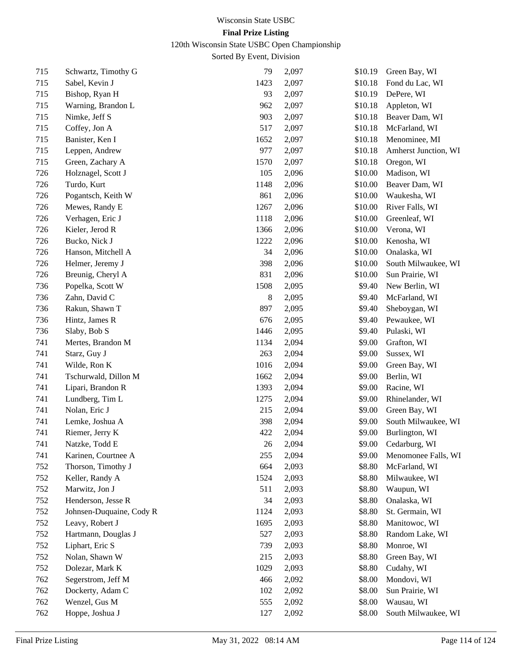120th Wisconsin State USBC Open Championship

| 715 | Schwartz, Timothy G      | 79     | 2,097 | \$10.19 | Green Bay, WI        |
|-----|--------------------------|--------|-------|---------|----------------------|
| 715 | Sabel, Kevin J           | 1423   | 2,097 | \$10.18 | Fond du Lac, WI      |
| 715 | Bishop, Ryan H           | 93     | 2,097 | \$10.19 | DePere, WI           |
| 715 | Warning, Brandon L       | 962    | 2,097 | \$10.18 | Appleton, WI         |
| 715 | Nimke, Jeff S            | 903    | 2,097 | \$10.18 | Beaver Dam, WI       |
| 715 | Coffey, Jon A            | 517    | 2,097 | \$10.18 | McFarland, WI        |
| 715 | Banister, Ken I          | 1652   | 2,097 | \$10.18 | Menominee, MI        |
| 715 | Leppen, Andrew           | 977    | 2,097 | \$10.18 | Amherst Junction, WI |
| 715 | Green, Zachary A         | 1570   | 2,097 | \$10.18 | Oregon, WI           |
| 726 | Holznagel, Scott J       | 105    | 2,096 | \$10.00 | Madison, WI          |
| 726 | Turdo, Kurt              | 1148   | 2,096 | \$10.00 | Beaver Dam, WI       |
| 726 | Pogantsch, Keith W       | 861    | 2,096 | \$10.00 | Waukesha, WI         |
| 726 | Mewes, Randy E           | 1267   | 2,096 | \$10.00 | River Falls, WI      |
| 726 | Verhagen, Eric J         | 1118   | 2,096 | \$10.00 | Greenleaf, WI        |
| 726 | Kieler, Jerod R          | 1366   | 2,096 | \$10.00 | Verona, WI           |
| 726 | Bucko, Nick J            | 1222   | 2,096 | \$10.00 | Kenosha, WI          |
| 726 | Hanson, Mitchell A       | 34     | 2,096 | \$10.00 | Onalaska, WI         |
| 726 | Helmer, Jeremy J         | 398    | 2,096 | \$10.00 | South Milwaukee, WI  |
| 726 | Breunig, Cheryl A        | 831    | 2,096 | \$10.00 | Sun Prairie, WI      |
| 736 | Popelka, Scott W         | 1508   | 2,095 | \$9.40  | New Berlin, WI       |
| 736 | Zahn, David C            | 8      | 2,095 | \$9.40  | McFarland, WI        |
| 736 | Rakun, Shawn T           | 897    | 2,095 | \$9.40  | Sheboygan, WI        |
| 736 | Hintz, James R           | 676    | 2,095 | \$9.40  | Pewaukee, WI         |
| 736 | Slaby, Bob S             | 1446   | 2,095 | \$9.40  | Pulaski, WI          |
| 741 | Mertes, Brandon M        | 1134   | 2,094 | \$9.00  | Grafton, WI          |
| 741 | Starz, Guy J             | 263    | 2,094 | \$9.00  | Sussex, WI           |
| 741 | Wilde, Ron K             | 1016   | 2,094 | \$9.00  | Green Bay, WI        |
| 741 | Tschurwald, Dillon M     | 1662   | 2,094 | \$9.00  | Berlin, WI           |
| 741 | Lipari, Brandon R        | 1393   | 2,094 | \$9.00  | Racine, WI           |
| 741 | Lundberg, Tim L          | 1275   | 2,094 | \$9.00  | Rhinelander, WI      |
| 741 | Nolan, Eric J            | 215    | 2,094 | \$9.00  | Green Bay, WI        |
| 741 | Lemke, Joshua A          | 398    | 2,094 | \$9.00  | South Milwaukee, WI  |
| 741 | Riemer, Jerry K          | 422    | 2,094 | \$9.00  | Burlington, WI       |
| 741 | Natzke, Todd E           | $26\,$ | 2,094 | \$9.00  | Cedarburg, WI        |
| 741 | Karinen, Courtnee A      | 255    | 2,094 | \$9.00  | Menomonee Falls, WI  |
| 752 | Thorson, Timothy J       | 664    | 2,093 | \$8.80  | McFarland, WI        |
| 752 | Keller, Randy A          | 1524   | 2,093 | \$8.80  | Milwaukee, WI        |
| 752 | Marwitz, Jon J           | 511    | 2,093 | \$8.80  | Waupun, WI           |
| 752 | Henderson, Jesse R       | 34     | 2,093 | \$8.80  | Onalaska, WI         |
| 752 | Johnsen-Duquaine, Cody R | 1124   | 2,093 | \$8.80  | St. Germain, WI      |
| 752 | Leavy, Robert J          | 1695   | 2,093 | \$8.80  | Manitowoc, WI        |
| 752 | Hartmann, Douglas J      | 527    | 2,093 | \$8.80  | Random Lake, WI      |
| 752 | Liphart, Eric S          | 739    | 2,093 | \$8.80  | Monroe, WI           |
| 752 | Nolan, Shawn W           | 215    | 2,093 | \$8.80  | Green Bay, WI        |
| 752 | Dolezar, Mark K          | 1029   | 2,093 | \$8.80  | Cudahy, WI           |
| 762 | Segerstrom, Jeff M       | 466    | 2,092 | \$8.00  | Mondovi, WI          |
| 762 | Dockerty, Adam C         | 102    | 2,092 | \$8.00  | Sun Prairie, WI      |
| 762 | Wenzel, Gus M            | 555    | 2,092 | \$8.00  | Wausau, WI           |
| 762 | Hoppe, Joshua J          | 127    | 2,092 | \$8.00  | South Milwaukee, WI  |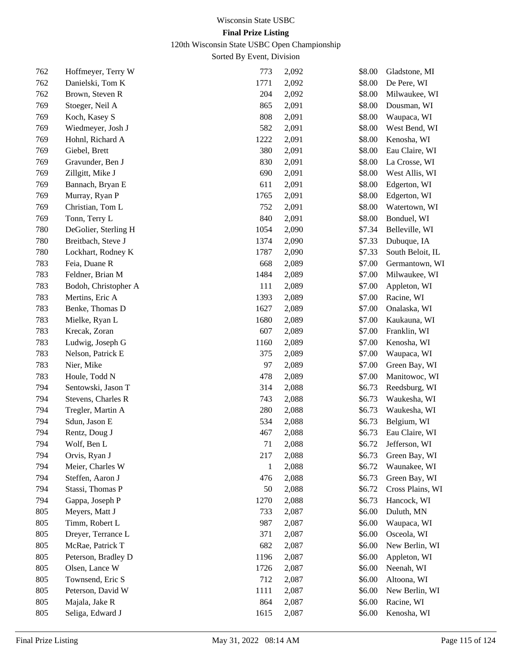120th Wisconsin State USBC Open Championship

| 762 | Hoffmeyer, Terry W   | 773          | 2,092 | \$8.00 | Gladstone, MI    |
|-----|----------------------|--------------|-------|--------|------------------|
| 762 | Danielski, Tom K     | 1771         | 2,092 | \$8.00 | De Pere, WI      |
| 762 | Brown, Steven R      | 204          | 2,092 | \$8.00 | Milwaukee, WI    |
| 769 | Stoeger, Neil A      | 865          | 2,091 | \$8.00 | Dousman, WI      |
| 769 | Koch, Kasey S        | 808          | 2,091 | \$8.00 | Waupaca, WI      |
| 769 | Wiedmeyer, Josh J    | 582          | 2,091 | \$8.00 | West Bend, WI    |
| 769 | Hohnl, Richard A     | 1222         | 2,091 | \$8.00 | Kenosha, WI      |
| 769 | Giebel, Brett        | 380          | 2,091 | \$8.00 | Eau Claire, WI   |
| 769 | Gravunder, Ben J     | 830          | 2,091 | \$8.00 | La Crosse, WI    |
| 769 | Zillgitt, Mike J     | 690          | 2,091 | \$8.00 | West Allis, WI   |
| 769 | Bannach, Bryan E     | 611          | 2,091 | \$8.00 | Edgerton, WI     |
| 769 | Murray, Ryan P       | 1765         | 2,091 | \$8.00 | Edgerton, WI     |
| 769 | Christian, Tom L     | 752          | 2,091 | \$8.00 | Watertown, WI    |
| 769 | Tonn, Terry L        | 840          | 2,091 | \$8.00 | Bonduel, WI      |
| 780 | DeGolier, Sterling H | 1054         | 2,090 | \$7.34 | Belleville, WI   |
| 780 | Breitbach, Steve J   | 1374         | 2,090 | \$7.33 | Dubuque, IA      |
| 780 | Lockhart, Rodney K   | 1787         | 2,090 | \$7.33 | South Beloit, IL |
| 783 | Feia, Duane R        | 668          | 2,089 | \$7.00 | Germantown, WI   |
| 783 | Feldner, Brian M     | 1484         | 2,089 | \$7.00 | Milwaukee, WI    |
| 783 | Bodoh, Christopher A | 111          | 2,089 | \$7.00 | Appleton, WI     |
| 783 | Mertins, Eric A      | 1393         | 2,089 | \$7.00 | Racine, WI       |
| 783 | Benke, Thomas D      | 1627         | 2,089 | \$7.00 | Onalaska, WI     |
| 783 | Mielke, Ryan L       | 1680         | 2,089 | \$7.00 | Kaukauna, WI     |
| 783 | Krecak, Zoran        | 607          | 2,089 | \$7.00 | Franklin, WI     |
| 783 | Ludwig, Joseph G     | 1160         | 2,089 | \$7.00 | Kenosha, WI      |
| 783 | Nelson, Patrick E    | 375          | 2,089 | \$7.00 | Waupaca, WI      |
| 783 | Nier, Mike           | 97           | 2,089 | \$7.00 | Green Bay, WI    |
| 783 | Houle, Todd N        | 478          | 2,089 | \$7.00 | Manitowoc, WI    |
| 794 | Sentowski, Jason T   | 314          | 2,088 | \$6.73 | Reedsburg, WI    |
| 794 | Stevens, Charles R   | 743          | 2,088 | \$6.73 | Waukesha, WI     |
| 794 | Tregler, Martin A    | 280          | 2,088 | \$6.73 | Waukesha, WI     |
| 794 | Sdun, Jason E        | 534          | 2,088 | \$6.73 | Belgium, WI      |
| 794 | Rentz, Doug J        | 467          | 2,088 | \$6.73 | Eau Claire, WI   |
| 794 | Wolf, Ben L          | 71           | 2,088 | \$6.72 | Jefferson, WI    |
| 794 | Orvis, Ryan J        | 217          | 2,088 | \$6.73 | Green Bay, WI    |
| 794 | Meier, Charles W     | $\mathbf{1}$ | 2,088 | \$6.72 | Waunakee, WI     |
| 794 | Steffen, Aaron J     | 476          | 2,088 | \$6.73 | Green Bay, WI    |
| 794 | Stassi, Thomas P     | 50           | 2,088 | \$6.72 | Cross Plains, WI |
| 794 | Gappa, Joseph P      | 1270         | 2,088 | \$6.73 | Hancock, WI      |
| 805 | Meyers, Matt J       | 733          | 2,087 | \$6.00 | Duluth, MN       |
| 805 | Timm, Robert L       | 987          | 2,087 | \$6.00 | Waupaca, WI      |
| 805 | Dreyer, Terrance L   | 371          | 2,087 | \$6.00 | Osceola, WI      |
| 805 | McRae, Patrick T     | 682          | 2,087 | \$6.00 | New Berlin, WI   |
| 805 | Peterson, Bradley D  | 1196         | 2,087 | \$6.00 | Appleton, WI     |
| 805 | Olsen, Lance W       | 1726         | 2,087 | \$6.00 | Neenah, WI       |
| 805 | Townsend, Eric S     | 712          | 2,087 | \$6.00 | Altoona, WI      |
| 805 | Peterson, David W    | 1111         | 2,087 | \$6.00 | New Berlin, WI   |
| 805 | Majala, Jake R       | 864          | 2,087 | \$6.00 | Racine, WI       |
| 805 | Seliga, Edward J     | 1615         | 2,087 | \$6.00 | Kenosha, WI      |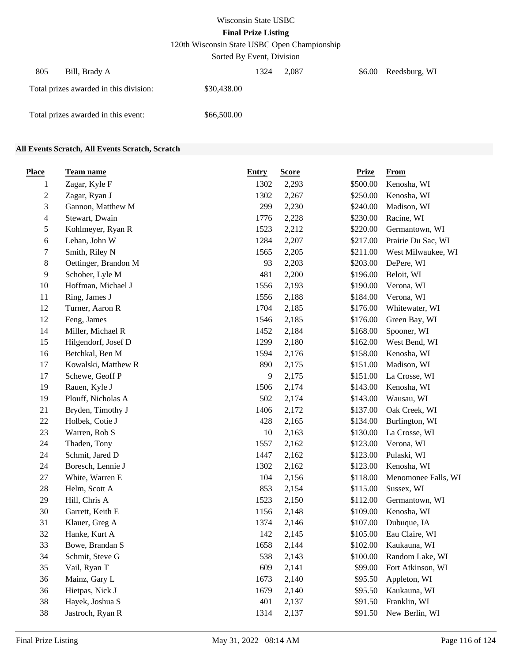120th Wisconsin State USBC Open Championship

Sorted By Event, Division

| 805<br>Bill, Brady A                   |             | 1324 | 2.087 | \$6.00 | Reedsburg, WI |
|----------------------------------------|-------------|------|-------|--------|---------------|
| Total prizes awarded in this division: | \$30,438.00 |      |       |        |               |
| Total prizes awarded in this event:    | \$66,500.00 |      |       |        |               |

#### **All Events Scratch, All Events Scratch, Scratch**

| <b>Place</b>   | <u>Team name</u>     | <b>Entry</b> | <b>Score</b> | <b>Prize</b> | <b>From</b>         |
|----------------|----------------------|--------------|--------------|--------------|---------------------|
| 1              | Zagar, Kyle F        | 1302         | 2,293        | \$500.00     | Kenosha, WI         |
| $\sqrt{2}$     | Zagar, Ryan J        | 1302         | 2,267        | \$250.00     | Kenosha, WI         |
| 3              | Gannon, Matthew M    | 299          | 2,230        | \$240.00     | Madison, WI         |
| $\overline{4}$ | Stewart, Dwain       | 1776         | 2,228        | \$230.00     | Racine, WI          |
| 5              | Kohlmeyer, Ryan R    | 1523         | 2,212        | \$220.00     | Germantown, WI      |
| 6              | Lehan, John W        | 1284         | 2,207        | \$217.00     | Prairie Du Sac, WI  |
| 7              | Smith, Riley N       | 1565         | 2,205        | \$211.00     | West Milwaukee, WI  |
| $8\,$          | Oettinger, Brandon M | 93           | 2,203        | \$203.00     | DePere, WI          |
| $\overline{9}$ | Schober, Lyle M      | 481          | 2,200        | \$196.00     | Beloit, WI          |
| 10             | Hoffman, Michael J   | 1556         | 2,193        | \$190.00     | Verona, WI          |
| 11             | Ring, James J        | 1556         | 2,188        | \$184.00     | Verona, WI          |
| 12             | Turner, Aaron R      | 1704         | 2,185        | \$176.00     | Whitewater, WI      |
| 12             | Feng, James          | 1546         | 2,185        | \$176.00     | Green Bay, WI       |
| 14             | Miller, Michael R    | 1452         | 2,184        | \$168.00     | Spooner, WI         |
| 15             | Hilgendorf, Josef D  | 1299         | 2,180        | \$162.00     | West Bend, WI       |
| 16             | Betchkal, Ben M      | 1594         | 2,176        | \$158.00     | Kenosha, WI         |
| 17             | Kowalski, Matthew R  | 890          | 2,175        | \$151.00     | Madison, WI         |
| 17             | Schewe, Geoff P      | 9            | 2,175        | \$151.00     | La Crosse, WI       |
| 19             | Rauen, Kyle J        | 1506         | 2,174        | \$143.00     | Kenosha, WI         |
| 19             | Plouff, Nicholas A   | 502          | 2,174        | \$143.00     | Wausau, WI          |
| 21             | Bryden, Timothy J    | 1406         | 2,172        | \$137.00     | Oak Creek, WI       |
| $22\,$         | Holbek, Cotie J      | 428          | 2,165        | \$134.00     | Burlington, WI      |
| 23             | Warren, Rob S        | 10           | 2,163        | \$130.00     | La Crosse, WI       |
| 24             | Thaden, Tony         | 1557         | 2,162        | \$123.00     | Verona, WI          |
| 24             | Schmit, Jared D      | 1447         | 2,162        | \$123.00     | Pulaski, WI         |
| 24             | Boresch, Lennie J    | 1302         | 2,162        | \$123.00     | Kenosha, WI         |
| 27             | White, Warren E      | 104          | 2,156        | \$118.00     | Menomonee Falls, WI |
| $28\,$         | Helm, Scott A        | 853          | 2,154        | \$115.00     | Sussex, WI          |
| 29             | Hill, Chris A        | 1523         | 2,150        | \$112.00     | Germantown, WI      |
| 30             | Garrett, Keith E     | 1156         | 2,148        | \$109.00     | Kenosha, WI         |
| 31             | Klauer, Greg A       | 1374         | 2,146        | \$107.00     | Dubuque, IA         |
| 32             | Hanke, Kurt A        | 142          | 2,145        | \$105.00     | Eau Claire, WI      |
| 33             | Bowe, Brandan S      | 1658         | 2,144        | \$102.00     | Kaukauna, WI        |
| 34             | Schmit, Steve G      | 538          | 2,143        | \$100.00     | Random Lake, WI     |
| 35             | Vail, Ryan T         | 609          | 2,141        | \$99.00      | Fort Atkinson, WI   |
| 36             | Mainz, Gary L        | 1673         | 2,140        | \$95.50      | Appleton, WI        |
| 36             | Hietpas, Nick J      | 1679         | 2,140        | \$95.50      | Kaukauna, WI        |
| 38             | Hayek, Joshua S      | 401          | 2,137        | \$91.50      | Franklin, WI        |
| 38             | Jastroch, Ryan R     | 1314         | 2,137        | \$91.50      | New Berlin, WI      |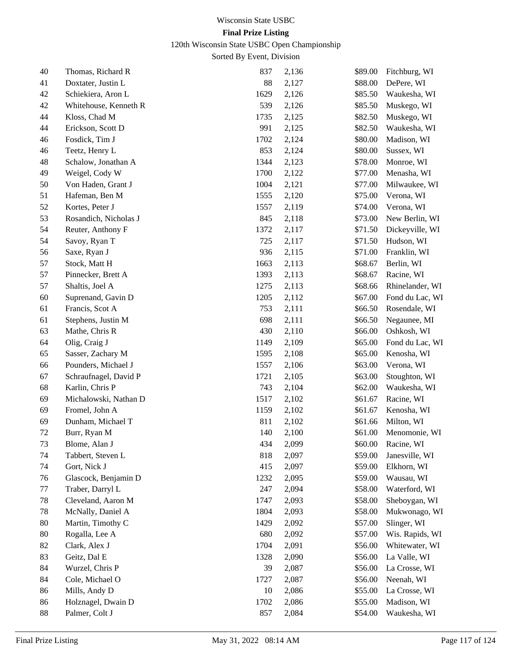# 120th Wisconsin State USBC Open Championship

| 40 | Thomas, Richard R     | 837  | 2,136 | \$89.00 | Fitchburg, WI      |
|----|-----------------------|------|-------|---------|--------------------|
| 41 | Doxtater, Justin L    | 88   | 2,127 | \$88.00 | DePere, WI         |
| 42 | Schiekiera, Aron L    | 1629 | 2,126 | \$85.50 | Waukesha, WI       |
| 42 | Whitehouse, Kenneth R | 539  | 2,126 | \$85.50 | Muskego, WI        |
| 44 | Kloss, Chad M         | 1735 | 2,125 | \$82.50 | Muskego, WI        |
| 44 | Erickson, Scott D     | 991  | 2,125 | \$82.50 | Waukesha, WI       |
| 46 | Fosdick, Tim J        | 1702 | 2,124 | \$80.00 | Madison, WI        |
| 46 | Teetz, Henry L        | 853  | 2,124 | \$80.00 | Sussex, WI         |
| 48 | Schalow, Jonathan A   | 1344 | 2,123 | \$78.00 | Monroe, WI         |
| 49 | Weigel, Cody W        | 1700 | 2,122 | \$77.00 | Menasha, WI        |
| 50 | Von Haden, Grant J    | 1004 | 2,121 | \$77.00 | Milwaukee, WI      |
| 51 | Hafeman, Ben M        | 1555 | 2,120 | \$75.00 | Verona, WI         |
| 52 | Kortes, Peter J       | 1557 | 2,119 | \$74.00 | Verona, WI         |
| 53 | Rosandich, Nicholas J | 845  | 2,118 | \$73.00 | New Berlin, WI     |
| 54 | Reuter, Anthony F     | 1372 | 2,117 | \$71.50 | Dickeyville, WI    |
| 54 | Savoy, Ryan T         | 725  | 2,117 | \$71.50 | Hudson, WI         |
| 56 | Saxe, Ryan J          | 936  | 2,115 | \$71.00 | Franklin, WI       |
| 57 | Stock, Matt H         | 1663 | 2,113 | \$68.67 | Berlin, WI         |
| 57 | Pinnecker, Brett A    | 1393 | 2,113 | \$68.67 | Racine, WI         |
| 57 | Shaltis, Joel A       | 1275 | 2,113 | \$68.66 | Rhinelander, WI    |
| 60 | Suprenand, Gavin D    | 1205 | 2,112 | \$67.00 | Fond du Lac, WI    |
| 61 | Francis, Scot A       | 753  | 2,111 | \$66.50 | Rosendale, WI      |
| 61 | Stephens, Justin M    | 698  | 2,111 | \$66.50 | Negaunee, MI       |
| 63 | Mathe, Chris R        | 430  | 2,110 | \$66.00 | Oshkosh, WI        |
| 64 | Olig, Craig J         | 1149 | 2,109 | \$65.00 | Fond du Lac, WI    |
| 65 | Sasser, Zachary M     | 1595 | 2,108 | \$65.00 | Kenosha, WI        |
| 66 | Pounders, Michael J   | 1557 | 2,106 | \$63.00 | Verona, WI         |
| 67 | Schraufnagel, David P | 1721 | 2,105 | \$63.00 | Stoughton, WI      |
| 68 | Karlin, Chris P       | 743  | 2,104 | \$62.00 | Waukesha, WI       |
| 69 | Michalowski, Nathan D | 1517 | 2,102 | \$61.67 | Racine, WI         |
| 69 | Fromel, John A        | 1159 | 2,102 | \$61.67 | Kenosha, WI        |
| 69 | Dunham, Michael T     | 811  | 2,102 | \$61.66 | Milton, WI         |
| 72 | Burr, Ryan M          | 140  | 2,100 | \$61.00 | Menomonie, WI      |
| 73 | Blome, Alan J         | 434  | 2,099 |         | \$60.00 Racine, WI |
| 74 | Tabbert, Steven L     | 818  | 2,097 | \$59.00 | Janesville, WI     |
| 74 | Gort, Nick J          | 415  | 2,097 | \$59.00 | Elkhorn, WI        |
| 76 | Glascock, Benjamin D  | 1232 | 2,095 | \$59.00 | Wausau, WI         |
| 77 | Traber, Darryl L      | 247  | 2,094 | \$58.00 | Waterford, WI      |
| 78 | Cleveland, Aaron M    | 1747 | 2,093 | \$58.00 | Sheboygan, WI      |
| 78 | McNally, Daniel A     | 1804 | 2,093 | \$58.00 | Mukwonago, WI      |
| 80 | Martin, Timothy C     | 1429 | 2,092 | \$57.00 | Slinger, WI        |
| 80 | Rogalla, Lee A        | 680  | 2,092 | \$57.00 | Wis. Rapids, WI    |
| 82 | Clark, Alex J         | 1704 | 2,091 | \$56.00 | Whitewater, WI     |
| 83 | Geitz, Dal E          | 1328 | 2,090 | \$56.00 | La Valle, WI       |
| 84 | Wurzel, Chris P       | 39   | 2,087 | \$56.00 | La Crosse, WI      |
| 84 | Cole, Michael O       | 1727 | 2,087 | \$56.00 | Neenah, WI         |
| 86 | Mills, Andy D         | 10   | 2,086 | \$55.00 | La Crosse, WI      |
| 86 | Holznagel, Dwain D    | 1702 | 2,086 | \$55.00 | Madison, WI        |
| 88 | Palmer, Colt J        | 857  | 2,084 | \$54.00 | Waukesha, WI       |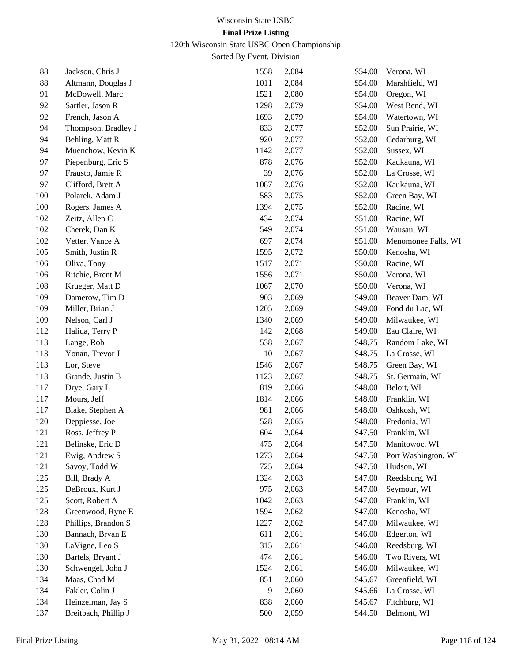120th Wisconsin State USBC Open Championship

| 88  | Jackson, Chris J     | 1558 | 2,084 | \$54.00 | Verona, WI          |
|-----|----------------------|------|-------|---------|---------------------|
| 88  | Altmann, Douglas J   | 1011 | 2,084 | \$54.00 | Marshfield, WI      |
| 91  | McDowell, Marc       | 1521 | 2,080 | \$54.00 | Oregon, WI          |
| 92  | Sartler, Jason R     | 1298 | 2,079 | \$54.00 | West Bend, WI       |
| 92  | French, Jason A      | 1693 | 2,079 | \$54.00 | Watertown, WI       |
| 94  | Thompson, Bradley J  | 833  | 2,077 | \$52.00 | Sun Prairie, WI     |
| 94  | Behling, Matt R      | 920  | 2,077 | \$52.00 | Cedarburg, WI       |
| 94  | Muenchow, Kevin K    | 1142 | 2,077 | \$52.00 | Sussex, WI          |
| 97  | Piepenburg, Eric S   | 878  | 2,076 | \$52.00 | Kaukauna, WI        |
| 97  | Frausto, Jamie R     | 39   | 2,076 | \$52.00 | La Crosse, WI       |
| 97  | Clifford, Brett A    | 1087 | 2,076 | \$52.00 | Kaukauna, WI        |
| 100 | Polarek, Adam J      | 583  | 2,075 | \$52.00 | Green Bay, WI       |
| 100 | Rogers, James A      | 1394 | 2,075 | \$52.00 | Racine, WI          |
| 102 | Zeitz, Allen C       | 434  | 2,074 | \$51.00 | Racine, WI          |
| 102 | Cherek, Dan K        | 549  | 2,074 | \$51.00 | Wausau, WI          |
| 102 | Vetter, Vance A      | 697  | 2,074 | \$51.00 | Menomonee Falls, WI |
| 105 | Smith, Justin R      | 1595 | 2,072 | \$50.00 | Kenosha, WI         |
| 106 | Oliva, Tony          | 1517 | 2,071 | \$50.00 | Racine, WI          |
| 106 | Ritchie, Brent M     | 1556 | 2,071 | \$50.00 | Verona, WI          |
| 108 | Krueger, Matt D      | 1067 | 2,070 | \$50.00 | Verona, WI          |
| 109 | Damerow, Tim D       | 903  | 2,069 | \$49.00 | Beaver Dam, WI      |
| 109 | Miller, Brian J      | 1205 | 2,069 | \$49.00 | Fond du Lac, WI     |
| 109 | Nelson, Carl J       | 1340 | 2,069 | \$49.00 | Milwaukee, WI       |
| 112 | Halida, Terry P      | 142  | 2,068 | \$49.00 | Eau Claire, WI      |
| 113 | Lange, Rob           | 538  | 2,067 | \$48.75 | Random Lake, WI     |
| 113 | Yonan, Trevor J      | 10   | 2,067 | \$48.75 | La Crosse, WI       |
| 113 | Lor, Steve           | 1546 | 2,067 | \$48.75 | Green Bay, WI       |
| 113 | Grande, Justin B     | 1123 | 2,067 | \$48.75 | St. Germain, WI     |
| 117 | Drye, Gary L         | 819  | 2,066 | \$48.00 | Beloit, WI          |
| 117 | Mours, Jeff          | 1814 | 2,066 | \$48.00 | Franklin, WI        |
| 117 | Blake, Stephen A     | 981  | 2,066 | \$48.00 | Oshkosh, WI         |
| 120 | Deppiesse, Joe       | 528  | 2,065 | \$48.00 | Fredonia, WI        |
| 121 | Ross, Jeffrey P      | 604  | 2,064 | \$47.50 | Franklin, WI        |
| 121 | Belinske, Eric D     | 475  | 2,064 | \$47.50 | Manitowoc, WI       |
| 121 | Ewig, Andrew S       | 1273 | 2,064 | \$47.50 | Port Washington, WI |
| 121 | Savoy, Todd W        | 725  | 2,064 | \$47.50 | Hudson, WI          |
| 125 | Bill, Brady A        | 1324 | 2,063 | \$47.00 | Reedsburg, WI       |
| 125 | DeBroux, Kurt J      | 975  | 2,063 | \$47.00 | Seymour, WI         |
| 125 | Scott, Robert A      | 1042 | 2,063 | \$47.00 | Franklin, WI        |
| 128 | Greenwood, Ryne E    | 1594 | 2,062 | \$47.00 | Kenosha, WI         |
| 128 | Phillips, Brandon S  | 1227 | 2,062 | \$47.00 | Milwaukee, WI       |
| 130 | Bannach, Bryan E     | 611  | 2,061 | \$46.00 | Edgerton, WI        |
| 130 | LaVigne, Leo S       | 315  | 2,061 | \$46.00 | Reedsburg, WI       |
| 130 | Bartels, Bryant J    | 474  | 2,061 | \$46.00 | Two Rivers, WI      |
| 130 | Schwengel, John J    | 1524 | 2,061 | \$46.00 | Milwaukee, WI       |
| 134 | Maas, Chad M         | 851  | 2,060 | \$45.67 | Greenfield, WI      |
| 134 | Fakler, Colin J      | 9    | 2,060 | \$45.66 | La Crosse, WI       |
| 134 | Heinzelman, Jay S    | 838  | 2,060 | \$45.67 | Fitchburg, WI       |
| 137 | Breitbach, Phillip J | 500  | 2,059 | \$44.50 | Belmont, WI         |
|     |                      |      |       |         |                     |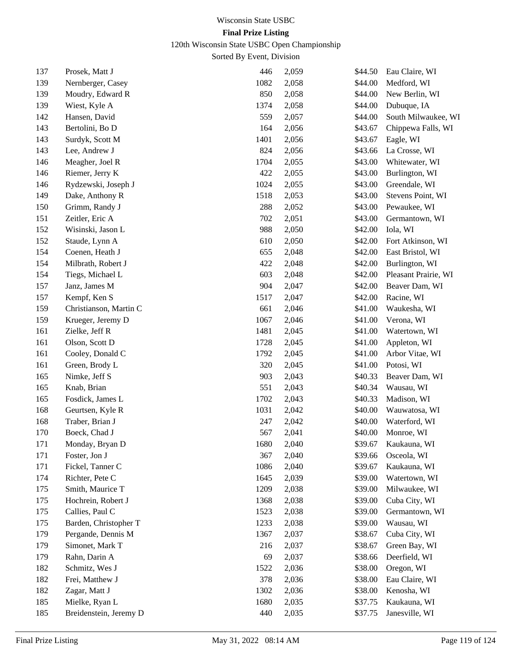120th Wisconsin State USBC Open Championship

| 137 | Prosek, Matt J         | 446  | 2,059 | \$44.50 | Eau Claire, WI       |
|-----|------------------------|------|-------|---------|----------------------|
| 139 | Nernberger, Casey      | 1082 | 2,058 | \$44.00 | Medford, WI          |
| 139 | Moudry, Edward R       | 850  | 2,058 | \$44.00 | New Berlin, WI       |
| 139 | Wiest, Kyle A          | 1374 | 2,058 | \$44.00 | Dubuque, IA          |
| 142 | Hansen, David          | 559  | 2,057 | \$44.00 | South Milwaukee, WI  |
| 143 | Bertolini, Bo D        | 164  | 2,056 | \$43.67 | Chippewa Falls, WI   |
| 143 | Surdyk, Scott M        | 1401 | 2,056 | \$43.67 | Eagle, WI            |
| 143 | Lee, Andrew J          | 824  | 2,056 | \$43.66 | La Crosse, WI        |
| 146 | Meagher, Joel R        | 1704 | 2,055 | \$43.00 | Whitewater, WI       |
| 146 | Riemer, Jerry K        | 422  | 2,055 | \$43.00 | Burlington, WI       |
| 146 | Rydzewski, Joseph J    | 1024 | 2,055 | \$43.00 | Greendale, WI        |
| 149 | Dake, Anthony R        | 1518 | 2,053 | \$43.00 | Stevens Point, WI    |
| 150 | Grimm, Randy J         | 288  | 2,052 | \$43.00 | Pewaukee, WI         |
| 151 | Zeitler, Eric A        | 702  | 2,051 | \$43.00 | Germantown, WI       |
| 152 | Wisinski, Jason L      | 988  | 2,050 | \$42.00 | Iola, WI             |
| 152 | Staude, Lynn A         | 610  | 2,050 | \$42.00 | Fort Atkinson, WI    |
| 154 | Coenen, Heath J        | 655  | 2,048 | \$42.00 | East Bristol, WI     |
| 154 | Milbrath, Robert J     | 422  | 2,048 | \$42.00 | Burlington, WI       |
| 154 | Tiegs, Michael L       | 603  | 2,048 | \$42.00 | Pleasant Prairie, WI |
| 157 | Janz, James M          | 904  | 2,047 | \$42.00 | Beaver Dam, WI       |
| 157 | Kempf, Ken S           | 1517 | 2,047 | \$42.00 | Racine, WI           |
| 159 | Christianson, Martin C | 661  | 2,046 | \$41.00 | Waukesha, WI         |
| 159 | Krueger, Jeremy D      | 1067 | 2,046 | \$41.00 | Verona, WI           |
| 161 | Zielke, Jeff R         | 1481 | 2,045 | \$41.00 | Watertown, WI        |
| 161 | Olson, Scott D         | 1728 | 2,045 | \$41.00 | Appleton, WI         |
| 161 | Cooley, Donald C       | 1792 | 2,045 | \$41.00 | Arbor Vitae, WI      |
| 161 | Green, Brody L         | 320  | 2,045 | \$41.00 | Potosi, WI           |
| 165 | Nimke, Jeff S          | 903  | 2,043 | \$40.33 | Beaver Dam, WI       |
| 165 | Knab, Brian            | 551  | 2,043 | \$40.34 | Wausau, WI           |
| 165 | Fosdick, James L       | 1702 | 2,043 | \$40.33 | Madison, WI          |
| 168 | Geurtsen, Kyle R       | 1031 | 2,042 | \$40.00 | Wauwatosa, WI        |
| 168 | Traber, Brian J        | 247  | 2,042 | \$40.00 | Waterford, WI        |
| 170 | Boeck, Chad J          | 567  | 2,041 | \$40.00 | Monroe, WI           |
| 171 | Monday, Bryan D        | 1680 | 2,040 | \$39.67 | Kaukauna, WI         |
| 171 | Foster, Jon J          | 367  | 2,040 | \$39.66 | Osceola, WI          |
| 171 | Fickel, Tanner C       | 1086 | 2,040 | \$39.67 | Kaukauna, WI         |
| 174 | Richter, Pete C        | 1645 | 2,039 | \$39.00 | Watertown, WI        |
| 175 | Smith, Maurice T       | 1209 | 2,038 | \$39.00 | Milwaukee, WI        |
| 175 | Hochrein, Robert J     | 1368 | 2,038 | \$39.00 | Cuba City, WI        |
| 175 | Callies, Paul C        | 1523 | 2,038 | \$39.00 | Germantown, WI       |
| 175 | Barden, Christopher T  | 1233 | 2,038 | \$39.00 | Wausau, WI           |
| 179 | Pergande, Dennis M     | 1367 | 2,037 | \$38.67 | Cuba City, WI        |
| 179 | Simonet, Mark T        | 216  | 2,037 | \$38.67 | Green Bay, WI        |
| 179 | Rahn, Darin A          | 69   | 2,037 | \$38.66 | Deerfield, WI        |
| 182 | Schmitz, Wes J         | 1522 | 2,036 | \$38.00 | Oregon, WI           |
| 182 | Frei, Matthew J        | 378  | 2,036 | \$38.00 | Eau Claire, WI       |
| 182 | Zagar, Matt J          | 1302 | 2,036 | \$38.00 | Kenosha, WI          |
| 185 | Mielke, Ryan L         | 1680 | 2,035 | \$37.75 | Kaukauna, WI         |
| 185 | Breidenstein, Jeremy D | 440  | 2,035 | \$37.75 | Janesville, WI       |
|     |                        |      |       |         |                      |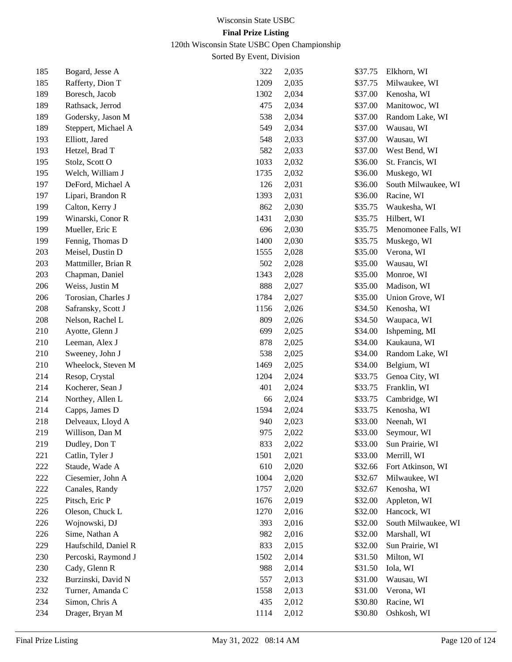120th Wisconsin State USBC Open Championship

| 185 | Bogard, Jesse A      | 322  | 2,035 | \$37.75 | Elkhorn, WI         |
|-----|----------------------|------|-------|---------|---------------------|
| 185 | Rafferty, Dion T     | 1209 | 2,035 | \$37.75 | Milwaukee, WI       |
| 189 | Boresch, Jacob       | 1302 | 2,034 | \$37.00 | Kenosha, WI         |
| 189 | Rathsack, Jerrod     | 475  | 2,034 | \$37.00 | Manitowoc, WI       |
| 189 | Godersky, Jason M    | 538  | 2,034 | \$37.00 | Random Lake, WI     |
| 189 | Steppert, Michael A  | 549  | 2,034 | \$37.00 | Wausau, WI          |
| 193 | Elliott, Jared       | 548  | 2,033 | \$37.00 | Wausau, WI          |
| 193 | Hetzel, Brad T       | 582  | 2,033 | \$37.00 | West Bend, WI       |
| 195 | Stolz, Scott O       | 1033 | 2,032 | \$36.00 | St. Francis, WI     |
| 195 | Welch, William J     | 1735 | 2,032 | \$36.00 | Muskego, WI         |
| 197 | DeFord, Michael A    | 126  | 2,031 | \$36.00 | South Milwaukee, WI |
| 197 | Lipari, Brandon R    | 1393 | 2,031 | \$36.00 | Racine, WI          |
| 199 | Calton, Kerry J      | 862  | 2,030 | \$35.75 | Waukesha, WI        |
| 199 | Winarski, Conor R    | 1431 | 2,030 | \$35.75 | Hilbert, WI         |
| 199 | Mueller, Eric E      | 696  | 2,030 | \$35.75 | Menomonee Falls, WI |
| 199 | Fennig, Thomas D     | 1400 | 2,030 | \$35.75 | Muskego, WI         |
| 203 | Meisel, Dustin D     | 1555 | 2,028 | \$35.00 | Verona, WI          |
| 203 | Mattmiller, Brian R  | 502  | 2,028 | \$35.00 | Wausau, WI          |
| 203 | Chapman, Daniel      | 1343 | 2,028 | \$35.00 | Monroe, WI          |
| 206 | Weiss, Justin M      | 888  | 2,027 | \$35.00 | Madison, WI         |
| 206 | Torosian, Charles J  | 1784 | 2,027 | \$35.00 | Union Grove, WI     |
| 208 | Safransky, Scott J   | 1156 | 2,026 | \$34.50 | Kenosha, WI         |
| 208 | Nelson, Rachel L     | 809  | 2,026 | \$34.50 | Waupaca, WI         |
| 210 | Ayotte, Glenn J      | 699  | 2,025 | \$34.00 | Ishpeming, MI       |
| 210 | Leeman, Alex J       | 878  | 2,025 | \$34.00 | Kaukauna, WI        |
| 210 | Sweeney, John J      | 538  | 2,025 | \$34.00 | Random Lake, WI     |
| 210 | Wheelock, Steven M   | 1469 | 2,025 | \$34.00 | Belgium, WI         |
| 214 | Resop, Crystal       | 1204 | 2,024 | \$33.75 | Genoa City, WI      |
| 214 | Kocherer, Sean J     | 401  | 2,024 | \$33.75 | Franklin, WI        |
| 214 | Northey, Allen L     | 66   | 2,024 | \$33.75 | Cambridge, WI       |
| 214 | Capps, James D       | 1594 | 2,024 | \$33.75 | Kenosha, WI         |
| 218 | Delveaux, Lloyd A    | 940  | 2,023 | \$33.00 | Neenah, WI          |
| 219 | Willison, Dan M      | 975  | 2,022 | \$33.00 | Seymour, WI         |
| 219 | Dudley, Don T        | 833  | 2,022 | \$33.00 | Sun Prairie, WI     |
| 221 | Catlin, Tyler J      | 1501 | 2,021 | \$33.00 | Merrill, WI         |
| 222 | Staude, Wade A       | 610  | 2,020 | \$32.66 | Fort Atkinson, WI   |
| 222 | Ciesemier, John A    | 1004 | 2,020 | \$32.67 | Milwaukee, WI       |
| 222 | Canales, Randy       | 1757 | 2,020 | \$32.67 | Kenosha, WI         |
| 225 | Pitsch, Eric P       | 1676 | 2,019 | \$32.00 | Appleton, WI        |
| 226 | Oleson, Chuck L      | 1270 | 2,016 | \$32.00 | Hancock, WI         |
| 226 | Wojnowski, DJ        | 393  | 2,016 | \$32.00 | South Milwaukee, WI |
| 226 | Sime, Nathan A       | 982  | 2,016 | \$32.00 | Marshall, WI        |
| 229 | Haufschild, Daniel R | 833  | 2,015 | \$32.00 | Sun Prairie, WI     |
| 230 | Percoski, Raymond J  | 1502 | 2,014 | \$31.50 | Milton, WI          |
| 230 | Cady, Glenn R        | 988  | 2,014 | \$31.50 | Iola, WI            |
| 232 | Burzinski, David N   | 557  | 2,013 | \$31.00 | Wausau, WI          |
| 232 | Turner, Amanda C     | 1558 | 2,013 | \$31.00 | Verona, WI          |
| 234 | Simon, Chris A       | 435  | 2,012 | \$30.80 | Racine, WI          |
| 234 | Drager, Bryan M      | 1114 | 2,012 | \$30.80 | Oshkosh, WI         |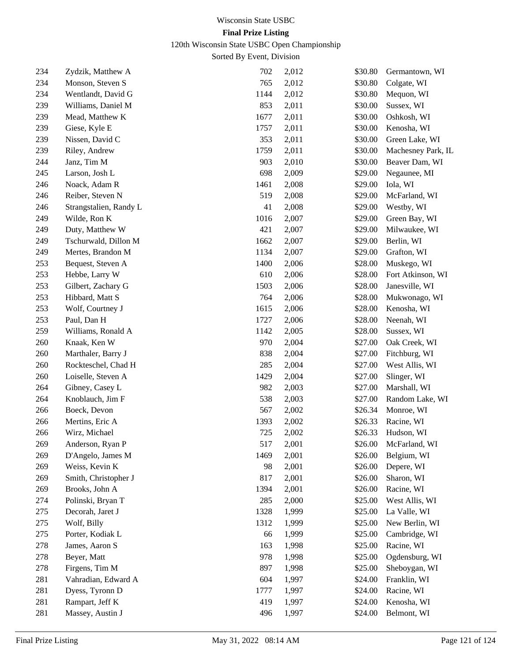120th Wisconsin State USBC Open Championship

| 234 | Zydzik, Matthew A      | 702  | 2,012 | \$30.80 | Germantown, WI     |
|-----|------------------------|------|-------|---------|--------------------|
| 234 | Monson, Steven S       | 765  | 2,012 | \$30.80 | Colgate, WI        |
| 234 | Wentlandt, David G     | 1144 | 2,012 | \$30.80 | Mequon, WI         |
| 239 | Williams, Daniel M     | 853  | 2,011 | \$30.00 | Sussex, WI         |
| 239 | Mead, Matthew K        | 1677 | 2,011 | \$30.00 | Oshkosh, WI        |
| 239 | Giese, Kyle E          | 1757 | 2,011 | \$30.00 | Kenosha, WI        |
| 239 | Nissen, David C        | 353  | 2,011 | \$30.00 | Green Lake, WI     |
| 239 | Riley, Andrew          | 1759 | 2,011 | \$30.00 | Machesney Park, IL |
| 244 | Janz, Tim M            | 903  | 2,010 | \$30.00 | Beaver Dam, WI     |
| 245 | Larson, Josh L         | 698  | 2,009 | \$29.00 | Negaunee, MI       |
| 246 | Noack, Adam R          | 1461 | 2,008 | \$29.00 | Iola, WI           |
| 246 | Reiber, Steven N       | 519  | 2,008 | \$29.00 | McFarland, WI      |
| 246 | Strangstalien, Randy L | 41   | 2,008 | \$29.00 | Westby, WI         |
| 249 | Wilde, Ron K           | 1016 | 2,007 | \$29.00 | Green Bay, WI      |
| 249 | Duty, Matthew W        | 421  | 2,007 | \$29.00 | Milwaukee, WI      |
| 249 | Tschurwald, Dillon M   | 1662 | 2,007 | \$29.00 | Berlin, WI         |
| 249 | Mertes, Brandon M      | 1134 | 2,007 | \$29.00 | Grafton, WI        |
| 253 | Bequest, Steven A      | 1400 | 2,006 | \$28.00 | Muskego, WI        |
| 253 | Hebbe, Larry W         | 610  | 2,006 | \$28.00 | Fort Atkinson, WI  |
| 253 | Gilbert, Zachary G     | 1503 | 2,006 | \$28.00 | Janesville, WI     |
| 253 | Hibbard, Matt S        | 764  | 2,006 | \$28.00 | Mukwonago, WI      |
| 253 | Wolf, Courtney J       | 1615 | 2,006 | \$28.00 | Kenosha, WI        |
| 253 | Paul, Dan H            | 1727 | 2,006 | \$28.00 | Neenah, WI         |
| 259 | Williams, Ronald A     | 1142 | 2,005 | \$28.00 | Sussex, WI         |
| 260 | Knaak, Ken W           | 970  | 2,004 | \$27.00 | Oak Creek, WI      |
| 260 | Marthaler, Barry J     | 838  | 2,004 | \$27.00 | Fitchburg, WI      |
| 260 | Rockteschel, Chad H    | 285  | 2,004 | \$27.00 | West Allis, WI     |
| 260 | Loiselle, Steven A     | 1429 | 2,004 | \$27.00 | Slinger, WI        |
| 264 | Gibney, Casey L        | 982  | 2,003 | \$27.00 | Marshall, WI       |
| 264 | Knoblauch, Jim F       | 538  | 2,003 | \$27.00 | Random Lake, WI    |
| 266 | Boeck, Devon           | 567  | 2,002 | \$26.34 | Monroe, WI         |
| 266 | Mertins, Eric A        | 1393 | 2,002 | \$26.33 | Racine, WI         |
| 266 | Wirz, Michael          | 725  | 2,002 | \$26.33 | Hudson, WI         |
| 269 | Anderson, Ryan P       | 517  | 2,001 | \$26.00 | McFarland, WI      |
| 269 | D'Angelo, James M      | 1469 | 2,001 | \$26.00 | Belgium, WI        |
| 269 | Weiss, Kevin K         | 98   | 2,001 | \$26.00 | Depere, WI         |
| 269 | Smith, Christopher J   | 817  | 2,001 | \$26.00 | Sharon, WI         |
| 269 | Brooks, John A         | 1394 | 2,001 | \$26.00 | Racine, WI         |
| 274 | Polinski, Bryan T      | 285  | 2,000 | \$25.00 | West Allis, WI     |
| 275 | Decorah, Jaret J       | 1328 | 1,999 | \$25.00 | La Valle, WI       |
| 275 | Wolf, Billy            | 1312 | 1,999 | \$25.00 | New Berlin, WI     |
| 275 | Porter, Kodiak L       | 66   | 1,999 | \$25.00 | Cambridge, WI      |
| 278 | James, Aaron S         | 163  | 1,998 | \$25.00 | Racine, WI         |
| 278 | Beyer, Matt            | 978  | 1,998 | \$25.00 | Ogdensburg, WI     |
| 278 | Firgens, Tim M         | 897  | 1,998 | \$25.00 | Sheboygan, WI      |
| 281 | Vahradian, Edward A    | 604  | 1,997 | \$24.00 | Franklin, WI       |
| 281 | Dyess, Tyronn D        | 1777 | 1,997 | \$24.00 | Racine, WI         |
| 281 | Rampart, Jeff K        | 419  | 1,997 | \$24.00 | Kenosha, WI        |
| 281 | Massey, Austin J       | 496  | 1,997 | \$24.00 | Belmont, WI        |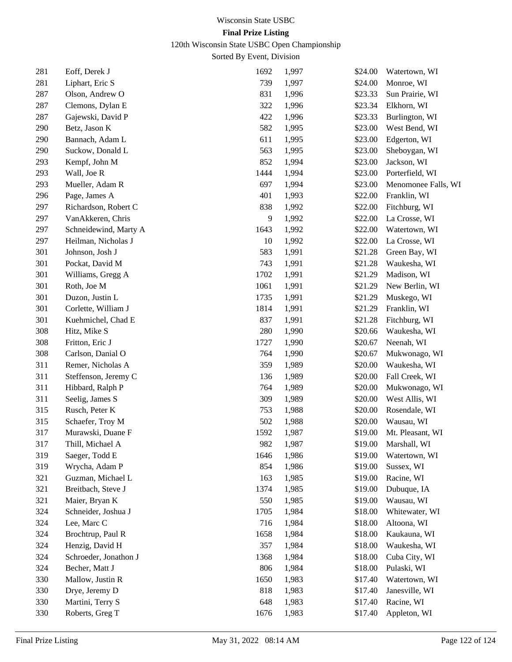120th Wisconsin State USBC Open Championship

| 281 | Eoff, Derek J         | 1692 | 1,997 | \$24.00 | Watertown, WI       |
|-----|-----------------------|------|-------|---------|---------------------|
| 281 | Liphart, Eric S       | 739  | 1,997 | \$24.00 | Monroe, WI          |
| 287 | Olson, Andrew O       | 831  | 1,996 | \$23.33 | Sun Prairie, WI     |
| 287 | Clemons, Dylan E      | 322  | 1,996 | \$23.34 | Elkhorn, WI         |
| 287 | Gajewski, David P     | 422  | 1,996 | \$23.33 | Burlington, WI      |
| 290 | Betz, Jason K         | 582  | 1,995 | \$23.00 | West Bend, WI       |
| 290 | Bannach, Adam L       | 611  | 1,995 | \$23.00 | Edgerton, WI        |
| 290 | Suckow, Donald L      | 563  | 1,995 | \$23.00 | Sheboygan, WI       |
| 293 | Kempf, John M         | 852  | 1,994 | \$23.00 | Jackson, WI         |
| 293 | Wall, Joe R           | 1444 | 1,994 | \$23.00 | Porterfield, WI     |
| 293 | Mueller, Adam R       | 697  | 1,994 | \$23.00 | Menomonee Falls, WI |
| 296 | Page, James A         | 401  | 1,993 | \$22.00 | Franklin, WI        |
| 297 | Richardson, Robert C  | 838  | 1,992 | \$22.00 | Fitchburg, WI       |
| 297 | VanAkkeren, Chris     | 9    | 1,992 | \$22.00 | La Crosse, WI       |
| 297 | Schneidewind, Marty A | 1643 | 1,992 | \$22.00 | Watertown, WI       |
| 297 | Heilman, Nicholas J   | 10   | 1,992 | \$22.00 | La Crosse, WI       |
| 301 | Johnson, Josh J       | 583  | 1,991 | \$21.28 | Green Bay, WI       |
| 301 | Pockat, David M       | 743  | 1,991 | \$21.28 | Waukesha, WI        |
| 301 | Williams, Gregg A     | 1702 | 1,991 | \$21.29 | Madison, WI         |
| 301 | Roth, Joe M           | 1061 | 1,991 | \$21.29 | New Berlin, WI      |
| 301 | Duzon, Justin L       | 1735 | 1,991 | \$21.29 | Muskego, WI         |
| 301 | Corlette, William J   | 1814 | 1,991 | \$21.29 | Franklin, WI        |
| 301 | Kuehmichel, Chad E    | 837  | 1,991 | \$21.28 | Fitchburg, WI       |
| 308 | Hitz, Mike S          | 280  | 1,990 | \$20.66 | Waukesha, WI        |
| 308 | Fritton, Eric J       | 1727 | 1,990 | \$20.67 | Neenah, WI          |
| 308 | Carlson, Danial O     | 764  | 1,990 | \$20.67 | Mukwonago, WI       |
| 311 | Remer, Nicholas A     | 359  | 1,989 | \$20.00 | Waukesha, WI        |
| 311 | Steffenson, Jeremy C  | 136  | 1,989 | \$20.00 | Fall Creek, WI      |
| 311 | Hibbard, Ralph P      | 764  | 1,989 | \$20.00 | Mukwonago, WI       |
| 311 | Seelig, James S       | 309  | 1,989 | \$20.00 | West Allis, WI      |
| 315 | Rusch, Peter K        | 753  | 1,988 | \$20.00 | Rosendale, WI       |
| 315 | Schaefer, Troy M      | 502  | 1,988 | \$20.00 | Wausau, WI          |
| 317 | Murawski, Duane F     | 1592 | 1,987 | \$19.00 | Mt. Pleasant, WI    |
| 317 | Thill, Michael A      | 982  | 1,987 | \$19.00 | Marshall, WI        |
| 319 | Saeger, Todd E        | 1646 | 1,986 | \$19.00 | Watertown, WI       |
| 319 | Wrycha, Adam P        | 854  | 1,986 | \$19.00 | Sussex, WI          |
| 321 | Guzman, Michael L     | 163  | 1,985 | \$19.00 | Racine, WI          |
| 321 | Breitbach, Steve J    | 1374 | 1,985 | \$19.00 | Dubuque, IA         |
| 321 | Maier, Bryan K        | 550  | 1,985 | \$19.00 | Wausau, WI          |
| 324 | Schneider, Joshua J   | 1705 | 1,984 | \$18.00 | Whitewater, WI      |
| 324 | Lee, Marc C           | 716  | 1,984 | \$18.00 | Altoona, WI         |
| 324 | Brochtrup, Paul R     | 1658 | 1,984 | \$18.00 | Kaukauna, WI        |
| 324 | Henzig, David H       | 357  | 1,984 | \$18.00 | Waukesha, WI        |
| 324 | Schroeder, Jonathon J | 1368 | 1,984 | \$18.00 | Cuba City, WI       |
| 324 | Becher, Matt J        | 806  | 1,984 | \$18.00 | Pulaski, WI         |
| 330 | Mallow, Justin R      | 1650 | 1,983 | \$17.40 | Watertown, WI       |
| 330 | Drye, Jeremy D        | 818  | 1,983 | \$17.40 | Janesville, WI      |
| 330 | Martini, Terry S      | 648  | 1,983 | \$17.40 | Racine, WI          |
| 330 | Roberts, Greg T       | 1676 | 1,983 | \$17.40 | Appleton, WI        |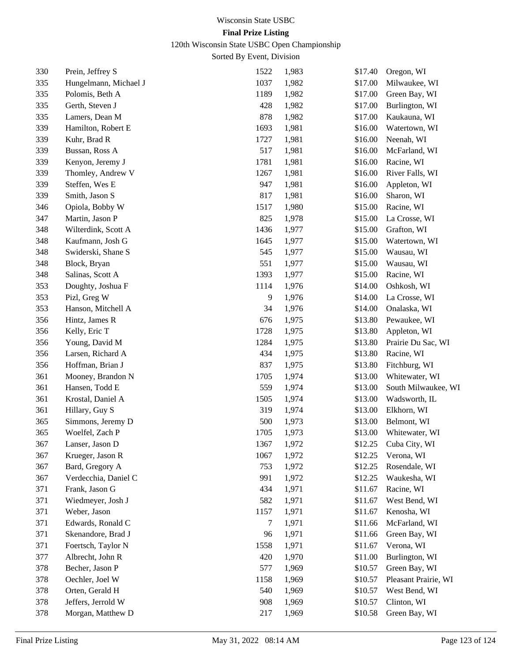120th Wisconsin State USBC Open Championship

| 330 | Prein, Jeffrey S      | 1522 | 1,983 | \$17.40 | Oregon, WI           |
|-----|-----------------------|------|-------|---------|----------------------|
| 335 | Hungelmann, Michael J | 1037 | 1,982 | \$17.00 | Milwaukee, WI        |
| 335 | Polomis, Beth A       | 1189 | 1,982 | \$17.00 | Green Bay, WI        |
| 335 | Gerth, Steven J       | 428  | 1,982 | \$17.00 | Burlington, WI       |
| 335 | Lamers, Dean M        | 878  | 1,982 | \$17.00 | Kaukauna, WI         |
| 339 | Hamilton, Robert E    | 1693 | 1,981 | \$16.00 | Watertown, WI        |
| 339 | Kuhr, Brad R          | 1727 | 1,981 | \$16.00 | Neenah, WI           |
| 339 | Bussan, Ross A        | 517  | 1,981 | \$16.00 | McFarland, WI        |
| 339 | Kenyon, Jeremy J      | 1781 | 1,981 | \$16.00 | Racine, WI           |
| 339 | Thomley, Andrew V     | 1267 | 1,981 | \$16.00 | River Falls, WI      |
| 339 | Steffen, Wes E        | 947  | 1,981 | \$16.00 | Appleton, WI         |
| 339 | Smith, Jason S        | 817  | 1,981 | \$16.00 | Sharon, WI           |
| 346 | Opiola, Bobby W       | 1517 | 1,980 | \$15.00 | Racine, WI           |
| 347 | Martin, Jason P       | 825  | 1,978 | \$15.00 | La Crosse, WI        |
| 348 | Wilterdink, Scott A   | 1436 | 1,977 | \$15.00 | Grafton, WI          |
| 348 | Kaufmann, Josh G      | 1645 | 1,977 | \$15.00 | Watertown, WI        |
| 348 | Swiderski, Shane S    | 545  | 1,977 | \$15.00 | Wausau, WI           |
| 348 | Block, Bryan          | 551  | 1,977 | \$15.00 | Wausau, WI           |
| 348 | Salinas, Scott A      | 1393 | 1,977 | \$15.00 | Racine, WI           |
| 353 | Doughty, Joshua F     | 1114 | 1,976 | \$14.00 | Oshkosh, WI          |
| 353 | Pizl, Greg W          | 9    | 1,976 | \$14.00 | La Crosse, WI        |
| 353 | Hanson, Mitchell A    | 34   | 1,976 | \$14.00 | Onalaska, WI         |
| 356 | Hintz, James R        | 676  | 1,975 | \$13.80 | Pewaukee, WI         |
| 356 | Kelly, Eric T         | 1728 | 1,975 | \$13.80 | Appleton, WI         |
| 356 | Young, David M        | 1284 | 1,975 | \$13.80 | Prairie Du Sac, WI   |
| 356 | Larsen, Richard A     | 434  | 1,975 | \$13.80 | Racine, WI           |
| 356 | Hoffman, Brian J      | 837  | 1,975 | \$13.80 | Fitchburg, WI        |
| 361 | Mooney, Brandon N     | 1705 | 1,974 | \$13.00 | Whitewater, WI       |
| 361 | Hansen, Todd E        | 559  | 1,974 | \$13.00 | South Milwaukee, WI  |
| 361 | Krostal, Daniel A     | 1505 | 1,974 | \$13.00 | Wadsworth, IL        |
| 361 | Hillary, Guy S        | 319  | 1,974 | \$13.00 | Elkhorn, WI          |
| 365 | Simmons, Jeremy D     | 500  | 1,973 | \$13.00 | Belmont, WI          |
| 365 | Woelfel, Zach P       | 1705 | 1,973 | \$13.00 | Whitewater, WI       |
| 367 | Lanser, Jason D       | 1367 | 1,972 | \$12.25 | Cuba City, WI        |
| 367 | Krueger, Jason R      | 1067 | 1,972 | \$12.25 | Verona, WI           |
| 367 | Bard, Gregory A       | 753  | 1,972 | \$12.25 | Rosendale, WI        |
| 367 | Verdecchia, Daniel C  | 991  | 1,972 | \$12.25 | Waukesha, WI         |
| 371 | Frank, Jason G        | 434  | 1,971 | \$11.67 | Racine, WI           |
| 371 | Wiedmeyer, Josh J     | 582  | 1,971 | \$11.67 | West Bend, WI        |
| 371 | Weber, Jason          | 1157 | 1,971 | \$11.67 | Kenosha, WI          |
| 371 | Edwards, Ronald C     | 7    | 1,971 | \$11.66 | McFarland, WI        |
| 371 | Skenandore, Brad J    | 96   | 1,971 | \$11.66 | Green Bay, WI        |
| 371 | Foertsch, Taylor N    | 1558 | 1,971 | \$11.67 | Verona, WI           |
| 377 | Albrecht, John R      | 420  | 1,970 | \$11.00 | Burlington, WI       |
| 378 | Becher, Jason P       | 577  | 1,969 | \$10.57 | Green Bay, WI        |
| 378 | Oechler, Joel W       | 1158 | 1,969 | \$10.57 | Pleasant Prairie, WI |
| 378 | Orten, Gerald H       | 540  | 1,969 | \$10.57 | West Bend, WI        |
| 378 | Jeffers, Jerrold W    | 908  | 1,969 | \$10.57 | Clinton, WI          |
| 378 | Morgan, Matthew D     | 217  | 1,969 | \$10.58 | Green Bay, WI        |